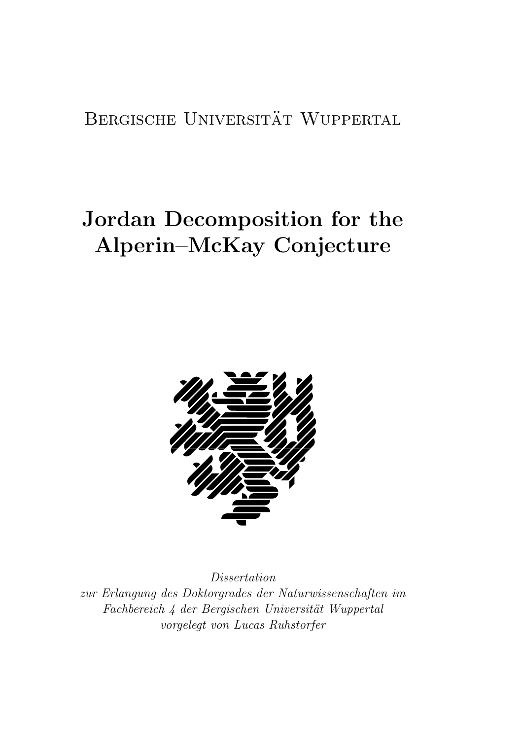## BERGISCHE UNIVERSITÄT WUPPERTAL

# Jordan Decomposition for the Alperin–McKay Conjecture



Dissertation zur Erlangung des Doktorgrades der Naturwissenschaften im Fachbereich 4 der Bergischen Universität Wuppertal vorgelegt von Lucas Ruhstorfer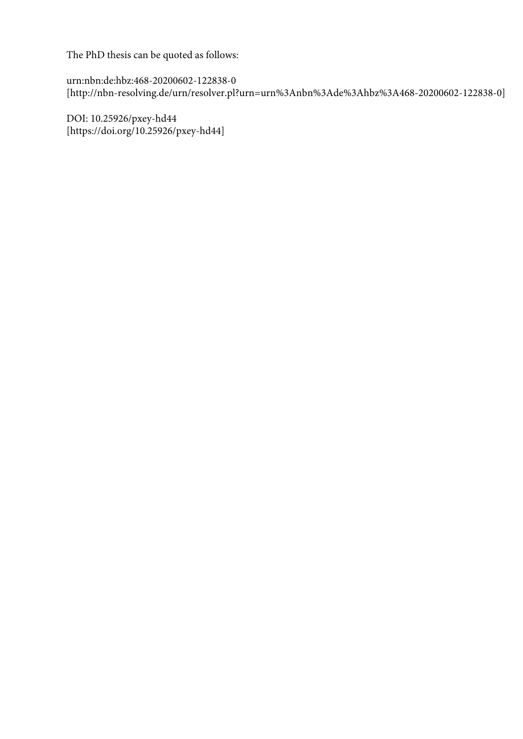The PhD thesis can be quoted as follows:

urn:nbn:de:hbz:468-20200602-122838-0 [http://nbn-resolving.de/urn/resolver.pl?urn=urn%3Anbn%3Ade%3Ahbz%3A468-20200602-122838-0]

DOI: 10.25926/pxey-hd44 [https://doi.org/10.25926/pxey-hd44]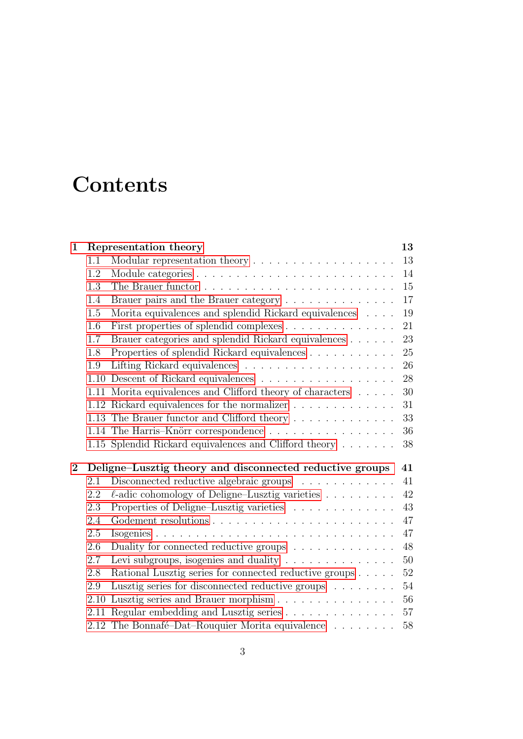# **Contents**

| $\mathbf 1$ |      | Representation theory                                                                         | 13       |
|-------------|------|-----------------------------------------------------------------------------------------------|----------|
|             | 1.1  | Modular representation theory $\dots \dots \dots \dots \dots \dots \dots$                     | 13       |
|             | 1.2  |                                                                                               | 14       |
|             | 1.3  |                                                                                               | 15       |
|             | 1.4  | Brauer pairs and the Brauer category                                                          | 17       |
|             | 1.5  | Morita equivalences and splendid Rickard equivalences $\ldots$ .                              | 19       |
|             | 1.6  | First properties of splendid complexes                                                        | 21       |
|             | 1.7  | Brauer categories and splendid Rickard equivalences                                           | 23       |
|             | 1.8  | Properties of splendid Rickard equivalences                                                   | 25       |
|             | 1.9  |                                                                                               | 26       |
|             | 1.10 | Descent of Rickard equivalences $\ldots \ldots \ldots \ldots \ldots \ldots$                   | 28       |
|             | 1.11 | Morita equivalences and Clifford theory of characters                                         | 30       |
|             |      | 1.12 Rickard equivalences for the normalizer                                                  | 31       |
|             |      | 1.13 The Brauer functor and Clifford theory                                                   | 33       |
|             |      | 1.14 The Harris-Knörr correspondence                                                          | 36       |
|             |      |                                                                                               |          |
|             |      | 1.15 Splendid Rickard equivalences and Clifford theory                                        | 38       |
|             |      |                                                                                               |          |
| $\bf{2}$    |      | Deligne–Lusztig theory and disconnected reductive groups                                      | 41       |
|             | 2.1  | Disconnected reductive algebraic groups                                                       | 41       |
|             | 2.2  | $\ell$ -adic cohomology of Deligne–Lusztig varieties                                          | 42       |
|             | 2.3  | Properties of Deligne-Lusztig varieties                                                       | 43       |
|             | 2.4  |                                                                                               | 47       |
|             | 2.5  |                                                                                               | 47       |
|             | 2.6  | Duality for connected reductive groups $\ldots \ldots \ldots \ldots$                          | 48       |
|             | 2.7  | Levi subgroups, isogenies and duality                                                         | $50\,$   |
|             | 2.8  | Rational Lusztig series for connected reductive groups                                        | 52       |
|             | 2.9  | Lusztig series for disconnected reductive groups                                              | 54       |
|             | 2.10 | Lusztig series and Brauer morphism                                                            | 56       |
|             |      | 2.11 Regular embedding and Lusztig series<br>2.12 The Bonnafé-Dat-Rouquier Morita equivalence | 57<br>58 |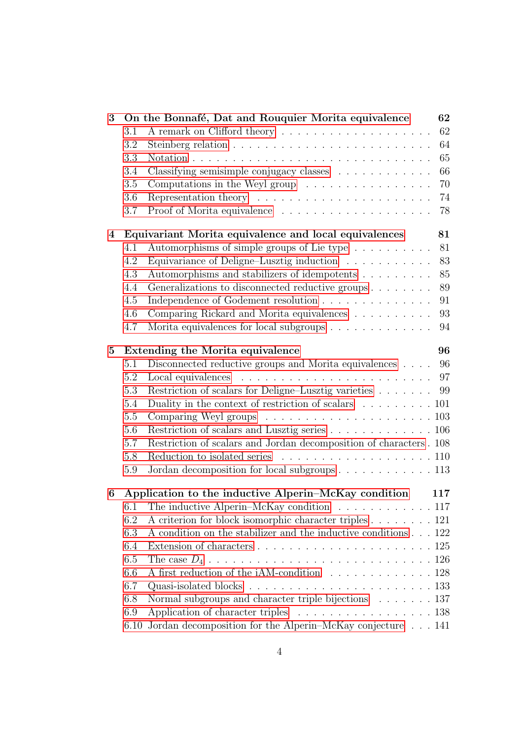| 3        |                                                             | On the Bonnafé, Dat and Rouquier Morita equivalence                            | 62 |
|----------|-------------------------------------------------------------|--------------------------------------------------------------------------------|----|
|          | 3.1                                                         |                                                                                | 62 |
|          | 3.2                                                         |                                                                                | 64 |
|          | 3.3                                                         |                                                                                | 65 |
|          | 3.4                                                         | Classifying semisimple conjugacy classes                                       | 66 |
|          | 3.5                                                         | Computations in the Weyl group $\ldots \ldots \ldots \ldots \ldots$            | 70 |
|          | 3.6                                                         |                                                                                | 74 |
|          | 3.7                                                         |                                                                                | 78 |
| 4        |                                                             | Equivariant Morita equivalence and local equivalences                          | 81 |
|          | 4.1                                                         | Automorphisms of simple groups of Lie type                                     | 81 |
|          | 4.2                                                         | Equivariance of Deligne–Lusztig induction $\ldots \ldots \ldots \ldots$        | 83 |
|          | 4.3                                                         | Automorphisms and stabilizers of idempotents                                   | 85 |
|          | 4.4                                                         | Generalizations to disconnected reductive groups                               | 89 |
|          | 4.5                                                         | Independence of Godement resolution                                            | 91 |
|          | 4.6                                                         | Comparing Rickard and Morita equivalences                                      | 93 |
|          | 4.7                                                         | Morita equivalences for local subgroups                                        | 94 |
| $\bf{5}$ |                                                             | Extending the Morita equivalence                                               | 96 |
|          | 5.1                                                         | Disconnected reductive groups and Morita equivalences                          | 96 |
|          | 5.2                                                         |                                                                                | 97 |
|          | 5.3                                                         | Restriction of scalars for Deligne-Lusztig varieties                           | 99 |
|          | 5.4                                                         | Duality in the context of restriction of scalars $\ldots \ldots \ldots 101$    |    |
|          | 5.5                                                         |                                                                                |    |
|          | 5.6                                                         | Restriction of scalars and Lusztig series 106                                  |    |
|          | 5.7                                                         | Restriction of scalars and Jordan decomposition of characters . 108            |    |
|          | 5.8                                                         |                                                                                |    |
|          | 5.9                                                         | Jordan decomposition for local subgroups 113                                   |    |
| 6        | Application to the inductive Alperin–McKay condition<br>117 |                                                                                |    |
|          | 6.1                                                         | The inductive Alperin–McKay condition $\ldots \ldots \ldots \ldots 117$        |    |
|          | 6.2                                                         | A criterion for block isomorphic character triples 121                         |    |
|          | 6.3                                                         | A condition on the stabilizer and the inductive conditions 122                 |    |
|          | 6.4                                                         | Extension of characters $\ldots \ldots \ldots \ldots \ldots \ldots \ldots 125$ |    |
|          | 6.5                                                         |                                                                                |    |
|          | 6.6                                                         | A first reduction of the iAM-condition 128                                     |    |
|          | 6.7                                                         |                                                                                |    |
|          | 6.8                                                         | Normal subgroups and character triple bijections 137                           |    |
|          | 6.9                                                         | Application of character triples 138                                           |    |
|          | 6.10                                                        | Jordan decomposition for the Alperin–McKay conjecture $\ldots$ 141             |    |
|          |                                                             |                                                                                |    |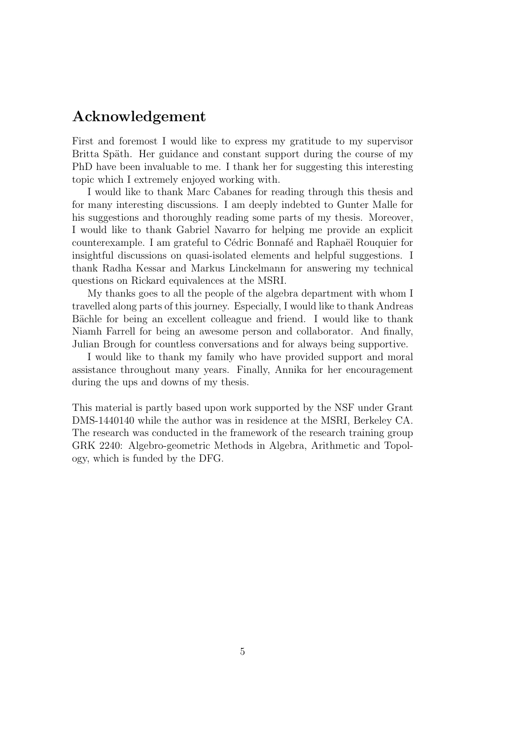#### Acknowledgement

First and foremost I would like to express my gratitude to my supervisor Britta Späth. Her guidance and constant support during the course of my PhD have been invaluable to me. I thank her for suggesting this interesting topic which I extremely enjoyed working with.

I would like to thank Marc Cabanes for reading through this thesis and for many interesting discussions. I am deeply indebted to Gunter Malle for his suggestions and thoroughly reading some parts of my thesis. Moreover, I would like to thank Gabriel Navarro for helping me provide an explicit counterexample. I am grateful to Cédric Bonnafé and Raphaël Rouquier for insightful discussions on quasi-isolated elements and helpful suggestions. I thank Radha Kessar and Markus Linckelmann for answering my technical questions on Rickard equivalences at the MSRI.

My thanks goes to all the people of the algebra department with whom I travelled along parts of this journey. Especially, I would like to thank Andreas Bächle for being an excellent colleague and friend. I would like to thank Niamh Farrell for being an awesome person and collaborator. And finally, Julian Brough for countless conversations and for always being supportive.

I would like to thank my family who have provided support and moral assistance throughout many years. Finally, Annika for her encouragement during the ups and downs of my thesis.

This material is partly based upon work supported by the NSF under Grant DMS-1440140 while the author was in residence at the MSRI, Berkeley CA. The research was conducted in the framework of the research training group GRK 2240: Algebro-geometric Methods in Algebra, Arithmetic and Topology, which is funded by the DFG.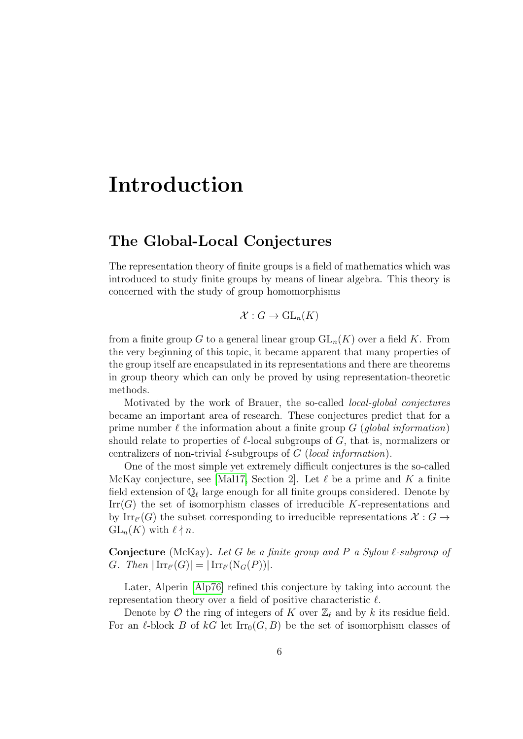## Introduction

#### The Global-Local Conjectures

The representation theory of finite groups is a field of mathematics which was introduced to study finite groups by means of linear algebra. This theory is concerned with the study of group homomorphisms

$$
\mathcal{X}: G \to \mathrm{GL}_n(K)
$$

from a finite group G to a general linear group  $GL_n(K)$  over a field K. From the very beginning of this topic, it became apparent that many properties of the group itself are encapsulated in its representations and there are theorems in group theory which can only be proved by using representation-theoretic methods.

Motivated by the work of Brauer, the so-called local-global conjectures became an important area of research. These conjectures predict that for a prime number  $\ell$  the information about a finite group G (*global information*) should relate to properties of  $\ell$ -local subgroups of G, that is, normalizers or centralizers of non-trivial  $\ell$ -subgroups of G (local information).

One of the most simple yet extremely difficult conjectures is the so-called McKay conjecture, see [\[Mal17,](#page-144-0) Section 2]. Let  $\ell$  be a prime and K a finite field extension of  $\mathbb{Q}_\ell$  large enough for all finite groups considered. Denote by  $\mathrm{Irr}(G)$  the set of isomorphism classes of irreducible K-representations and by  $\text{Irr}_{\ell'}(G)$  the subset corresponding to irreducible representations  $\mathcal{X}: G \to$  $GL_n(K)$  with  $\ell \nmid n$ .

**Conjecture** (McKay). Let G be a finite group and P a Sylow  $\ell$ -subgroup of G. Then  $|\operatorname{Irr}_{\ell'}(G)| = |\operatorname{Irr}_{\ell'}(\operatorname{N}_G(P))|$ .

Later, Alperin [\[Alp76\]](#page-141-0) refined this conjecture by taking into account the representation theory over a field of positive characteristic  $\ell$ .

Denote by  $\mathcal O$  the ring of integers of K over  $\mathbb Z_\ell$  and by k its residue field. For an  $\ell$ -block B of kG let  $\text{Irr}_0(G, B)$  be the set of isomorphism classes of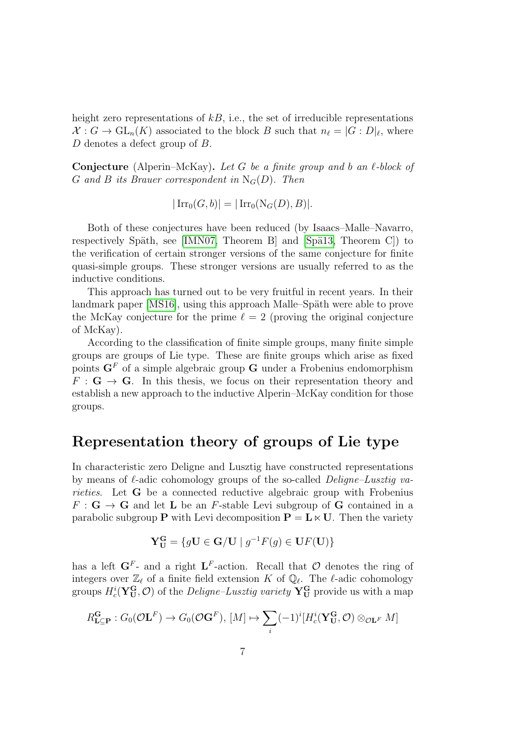height zero representations of  $kB$ , i.e., the set of irreducible representations  $\mathcal{X}: G \to \mathrm{GL}_n(K)$  associated to the block B such that  $n_\ell = |G : D|_\ell$ , where D denotes a defect group of B.

**Conjecture** (Alperin–McKay). Let G be a finite group and b an  $\ell$ -block of G and B its Brauer correspondent in  $N_G(D)$ . Then

$$
|\operatorname{Irr}_0(G,b)| = |\operatorname{Irr}_0(\operatorname{N}_G(D),B)|.
$$

Both of these conjectures have been reduced (by Isaacs–Malle–Navarro, respectively Späth, see [\[IMN07,](#page-143-0) Theorem B] and [Spä13, Theorem C]) to the verification of certain stronger versions of the same conjecture for finite quasi-simple groups. These stronger versions are usually referred to as the inductive conditions.

This approach has turned out to be very fruitful in recent years. In their landmark paper [\[MS16\]](#page-144-1), using this approach Malle–Späth were able to prove the McKay conjecture for the prime  $\ell = 2$  (proving the original conjecture of McKay).

According to the classification of finite simple groups, many finite simple groups are groups of Lie type. These are finite groups which arise as fixed points  $G<sup>F</sup>$  of a simple algebraic group G under a Frobenius endomorphism  $F : G \to G$ . In this thesis, we focus on their representation theory and establish a new approach to the inductive Alperin–McKay condition for those groups.

#### Representation theory of groups of Lie type

In characteristic zero Deligne and Lusztig have constructed representations by means of  $\ell$ -adic cohomology groups of the so-called *Deligne–Lusztig va*rieties. Let **G** be a connected reductive algebraic group with Frobenius  $F: \mathbf{G} \to \mathbf{G}$  and let **L** be an *F*-stable Levi subgroup of **G** contained in a parabolic subgroup **P** with Levi decomposition  $P = L \times U$ . Then the variety

$$
\mathbf{Y_U^G} = \{ g\mathbf{U} \in \mathbf{G} / \mathbf{U} \mid g^{-1}F(g) \in \mathbf{U}F(\mathbf{U}) \}
$$

has a left  $G^F$ - and a right  $L^F$ -action. Recall that  $\mathcal O$  denotes the ring of integers over  $\mathbb{Z}_{\ell}$  of a finite field extension K of  $\mathbb{Q}_{\ell}$ . The  $\ell$ -adic cohomology groups  $H_c^i(\mathbf{Y_U^G}, \mathcal{O})$  of the *Deligne–Lusztig variety*  $\mathbf{Y_U^G}$  provide us with a map

$$
R_{\mathbf{L}\subseteq\mathbf{P}}^{\mathbf{G}}:G_0(\mathcal{O}\mathbf{L}^F)\to G_0(\mathcal{O}\mathbf{G}^F),\ [M]\mapsto\sum_i(-1)^i[H_c^i(\mathbf{Y}_{\mathbf{U}}^{\mathbf{G}},\mathcal{O})\otimes_{\mathcal{O}\mathbf{L}^F}M]
$$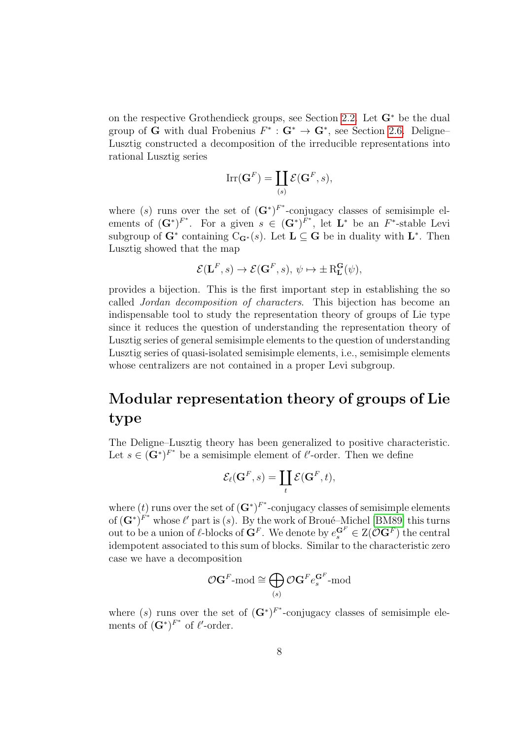on the respective Grothendieck groups, see Section [2.2.](#page-41-0) Let G<sup>∗</sup> be the dual group of **G** with dual Frobenius  $F^* : \mathbf{G}^* \to \mathbf{G}^*$ , see Section [2.6.](#page-47-0) Deligne– Lusztig constructed a decomposition of the irreducible representations into rational Lusztig series

$$
\mathrm{Irr}(\mathbf{G}^F) = \coprod_{(s)} \mathcal{E}(\mathbf{G}^F, s),
$$

where (s) runs over the set of  $(G^*)^{F^*}$ -conjugacy classes of semisimple elements of  $(\mathbf{G}^*)^{F^*}$ . For a given  $s \in (\mathbf{G}^*)^{F^*}$ , let  $\mathbf{L}^*$  be an  $F^*$ -stable Levi subgroup of  $G^*$  containing  $C_{G^*}(s)$ . Let  $L \subseteq G$  be in duality with  $L^*$ . Then Lusztig showed that the map

$$
\mathcal{E}(\mathbf{L}^F, s) \to \mathcal{E}(\mathbf{G}^F, s), \, \psi \mapsto \pm \mathbf{R}_{\mathbf{L}}^{\mathbf{G}}(\psi),
$$

provides a bijection. This is the first important step in establishing the so called Jordan decomposition of characters. This bijection has become an indispensable tool to study the representation theory of groups of Lie type since it reduces the question of understanding the representation theory of Lusztig series of general semisimple elements to the question of understanding Lusztig series of quasi-isolated semisimple elements, i.e., semisimple elements whose centralizers are not contained in a proper Levi subgroup.

## Modular representation theory of groups of Lie type

The Deligne–Lusztig theory has been generalized to positive characteristic. Let  $s \in (\mathbf{G}^*)^{F^*}$  be a semisimple element of  $\ell'$ -order. Then we define

$$
\mathcal{E}_{\ell}(\mathbf{G}^F, s) = \coprod_t \mathcal{E}(\mathbf{G}^F, t),
$$

where (t) runs over the set of  $(G^*)^{F^*}$ -conjugacy classes of semisimple elements of  $(G^*)^{F^*}$  whose  $\ell'$  part is (s). By the work of Broué–Michel [\[BM89\]](#page-141-1) this turns out to be a union of  $\ell$ -blocks of  $G^F$ . We denote by  $e_s^{G^F} \in Z(\mathcal{O}^{F})$  the central idempotent associated to this sum of blocks. Similar to the characteristic zero case we have a decomposition

$$
\mathcal{O} \mathbf{G}^F\text{-}\mathrm{mod} \cong \bigoplus_{(s)} \mathcal{O} \mathbf{G}^F e_s^{\mathbf{G}^F}\text{-}\mathrm{mod}
$$

where (s) runs over the set of  $(G^*)^{F^*}$ -conjugacy classes of semisimple elements of  $(\mathbf{G}^*)^{F^*}$  of  $\ell'$ -order.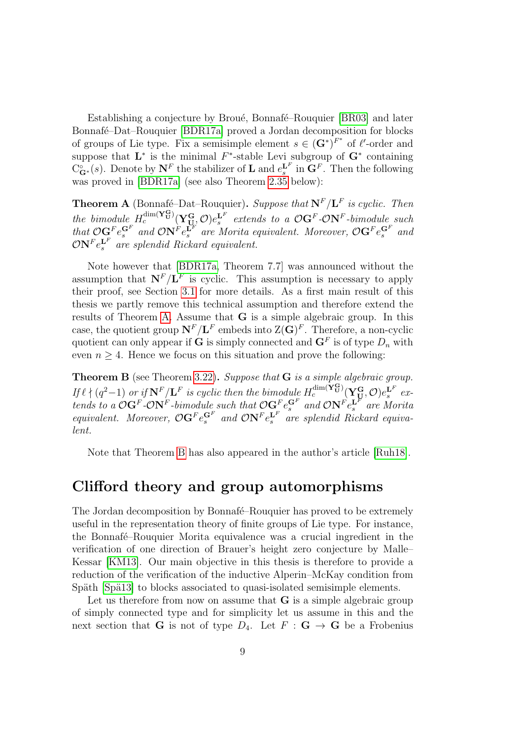Establishing a conjecture by Broué, Bonnafé–Rouquier [\[BR03\]](#page-141-2) and later Bonnafé–Dat–Rouquier [\[BDR17a\]](#page-141-3) proved a Jordan decomposition for blocks of groups of Lie type. Fix a semisimple element  $s \in (\mathbf{G}^*)^{F^*}$  of  $\ell'$ -order and suppose that  $\mathbf{L}^*$  is the minimal  $F^*$ -stable Levi subgroup of  $\mathbf{G}^*$  containing  $C_{\bf G}^{\circ}(s)$ . Denote by  ${\bf N}^F$  the stabilizer of **L** and  $e_s^{{\bf L}^F}$  in  ${\bf G}^F$ . Then the following was proved in [\[BDR17a\]](#page-141-3) (see also Theorem [2.35](#page-59-0) below):

<span id="page-8-0"></span>**Theorem A** (Bonnafé–Dat–Rouquier). Suppose that  $N^F/L^F$  is cyclic. Then the bimodule  $H_c^{\text{dim}(\mathbf{Y}_{\mathbf{U}}^{\mathbf{G}})}(\mathbf{Y}_{\mathbf{U}_c}^{\mathbf{G}}, \mathcal{O})e_s^{\mathbf{L}^F}$  extends to a  $\mathcal{O}\mathbf{G}^F$ - $\mathcal{O}\mathbf{N}^F$ -bimodule such that  $\mathcal{O} \mathbf{G}^F e^{\mathbf{G}^F}_{s}$  and  $\mathcal{O} \mathbf{N}^F e^{\mathbf{L}^F}_{s}$  are Morita equivalent. Moreover,  $\mathcal{O} \mathbf{G}^F e^{\mathbf{G}^F}_{s}$  and  $\mathcal{O} {\bf N}^F e^{{\bf L}^F}_s$  are splendid Rickard equivalent.

Note however that [\[BDR17a,](#page-141-3) Theorem 7.7] was announced without the assumption that  $N^F/L^F$  is cyclic. This assumption is necessary to apply their proof, see Section [3.1](#page-61-1) for more details. As a first main result of this thesis we partly remove this technical assumption and therefore extend the results of Theorem [A.](#page-8-0) Assume that G is a simple algebraic group. In this case, the quotient group  $N^F/L^F$  embeds into  $\mathcal{Z}(\mathbf{G})^F$ . Therefore, a non-cyclic quotient can only appear if **G** is simply connected and  $\mathbf{G}^F$  is of type  $D_n$  with even  $n \geq 4$ . Hence we focus on this situation and prove the following:

<span id="page-8-1"></span>Theorem B (see Theorem [3.22\)](#page-79-0). Suppose that G is a simple algebraic group. If  $\ell \nmid (q^2-1)$  or if  $\mathbf{N}^F/\mathbf{L}^F$  is cyclic then the bimodule  $H_c^{\dim(\mathbf{Y}_\mathbf{U}^\mathbf{G})}(\mathbf{Y}_\mathbf{U}^\mathbf{G}, \mathcal{O})e_s^{\mathbf{L}^F}$  extends to a  $\mathcal{O}G^F$ - $\mathcal{O}N^F$ -bimodule such that  $\mathcal{O}G^F_e e^{G^F}_s$  and  $\mathcal{O}N^F e^{L^F}_s$  are Morita equivalent. Moreover,  $\mathcal{O} \mathbf{G}^F e_s^{\mathbf{G}^F}$  and  $\mathcal{O} \mathbf{N}^F e_s^{\mathbf{L}^F}$  are splendid Rickard equivalent.

Note that Theorem [B](#page-8-1) has also appeared in the author's article [\[Ruh18\]](#page-145-1).

#### Clifford theory and group automorphisms

The Jordan decomposition by Bonnafé–Rouquier has proved to be extremely useful in the representation theory of finite groups of Lie type. For instance, the Bonnafé–Rouquier Morita equivalence was a crucial ingredient in the verification of one direction of Brauer's height zero conjecture by Malle– Kessar [\[KM13\]](#page-143-1). Our main objective in this thesis is therefore to provide a reduction of the verification of the inductive Alperin–McKay condition from Späth [Spä13] to blocks associated to quasi-isolated semisimple elements.

Let us therefore from now on assume that  $G$  is a simple algebraic group of simply connected type and for simplicity let us assume in this and the next section that **G** is not of type  $D_4$ . Let  $F : G \to G$  be a Frobenius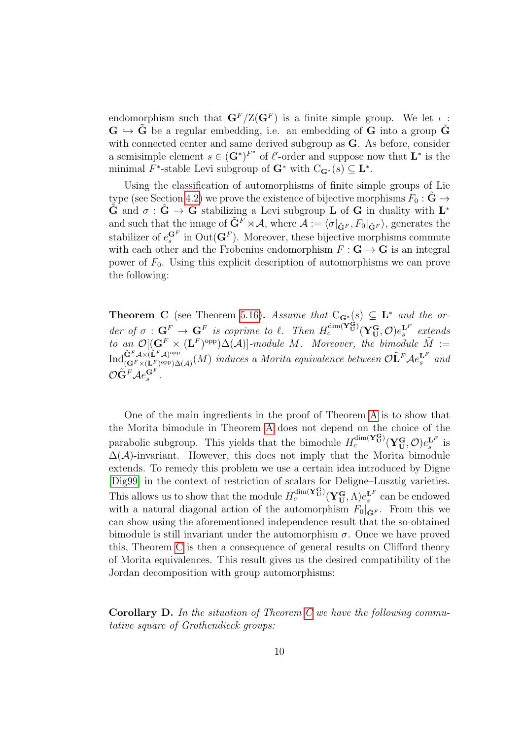endomorphism such that  $\mathbf{G}^F/\mathbb{Z}(\mathbf{G}^F)$  is a finite simple group. We let  $\iota$ :  $\mathbf{G} \leftrightarrow \mathbf{\tilde{G}}$  be a regular embedding, i.e. an embedding of G into a group  $\mathbf{\tilde{G}}$ with connected center and same derived subgroup as **G**. As before, consider a semisimple element  $s \in (\mathbf{G}^*)^{F^*}$  of  $\ell'$ -order and suppose now that  $\mathbf{L}^*$  is the minimal  $F^*$ -stable Levi subgroup of  $G^*$  with  $C_{G^*}(s) \subseteq L^*$ .

Using the classification of automorphisms of finite simple groups of Lie type (see Section [4.2\)](#page-81-0) we prove the existence of bijective morphisms  $F_0 : \tilde{G} \rightarrow$  $\tilde{G}$  and  $\sigma : \tilde{G} \to \tilde{G}$  stabilizing a Levi subgroup L of G in duality with  $L^*$ and such that the image of  $\tilde{\mathbf{G}}^F \rtimes \mathcal{A}$ , where  $\mathcal{A} := \langle \sigma |_{\tilde{\mathbf{G}}^F}, F_0 |_{\tilde{\mathbf{G}}^F} \rangle$ , generates the stabilizer of  $e_s^{\mathbf{G}^F}$  in  $\text{Out}(\mathbf{G}^F)$ . Moreover, these bijective morphisms commute with each other and the Frobenius endomorphism  $F: G \to G$  is an integral power of  $F_0$ . Using this explicit description of automorphisms we can prove the following:

<span id="page-9-0"></span>**Theorem C** (see Theorem [5.16\)](#page-109-1). Assume that  $C_{\mathbf{G}^*}(s) \subseteq \mathbf{L}^*$  and the order of  $\sigma : G^F \to G^F$  is coprime to  $\ell$ . Then  $H_c^{\dim(\mathbf{Y}_U^G)}(\mathbf{Y}_U^G,\mathcal{O})e_s^{\mathbf{L}^F}$  extends to an  $\mathcal{O}[(\mathbf{G}^F \times (\mathbf{L}^F)^{\text{opp}}) \Delta(\mathcal{A})]$ -module M. Moreover, the bimodule  $\tilde{M} :=$  ${\rm Ind}^{\tilde{\mathbf{G}}^F\mathcal{A} \times (\tilde{\mathbf{L}}^F\mathcal{A})^{\rm opp}}_{(\mathbf{G}^F \times (\mathbf{L}^F)^\mathrm{opp}) \wedge}$  $\mathbf{G}^F \mathcal{A} \times (\mathbf{L}^F \mathcal{A})^{\text{opp}}(\mathcal{A})} (M)$  induces a Morita equivalence between  $\mathcal{O}\tilde{\mathbf{L}}^F \mathcal{A} e_s^{\mathbf{L}^F}$  and  ${\mathcal{O}}\tilde{\mathbf{G}}^F\mathcal{A}e^{\mathbf{G}^F}_{s}.$ 

One of the main ingredients in the proof of Theorem [A](#page-8-0) is to show that the Morita bimodule in Theorem [A](#page-8-0) does not depend on the choice of the parabolic subgroup. This yields that the bimodule  $H_c^{\dim(\mathbf{Y}_U^G)}(\mathbf{Y}_U^G, \mathcal{O})e_s^{\mathbf{L}^F}$  is  $\Delta(\mathcal{A})$ -invariant. However, this does not imply that the Morita bimodule extends. To remedy this problem we use a certain idea introduced by Digne [\[Dig99\]](#page-143-2) in the context of restriction of scalars for Deligne–Lusztig varieties. This allows us to show that the module  $H_c^{\dim(\mathbf{Y}_U^G)}(\mathbf{Y}_U^G,\Lambda)e_s^{\mathbf{L}^F}$  can be endowed with a natural diagonal action of the automorphism  $F_0|_{\tilde{\mathbf{G}}^F}$ . From this we can show using the aforementioned independence result that the so-obtained bimodule is still invariant under the automorphism  $\sigma$ . Once we have proved this, Theorem [C](#page-9-0) is then a consequence of general results on Clifford theory of Morita equivalences. This result gives us the desired compatibility of the Jordan decomposition with group automorphisms:

Corollary D. In the situation of Theorem [C](#page-9-0) we have the following commutative square of Grothendieck groups: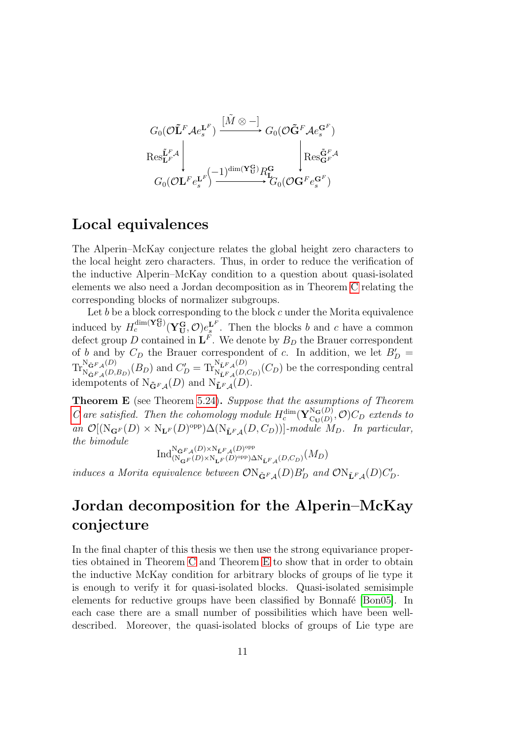$$
G_0(\mathcal{O}\tilde{\mathbf{L}}^F \mathcal{A} e_s^{\mathbf{L}^F}) \xrightarrow{\begin{bmatrix} \tilde{M} \otimes - \end{bmatrix}} G_0(\mathcal{O}\tilde{\mathbf{G}}^F \mathcal{A} e_s^{\mathbf{G}^F})
$$
  
\n
$$
\operatorname{Res}_{\mathbf{L}^F}^{\tilde{\mathbf{L}}^F \mathcal{A}} \begin{bmatrix} \begin{bmatrix} \begin{matrix} \mathbf{R} \otimes \mathbf{L}^F \end{matrix} & \begin{matrix} \begin{matrix} \mathbf{R} \otimes \tilde{\mathbf{G}}^F \mathcal{A} e_s^{\mathbf{G}^F} \end{matrix} \\ \begin{matrix} \begin{matrix} \mathbf{G}_0(\mathcal{O}\mathbf{L}^F e_s^{\mathbf{L}^F}) \end{matrix} & \xrightarrow{\text{dim}(\mathbf{Y}_{\mathbf{U}}^{\mathbf{G}})} R_{\mathbf{L}}^{\mathbf{G}} \\ \end{matrix} & G_0(\mathcal{O}\mathbf{G}^F e_s^{\mathbf{G}^F}) \end{bmatrix} \end{bmatrix}
$$

### Local equivalences

The Alperin–McKay conjecture relates the global height zero characters to the local height zero characters. Thus, in order to reduce the verification of the inductive Alperin–McKay condition to a question about quasi-isolated elements we also need a Jordan decomposition as in Theorem [C](#page-9-0) relating the corresponding blocks of normalizer subgroups.

Let  $b$  be a block corresponding to the block  $c$  under the Morita equivalence induced by  $H_c^{\dim(\mathbf{Y}_{\mathbf{U}}^{\mathbf{G}})}(\mathbf{Y}_{\mathbf{U}}^{\mathbf{G}}, \mathcal{O})e_s^{\mathbf{L}^F}$ . Then the blocks b and c have a common defect group D contained in  $\mathbf{L}^F$ . We denote by  $B_D$  the Brauer correspondent of b and by  $C_D$  the Brauer correspondent of c. In addition, we let  $B_D' =$  $\text{Tr}_{\text{N}_{z,n}\cup\Omega}^{\text{N}_{\tilde{\mathbf{G}}}F_{\mathcal{A}}(D)}$  $N_{\tilde{\mathbf{G}}^F\mathcal{A}}^{(D)}(D)$  and  $C'_D = \text{Tr}_{N_{\tilde{\mathbf{L}}^F\mathcal{A}}^{N_{\tilde{\mathbf{L}}^F\mathcal{A}}(D)}$  $N_{LF_{\mathcal{A}}(D,C_D)}(C_D)$  be the corresponding central idempotents of  $N_{\tilde{\mathbf{G}}^F\mathcal{A}}(D)$  and  $N_{\tilde{\mathbf{L}}^F\mathcal{A}}(D)$ .

<span id="page-10-0"></span>Theorem E (see Theorem [5.24\)](#page-113-0). Suppose that the assumptions of Theorem [C](#page-9-0) are satisfied. Then the cohomology module  $H_c^{\dim}(\mathbf{Y}_{\text{Cu}(D)}^{\text{N}_{\mathbf{G}}(D)})$  $C_{\mathbf{U}(D)}^{N_{\mathbf{G}}(D)}, \mathcal{O})$   $C_D$  extends to an  $\mathcal{O}[(N_{\mathbf{G}^F}(D) \times N_{\mathbf{L}^F}(D)^{\text{opp}}) \Delta(N_{\mathbf{L}^F\mathcal{A}}(D, C_D))]$ -module  $M_D$ . In particular, the bimodule

$$
\text{Ind}_{(\mathcal{N}_{\mathbf{G}^F}(D)\times \mathcal{N}_{\mathbf{L}^F}(D)^{\text{opp}}_{\mathbf{G}^F\mathcal{A}}(D)^{\text{opp}}_{\mathbf{D}^F\mathcal{A}}(D,C_D)}(M_D)
$$

induces a Morita equivalence between  $\mathcal{O}N_{\tilde{\mathbf{G}}^F\mathcal{A}}(D)B_D'$  and  $\mathcal{O}N_{\tilde{\mathbf{L}}^F\mathcal{A}}(D)C_D'$ .

## Jordan decomposition for the Alperin–McKay conjecture

In the final chapter of this thesis we then use the strong equivariance properties obtained in Theorem [C](#page-9-0) and Theorem [E](#page-10-0) to show that in order to obtain the inductive McKay condition for arbitrary blocks of groups of lie type it is enough to verify it for quasi-isolated blocks. Quasi-isolated semisimple elements for reductive groups have been classified by Bonnafé [\[Bon05\]](#page-141-4). In each case there are a small number of possibilities which have been welldescribed. Moreover, the quasi-isolated blocks of groups of Lie type are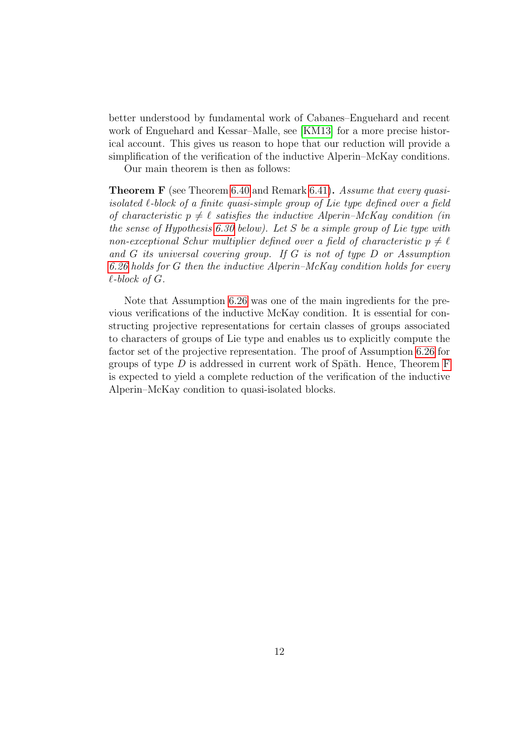better understood by fundamental work of Cabanes–Enguehard and recent work of Enguehard and Kessar–Malle, see [\[KM13\]](#page-143-1) for a more precise historical account. This gives us reason to hope that our reduction will provide a simplification of the verification of the inductive Alperin–McKay conditions.

Our main theorem is then as follows:

<span id="page-11-0"></span>Theorem F (see Theorem [6.40](#page-140-1) and Remark [6.41\)](#page-140-2). Assume that every quasiisolated  $\ell$ -block of a finite quasi-simple group of Lie type defined over a field of characteristic  $p \neq \ell$  satisfies the inductive Alperin–McKay condition (in the sense of Hypothesis [6.30](#page-132-1) below). Let S be a simple group of Lie type with non-exceptional Schur multiplier defined over a field of characteristic  $p \neq \ell$ and G its universal covering group. If G is not of type D or Assumption [6.26](#page-128-0) holds for G then the inductive Alperin–McKay condition holds for every  $\ell$ -block of  $G$ .

Note that Assumption [6.26](#page-128-0) was one of the main ingredients for the previous verifications of the inductive McKay condition. It is essential for constructing projective representations for certain classes of groups associated to characters of groups of Lie type and enables us to explicitly compute the factor set of the projective representation. The proof of Assumption [6.26](#page-128-0) for groups of type  $D$  is addressed in current work of Späth. Hence, Theorem [F](#page-11-0) is expected to yield a complete reduction of the verification of the inductive Alperin–McKay condition to quasi-isolated blocks.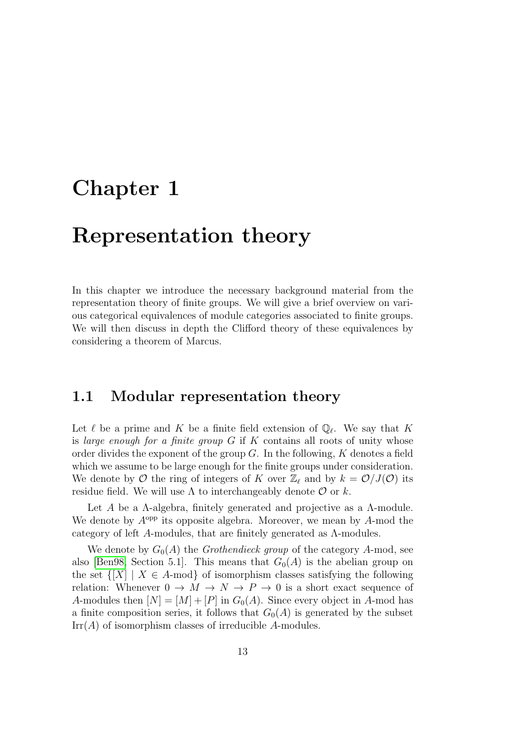## <span id="page-12-0"></span>Chapter 1

## Representation theory

In this chapter we introduce the necessary background material from the representation theory of finite groups. We will give a brief overview on various categorical equivalences of module categories associated to finite groups. We will then discuss in depth the Clifford theory of these equivalences by considering a theorem of Marcus.

#### <span id="page-12-1"></span>1.1 Modular representation theory

Let  $\ell$  be a prime and K be a finite field extension of  $\mathbb{Q}_{\ell}$ . We say that K is large enough for a finite group  $G$  if  $K$  contains all roots of unity whose order divides the exponent of the group  $G$ . In the following,  $K$  denotes a field which we assume to be large enough for the finite groups under consideration. We denote by  $\mathcal O$  the ring of integers of K over  $\mathbb Z_\ell$  and by  $k = \mathcal O/J(\mathcal O)$  its residue field. We will use  $\Lambda$  to interchangeably denote  $\mathcal O$  or k.

Let A be a  $\Lambda$ -algebra, finitely generated and projective as a  $\Lambda$ -module. We denote by  $A^{\text{opp}}$  its opposite algebra. Moreover, we mean by  $A$ -mod the category of left A-modules, that are finitely generated as Λ-modules.

We denote by  $G_0(A)$  the *Grothendieck group* of the category A-mod, see also [\[Ben98,](#page-141-5) Section 5.1]. This means that  $G_0(A)$  is the abelian group on the set  $\{[X] \mid X \in A\text{-mod}\}\$  of isomorphism classes satisfying the following relation: Whenever  $0 \to M \to N \to P \to 0$  is a short exact sequence of A-modules then  $[N] = [M] + [P]$  in  $G_0(A)$ . Since every object in A-mod has a finite composition series, it follows that  $G_0(A)$  is generated by the subset  $Irr(A)$  of isomorphism classes of irreducible A-modules.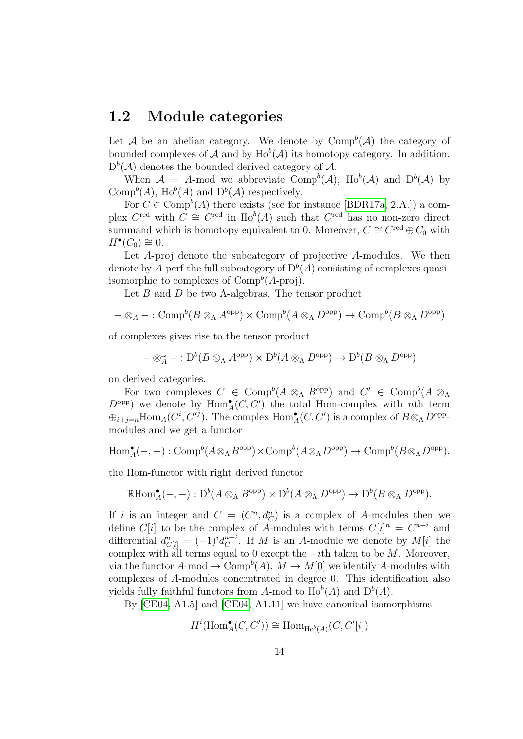#### <span id="page-13-0"></span>1.2 Module categories

Let A be an abelian category. We denote by  $\text{Comp}^b(\mathcal{A})$  the category of bounded complexes of A and by  $\text{Ho}^b(\mathcal{A})$  its homotopy category. In addition,  $D^{b}(\mathcal{A})$  denotes the bounded derived category of  $\mathcal{A}$ .

When  $A = A$ -mod we abbreviate Comp<sup>b</sup>(A), Ho<sup>b</sup>(A) and D<sup>b</sup>(A) by Comp<sup>b</sup>(A), Ho<sup>b</sup>(A) and D<sup>b</sup>(A) respectively.

For  $C \in \text{Comp}^b(A)$  there exists (see for instance [\[BDR17a,](#page-141-3) 2.A.]) a complex  $C^{\text{red}}$  with  $C \cong C^{\text{red}}$  in  $\text{Ho}^b(A)$  such that  $C^{\text{red}}$  has no non-zero direct summand which is homotopy equivalent to 0. Moreover,  $C \cong C^{\text{red}} \oplus C_0$  with  $H^{\bullet}(C_0) \cong 0.$ 

Let A-proj denote the subcategory of projective A-modules. We then denote by A-perf the full subcategory of  $D^{b}(A)$  consisting of complexes quasiisomorphic to complexes of  $\text{Comp}^b(A\text{-proj})$ .

Let  $B$  and  $D$  be two  $\Lambda$ -algebras. The tensor product

$$
- \otimes_A - : Comp^b(B \otimes_A A^{opp}) \times Comp^b(A \otimes_A D^{opp}) \to Comp^b(B \otimes_A D^{opp})
$$

of complexes gives rise to the tensor product

$$
-\otimes_A^{\mathbb{L}} - : D^b(B \otimes_A A^{\text{opp}}) \times D^b(A \otimes_A D^{\text{opp}}) \to D^b(B \otimes_A D^{\text{opp}})
$$

on derived categories.

For two complexes  $C \in \text{Comp}^b(A \otimes_A B^{\text{opp}})$  and  $C' \in \text{Comp}^b(A \otimes_A B^{\text{opp}})$  $D^{\text{opp}}$ ) we denote by  $\text{Hom}_{A}^{\bullet}(C, C')$  the total Hom-complex with nth term  $\oplus_{i+j=n} \text{Hom}_{A}(C^{i}, C^{j})$ . The complex  $\text{Hom}_{A}^{\bullet}(C, C')$  is a complex of  $B \otimes_{\Lambda} D^{\text{opp}}$ . modules and we get a functor

$$
\text{Hom}^{\bullet}_{A}(-,-): \text{Comp}^{b}(A \otimes_{\Lambda} B^{\text{opp}}) \times \text{Comp}^{b}(A \otimes_{\Lambda} D^{\text{opp}}) \to \text{Comp}^{b}(B \otimes_{\Lambda} D^{\text{opp}}),
$$

the Hom-functor with right derived functor

$$
\mathbb{R}\mathrm{Hom}^\bullet_A(-,-): \mathrm{D}^b(A\otimes_\Lambda B^\mathrm{opp})\times \mathrm{D}^b(A\otimes_\Lambda D^\mathrm{opp})\to \mathrm{D}^b(B\otimes_\Lambda D^\mathrm{opp}).
$$

If i is an integer and  $C = (C^n, d_C^n)$  is a complex of A-modules then we define  $C[i]$  to be the complex of A-modules with terms  $C[i]$ <sup>n</sup> =  $C^{n+i}$  and differential  $d_{C[i]}^n = (-1)^i d_C^{n+i}$  $C^{n+1}$ . If M is an A-module we denote by  $M[i]$  the complex with all terms equal to 0 except the  $-ith$  taken to be M. Moreover, via the functor  $A$ -mod  $\to$  Comp<sup>b</sup> $(A)$ ,  $M \mapsto M[0]$  we identify A-modules with complexes of A-modules concentrated in degree 0. This identification also yields fully faithful functors from A-mod to  $\text{Ho}^{b}(A)$  and  $D^{b}(A)$ .

By [\[CE04,](#page-142-0) A1.5] and [\[CE04,](#page-142-0) A1.11] we have canonical isomorphisms

$$
H^i(\operatorname{Hom}\nolimits^\bullet_A(C,C')) \cong \operatorname{Hom}\nolimits_{\operatorname{Ho}^b(A)}(C,C'[i])
$$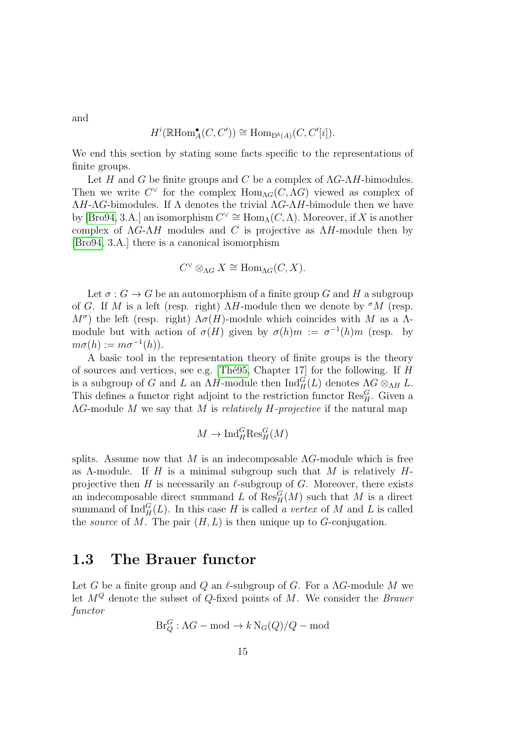and

$$
H^i(\mathbb{R}\mathrm{Hom}_A^\bullet(C, C')) \cong \mathrm{Hom}_{\mathrm{D}^b(A)}(C, C'[i]).
$$

We end this section by stating some facts specific to the representations of finite groups.

Let H and G be finite groups and C be a complex of  $\Lambda G - \Lambda H$ -bimodules. Then we write  $C^{\vee}$  for the complex  $\text{Hom}_{\Lambda G}(C, \Lambda G)$  viewed as complex of  $\Lambda H$ - $\Lambda G$ -bimodules. If  $\Lambda$  denotes the trivial  $\Lambda G$ - $\Lambda H$ -bimodule then we have by [\[Bro94,](#page-142-1) 3.A.] an isomorphism  $C^{\vee} \cong \text{Hom}_{\Lambda}(C, \Lambda)$ . Moreover, if X is another complex of  $\Lambda G - \Lambda H$  modules and C is projective as  $\Lambda H$ -module then by [\[Bro94,](#page-142-1) 3.A.] there is a canonical isomorphism

$$
C^{\vee} \otimes_{\Lambda G} X \cong \text{Hom}_{\Lambda G}(C, X).
$$

Let  $\sigma: G \to G$  be an automorphism of a finite group G and H a subgroup of G. If M is a left (resp. right)  $\Lambda H$ -module then we denote by  $\sigma M$  (resp.  $M^{\sigma}$ ) the left (resp. right)  $\Lambda \sigma(H)$ -module which coincides with M as a  $\Lambda$ module but with action of  $\sigma(H)$  given by  $\sigma(h)m := \sigma^{-1}(h)m$  (resp. by  $m\sigma(h) := m\sigma^{-1}(h)).$ 

A basic tool in the representation theory of finite groups is the theory of sources and vertices, see e.g. [The 95, Chapter 17] for the following. If  $H$ is a subgroup of G and L an  $\Lambda H$ -module then  $\text{Ind}_{H}^{G}(L)$  denotes  $\Lambda G \otimes_{\Lambda H} L$ . This defines a functor right adjoint to the restriction functor  $\text{Res}_{H}^{G}$ . Given a  $\Lambda$ G-module M we say that M is relatively H-projective if the natural map

$$
M \to \mathrm{Ind}_{H}^{G} \mathrm{Res}_{H}^{G}(M)
$$

splits. Assume now that M is an indecomposable  $\Lambda$ G-module which is free as  $\Lambda$ -module. If H is a minimal subgroup such that M is relatively Hprojective then H is necessarily an  $\ell$ -subgroup of G. Moreover, there exists an indecomposable direct summand L of  $\text{Res}_{H}^{G}(M)$  such that M is a direct summand of  $\text{Ind}_{H}^{G}(L)$ . In this case H is called a vertex of M and L is called the *source* of M. The pair  $(H, L)$  is then unique up to G-conjugation.

#### <span id="page-14-0"></span>1.3 The Brauer functor

Let G be a finite group and Q an  $\ell$ -subgroup of G. For a  $\Lambda G$ -module M we let  $M^Q$  denote the subset of  $Q$ -fixed points of M. We consider the *Brauer* functor

$$
\operatorname{Br}_Q^G:\Lambda G-\text{mod}\to k\operatorname{N}_G(Q)/Q-\text{mod}
$$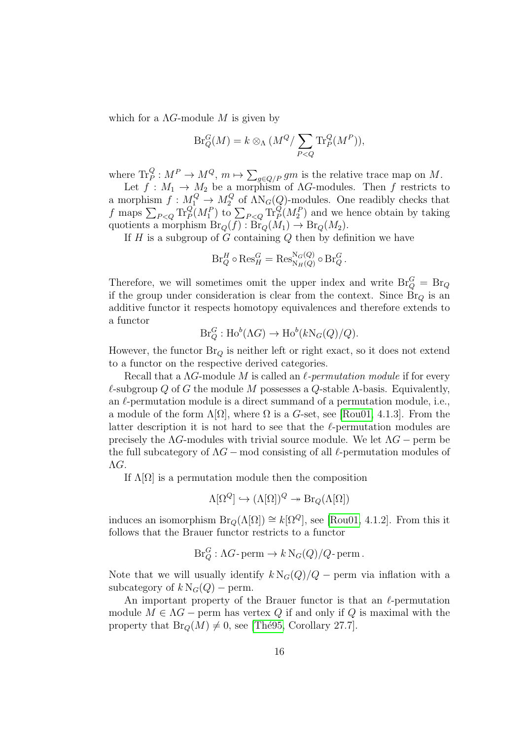which for a  $\Lambda G$ -module M is given by

$$
\operatorname{Br}_Q^G(M) = k \otimes_{\Lambda} (M^Q / \sum_{P < Q} \operatorname{Tr}_P^Q(M^P)),
$$

where  $\text{Tr}_P^Q: M^P \to M^Q$ ,  $m \mapsto \sum_{g \in Q/P} gm$  is the relative trace map on M.

Let  $f: M_1 \to M_2$  be a morphism of AG-modules. Then f restricts to a morphism  $f: M_1^Q \to M_2^Q$  $\mathcal{L}_2^Q$  of  $\Lambda N_G(Q)$ -modules. One readibly checks that f maps  $\sum_{P\leq Q} \text{Tr}_P^Q(M_1^P)$  to  $\sum_{P\leq Q} \text{Tr}_P^Q(M_2^P)$  and we hence obtain by taking quotients a morphism  $\text{Br}_Q(f) : \text{Br}_Q(M_1) \to \text{Br}_Q(M_2)$ .

If  $H$  is a subgroup of  $G$  containing  $Q$  then by definition we have

$$
\operatorname{Br}_Q^H \circ \operatorname{Res}_H^G = \operatorname{Res}_{\operatorname{N}_H(Q)}^{\operatorname{N}_G(Q)} \circ \operatorname{Br}_Q^G.
$$

Therefore, we will sometimes omit the upper index and write  $\text{Br}_Q^G = \text{Br}_Q$ if the group under consideration is clear from the context. Since  $\text{Br}_Q$  is an additive functor it respects homotopy equivalences and therefore extends to a functor

$$
Br_Q^G: Ho^b(\Lambda G) \to Ho^b(kN_G(Q)/Q).
$$

However, the functor  $Br_{Q}$  is neither left or right exact, so it does not extend to a functor on the respective derived categories.

Recall that a  $\Lambda G$ -module M is called an  $\ell$ -permutation module if for every  $\ell$ -subgroup Q of G the module M possesses a Q-stable  $\Lambda$ -basis. Equivalently, an  $\ell$ -permutation module is a direct summand of a permutation module, i.e., a module of the form  $\Lambda[\Omega]$ , where  $\Omega$  is a G-set, see [\[Rou01,](#page-145-2) 4.1.3]. From the latter description it is not hard to see that the  $\ell$ -permutation modules are precisely the  $\Lambda$ G-modules with trivial source module. We let  $\Lambda$ G – perm be the full subcategory of  $\Lambda G$  – mod consisting of all  $\ell$ -permutation modules of ΛG.

If  $\Lambda[\Omega]$  is a permutation module then the composition

$$
\Lambda[\Omega^Q] \hookrightarrow (\Lambda[\Omega])^Q \twoheadrightarrow \text{Br}_Q(\Lambda[\Omega])
$$

induces an isomorphism  $\text{Br}_Q(\Lambda[\Omega]) \cong k[\Omega^Q]$ , see [\[Rou01,](#page-145-2) 4.1.2]. From this it follows that the Brauer functor restricts to a functor

$$
Br_Q^G:\Lambda G\text{-}\operatorname{perm}\to k\operatorname{N}_G(Q)/Q\text{-}\operatorname{perm}.
$$

Note that we will usually identify  $k N_G(Q)/Q$  – perm via inflation with a subcategory of  $k N_G(Q)$  – perm.

An important property of the Brauer functor is that an  $\ell$ -permutation module  $M \in \Lambda G$  – perm has vertex Q if and only if Q is maximal with the property that  $\text{Br}_Q(M) \neq 0$ , see [Thé95, Corollary 27.7].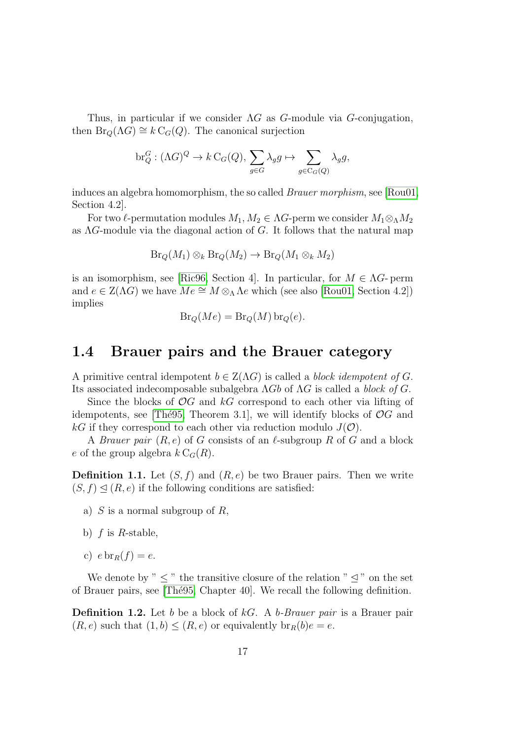Thus, in particular if we consider  $\Lambda G$  as  $G$ -module via  $G$ -conjugation, then  $\text{Br}_Q(\Lambda G) \cong k \text{C}_G(Q)$ . The canonical surjection

$$
\operatorname{br}_Q^G: (\Lambda G)^Q \to k \operatorname{C}_G(Q), \, \sum_{g \in G} \lambda_g g \mapsto \sum_{g \in \operatorname{C}_G(Q)} \lambda_g g,
$$

induces an algebra homomorphism, the so called Brauer morphism, see [\[Rou01,](#page-145-2) Section 4.2].

For two  $\ell$ -permutation modules  $M_1, M_2 \in \Lambda G$ -perm we consider  $M_1 \otimes_{\Lambda} M_2$ as  $\Lambda G$ -module via the diagonal action of G. It follows that the natural map

$$
\text{Br}_Q(M_1) \otimes_k \text{Br}_Q(M_2) \to \text{Br}_Q(M_1 \otimes_k M_2)
$$

is an isomorphism, see [\[Ric96,](#page-144-2) Section 4]. In particular, for  $M \in \Lambda$  - perm and  $e \in Z(\Lambda G)$  we have  $Me \cong M \otimes_{\Lambda} \Lambda e$  which (see also [\[Rou01,](#page-145-2) Section 4.2]) implies

$$
Br_Q(Me) = Br_Q(M) br_Q(e).
$$

#### <span id="page-16-0"></span>1.4 Brauer pairs and the Brauer category

A primitive central idempotent  $b \in Z(\Lambda G)$  is called a *block idempotent of G*. Its associated indecomposable subalgebra ΛGb of ΛG is called a block of G.

Since the blocks of  $\mathcal{O}G$  and kG correspond to each other via lifting of idempotents, see [Thé95, Theorem 3.1], we will identify blocks of  $\mathcal{O}G$  and kG if they correspond to each other via reduction modulo  $J(\mathcal{O})$ .

A *Brauer pair*  $(R, e)$  of G consists of an  $\ell$ -subgroup R of G and a block e of the group algebra  $k \mathcal{C}_G(R)$ .

**Definition 1.1.** Let  $(S, f)$  and  $(R, e)$  be two Brauer pairs. Then we write  $(S, f) \trianglelefteq (R, e)$  if the following conditions are satisfied:

- a) S is a normal subgroup of R,
- b)  $f$  is  $R$ -stable,
- c)  $e \text{ br}_R(f) = e$ .

We denote by "  $\leq$  " the transitive closure of the relation "  $\leq$  " on the set of Brauer pairs, see [\[Th´e95,](#page-146-0) Chapter 40]. We recall the following definition.

**Definition 1.2.** Let b be a block of kG. A b-Brauer pair is a Brauer pair  $(R, e)$  such that  $(1, b) \leq (R, e)$  or equivalently  $\text{br}_R(b)e = e$ .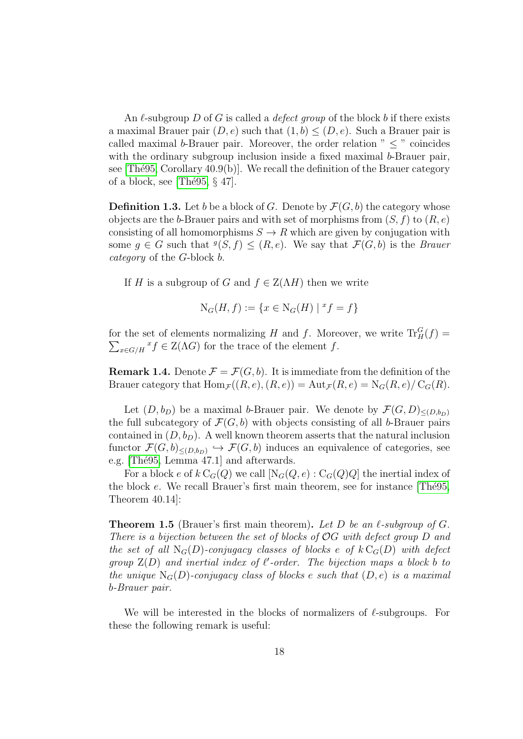An  $\ell$ -subgroup D of G is called a *defect group* of the block b if there exists a maximal Brauer pair  $(D, e)$  such that  $(1, b) \leq (D, e)$ . Such a Brauer pair is called maximal b-Brauer pair. Moreover, the order relation  $" < "$  coincides with the ordinary subgroup inclusion inside a fixed maximal b-Brauer pair, see [Thé95, Corollary  $40.9(b)$ ]. We recall the definition of the Brauer category of a block, see [Thé95,  $\S$  47].

<span id="page-17-1"></span>**Definition 1.3.** Let b be a block of G. Denote by  $\mathcal{F}(G, b)$  the category whose objects are the b-Brauer pairs and with set of morphisms from  $(S, f)$  to  $(R, e)$ consisting of all homomorphisms  $S \to R$  which are given by conjugation with some  $g \in G$  such that  $^g(S, f) \leq (R, e)$ . We say that  $\mathcal{F}(G, b)$  is the *Brauer* category of the G-block b.

If H is a subgroup of G and  $f \in Z(\Lambda H)$  then we write

$$
N_G(H, f) := \{ x \in N_G(H) \mid {}^x f = f \}
$$

for the set of elements normalizing H and f. Moreover, we write  $\text{Tr}^G_H(f)$  =  $\sum_{x \in G/H} x f \in Z(\Lambda G)$  for the trace of the element f.

<span id="page-17-2"></span>**Remark 1.4.** Denote  $\mathcal{F} = \mathcal{F}(G, b)$ . It is immediate from the definition of the Brauer category that  $\text{Hom}_{\mathcal{F}}((R, e), (R, e)) = \text{Aut}_{\mathcal{F}}(R, e) = N_G(R, e)/C_G(R)$ .

Let  $(D, b_D)$  be a maximal b-Brauer pair. We denote by  $\mathcal{F}(G, D)_{\leq (D, b_D)}$ the full subcategory of  $\mathcal{F}(G, b)$  with objects consisting of all b-Brauer pairs contained in  $(D, b_D)$ . A well known theorem asserts that the natural inclusion functor  $\mathcal{F}(G,b)_{\leq (D,b_D)} \hookrightarrow \mathcal{F}(G,b)$  induces an equivalence of categories, see e.g. [Thé95, Lemma 47.1] and afterwards.

For a block e of  $k\,C_G(Q)$  we call  $[N_G(Q, e): C_G(Q)Q]$  the inertial index of the block  $e$ . We recall Brauer's first main theorem, see for instance [The 95, Theorem 40.14]:

<span id="page-17-0"></span>**Theorem 1.5** (Brauer's first main theorem). Let D be an  $\ell$ -subgroup of G. There is a bijection between the set of blocks of OG with defect group D and the set of all  $N_G(D)$ -conjugacy classes of blocks e of  $k C_G(D)$  with defect group  $Z(D)$  and inertial index of  $\ell'$ -order. The bijection maps a block b to the unique  $N_G(D)$ -conjugacy class of blocks e such that  $(D, e)$  is a maximal b-Brauer pair.

We will be interested in the blocks of normalizers of  $\ell$ -subgroups. For these the following remark is useful: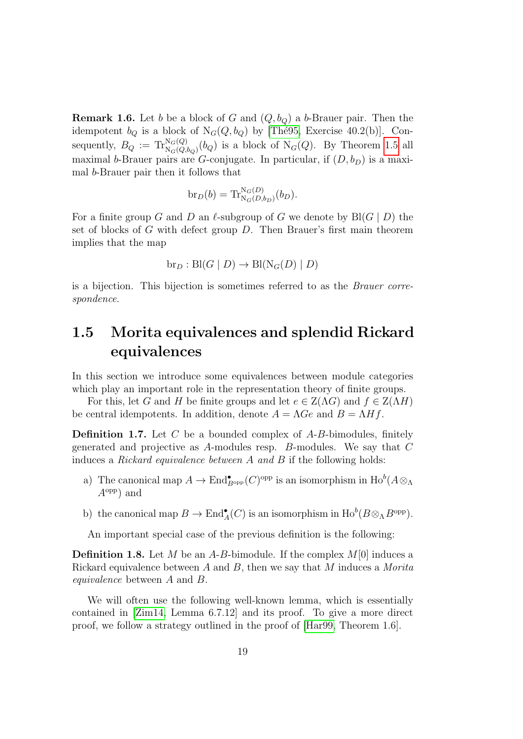<span id="page-18-1"></span>**Remark 1.6.** Let b be a block of G and  $(Q, b_{Q})$  a b-Brauer pair. Then the idempotent  $b_Q$  is a block of  $N_G(Q, b_Q)$  by [Thé95, Exercise 40.2(b)]. Consequently,  $B_Q := \text{Tr}_{N_G(Q, b_Q)}^{N_G(Q)}(b_Q)$  is a block of  $N_G(Q)$ . By Theorem [1.5](#page-17-0) all maximal b-Brauer pairs are G-conjugate. In particular, if  $(D, b_D)$  is a maximal b-Brauer pair then it follows that

$$
\operatorname{br}_D(b) = \operatorname{Tr}^{\mathrm{N}_G(D)}_{\mathrm{N}_G(D,b_D)}(b_D).
$$

For a finite group G and D an  $\ell$ -subgroup of G we denote by Bl(G | D) the set of blocks of G with defect group  $D$ . Then Brauer's first main theorem implies that the map

$$
\text{br}_D: \text{Bl}(G \mid D) \to \text{Bl}(\text{N}_G(D) \mid D)
$$

is a bijection. This bijection is sometimes referred to as the Brauer correspondence.

## <span id="page-18-0"></span>1.5 Morita equivalences and splendid Rickard equivalences

In this section we introduce some equivalences between module categories which play an important role in the representation theory of finite groups.

For this, let G and H be finite groups and let  $e \in Z(\Lambda G)$  and  $f \in Z(\Lambda H)$ be central idempotents. In addition, denote  $A = \Lambda Ge$  and  $B = \Lambda Hf$ .

**Definition 1.7.** Let  $C$  be a bounded complex of  $A$ - $B$ -bimodules, finitely generated and projective as A-modules resp. B-modules. We say that C induces a Rickard equivalence between A and B if the following holds:

- a) The canonical map  $A \to \text{End}^{\bullet}_{B^{\text{opp}}}(C)^{\text{opp}}$  is an isomorphism in  $\text{Ho}^b(A \otimes_A$  $A^{\text{opp}}$  and
- b) the canonical map  $B \to \text{End}_{A}^{\bullet}(C)$  is an isomorphism in  $\text{Ho}^b(B \otimes_{\Lambda} B^{\text{opp}})$ .

An important special case of the previous definition is the following:

**Definition 1.8.** Let M be an A-B-bimodule. If the complex  $M[0]$  induces a Rickard equivalence between A and B, then we say that M induces a Morita equivalence between A and B.

We will often use the following well-known lemma, which is essentially contained in [\[Zim14,](#page-146-1) Lemma 6.7.12] and its proof. To give a more direct proof, we follow a strategy outlined in the proof of [\[Har99,](#page-143-3) Theorem 1.6].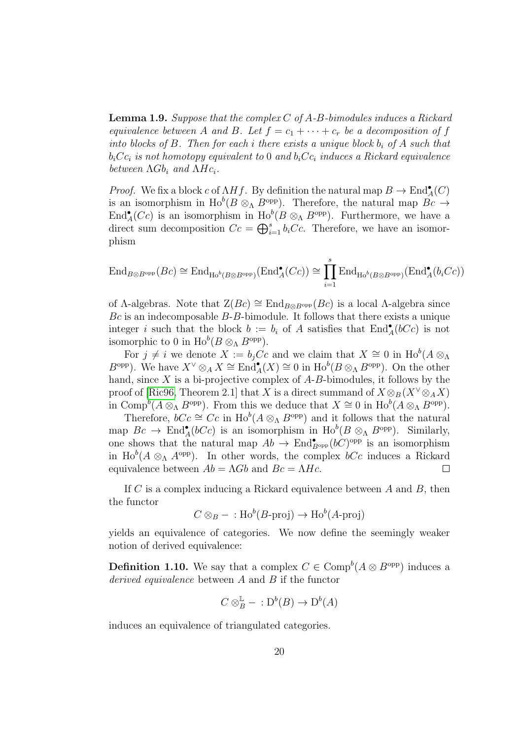**Lemma 1.9.** Suppose that the complex  $C$  of  $A$ - $B$ -bimodules induces a Rickard equivalence between A and B. Let  $f = c_1 + \cdots + c_r$  be a decomposition of f into blocks of  $B$ . Then for each i there exists a unique block  $b_i$  of  $A$  such that  $b_i$ C $c_i$  is not homotopy equivalent to 0 and  $b_i$ C $c_i$  induces a Rickard equivalence between  $\Lambda Gb_i$  and  $\Lambda Hc_i$ .

*Proof.* We fix a block c of  $\Lambda Hf$ . By definition the natural map  $B \to \text{End}_{A}^{\bullet}(C)$ is an isomorphism in  $\text{Ho}^b(B \otimes_A B^{\text{opp}})$ . Therefore, the natural map  $Bc \to$  $\text{End}_{A}^{\bullet}(Cc)$  is an isomorphism in  $\text{Ho}^b(B \otimes_A B^{\text{opp}})$ . Furthermore, we have a direct sum decomposition  $Cc = \bigoplus_{i=1}^s b_iCc$ . Therefore, we have an isomorphism

$$
\text{End}_{B \otimes B^{\text{opp}}}(Bc) \cong \text{End}_{\text{Ho}^b(B \otimes B^{\text{opp}})}(\text{End}_{A}^{\bullet}(Cc)) \cong \prod_{i=1}^{s} \text{End}_{\text{Ho}^b(B \otimes B^{\text{opp}})}(\text{End}_{A}^{\bullet}(b_iCc))
$$

of  $\Lambda$ -algebras. Note that  $Z(Bc) \cong \text{End}_{B\otimes B^{\text{opp}}}(Bc)$  is a local  $\Lambda$ -algebra since  $Bc$  is an indecomposable  $B$ - $B$ -bimodule. It follows that there exists a unique integer i such that the block  $b := b_i$  of A satisfies that  $\text{End}_{A}^{\bullet}(bCc)$  is not isomorphic to 0 in  $\text{Ho}^b(B \otimes_{\Lambda} B^{\text{opp}})$ .

For  $j \neq i$  we denote  $X := b_j C c$  and we claim that  $X \cong 0$  in  $\text{Ho}^b(A \otimes \Lambda)$  $B^{\text{opp}}$ ). We have  $X^{\vee} \otimes_A X \cong \text{End}_{A}^{\bullet}(X) \cong 0$  in  $\text{Ho}^b(B \otimes_{\Lambda} B^{\text{opp}})$ . On the other hand, since  $X$  is a bi-projective complex of  $A$ - $B$ -bimodules, it follows by the proof of [\[Ric96,](#page-144-2) Theorem 2.1] that X is a direct summand of  $X \otimes_B (X^{\vee} \otimes_A X)$ in Comp<sup>b</sup> $(A \otimes_{\Lambda} B^{\text{opp}})$ . From this we deduce that  $X \cong 0$  in  $\text{Ho}^b(A \otimes_{\Lambda} B^{\text{opp}})$ .

Therefore,  $bCc \cong Cc$  in  $\text{Ho}^b(A \otimes_{\Lambda} B^{\text{opp}})$  and it follows that the natural map  $Bc \to \text{End}_{A}^{\bullet}(bCc)$  is an isomorphism in  $\text{Ho}^b(B \otimes_{\Lambda} B^{\text{opp}})$ . Similarly, one shows that the natural map  $Ab \to \text{End}_{B^{\text{opp}}}^{\bullet}(bC)^{\text{opp}}$  is an isomorphism in  $\text{Ho}^b(A \otimes_A A^{\text{opp}})$ . In other words, the complex  $bCc$  induces a Rickard equivalence between  $Ab = \Lambda Gb$  and  $Bc = \Lambda Hc$ .  $\Box$ 

If C is a complex inducing a Rickard equivalence between  $A$  and  $B$ , then the functor

$$
C \otimes_B - : \text{Ho}^b(B\text{-proj}) \to \text{Ho}^b(A\text{-proj})
$$

yields an equivalence of categories. We now define the seemingly weaker notion of derived equivalence:

**Definition 1.10.** We say that a complex  $C \in \text{Comp}^b(A \otimes B^{\text{opp}})$  induces a derived equivalence between A and B if the functor

$$
C \otimes_B^{\mathbb{L}} - : D^b(B) \to D^b(A)
$$

induces an equivalence of triangulated categories.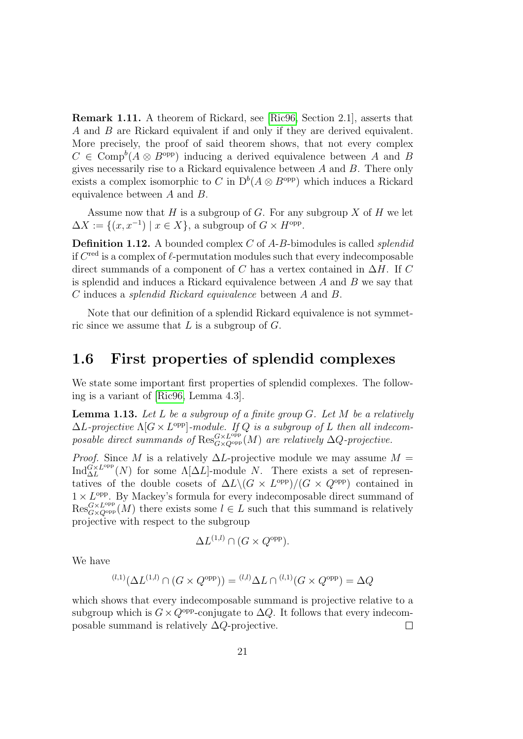Remark 1.11. A theorem of Rickard, see [\[Ric96,](#page-144-2) Section 2.1], asserts that A and B are Rickard equivalent if and only if they are derived equivalent. More precisely, the proof of said theorem shows, that not every complex  $C \in \text{Comp}^b(A \otimes B^{\text{opp}})$  inducing a derived equivalence between A and B gives necessarily rise to a Rickard equivalence between A and B. There only exists a complex isomorphic to C in  $D^b(A \otimes B^{\text{opp}})$  which induces a Rickard equivalence between A and B.

Assume now that H is a subgroup of G. For any subgroup X of H we let  $\Delta X := \{(x, x^{-1}) \mid x \in X\}$ , a subgroup of  $G \times H^{\text{opp}}$ .

**Definition 1.12.** A bounded complex  $C$  of  $A$ - $B$ -bimodules is called *splendid* if  $C^{\text{red}}$  is a complex of  $\ell$ -permutation modules such that every indecomposable direct summands of a component of C has a vertex contained in  $\Delta H$ . If C is splendid and induces a Rickard equivalence between  $A$  and  $B$  we say that C induces a splendid Rickard equivalence between A and B.

Note that our definition of a splendid Rickard equivalence is not symmetric since we assume that  $L$  is a subgroup of  $G$ .

#### <span id="page-20-0"></span>1.6 First properties of splendid complexes

We state some important first properties of splendid complexes. The following is a variant of [\[Ric96,](#page-144-2) Lemma 4.3].

<span id="page-20-1"></span>**Lemma 1.13.** Let L be a subgroup of a finite group  $G$ . Let M be a relatively  $\Delta L$ -projective  $\Lambda[G \times L^{\text{opp}}]$ -module. If Q is a subgroup of L then all indecomposable direct summands of  $\operatorname{Res}_{G\times Q^\text{opp}}^{G\times L^\text{opp}}(M)$  are relatively  $\Delta Q$ -projective.

*Proof.* Since M is a relatively  $\Delta L$ -projective module we may assume  $M =$  $\text{Ind}_{\Delta L}^{\tilde{G} \times L^{\text{opp}}}(N)$  for some  $\Lambda[\Delta L]$ -module N. There exists a set of representatives of the double cosets of  $\Delta L \backslash (G \times L^{\text{opp}})/(G \times Q^{\text{opp}})$  contained in  $1 \times L^{\text{opp}}$ . By Mackey's formula for every indecomposable direct summand of  $\text{Res}_{G \times Q^{\text{opp}}}(M)$  there exists some  $l \in L$  such that this summand is relatively projective with respect to the subgroup

$$
\Delta L^{(1,l)} \cap (G \times Q^{\text{opp}}).
$$

We have

$$
^{(l,1)}(\Delta L^{(1,l)} \cap (G \times Q^{\text{opp}})) = {^{(l,l)}\Delta L} \cap {^{(l,1)}(G \times Q^{\text{opp}})} = \Delta Q
$$

which shows that every indecomposable summand is projective relative to a subgroup which is  $G \times Q^{\text{opp}}$ -conjugate to  $\Delta Q$ . It follows that every indecomposable summand is relatively  $\Delta Q$ -projective.  $\Box$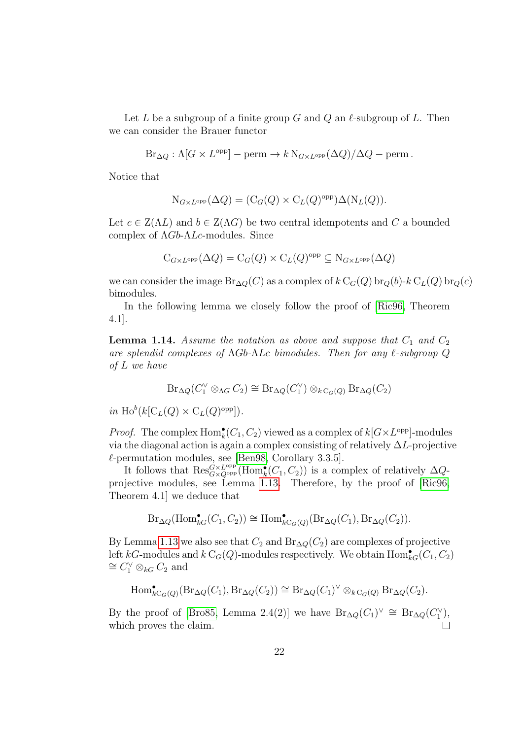Let L be a subgroup of a finite group G and Q an  $\ell$ -subgroup of L. Then we can consider the Brauer functor

$$
Br_{\Delta Q}: \Lambda[G \times L^{\text{opp}}] - \text{perm} \to k \, \text{N}_{G \times L^{\text{opp}}}(\Delta Q) / \Delta Q - \text{perm} \, .
$$

Notice that

$$
N_{G \times L^{opp}}(\Delta Q) = (C_G(Q) \times C_L(Q)^{opp}) \Delta(N_L(Q)).
$$

Let  $c \in Z(\Lambda L)$  and  $b \in Z(\Lambda G)$  be two central idempotents and C a bounded complex of  $\Lambda Gb$ - $\Lambda Lc$ -modules. Since

$$
C_{G \times L^{opp}}(\Delta Q) = C_G(Q) \times C_L(Q)^{opp} \subseteq N_{G \times L^{opp}}(\Delta Q)
$$

we can consider the image  $\text{Br}_{\Delta Q}(C)$  as a complex of  $k\text{ C}_G(Q)$  br<sub>Q</sub>(b)-k C<sub>L</sub>(Q) br<sub>Q</sub>(c) bimodules.

In the following lemma we closely follow the proof of [\[Ric96,](#page-144-2) Theorem 4.1].

<span id="page-21-0"></span>**Lemma 1.14.** Assume the notation as above and suppose that  $C_1$  and  $C_2$ are splendid complexes of  $\Lambda Gb-\Lambda Lc$  bimodules. Then for any  $\ell$ -subgroup  $Q$ of L we have

$$
\mathrm{Br}_{\Delta Q}(C_1^{\vee} \otimes_{\Lambda G} C_2) \cong \mathrm{Br}_{\Delta Q}(C_1^{\vee}) \otimes_{k \mathrm{C}_G(Q)} \mathrm{Br}_{\Delta Q}(C_2)
$$

in  $\text{Ho}^b(k[\mathcal{C}_L(Q) \times \mathcal{C}_L(Q)^\text{opp}]).$ 

*Proof.* The complex  $\text{Hom}_{k}^{\bullet}(C_1, C_2)$  viewed as a complex of  $k[G \times L^{\text{opp}}]$ -modules via the diagonal action is again a complex consisting of relatively  $\Delta L$ -projective  $\ell$ -permutation modules, see [\[Ben98,](#page-141-5) Corollary 3.3.5].

It follows that  $\text{Res}_{G\times Q^{\text{opp}}}^{G\times L^{\text{opp}}}(\text{Hom}_k^{\bullet}(C_1, C_2))$  is a complex of relatively  $\Delta Q$ projective modules, see Lemma [1.13.](#page-20-1) Therefore, by the proof of [\[Ric96,](#page-144-2) Theorem 4.1] we deduce that

$$
\text{Br}_{\Delta Q}(\text{Hom}_{kG}^{\bullet}(C_1, C_2)) \cong \text{Hom}_{kC_G(Q)}^{\bullet}(\text{Br}_{\Delta Q}(C_1), \text{Br}_{\Delta Q}(C_2)).
$$

By Lemma [1.13](#page-20-1) we also see that  $C_2$  and  $Br_{\Delta O}(C_2)$  are complexes of projective left kG-modules and  $k\,C_G(Q)$ -modules respectively. We obtain  $\text{Hom}^{\bullet}_{kG}(C_1,C_2)$  $\cong$  C<sup> $\vee$ </sup> ⊗<sub>kG</sub> C<sub>2</sub> and

$$
\mathrm{Hom}^\bullet_{k\mathrm{C}_G(Q)}(\mathrm{Br}_{\Delta Q}(C_1),\mathrm{Br}_{\Delta Q}(C_2))\cong \mathrm{Br}_{\Delta Q}(C_1)^\vee\otimes_{k\mathrm{C}_G(Q)}\mathrm{Br}_{\Delta Q}(C_2).
$$

By the proof of [\[Bro85,](#page-142-2) Lemma 2.4(2)] we have  $Br_{\Delta Q}(C_1)^{\vee} \cong Br_{\Delta Q}(C_1^{\vee}),$ which proves the claim.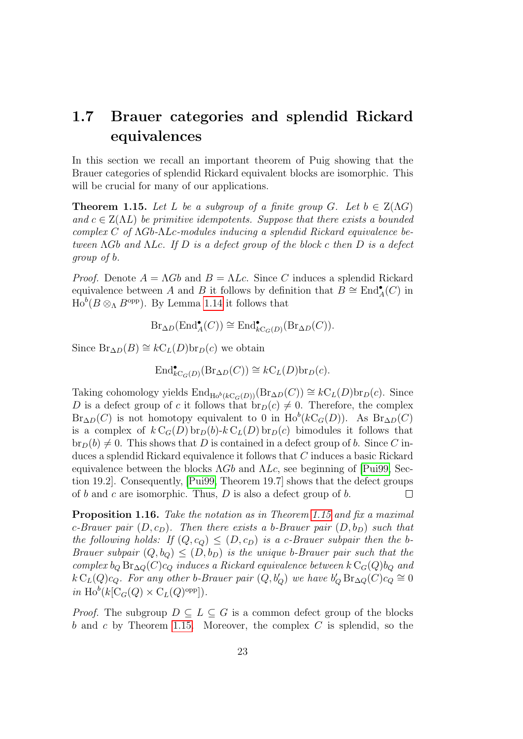### <span id="page-22-0"></span>1.7 Brauer categories and splendid Rickard equivalences

In this section we recall an important theorem of Puig showing that the Brauer categories of splendid Rickard equivalent blocks are isomorphic. This will be crucial for many of our applications.

<span id="page-22-1"></span>**Theorem 1.15.** Let L be a subgroup of a finite group G. Let  $b \in Z(\Lambda G)$ and  $c \in Z(\Lambda L)$  be primitive idempotents. Suppose that there exists a bounded complex C of  $\Lambda Gb-\Lambda Lc$ -modules inducing a splendid Rickard equivalence between  $\Lambda Gb$  and  $\Lambda Lc$ . If D is a defect group of the block c then D is a defect group of b.

*Proof.* Denote  $A = \Lambda Gb$  and  $B = \Lambda Lc$ . Since C induces a splendid Rickard equivalence between A and B it follows by definition that  $B \cong \text{End}_{A}^{\bullet}(C)$  in  $\text{Ho}^b(B \otimes_{\Lambda} B^{\text{opp}})$ . By Lemma [1.14](#page-21-0) it follows that

$$
\text{Br}_{\Delta D}(\text{End}_{A}^{\bullet}(C)) \cong \text{End}_{k\text{C}_G(D)}^{\bullet}(\text{Br}_{\Delta D}(C)).
$$

Since  $Br_{\Delta D}(B) \cong kC_L(D)$ br $_D(c)$  we obtain

$$
\text{End}_{k\text{C}_G(D)}^{\bullet}(\text{Br}_{\Delta D}(C)) \cong k\text{C}_L(D)\text{br}_D(c).
$$

Taking cohomology yields  $\text{End}_{\text{Ho}^b(kC_G(D))}(\text{Br}_{\Delta D}(C)) \cong kC_L(D)\text{br}_D(c)$ . Since D is a defect group of c it follows that  $br_D(c) \neq 0$ . Therefore, the complex  $Br_{\Delta D}(C)$  is not homotopy equivalent to 0 in  $Ho^b(kC_G(D))$ . As  $Br_{\Delta D}(C)$ is a complex of  $k\,C_G(D)\,\text{br}_D(b)\,k\,C_L(D)\,\text{br}_D(c)$  bimodules it follows that  $b_{\text{D}}(b) \neq 0$ . This shows that D is contained in a defect group of b. Since C induces a splendid Rickard equivalence it follows that C induces a basic Rickard equivalence between the blocks  $\Lambda Gb$  and  $\Lambda Lc$ , see beginning of [\[Pui99,](#page-144-3) Section 19.2]. Consequently, [\[Pui99,](#page-144-3) Theorem 19.7] shows that the defect groups of b and c are isomorphic. Thus,  $D$  is also a defect group of b.  $\Box$ 

<span id="page-22-2"></span>Proposition 1.16. Take the notation as in Theorem [1.15](#page-22-1) and fix a maximal c-Brauer pair  $(D, c_D)$ . Then there exists a b-Brauer pair  $(D, b_D)$  such that the following holds: If  $(Q, c_Q) \leq (D, c_D)$  is a c-Brauer subpair then the b-Brauer subpair  $(Q, b_Q) \leq (D, b_D)$  is the unique b-Brauer pair such that the complex  $b_Q Br_{\Delta Q}(C)c_Q$  induces a Rickard equivalence between  $k C_G(Q)b_Q$  and  $k\,\mathrm{C}_L(Q)c_Q$ . For any other b-Brauer pair  $(Q, b'_Q)$  we have  $b'_Q\,\mathrm{Br}_{\Delta Q}(C)c_Q \cong 0$ in  $\text{Ho}^b(k[\text{C}_G(Q) \times \text{C}_L(Q)^\text{opp}]).$ 

*Proof.* The subgroup  $D \subseteq L \subseteq G$  is a common defect group of the blocks b and c by Theorem [1.15.](#page-22-1) Moreover, the complex  $C$  is splendid, so the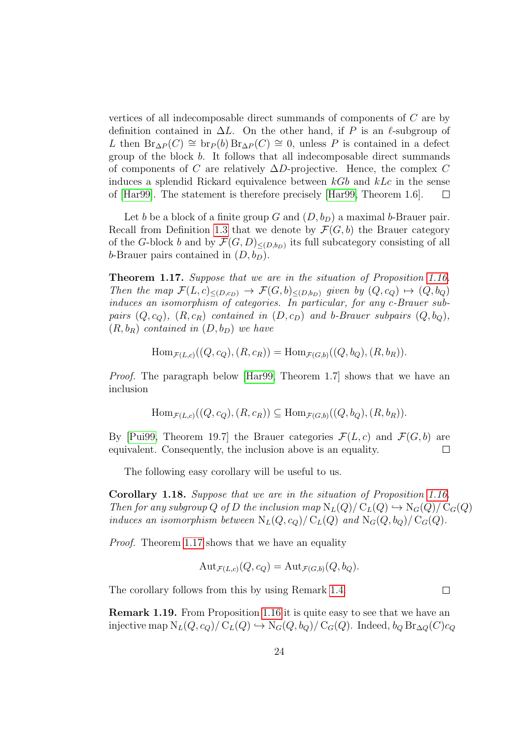vertices of all indecomposable direct summands of components of C are by definition contained in  $\Delta L$ . On the other hand, if P is an  $\ell$ -subgroup of L then  $Br_{\Delta P}(C) \cong br_{P}(b) Br_{\Delta P}(C) \cong 0$ , unless P is contained in a defect group of the block b. It follows that all indecomposable direct summands of components of C are relatively  $\Delta D$ -projective. Hence, the complex C induces a splendid Rickard equivalence between  $kGb$  and  $kLc$  in the sense of [\[Har99\]](#page-143-3). The statement is therefore precisely [\[Har99,](#page-143-3) Theorem 1.6].  $\Box$ 

Let b be a block of a finite group G and  $(D, b_D)$  a maximal b-Brauer pair. Recall from Definition [1.3](#page-17-1) that we denote by  $\mathcal{F}(G, b)$  the Brauer category of the G-block b and by  $\mathcal{F}(G, D)_{\leq (D,b_D)}$  its full subcategory consisting of all b-Brauer pairs contained in  $(D, b_D)$ .

<span id="page-23-0"></span>Theorem 1.17. Suppose that we are in the situation of Proposition [1.16.](#page-22-2) Then the map  $\mathcal{F}(L, c)_{\leq (D, c_D)} \to \mathcal{F}(G, b)_{\leq (D, b_D)}$  given by  $(Q, c_Q) \mapsto (Q, b_Q)$ induces an isomorphism of categories. In particular, for any c-Brauer subpairs  $(Q, c_Q)$ ,  $(R, c_R)$  contained in  $(D, c_D)$  and b-Brauer subpairs  $(Q, b_Q)$ ,  $(R, b_R)$  contained in  $(D, b_D)$  we have

$$
\text{Hom}_{\mathcal{F}(L,c)}((Q,c_Q),(R,c_R)) = \text{Hom}_{\mathcal{F}(G,b)}((Q,b_Q),(R,b_R)).
$$

Proof. The paragraph below [\[Har99,](#page-143-3) Theorem 1.7] shows that we have an inclusion

$$
\text{Hom}_{\mathcal{F}(L,c)}((Q,c_Q),(R,c_R)) \subseteq \text{Hom}_{\mathcal{F}(G,b)}((Q,b_Q),(R,b_R)).
$$

By [\[Pui99,](#page-144-3) Theorem 19.7] the Brauer categories  $\mathcal{F}(L, c)$  and  $\mathcal{F}(G, b)$  are equivalent. Consequently, the inclusion above is an equality.  $\Box$ 

The following easy corollary will be useful to us.

<span id="page-23-1"></span>Corollary 1.18. Suppose that we are in the situation of Proposition [1.16.](#page-22-2) Then for any subgroup Q of D the inclusion map  $N_L(Q)/C_L(Q) \hookrightarrow N_G(Q)/C_G(Q)$ induces an isomorphism between  $N_L(Q, c_Q)/C_L(Q)$  and  $N_G(Q, b_Q)/C_G(Q)$ .

*Proof.* Theorem [1.17](#page-23-0) shows that we have an equality

$$
Aut_{\mathcal{F}(L,c)}(Q, c_Q) = Aut_{\mathcal{F}(G,b)}(Q, b_Q).
$$

The corollary follows from this by using Remark [1.4.](#page-17-2)

Remark 1.19. From Proposition [1.16](#page-22-2) it is quite easy to see that we have an injective map  $N_L(Q, c_Q)/C_L(Q) \hookrightarrow N_G(Q, b_Q)/C_G(Q)$ . Indeed,  $b_Q Br_{\Delta Q}(C)c_Q$ 

 $\Box$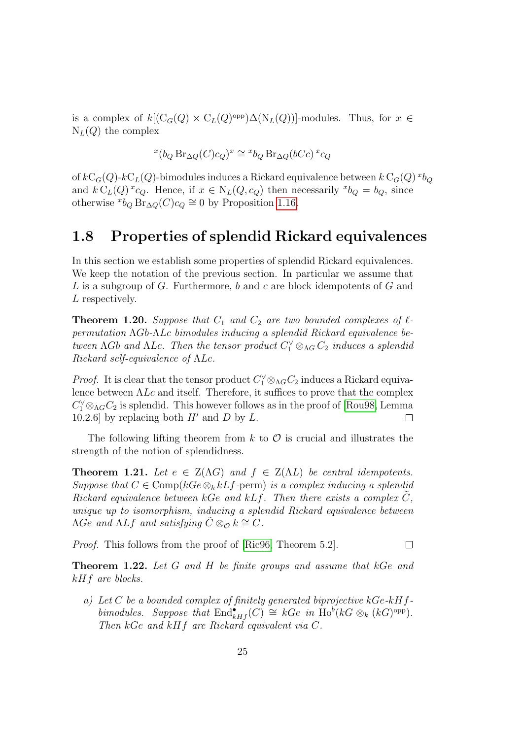is a complex of  $k[(C_G(Q) \times C_L(Q)^\text{opp})\Delta(N_L(Q))]$ -modules. Thus, for  $x \in$  $N_L(Q)$  the complex

$$
{}^{x}(b_{Q}\operatorname{Br}_{\Delta Q}(C)c_{Q})^{x} \cong {}^{x}b_{Q}\operatorname{Br}_{\Delta Q}(bCc)^{x}c_{Q}
$$

of  $k\text{C}_G(Q)$ - $k\text{C}_L(Q)$ -bimodules induces a Rickard equivalence between  $k\text{C}_G(Q)^{x}b_Q$ and  $k C_L(Q)$ <sup>x</sup>c<sub>Q</sub>. Hence, if  $x \in N_L(Q, c_Q)$  then necessarily <sup>x</sup> $b_Q = b_Q$ , since otherwise  $^{x}b_{Q}$  Br<sub>∆Q</sub>(*C*)*c*<sub>Q</sub>  $\cong$  0 by Proposition [1.16.](#page-22-2)

#### <span id="page-24-0"></span>1.8 Properties of splendid Rickard equivalences

In this section we establish some properties of splendid Rickard equivalences. We keep the notation of the previous section. In particular we assume that L is a subgroup of G. Furthermore, b and c are block idempotents of G and L respectively.

**Theorem 1.20.** Suppose that  $C_1$  and  $C_2$  are two bounded complexes of  $\ell$ permutation ΛGb-ΛLc bimodules inducing a splendid Rickard equivalence between  $\Lambda Gb$  and  $\Lambda Lc$ . Then the tensor product  $C_1^{\vee} \otimes_{\Lambda G} C_2$  induces a splendid Rickard self-equivalence of ΛLc.

*Proof.* It is clear that the tensor product  $C_1^{\vee} \otimes_{\Lambda} C_2$  induces a Rickard equivalence between  $\Lambda Lc$  and itself. Therefore, it suffices to prove that the complex  $C_1^{\vee} \otimes_{\Lambda} C_2$  is splendid. This however follows as in the proof of [\[Rou98,](#page-145-3) Lemma 10.2.6] by replacing both  $H'$  and D by L.  $\Box$ 

The following lifting theorem from  $k$  to  $\mathcal O$  is crucial and illustrates the strength of the notion of splendidness.

**Theorem 1.21.** Let  $e \in Z(\Lambda G)$  and  $f \in Z(\Lambda L)$  be central idempotents. Suppose that  $C \in \text{Comp}(kGe \otimes_k kLf$ -perm) is a complex inducing a splendid Rickard equivalence between kGe and kLf. Then there exists a complex  $\tilde{C}$ , unique up to isomorphism, inducing a splendid Rickard equivalence between  $\Lambda G$ e and  $\Lambda L f$  and satisfying  $\tilde{C} \otimes_{\mathcal{O}} k \cong C$ .

Proof. This follows from the proof of [\[Ric96,](#page-144-2) Theorem 5.2].

Theorem 1.22. Let G and H be finite groups and assume that kGe and kHf are blocks.

 $\Box$ 

a) Let C be a bounded complex of finitely generated biprojective  $kGe-kHf$ bimodules. Suppose that  $\text{End}_{kHf}^{\bullet}(C) \cong kGe$  in  $\text{Ho}^b(kG \otimes_k (kG)^{\text{opp}})$ . Then kGe and kHf are Rickard equivalent via C.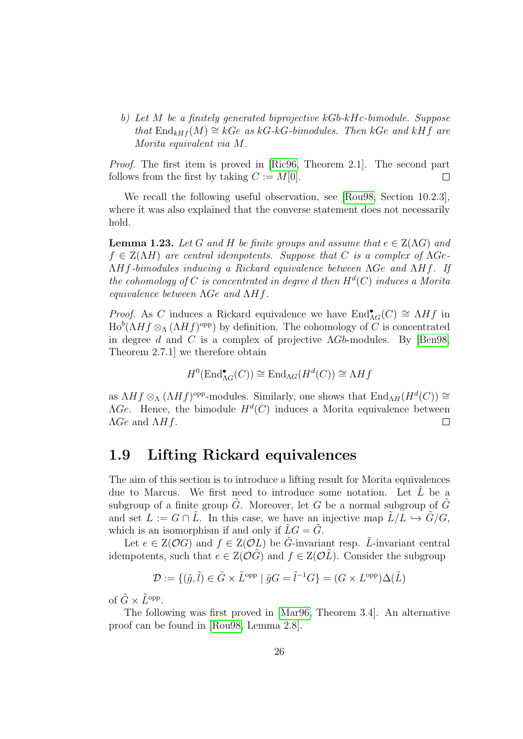b) Let M be a finitely generated biprojective kGb-kHc-bimodule. Suppose that  $\text{End}_{kHf}(M) \cong kGe$  as kG-kG-bimodules. Then kGe and kHf are Morita equivalent via M.

Proof. The first item is proved in [\[Ric96,](#page-144-2) Theorem 2.1]. The second part follows from the first by taking  $C := M[0]$ .  $\Box$ 

We recall the following useful observation, see [\[Rou98,](#page-145-3) Section 10.2.3], where it was also explained that the converse statement does not necessarily hold.

**Lemma 1.23.** Let G and H be finite groups and assume that  $e \in Z(\Lambda G)$  and  $f \in Z(\Lambda H)$  are central idempotents. Suppose that C is a complex of  $\Lambda Ge$ ΛHf-bimodules inducing a Rickard equivalence between ΛGe and ΛHf. If the cohomology of C is concentrated in degree d then  $H<sup>d</sup>(C)$  induces a Morita equivalence between ΛGe and ΛHf.

*Proof.* As C induces a Rickard equivalence we have  $\text{End}^{\bullet}_{\Lambda G}(C) \cong \Lambda Hf$  in  $\text{Ho}^b(\Lambda H f \otimes_{\Lambda} (\Lambda H f)^\text{opp})$  by definition. The cohomology of C is concentrated in degree d and C is a complex of projective  $\Lambda Gb$ -modules. By [\[Ben98,](#page-141-5) Theorem 2.7.1] we therefore obtain

$$
H^0(\text{End}^{\bullet}_{\Lambda G}(C)) \cong \text{End}_{\Lambda G}(H^d(C)) \cong \Lambda Hf
$$

as  $\Lambda H f \otimes_{\Lambda} (\Lambda H f)$ <sup>opp</sup>-modules. Similarly, one shows that  $\text{End}_{\Lambda H}(H^d(C)) \cong$  $\Lambda Ge$ . Hence, the bimodule  $H^d(C)$  induces a Morita equivalence between  $\Lambda Ge$  and  $\Lambda Hf$ .  $\Box$ 

#### <span id="page-25-0"></span>1.9 Lifting Rickard equivalences

The aim of this section is to introduce a lifting result for Morita equivalences due to Marcus. We first need to introduce some notation. Let  $\tilde{L}$  be a subgroup of a finite group  $\tilde{G}$ . Moreover, let G be a normal subgroup of  $\tilde{G}$ and set  $L := G \cap \tilde{L}$ . In this case, we have an injective map  $\tilde{L}/L \hookrightarrow \tilde{G}/G$ , which is an isomorphism if and only if  $\tilde{L}G = \tilde{G}$ .

Let  $e \in Z(\mathcal{O}G)$  and  $f \in Z(\mathcal{O}L)$  be  $\tilde{G}$ -invariant resp.  $\tilde{L}$ -invariant central idempotents, such that  $e \in Z(\mathcal{O}G)$  and  $f \in Z(\mathcal{O}L)$ . Consider the subgroup

$$
\mathcal{D}:=\{(\tilde{g},\tilde{l})\in \tilde{G}\times \tilde{L}^{\text{opp}}\mid \tilde{g}G=\tilde{l}^{-1}G\}=(G\times L^{\text{opp}})\Delta(\tilde{L})
$$

of  $\tilde{G} \times \tilde{L}^{\text{opp}}$ .

The following was first proved in [\[Mar96,](#page-144-4) Theorem 3.4]. An alternative proof can be found in [\[Rou98,](#page-145-3) Lemma 2.8].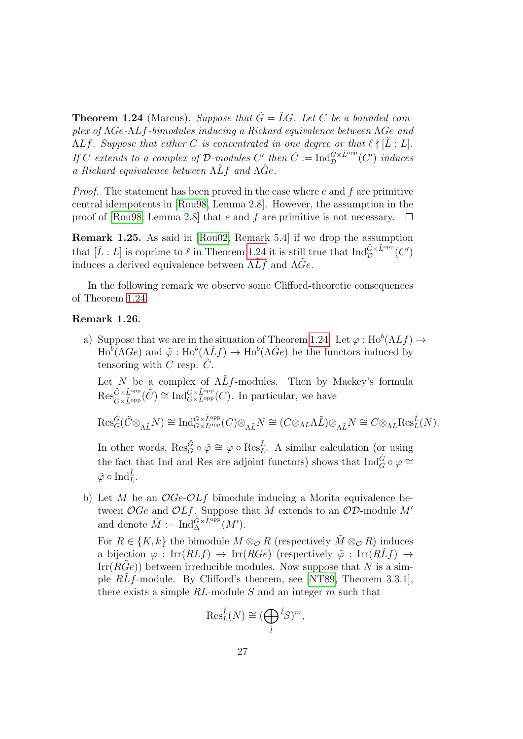<span id="page-26-0"></span>**Theorem 1.24** (Marcus). Suppose that  $\tilde{G} = \tilde{L}G$ . Let C be a bounded complex of ΛGe-ΛLf-bimodules inducing a Rickard equivalence between ΛGe and  $\Lambda L f$ . Suppose that either C is concentrated in one degree or that  $\ell \nmid [\tilde{L} : L]$ . If C extends to a complex of D-modules C' then  $\tilde{C} := \text{Ind}_{\mathcal{D}}^{\tilde{G} \times \tilde{L}^{\text{opp}}}(C')$  induces a Rickard equivalence between  $\Lambda \tilde{L}f$  and  $\Lambda \tilde{G}e$ .

*Proof.* The statement has been proved in the case where  $e$  and  $f$  are primitive central idempotents in [\[Rou98,](#page-145-3) Lemma 2.8]. However, the assumption in the proof of [\[Rou98,](#page-145-3) Lemma 2.8] that e and f are primitive is not necessary.  $\square$ 

<span id="page-26-2"></span>Remark 1.25. As said in [\[Rou02,](#page-145-4) Remark 5.4] if we drop the assumption that  $[\tilde{L}: L]$  is coprime to  $\ell$  in Theorem [1.24](#page-26-0) it is still true that  $\text{Ind}_{\mathcal{D}}^{\tilde{G}\times \tilde{L}^{\text{opp}}}(C')$ induces a derived equivalence between  $\Lambda\tilde{L}f$  and  $\Lambda\tilde{G}e$ .

In the following remark we observe some Clifford-theoretic consequences of Theorem [1.24.](#page-26-0)

#### <span id="page-26-1"></span>Remark 1.26.

a) Suppose that we are in the situation of Theorem [1.24.](#page-26-0) Let  $\varphi : Ho^b(\Lambda Lf) \to$  $\text{Ho}^b(\Lambda \text{Ge})$  and  $\tilde{\varphi}: \text{Ho}^b(\Lambda \tilde{L}f) \to \text{Ho}^b(\Lambda \tilde{G}e)$  be the functors induced by tensoring with C resp.  $\tilde{C}$ .

Let N be a complex of  $\Lambda L f$ -modules. Then by Mackey's formula  $\text{Res}_{G\times \tilde{L}^{\text{opp}}}^{\tilde{G}\times \tilde{L}^{\text{opp}}}\tilde{C}) \cong \text{Ind}_{G\times L^{\text{opp}}}^{G\times \tilde{L}^{\text{opp}}}(C)$ . In particular, we have

$$
\text{Res}_{G}^{\tilde{G}}(\tilde{C}\otimes_{\Lambda\tilde{L}}N)\cong \text{Ind}_{G\times L^{\text{opp}}}^{G\times \tilde{L}^{\text{opp}}}(C)\otimes_{\Lambda\tilde{L}}N\cong (C\otimes_{\Lambda L}\Lambda\tilde{L})\otimes_{\Lambda\tilde{L}}N\cong C\otimes_{\Lambda L}\text{Res}_{L}^{\tilde{L}}(N).
$$

In other words,  $\text{Res}_G^{\tilde{G}} \circ \tilde{\varphi} \cong \varphi \circ \text{Res}_L^{\tilde{L}}$ . A similar calculation (or using the fact that Ind and Res are adjoint functors) shows that  $\text{Ind}_{G}^{\tilde{G}} \circ \varphi \cong$  $\tilde{\varphi} \circ \text{Ind}_{L}^{\tilde{L}}.$ 

b) Let M be an  $OGe-OLf$  bimodule inducing a Morita equivalence between  $OGe$  and  $OLf$ . Suppose that M extends to an  $OD$ -module M' and denote  $\tilde{M} := \text{Ind}_{\Delta}^{\tilde{G} \times \tilde{L}^{\text{opp}}}(M').$ 

For  $R \in \{K, k\}$  the bimodule  $M \otimes_{\mathcal{O}} R$  (respectively  $\tilde{M} \otimes_{\mathcal{O}} R$ ) induces a bijection  $\varphi : \text{Irr}(RLf) \to \text{Irr}(RGe)$  (respectively  $\tilde{\varphi} : \text{Irr}(RLf) \to$  $\text{Irr}(RGe)$  between irreducible modules. Now suppose that N is a simple  $RLf$ -module. By Clifford's theorem, see [\[NT89,](#page-144-5) Theorem 3.3.1], there exists a simple  $RL$ -module  $S$  and an integer  $m$  such that

$$
\operatorname{Res}_{L}^{\tilde{L}}(N) \cong (\bigoplus_{\tilde{l}} \tilde{l}S)^{m},
$$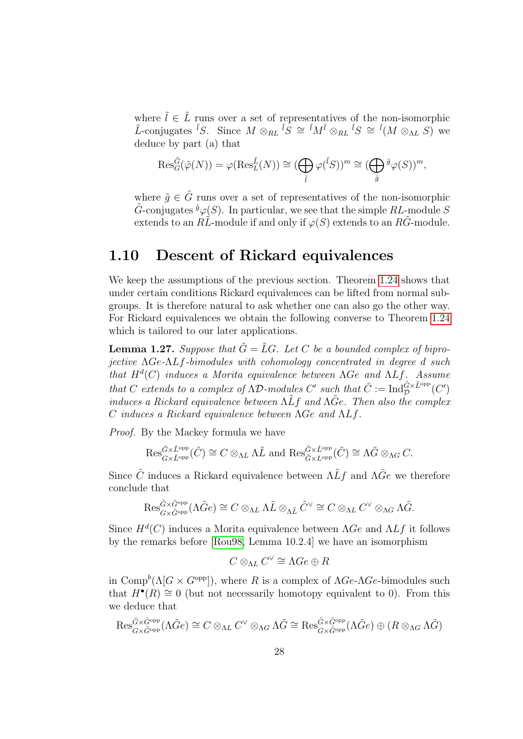where  $\tilde{l} \in \tilde{L}$  runs over a set of representatives of the non-isomorphic L-conjugates <sup>i</sup>S. Since  $M \otimes_{RL} {}^{\tilde{i}}S \cong {}^{\tilde{i}}M^{\tilde{i}} \otimes_{RL} {}^{\tilde{i}}S \cong {}^{\tilde{i}}(M \otimes_{\Lambda L} S)$  we deduce by part (a) that

$$
\operatorname{Res}_{G}^{\tilde{G}}(\tilde{\varphi}(N)) = \varphi(\operatorname{Res}_{L}^{\tilde{L}}(N)) \cong (\bigoplus_{\tilde{l}} \varphi({}^{\tilde{l}}S))^{m} \cong (\bigoplus_{\tilde{g}} {}^{\tilde{g}}\varphi(S))^{m},
$$

where  $\tilde{q} \in \tilde{G}$  runs over a set of representatives of the non-isomorphic  $\tilde{G}$ -conjugates  $\tilde{g}_{\varphi}(S)$ . In particular, we see that the simple RL-module S extends to an  $R\tilde{L}$ -module if and only if  $\varphi(S)$  extends to an  $R\tilde{G}$ -module.

#### <span id="page-27-0"></span>1.10 Descent of Rickard equivalences

We keep the assumptions of the previous section. Theorem [1.24](#page-26-0) shows that under certain conditions Rickard equivalences can be lifted from normal subgroups. It is therefore natural to ask whether one can also go the other way. For Rickard equivalences we obtain the following converse to Theorem [1.24](#page-26-0) which is tailored to our later applications.

<span id="page-27-1"></span>**Lemma 1.27.** Suppose that  $\tilde{G} = \tilde{L}G$ . Let C be a bounded complex of biprojective ΛGe-ΛLf-bimodules with cohomology concentrated in degree d such that  $H^d(C)$  induces a Morita equivalence between  $\Lambda Ge$  and  $\Lambda Lf$ . Assume that C extends to a complex of  $\Lambda \mathcal{D}$ -modules C' such that  $\tilde{C} := \text{Ind}_{\mathcal{D}}^{\tilde{G} \times \tilde{L}^{\text{opp}}}(C')$ induces a Rickard equivalence between  $\Lambda L f$  and  $\Lambda \tilde{G}e$ . Then also the complex C induces a Rickard equivalence between ΛGe and ΛLf.

Proof. By the Mackey formula we have

$$
\operatorname{Res}_{G\times \tilde{L}^{\rm opp}}^{\tilde{G}\times \tilde{L}^{\rm opp}}(\tilde{C}) \cong C \otimes_{\Lambda L} \Lambda \tilde{L} \text{ and } \operatorname{Res}_{\tilde{G}\times \tilde{L}^{\rm opp}}^{\tilde{G}\times \tilde{L}^{\rm opp}}(\tilde{C}) \cong \Lambda \tilde{G} \otimes_{\Lambda G} C.
$$

Since  $\tilde{C}$  induces a Rickard equivalence between  $\Lambda L f$  and  $\Lambda \tilde{G}e$  we therefore conclude that

$$
\operatorname{Res}_{G\times \tilde{G}^{\mathrm{opp}}}^{\tilde{G}\times \tilde{G}^{\mathrm{opp}}}(\Lambda \tilde{G}e) \cong C \otimes_{\Lambda L} \Lambda \tilde{L} \otimes_{\Lambda \tilde{L}} \tilde{C}^{\vee} \cong C \otimes_{\Lambda L} C^{\vee} \otimes_{\Lambda G} \Lambda \tilde{G}.
$$

Since  $H^d(C)$  induces a Morita equivalence between  $\Lambda Ge$  and  $\Lambda L f$  it follows by the remarks before [\[Rou98,](#page-145-3) Lemma 10.2.4] we have an isomorphism

$$
C\otimes_{\Lambda L}C^\vee\cong\Lambda Ge\oplus R
$$

in Comp<sup>b</sup>( $\Lambda[G \times G^{\text{opp}}]$ ), where R is a complex of  $\Lambda Ge \Lambda Ge$ -bimodules such that  $H^{\bullet}(R) \cong 0$  (but not necessarily homotopy equivalent to 0). From this we deduce that

$$
\operatorname{Res}_{G\times \tilde{G}^{\mathrm{opp}}}^{\tilde{G}\times \tilde{G}^{\mathrm{opp}}}(\Lambda \tilde{G}e) \cong C \otimes_{\Lambda L} C^{\vee} \otimes_{\Lambda G} \Lambda \tilde{G} \cong \operatorname{Res}_{G\times \tilde{G}^{\mathrm{opp}}}^{\tilde{G}\times \tilde{G}^{\mathrm{opp}}}(\Lambda \tilde{G}e) \oplus (R \otimes_{\Lambda G} \Lambda \tilde{G})
$$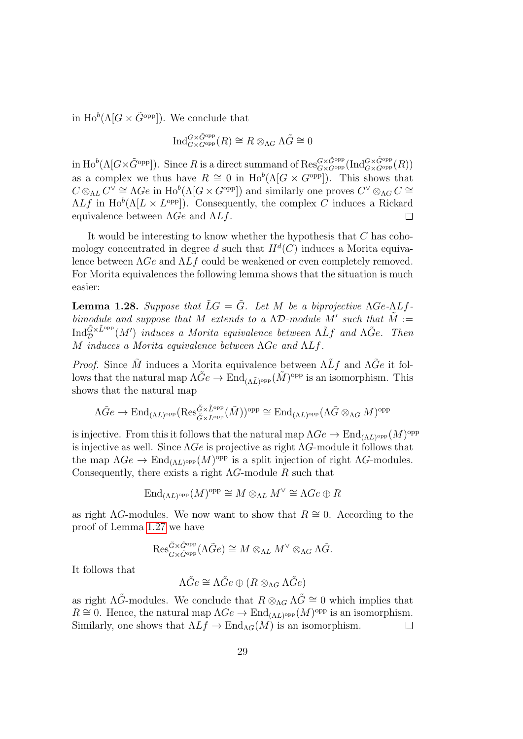in  $\text{Ho}^b(\Lambda[G \times \tilde{G}^{\text{opp}}])$ . We conclude that

$$
\mathrm{Ind}_{G \times G^{\mathrm{opp}}}(R) \cong R \otimes_{\Lambda G} \Lambda \tilde{G} \cong 0
$$

in  $\text{Ho}^b(\Lambda[G\times \tilde{G}^\text{opp}])$ . Since R is a direct summand of  $\text{Res}_{G\times G^\text{opp}}^{G\times \tilde{G}^\text{opp}}(\text{Ind}_{G\times G^\text{opp}}^{G\times \tilde{G}^\text{opp}}(R))$ as a complex we thus have  $R \cong 0$  in  $\text{Ho}^b(\Lambda[G \times G^{\text{opp}}])$ . This shows that  $C \otimes_{\Lambda L} C^{\vee} \cong \Lambda G e$  in  $\text{Ho}^b(\Lambda[G \times G^{\text{opp}}])$  and similarly one proves  $C^{\vee} \otimes_{\Lambda} C \cong$  $\Lambda L f$  in  $\text{Ho}^b(\Lambda [L \times L^{\text{opp}}])$ . Consequently, the complex C induces a Rickard equivalence between  $\Lambda Ge$  and  $\Lambda L f$ .  $\Box$ 

It would be interesting to know whether the hypothesis that C has cohomology concentrated in degree d such that  $H^d(C)$  induces a Morita equivalence between  $\Lambda Ge$  and  $\Lambda L f$  could be weakened or even completely removed. For Morita equivalences the following lemma shows that the situation is much easier:

**Lemma 1.28.** Suppose that  $\tilde{L}G = \tilde{G}$ . Let M be a biprojective  $\Lambda Ge \cdot \Lambda Lf$ . bimodule and suppose that M extends to a  $\Lambda\mathcal{D}$ -module  $\tilde{M}'$  such that  $\tilde{M} :=$  ${\rm Ind}_{\mathcal D}^{\tilde{G}\times \tilde{L}^{\rm opp}}(M')$  induces a Morita equivalence between  $\Lambda\tilde{L}f$  and  $\Lambda\tilde{G}e$ . Then M induces a Morita equivalence between ΛGe and ΛLf.

*Proof.* Since  $\tilde{M}$  induces a Morita equivalence between  $\Lambda L f$  and  $\Lambda \tilde{G}e$  it follows that the natural map  $\Lambda \tilde{G}e \to \text{End}_{(\Lambda \tilde{L})^{\text{opp}}}(\tilde{M})^{\text{opp}}$  is an isomorphism. This shows that the natural map

$$
\Lambda \tilde{G}e \to \mathrm{End}_{(\Lambda L)^{\mathrm{opp}}}(\mathrm{Res}^{\tilde{G} \times \tilde{L}^{\mathrm{opp}}}_{\tilde{G} \times L^{\mathrm{opp}}}(\tilde{M}))^{\mathrm{opp}} \cong \mathrm{End}_{(\Lambda L)^{\mathrm{opp}}}(\Lambda \tilde{G} \otimes_{\Lambda G} M)^{\mathrm{opp}}
$$

is injective. From this it follows that the natural map  $\Lambda Ge \to \text{End}_{(\Lambda L)^{\text{opp}}}(M)^{\text{opp}}$ is injective as well. Since  $\Lambda Ge$  is projective as right  $\Lambda G$ -module it follows that the map  $\Lambda Ge \to \text{End}_{(\Lambda L)^{\text{opp}}}(M)^{\text{opp}}$  is a split injection of right  $\Lambda G$ -modules. Consequently, there exists a right  $\Lambda G$ -module R such that

$$
\text{End}_{(\Lambda L)^{\text{opp}}}(M)^{\text{opp}} \cong M \otimes_{\Lambda L} M^{\vee} \cong \Lambda Ge \oplus R
$$

as right  $\Lambda$ G-modules. We now want to show that  $R \cong 0$ . According to the proof of Lemma [1.27](#page-27-1) we have

$$
\operatorname{Res}_{G\times \tilde{G}^{\operatorname{opp}} }^{\tilde{G}\times \tilde{G}^{\operatorname{opp}} }(\Lambda \tilde{G}e)\cong M\otimes_{\Lambda L}M^\vee\otimes_{\Lambda G}\Lambda \tilde{G}.
$$

It follows that

$$
\Lambda \tilde{G}e \cong \Lambda \tilde{G}e \oplus (R \otimes_{\Lambda G} \Lambda \tilde{G}e)
$$

as right  $\Lambda \tilde{G}$ -modules. We conclude that  $R \otimes_{\Lambda} \tilde{G} \cong 0$  which implies that  $R \cong 0$ . Hence, the natural map  $\Lambda Ge \to \text{End}_{(\Lambda L)^{\text{opp}}}(M)^{\text{opp}}$  is an isomorphism. Similarly, one shows that  $\Lambda L f \to \text{End}_{\Lambda G}(M)$  is an isomorphism.  $\Box$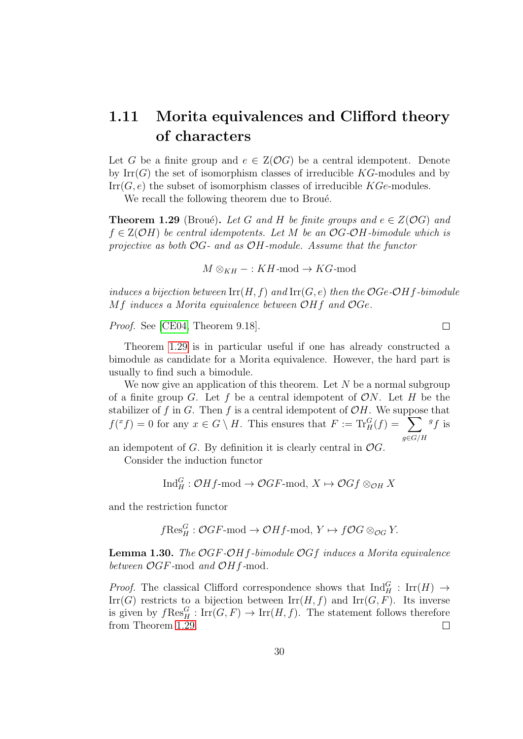### <span id="page-29-0"></span>1.11 Morita equivalences and Clifford theory of characters

Let G be a finite group and  $e \in Z(\mathcal{O}G)$  be a central idempotent. Denote by  $\text{Irr}(G)$  the set of isomorphism classes of irreducible KG-modules and by  $\mathrm{Irr}(G, e)$  the subset of isomorphism classes of irreducible  $KGe$ -modules.

We recall the following theorem due to Broué.

<span id="page-29-1"></span>**Theorem 1.29** (Broué). Let G and H be finite groups and  $e \in Z(\mathcal{O}G)$  and  $f \in Z(\mathcal{O}H)$  be central idempotents. Let M be an  $\mathcal{O}G\text{-}\mathcal{O}H$ -bimodule which is projective as both  $\mathcal{O}G$ - and as  $\mathcal{O}H$ -module. Assume that the functor

 $M \otimes_{KH} - : KH \text{-mod} \to KG \text{-mod}$ 

induces a bijection between  $\mathrm{Irr}(H, f)$  and  $\mathrm{Irr}(G, e)$  then the  $OGe-OHf$ -bimodule Mf induces a Morita equivalence between OHf and OGe.

 $\Box$ 

Proof. See [\[CE04,](#page-142-0) Theorem 9.18].

Theorem [1.29](#page-29-1) is in particular useful if one has already constructed a bimodule as candidate for a Morita equivalence. However, the hard part is usually to find such a bimodule.

We now give an application of this theorem. Let  $N$  be a normal subgroup of a finite group G. Let f be a central idempotent of  $ON$ . Let H be the stabilizer of f in G. Then f is a central idempotent of  $\mathcal{O}H$ . We suppose that  $f({}^x f) = 0$  for any  $x \in G \setminus H$ . This ensures that  $F := \text{Tr}_H^G(f) = \sum$  $g{\in}G/H$  ${}^{g}f$  is

an idempotent of  $G$ . By definition it is clearly central in  $\mathcal{O}G$ .

Consider the induction functor

$$
\text{Ind}_{H}^{G}: \mathcal{O}Hf\text{-mod} \to \mathcal{O}GF\text{-mod}, X \mapsto \mathcal{O}Gf \otimes_{\mathcal{O}H} X
$$

and the restriction functor

$$
f\text{Res}_H^G: \mathcal{O}GF\text{-mod} \to \mathcal{O}Hf\text{-mod}, Y \mapsto f\mathcal{O}G \otimes_{\mathcal{O}G} Y.
$$

<span id="page-29-2"></span>**Lemma 1.30.** The  $OGF-OHf$ -bimodule  $OGf$  induces a Morita equivalence between  $\mathcal{O}GF$ -mod and  $\mathcal{O}Hf$ -mod.

*Proof.* The classical Clifford correspondence shows that  $\text{Ind}_{H}^{G}$ :  $\text{Irr}(H) \rightarrow$ Irr(G) restricts to a bijection between  $\text{Irr}(H, f)$  and  $\text{Irr}(G, F)$ . Its inverse is given by  $f \text{Res}_{H}^{G} : \text{Irr}(G, F) \to \text{Irr}(H, f)$ . The statement follows therefore from Theorem [1.29.](#page-29-1)  $\Box$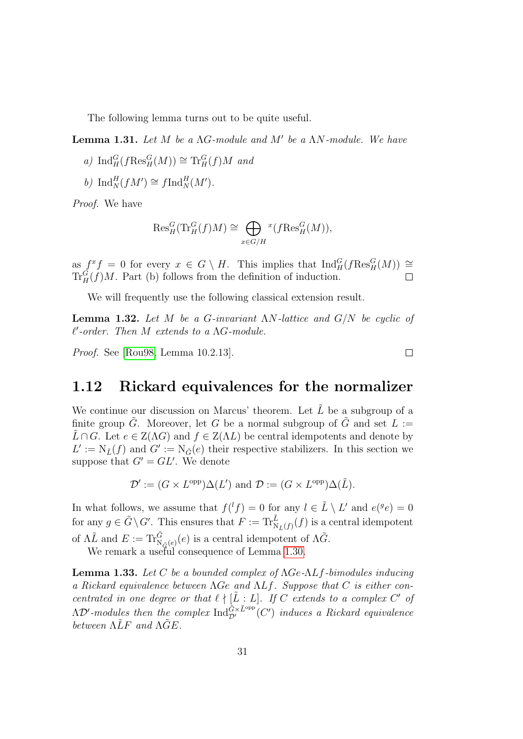The following lemma turns out to be quite useful.

<span id="page-30-2"></span>**Lemma 1.31.** Let  $M$  be a  $\Lambda G$ -module and  $M'$  be a  $\Lambda N$ -module. We have

- a)  $\text{Ind}_{H}^{G}(f\text{Res}_{H}^{G}(M)) \cong \text{Tr}_{H}^{G}(f)M$  and
- b)  $\mathrm{Ind}_{N}^{H}(fM') \cong f\mathrm{Ind}_{N}^{H}(M').$

Proof. We have

$$
\mathrm{Res}^G_H(\mathrm{Tr}^G_H(f)M) \cong \bigoplus_{x \in G/H} {^x(f\mathrm{Res}^G_H(M))},
$$

as  $f^x f = 0$  for every  $x \in G \setminus H$ . This implies that  $\text{Ind}_{H}^G(f \text{Res}_{H}^G(M)) \cong$  $\text{Tr}_{H}^{G}(f)M$ . Part (b) follows from the definition of induction.

We will frequently use the following classical extension result.

**Lemma 1.32.** Let M be a G-invariant  $\Lambda N$ -lattice and  $G/N$  be cyclic of  $\ell'$ -order. Then  $M$  extends to a  $\Lambda G$ -module.

 $\Box$ 

Proof. See [\[Rou98,](#page-145-3) Lemma 10.2.13].

#### <span id="page-30-0"></span>1.12 Rickard equivalences for the normalizer

We continue our discussion on Marcus' theorem. Let  $\tilde{L}$  be a subgroup of a finite group  $\tilde{G}$ . Moreover, let G be a normal subgroup of  $\tilde{G}$  and set  $L :=$  $\hat{L} \cap G$ . Let  $e \in Z(\Lambda G)$  and  $f \in Z(\Lambda L)$  be central idempotents and denote by  $L' := N_{\tilde{L}}(f)$  and  $G' := N_{\tilde{G}}(e)$  their respective stabilizers. In this section we suppose that  $G' = GL'$ . We denote

$$
\mathcal{D}' := (G \times L^{\text{opp}}) \Delta(L') \text{ and } \mathcal{D} := (G \times L^{\text{opp}}) \Delta(\tilde{L}).
$$

In what follows, we assume that  $f({}^{l}f) = 0$  for any  $l \in \tilde{L} \setminus L'$  and  $e({}^{g}e) = 0$ for any  $g \in \tilde{G} \setminus G'$ . This ensures that  $F := \text{Tr}_{N_{\tilde{L}}(f)}^{\tilde{L}}(f)$  is a central idempotent of  $\Lambda \tilde{L}$  and  $E := \text{Tr}_{\tilde{N}_{\tilde{G}}(e)}^{\tilde{G}}(e)$  is a central idempotent of  $\Lambda \tilde{G}$ .

We remark a useful consequence of Lemma [1.30.](#page-29-2)

<span id="page-30-1"></span>**Lemma 1.33.** Let C be a bounded complex of  $\Lambda$ Ge- $\Lambda$ Lf-bimodules inducing a Rickard equivalence between ΛGe and ΛLf. Suppose that C is either concentrated in one degree or that  $\ell \nmid [\tilde{L}:L]$ . If C extends to a complex C' of  $\Lambda \mathcal D'$ -modules then the complex  $\mathrm{Ind}_{\mathcal D'}^{\tilde G \times \tilde L^\mathrm{opp}}(C')$  induces a Rickard equivalence between  $\Lambda \tilde{L}F$  and  $\Lambda \tilde{G}E$ .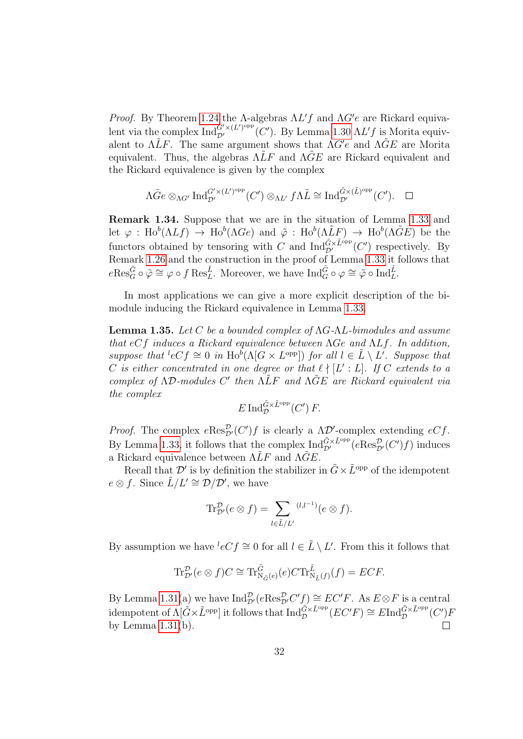Proof. By Theorem [1.24](#page-26-0) the A-algebras  $\Lambda L'f$  and  $\Lambda G'e$  are Rickard equivalent via the complex  $\text{Ind}_{\mathcal{D}'}^{G'\times (L')^\text{opp}}(C')$ . By Lemma [1.30](#page-29-2)  $\Lambda L'f$  is Morita equivalent to  $\Lambda \tilde{L}F$ . The same argument shows that  $\Lambda G'e$  and  $\Lambda \tilde{G}E$  are Morita equivalent. Thus, the algebras  $\Lambda \tilde{L}F$  and  $\Lambda \tilde{G}E$  are Rickard equivalent and the Rickard equivalence is given by the complex

$$
\Lambda \tilde{G}e \otimes_{\Lambda G'} \mathrm{Ind}_{\mathcal{D}'}^{G'\times (L')^{\mathrm{opp}}}(C') \otimes_{\Lambda L'} f\Lambda \tilde{L} \cong \mathrm{Ind}_{\mathcal{D}'}^{\tilde{G}\times (\tilde{L})^{\mathrm{opp}}}(C'). \quad \Box
$$

Remark 1.34. Suppose that we are in the situation of Lemma [1.33](#page-30-1) and let  $\varphi$ : Ho<sup>b</sup>( $\Lambda L f$ )  $\to$  Ho<sup>b</sup>( $\Lambda G e$ ) and  $\tilde{\varphi}$ : Ho<sup>b</sup>( $\Lambda \tilde{L} F$ )  $\to$  Ho<sup>b</sup>( $\Lambda \tilde{G} E$ ) be the functors obtained by tensoring with C and  $\text{Ind}_{\mathcal{D}'}^{\tilde{G}\times \tilde{L}^{\text{opp}}}(C')$  respectively. By Remark [1.26](#page-26-1) and the construction in the proof of Lemma [1.33](#page-30-1) it follows that  $e\text{Res}_{G}^{\tilde{G}}\circ \tilde{\varphi} \cong \varphi \circ f \text{Res}_{L}^{\tilde{L}}$ . Moreover, we have  $\text{Ind}_{G}^{\tilde{G}}\circ \varphi \cong \tilde{\varphi} \circ \text{Ind}_{L}^{\tilde{L}}$ .

In most applications we can give a more explicit description of the bimodule inducing the Rickard equivalence in Lemma [1.33.](#page-30-1)

<span id="page-31-0"></span>**Lemma 1.35.** Let C be a bounded complex of  $\Lambda$ G- $\Lambda$ L-bimodules and assume that  $eCf$  induces a Rickard equivalence between  $\Lambda Ge$  and  $\Lambda Lf$ . In addition, suppose that  ${}^{l}eCf \cong 0$  in  $\text{Ho}^{\tilde{b}}(\Lambda[G \times L^{\text{opp}}])$  for all  $l \in \tilde{L} \setminus L'$ . Suppose that C is either concentrated in one degree or that  $\ell \nmid [L':L]$ . If C extends to a complex of  $\Lambda\mathcal{D}\text{-modules } C'$  then  $\tilde{\Lambda\tilde{L}}F$  and  $\tilde{\Lambda\tilde{G}}E$  are Rickard equivalent via the complex

$$
E \operatorname{Ind}_{\mathcal{D}}^{\tilde{G} \times \tilde{L}^{\text{opp}}}(C') F.
$$

*Proof.* The complex  $e\text{Res}_{\mathcal{D}'}^{\mathcal{D}}(C')f$  is clearly a  $\Lambda \mathcal{D}'$ -complex extending  $eCf$ . By Lemma [1.33,](#page-30-1) it follows that the complex  $\text{Ind}_{\mathcal{D}'}^{\tilde{G}\times \tilde{L}^{\text{opp}}}(e\text{Res}_{\mathcal{D}'}^{\mathcal{D}}(C')f)$  induces a Rickard equivalence between  $\Lambda \tilde{L}F$  and  $\Lambda \tilde{G}E$ .

Recall that  $\mathcal{D}'$  is by definition the stabilizer in  $\tilde{G} \times \tilde{L}^{\text{opp}}$  of the idempotent  $e \otimes f$ . Since  $\tilde{L}/L' \cong \tilde{\mathcal{D}}/\mathcal{D}'$ , we have

$$
\text{Tr}_{\mathcal{D}'}^{\mathcal{D}}(e\otimes f)=\sum_{l\in \tilde{L}/L'}{}^{(l,l^{-1})}(e\otimes f).
$$

By assumption we have  ${}^{l}eCf \cong 0$  for all  $l \in \tilde{L} \setminus L'$ . From this it follows that

$$
\operatorname{Tr}^{\mathcal{D}}_{\mathcal{D}'}(e \otimes f)C \cong \operatorname{Tr}^{\tilde{G}}_{\mathcal{N}_{\tilde{G}}(e)}(e)C \operatorname{Tr}^{\tilde{L}}_{\mathcal{N}_{\tilde{L}}(f)}(f) = ECF.
$$

By Lemma [1.31\(](#page-30-2)a) we have  $\text{Ind}_{\mathcal{D}'}^{\mathcal{D}}(e\text{Res}_{\mathcal{D}'}^{\mathcal{D}}C'f) \cong EC'F$ . As  $E \otimes F$  is a central idempotent of  $\Lambda[\tilde{G}\times\tilde{L}^{\text{opp}}]$  it follows that  $\text{Ind}_{\mathcal{D}}^{\tilde{G}\times\tilde{L}^{\text{opp}}}(EC'F)\cong E\text{Ind}_{\mathcal{D}}^{\tilde{G}\times\tilde{L}^{\text{opp}}}(C')F$ by Lemma  $1.31(b)$ .  $\Box$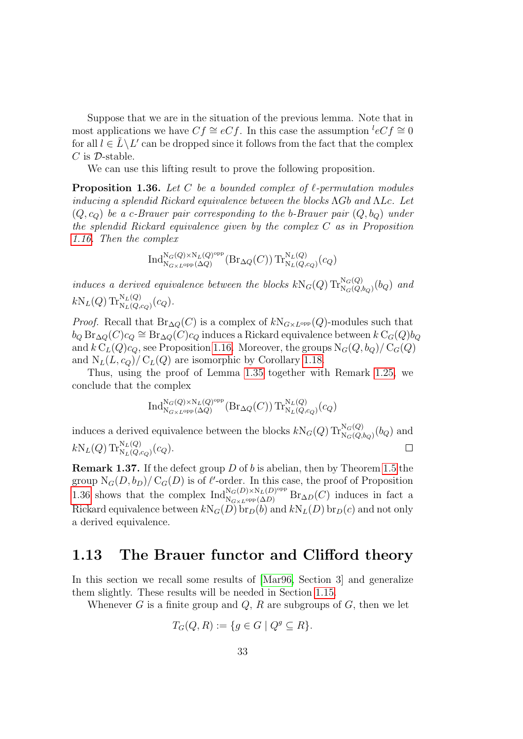Suppose that we are in the situation of the previous lemma. Note that in most applications we have  $Cf \cong eCf$ . In this case the assumption  ${}^{l}eCf \cong 0$ for all  $l \in \tilde{L} \backslash L'$  can be dropped since it follows from the fact that the complex  $C$  is  $D$ -stable.

We can use this lifting result to prove the following proposition.

<span id="page-32-1"></span>**Proposition 1.36.** Let C be a bounded complex of  $\ell$ -permutation modules inducing a splendid Rickard equivalence between the blocks ΛGb and ΛLc. Let  $(Q, c_{Q})$  be a c-Brauer pair corresponding to the b-Brauer pair  $(Q, b_{Q})$  under the splendid Rickard equivalence given by the complex C as in Proposition [1.16.](#page-22-2) Then the complex

$$
\operatorname{Ind}_{\operatorname{N}_{G\times L^\mathrm{opp}}(\Delta Q)}^{\operatorname{N}_G(Q)\times \operatorname{N}_L(Q)^{\mathrm{opp}}}( \operatorname{Br}_{\Delta Q}(C))\operatorname{Tr}_{\operatorname{N}_L(Q,c_Q)}^{\operatorname{N}_L(Q)}(c_Q)
$$

induces a derived equivalence between the blocks  $kN_G(Q) \text{Tr}_{N_G(Q,b_Q)}^{N_G(Q)}(b_Q)$  and  $kN_L(Q) \operatorname{Tr}^{\mathrm{N}_L(Q)}_{\mathrm{N}_L(Q,c_Q)}(c_Q).$ 

*Proof.* Recall that  $\text{Br}_{\Delta Q}(C)$  is a complex of  $kN_{G\times L^{\text{opp}}}(Q)$ -modules such that  $b_Q \operatorname{Br}_{\Delta Q}(C)c_Q \cong \operatorname{Br}_{\Delta Q}(C)c_Q$  induces a Rickard equivalence between  $k \operatorname{C}_G(Q) b_Q$ and  $k C<sub>L</sub>(Q)c<sub>Q</sub>$ , see Proposition [1.16.](#page-22-2) Moreover, the groups  $N<sub>G</sub>(Q, b<sub>Q</sub>)/C<sub>G</sub>(Q)$ and  $N_L(L, c_Q)/C_L(Q)$  are isomorphic by Corollary [1.18.](#page-23-1)

Thus, using the proof of Lemma [1.35](#page-31-0) together with Remark [1.25,](#page-26-2) we conclude that the complex

$$
\operatorname{Ind}_{\mathrm{N}_{G\times L}\operatorname{opp}(\Delta Q)}^{\mathrm{N}_G(Q)\times \mathrm{N}_L(Q)\operatorname{opp}}(\operatorname{Br}_{\Delta Q}(C))\operatorname{Tr}_{\mathrm{N}_L(Q,c_Q)}^{\mathrm{N}_L(Q)}(c_Q)
$$

induces a derived equivalence between the blocks  $kN_G(Q) \operatorname{Tr}^{N_G(Q)}_{N_G(Q, b_Q)}(b_Q)$  and  $kN_L(Q) \operatorname{Tr}^{\mathrm{N}_L(Q)}_{\mathrm{N}_L(Q, c_Q)}(c_Q).$  $\Box$ 

**Remark 1.37.** If the defect group  $D$  of  $b$  is abelian, then by Theorem [1.5](#page-17-0) the group  $N_G(D, b_D) / C_G(D)$  is of  $\ell'$ -order. In this case, the proof of Proposition [1.36](#page-32-1) shows that the complex  $\text{Ind}_{N_{G\times L^{\text{opp}}}(\Delta D)}^{N_G(D)\times N_L(D)^{\text{opp}}}\text{Br}_{\Delta D}(C)$  induces in fact a Rickard equivalence between  $kN_G(D)$  br $_D(b)$  and  $kN_L(D)$  br $_D(c)$  and not only a derived equivalence.

#### <span id="page-32-0"></span>1.13 The Brauer functor and Clifford theory

In this section we recall some results of [\[Mar96,](#page-144-4) Section 3] and generalize them slightly. These results will be needed in Section [1.15.](#page-37-0)

Whenever G is a finite group and  $Q$ , R are subgroups of  $G$ , then we let

$$
T_G(Q, R) := \{ g \in G \mid Q^g \subseteq R \}.
$$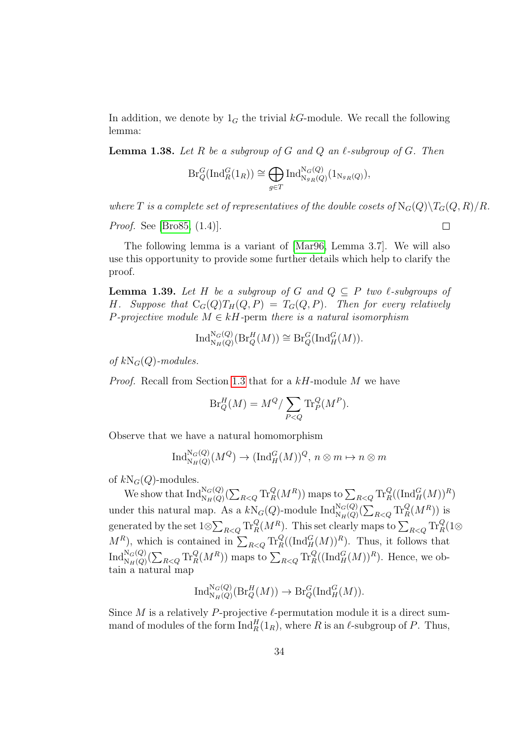In addition, we denote by  $1_G$  the trivial kG-module. We recall the following lemma:

<span id="page-33-0"></span>**Lemma 1.38.** Let R be a subgroup of G and Q an  $\ell$ -subgroup of G. Then

$$
\mathrm{Br}_Q^G(\mathrm{Ind}_R^G(1_R)) \cong \bigoplus_{g \in T} \mathrm{Ind}_{\mathrm{N}_{g_R}(Q)}^{\mathrm{N}_G(Q)}(1_{\mathrm{N}_{g_R}(Q)}),
$$

where T is a complete set of representatives of the double cosets of  $N_G(Q)\T G(Q, R)/R$ .

*Proof.* See [\[Bro85,](#page-142-2) (1.4)].

The following lemma is a variant of [\[Mar96,](#page-144-4) Lemma 3.7]. We will also use this opportunity to provide some further details which help to clarify the proof.

<span id="page-33-1"></span>**Lemma 1.39.** Let H be a subgroup of G and  $Q \subseteq P$  two  $\ell$ -subgroups of H. Suppose that  $C_G(Q)T_H(Q, P) = T_G(Q, P)$ . Then for every relatively P-projective module  $M \in kH$ -perm there is a natural isomorphism

$$
\textup{Ind}_{\mathcal{N}_H(Q)}^{\mathcal{N}_G(Q)}(\textup{Br}_Q^H(M))\cong \textup{Br}_Q^G(\textup{Ind}_H^G(M)).
$$

of  $kN_G(Q)$ -modules.

Proof. Recall from Section [1.3](#page-14-0) that for a kH-module M we have

$$
\operatorname{Br}_Q^H(M) = M^Q / \sum_{P < Q} \operatorname{Tr}_P^Q(M^P).
$$

Observe that we have a natural homomorphism

$$
\text{Ind}_{\text{N}_H(Q)}^{\text{N}_G(Q)}(M^Q) \to (\text{Ind}_H^G(M))^Q, n \otimes m \mapsto n \otimes m
$$

of  $kN_G(Q)$ -modules.

We show that  $\text{Ind}_{N_H(Q)}^{N_G(Q)}(\sum_{R maps to  $\sum_{R$$ under this natural map. As a  $kN_G(Q)$ -module  $\text{Ind}_{N_H(Q)}^{N_G(Q)}(\sum_{R is$ generated by the set  $1 \otimes \sum_{R < Q} \text{Tr}_R^Q(M^R)$ . This set clearly maps to  $\sum_{R < Q} \text{Tr}_R^Q(1 \otimes$  $M^R$ ), which is contained in  $\sum_{R\leq Q} \text{Tr}_R^Q((\text{Ind}_H^G(M))^R)$ . Thus, it follows that  $\text{Ind}_{\text{N}_H(Q)}^{\text{N}_G(Q)}(\sum_{R maps to  $\sum_{R. Hence, we ob$$ tain a natural map

$$
\text{Ind}_{\text{N}_H(Q)}^{\text{N}_G(Q)}(\text{Br}_Q^H(M)) \to \text{Br}_Q^G(\text{Ind}_H^G(M)).
$$

Since M is a relatively P-projective  $\ell$ -permutation module it is a direct summand of modules of the form  $\text{Ind}_R^H(1_R)$ , where R is an  $\ell$ -subgroup of P. Thus,

 $\Box$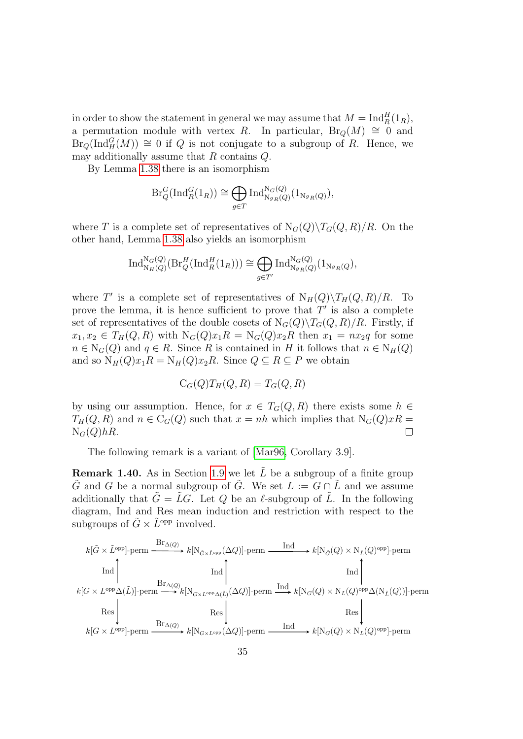in order to show the statement in general we may assume that  $M = \text{Ind}_R^H(1_R)$ , a permutation module with vertex R. In particular, Br<sub>Q</sub>(M)  $\cong$  0 and  $\text{Br}_Q(\text{Ind}_H^G(M)) \cong 0$  if Q is not conjugate to a subgroup of R. Hence, we may additionally assume that R contains Q.

By Lemma [1.38](#page-33-0) there is an isomorphism

$$
\mathrm{Br}_Q^G(\mathrm{Ind}_R^G(1_R)) \cong \bigoplus_{g \in T} \mathrm{Ind}_{\mathrm{N}_{g_R}(Q)}^{\mathrm{N}_G(Q)}(1_{\mathrm{N}_{g_R}(Q)}),
$$

where T is a complete set of representatives of  $N_G(Q)\T G(Q, R)/R$ . On the other hand, Lemma [1.38](#page-33-0) also yields an isomorphism

$$
\operatorname{Ind}_{\mathrm{N}_H(Q)}^{\mathrm{N}_G(Q)}(\operatorname{Br}_Q^H(\operatorname{Ind}_R^H(1_R))) \cong \bigoplus_{g \in T'} \operatorname{Ind}_{\mathrm{N}_{g_R}(Q)}^{\mathrm{N}_G(Q)}(1_{\mathrm{N}_{g_R}(Q}),
$$

where T' is a complete set of representatives of  $N_H(Q)\langle T_H(Q, R)/R$ . To prove the lemma, it is hence sufficient to prove that  $T'$  is also a complete set of representatives of the double cosets of  $N_G(Q)\T_q(Q, R)/R$ . Firstly, if  $x_1, x_2 \in T_H(Q, R)$  with  $N_G(Q)x_1R = N_G(Q)x_2R$  then  $x_1 = nx_2q$  for some  $n \in N_G(Q)$  and  $q \in R$ . Since R is contained in H it follows that  $n \in N_H(Q)$ and so  $N_H(Q)x_1R = N_H(Q)x_2R$ . Since  $Q \subseteq R \subseteq P$  we obtain

$$
C_G(Q)T_H(Q,R) = T_G(Q,R)
$$

by using our assumption. Hence, for  $x \in T_G(Q, R)$  there exists some  $h \in$  $T_H(Q, R)$  and  $n \in C_G(Q)$  such that  $x = nh$  which implies that  $N_G(Q)xR =$  $N_G(Q)hR$ .  $\Box$ 

The following remark is a variant of [\[Mar96,](#page-144-4) Corollary 3.9].

**Remark 1.40.** As in Section [1.9](#page-25-0) we let  $\tilde{L}$  be a subgroup of a finite group G and G be a normal subgroup of G. We set  $L := G \cap L$  and we assume additionally that  $\tilde{G} = \tilde{L}G$ . Let Q be an  $\ell$ -subgroup of  $\tilde{L}$ . In the following diagram, Ind and Res mean induction and restriction with respect to the subgroups of  $\tilde{G} \times \tilde{L}^{\text{opp}}$  involved.

$$
k[\tilde{G} \times \tilde{L}^{\text{opp}}] \text{-perm} \xrightarrow{\text{Br}_{\Delta(Q)}} k[\text{N}_{\tilde{G} \times \tilde{L}^{\text{opp}}}(\Delta Q)] \text{-perm} \xrightarrow{\text{Ind}} k[\text{N}_{\tilde{G}}(Q) \times \text{N}_{\tilde{L}}(Q)^{\text{opp}}] \text{-perm}
$$
\n
$$
\text{Ind} \qquad \qquad \text{Ind} \qquad \qquad \text{Ind} \qquad \qquad \text{Ind} \qquad \qquad \text{Ind} \qquad \qquad \text{Ind} \qquad \qquad \text{Ind} \qquad \qquad \text{Ind} \qquad \qquad \text{Ind} \qquad \qquad \text{Ind} \qquad \qquad \text{Ind} \qquad \qquad \text{Ind} \qquad \qquad \text{Ind} \qquad \qquad \text{Ind} \qquad \qquad \text{Ind} \qquad \qquad \text{Res} \qquad \qquad \text{Res} \qquad \qquad \text{Res} \qquad \qquad \text{Res} \qquad \qquad \text{Res} \qquad \qquad \text{Res} \qquad \qquad \text{Res} \qquad \qquad \text{Res} \qquad \qquad \text{Res} \qquad \qquad \text{Res} \qquad \qquad \text{Res} \qquad \qquad \text{Res} \qquad \qquad \text{Ind} \qquad \qquad \text{Res} \qquad \qquad \text{Res} \qquad \qquad \text{Res} \qquad \qquad \text{Res} \qquad \qquad \text{Res} \qquad \qquad \text{Res} \qquad \qquad \text{Res} \qquad \qquad \text{Res} \qquad \qquad \text{Res} \qquad \qquad \text{Res} \qquad \qquad \text{Res} \qquad \qquad \text{Res} \qquad \qquad \text{Res} \qquad \qquad \text{Res} \qquad \qquad \text{Res} \qquad \qquad \text{Res} \qquad \qquad \text{Res} \qquad \qquad \text{Res} \qquad \qquad \text{Res} \qquad \qquad \text{Res} \qquad \qquad \text{Res} \qquad \qquad \text{Res} \qquad \qquad \text{Res} \qquad \qquad \text{Res} \qquad \qquad \text{Res} \qquad \qquad \text{Res} \qquad \qquad \text{Res} \qquad \qquad \text{Res} \qquad \qquad \text{Res} \qquad \qquad
$$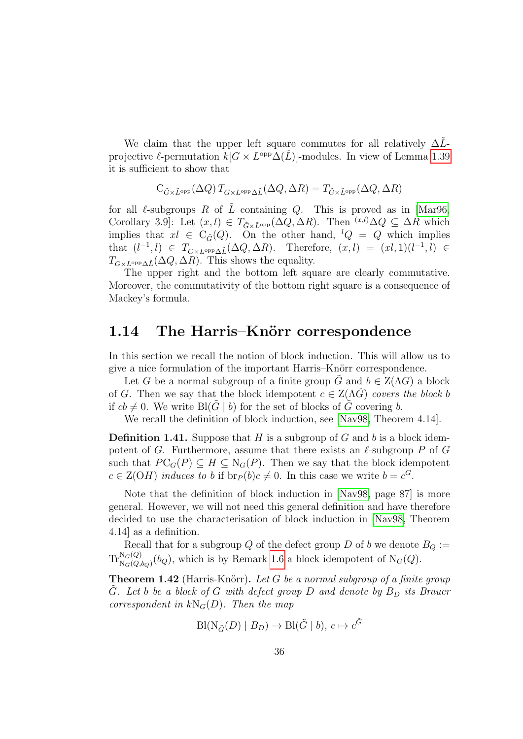We claim that the upper left square commutes for all relatively  $\Delta\tilde{L}$ projective  $\ell$ -permutation  $k[G \times L^{\text{opp}}\Delta(\tilde{L})]$ -modules. In view of Lemma [1.39](#page-33-1) it is sufficient to show that

$$
C_{\tilde{G}\times \tilde{L}^{\text{opp}}}(\Delta Q)\,T_{G\times L^{\text{opp}}\Delta \tilde{L}}(\Delta Q,\Delta R)=T_{\tilde{G}\times \tilde{L}^{\text{opp}}}(\Delta Q,\Delta R)
$$

for all  $\ell$ -subgroups R of  $\tilde{L}$  containing Q. This is proved as in [\[Mar96,](#page-144-4) Corollary 3.9]: Let  $(x, l) \in T_{\tilde{G}\times \tilde{L}^{\text{opp}}}(\tilde{\Delta Q}, \Delta R)$ . Then  $(x, l) \subseteq \tilde{\Delta R}$  which implies that  $x \in C_{\tilde{G}}(Q)$ . On the other hand,  $^lQ = Q$  which implies that  $(l^{-1}, l) \in T_{G \times L^{\text{opp}} \Delta \tilde{L}}(\Delta Q, \Delta R)$ . Therefore,  $(x, l) = (xl, 1)(l^{-1}, l) \in$  $T_{G\times L^{\text{opp}}\Delta \tilde{L}}(\Delta Q, \Delta R)$ . This shows the equality.

The upper right and the bottom left square are clearly commutative. Moreover, the commutativity of the bottom right square is a consequence of Mackey's formula.

#### <span id="page-35-0"></span>1.14 The Harris–Knörr correspondence

In this section we recall the notion of block induction. This will allow us to give a nice formulation of the important Harris–Knörr correspondence.

Let G be a normal subgroup of a finite group  $\tilde{G}$  and  $b \in Z(\Lambda G)$  a block of G. Then we say that the block idempotent  $c \in Z(\Lambda G)$  covers the block b if  $cb \neq 0$ . We write Bl(G | b) for the set of blocks of G covering b.

We recall the definition of block induction, see [\[Nav98,](#page-144-6) Theorem 4.14].

**Definition 1.41.** Suppose that H is a subgroup of G and b is a block idempotent of G. Furthermore, assume that there exists an  $\ell$ -subgroup P of G such that  $PC_G(P) \subseteq H \subseteq N_G(P)$ . Then we say that the block idempotent  $c \in \mathcal{Z}(OH)$  induces to b if  $br_P(b)c \neq 0$ . In this case we write  $b = c^G$ .

Note that the definition of block induction in [\[Nav98,](#page-144-6) page 87] is more general. However, we will not need this general definition and have therefore decided to use the characterisation of block induction in [\[Nav98,](#page-144-6) Theorem 4.14] as a definition.

Recall that for a subgroup Q of the defect group D of b we denote  $B_Q :=$  $\text{Tr}_{N_G(Q, b_Q)}^{N_G(Q)}(b_Q)$ , which is by Remark [1.6](#page-18-1) a block idempotent of  $N_G(Q)$ .

**Theorem 1.42** (Harris-Knörr). Let G be a normal subgroup of a finite group G. Let b be a block of G with defect group  $D$  and denote by  $B_D$  its Brauer correspondent in  $kN_G(D)$ . Then the map

$$
\text{Bl}(\text{N}_{\tilde{G}}(D) \mid B_D) \to \text{Bl}(\tilde{G} \mid b), c \mapsto c^{\tilde{G}}
$$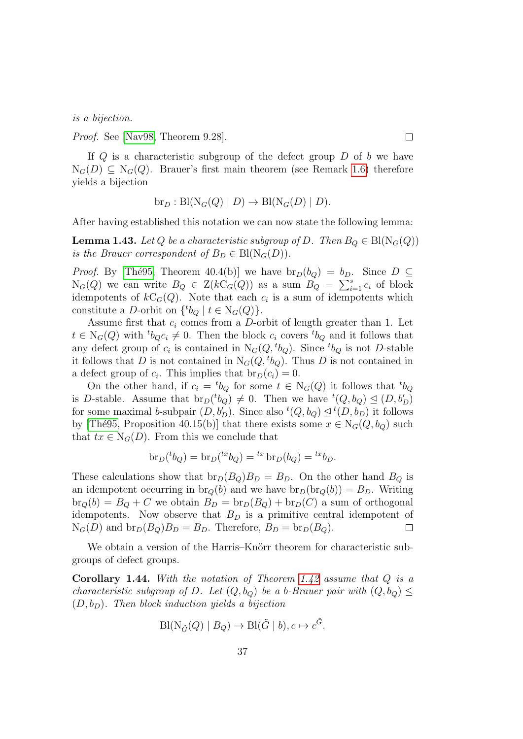is a bijection.

Proof. See [\[Nav98,](#page-144-0) Theorem 9.28].

If  $Q$  is a characteristic subgroup of the defect group  $D$  of b we have  $N_G(D) \subseteq N_G(Q)$ . Brauer's first main theorem (see Remark [1.6\)](#page-18-0) therefore yields a bijection

$$
\text{br}_D: \text{Bl}(\text{N}_G(Q) \mid D) \to \text{Bl}(\text{N}_G(D) \mid D).
$$

After having established this notation we can now state the following lemma:

<span id="page-36-0"></span>**Lemma 1.43.** Let Q be a characteristic subgroup of D. Then  $B_Q \in Bl(N_G(Q))$ is the Brauer correspondent of  $B_D \in \text{Bl}(\text{N}_G(D)).$ 

*Proof.* By [The 95, Theorem 40.4(b)] we have  $br_D(b_Q) = b_D$ . Since  $D \subseteq$  $N_G(Q)$  we can write  $B_Q \in Z(kC_G(Q))$  as a sum  $B_Q = \sum_{i=1}^s c_i$  of block idempotents of  $kC_G(Q)$ . Note that each  $c_i$  is a sum of idempotents which constitute a D-orbit on  $\{{}^t b_Q \mid t \in N_G(Q)\}.$ 

Assume first that  $c_i$  comes from a D-orbit of length greater than 1. Let  $t \in N_G(Q)$  with  ${}^t b_{Q} c_i \neq 0$ . Then the block  $c_i$  covers  ${}^t b_Q$  and it follows that any defect group of  $c_i$  is contained in  $N_G(Q, {}^t b_Q)$ . Since  ${}^t b_Q$  is not D-stable it follows that D is not contained in  $N_G(Q, {}^t b_Q)$ . Thus D is not contained in a defect group of  $c_i$ . This implies that  $br_D(c_i) = 0$ .

On the other hand, if  $c_i = {}^t b_Q$  for some  $t \in N_G(Q)$  it follows that  ${}^t b_Q$ is D-stable. Assume that  $br_D(^t b_Q) \neq 0$ . Then we have  ${}^t(Q, b_Q) \trianglelefteq (D, b'_D)$ for some maximal b-subpair  $(D, b'_D)$ . Since also  ${}^t(Q, b_Q) \leq {}^t(D, b_D)$  it follows by [The 95, Proposition 40.15(b)] that there exists some  $x \in N_G(Q, b_Q)$  such that  $tx \in N_G(D)$ . From this we conclude that

$$
\operatorname{br}_D(^t b_Q) = \operatorname{br}_D(^{tx} b_Q) = {^{tx}} \operatorname{br}_D(b_Q) = {^{tx}} b_D.
$$

These calculations show that  $br_D(B_Q)B_D = B_D$ . On the other hand  $B_Q$  is an idempotent occurring in  $br_Q(b)$  and we have  $br_D(br_Q(b)) = B_D$ . Writing  $\text{br}_Q(b) = B_Q + C$  we obtain  $B_D = \text{br}_D(B_Q) + \text{br}_D(C)$  a sum of orthogonal idempotents. Now observe that  $B<sub>D</sub>$  is a primitive central idempotent of  $N_G(D)$  and  $\text{br}_D(B_Q)B_D = B_D$ . Therefore,  $B_D = \text{br}_D(B_Q)$ .  $\Box$ 

We obtain a version of the Harris–Knörr theorem for characteristic subgroups of defect groups.

<span id="page-36-1"></span>**Corollary 1.44.** With the notation of Theorem [1.42](#page-35-0) assume that  $Q$  is a characteristic subgroup of D. Let  $(Q, b_{Q})$  be a b-Brauer pair with  $(Q, b_{Q}) \leq$  $(D, b_D)$ . Then block induction yields a bijection

$$
\mathrm{Bl}(\mathrm{N}_{\tilde{G}}(Q) \mid B_Q) \to \mathrm{Bl}(\tilde{G} \mid b), c \mapsto c^{\tilde{G}}.
$$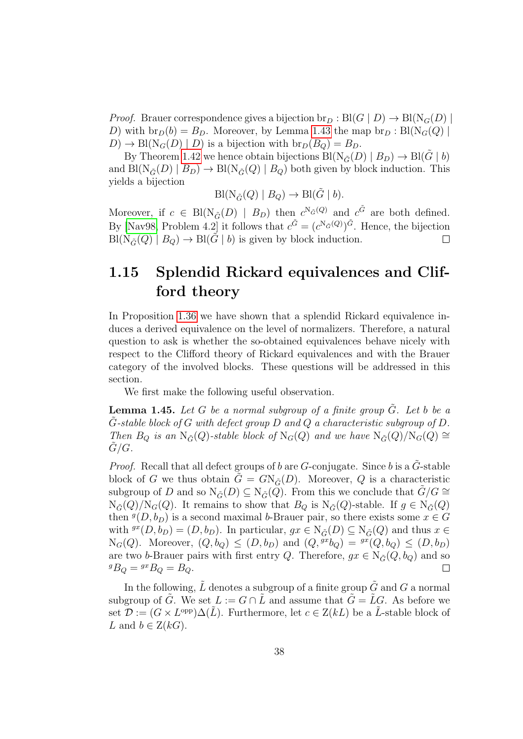*Proof.* Brauer correspondence gives a bijection  $\text{br}_D : Bl(G | D) \to Bl(N_G(D))$ D) with  $br_D(b) = B_D$ . Moreover, by Lemma [1.43](#page-36-0) the map  $br_D : Bl(N_G(Q))$  $D \to \text{Bl}(\text{N}_G(D) | D)$  is a bijection with  $\text{br}_D(B_Q) = B_D$ .

By Theorem [1.42](#page-35-0) we hence obtain bijections  $Bl(N_{\tilde{G}}(D) | B_D) \rightarrow Bl(G | b)$ and  $\text{Bl}(\text{N}_{\tilde{G}}(D) \mid B_D) \to \text{Bl}(\text{N}_{\tilde{G}}(Q) \mid B_Q)$  both given by block induction. This yields a bijection

$$
Bl(N_{\tilde{G}}(Q) | B_Q) \to Bl(\tilde{G} | b).
$$

Moreover, if  $c \in Bl(N_{\tilde{G}}(D) | B_D)$  then  $c^{N_{\tilde{G}}(Q)}$  and  $c^{\tilde{G}}$  are both defined. By [\[Nav98,](#page-144-0) Problem 4.2] it follows that  $c^{\tilde{G}} = (c^N \tilde{\sigma}^{(Q)})^{\tilde{G}}$ . Hence, the bijection  $Bl(N_{\tilde{G}}(Q) | B_Q) \rightarrow Bl(\tilde{G} | b)$  is given by block induction.  $\Box$ 

## 1.15 Splendid Rickard equivalences and Clifford theory

In Proposition [1.36](#page-32-0) we have shown that a splendid Rickard equivalence induces a derived equivalence on the level of normalizers. Therefore, a natural question to ask is whether the so-obtained equivalences behave nicely with respect to the Clifford theory of Rickard equivalences and with the Brauer category of the involved blocks. These questions will be addressed in this section.

We first make the following useful observation.

<span id="page-37-0"></span>**Lemma 1.45.** Let G be a normal subgroup of a finite group  $G$ . Let b be a  $\hat{G}$ -stable block of  $G$  with defect group  $D$  and  $Q$  a characteristic subgroup of  $D$ . Then  $B_Q$  is an  $N_{\tilde{G}}(Q)$ -stable block of  $N_G(Q)$  and we have  $N_{\tilde{G}}(Q)/N_G(Q) \cong$  $G/G$ .

*Proof.* Recall that all defect groups of b are G-conjugate. Since b is a  $\tilde{G}$ -stable block of G we thus obtain  $\tilde{G} = G N_{\tilde{G}}(D)$ . Moreover, Q is a characteristic subgroup of D and so  $N_{\tilde{G}}(D) \subseteq N_{\tilde{G}}(Q)$ . From this we conclude that  $G/G \cong$  $N_{\tilde{G}}(Q)/N_G(Q)$ . It remains to show that  $B_Q$  is  $N_{\tilde{G}}(Q)$ -stable. If  $g \in N_{\tilde{G}}(Q)$ then  $g(D, b_D)$  is a second maximal b-Brauer pair, so there exists some  $x \in G$ with  $g(x, b_D) = (D, b_D)$ . In particular,  $gx \in N_{\tilde{G}}(D) \subseteq N_{\tilde{G}}(Q)$  and thus  $x \in$  $N_G(Q)$ . Moreover,  $(Q, b_Q) \leq (D, b_D)$  and  $(Q, {}^{gx}b_Q) = {}^{gx}(Q, b_Q) \leq (D, b_D)$ are two b-Brauer pairs with first entry Q. Therefore,  $gx \in N_{\tilde{G}}(Q, b_Q)$  and so  ${}^gB_Q={}^{gx}B_Q=B_Q.$  $\Box$ 

In the following,  $\tilde{L}$  denotes a subgroup of a finite group  $\tilde{G}$  and G a normal subgroup of  $\tilde{G}$ . We set  $L := G \cap \tilde{L}$  and assume that  $\tilde{G} = \tilde{L}G$ . As before we set  $\mathcal{D} := (G \times L^{\text{opp}}) \Delta(\tilde{L})$ . Furthermore, let  $c \in Z(kL)$  be a  $\tilde{L}$ -stable block of L and  $b \in Z(kG)$ .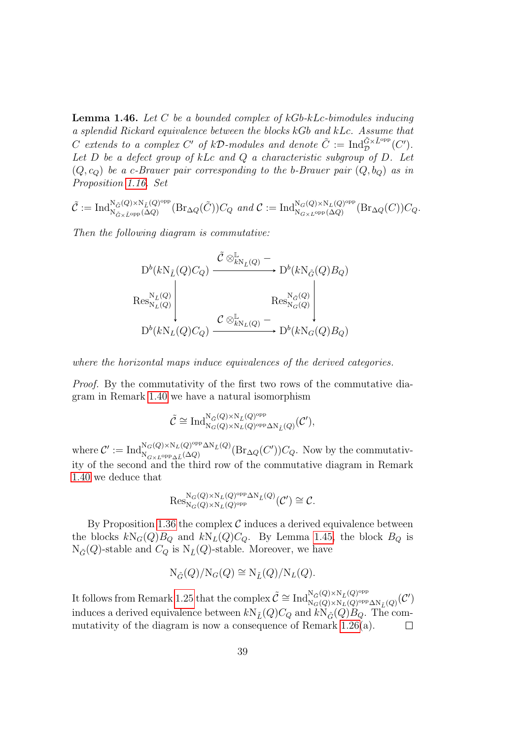<span id="page-38-0"></span>**Lemma 1.46.** Let C be a bounded complex of  $kGb-kLc$ -bimodules inducing a splendid Rickard equivalence between the blocks kGb and kLc. Assume that C extends to a complex C' of kD-modules and denote  $\tilde{C} := \text{Ind}_{\mathcal{D}}^{\tilde{G} \times \tilde{L}^{\text{opp}}}(C').$ Let  $D$  be a defect group of kLc and  $Q$  a characteristic subgroup of  $D$ . Let  $(Q, c_Q)$  be a c-Brauer pair corresponding to the b-Brauer pair  $(Q, b_Q)$  as in Proposition [1.16.](#page-22-0) Set

$$
\tilde{\mathcal{C}} := \mathrm{Ind}_{\mathrm{N}_{\tilde{G} \times \tilde{L}^{\mathrm{opp}}}^{\mathrm{N}_{\tilde{G}}(Q) \times \mathrm{N}_{\tilde{L}}(Q)^{\mathrm{opp}}}^{\mathrm{N}_{\tilde{G}}(Q) \times \mathrm{N}_{\tilde{L}}(Q)^{\mathrm{opp}}}(\mathrm{Br}_{\Delta Q}(\tilde{C})) C_Q \text{ and } \mathcal{C} := \mathrm{Ind}_{\mathrm{N}_{G \times L^{\mathrm{opp}}}(\Delta Q)}^{\mathrm{N}_{G}(Q) \times \mathrm{N}_{L}(Q)^{\mathrm{opp}}}(\mathrm{Br}_{\Delta Q}(C)) C_Q.
$$

Then the following diagram is commutative:

$$
\begin{CD} D^b(kN_{\tilde{L}}(Q)C_Q) \xrightarrow{\tilde{\mathcal{C}} \otimes^{\mathbb{L}}_{kN_{\tilde{L}}(Q)}} D^b(kN_{\tilde{G}}(Q)B_Q) \\
\operatorname{Res}_{N_L(Q)}^{N_{\tilde{L}}(Q)} \Bigg| \xrightarrow{\operatorname{Res}_{N_G(Q)}^{N_{\tilde{G}}(Q)}} \operatorname{Res}_{N_G(Q)}^{N_{\tilde{G}}(Q)} \Bigg| \\
D^b(kN_L(Q)C_Q) \xrightarrow{\mathcal{C} \otimes^{\mathbb{L}}_{kN_L(Q)}} D^b(kN_G(Q)B_Q)\n\end{CD}
$$

where the horizontal maps induce equivalences of the derived categories.

Proof. By the commutativity of the first two rows of the commutative diagram in Remark [1.40](#page-34-0) we have a natural isomorphism

$$
\tilde{\mathcal{C}}\cong \mathrm{Ind}_{\mathrm{N}_G(Q)\times \mathrm{N}_L(Q)^{\mathrm{opp}}\Delta \mathrm{N}_{\tilde{L}}(Q)}^{\mathrm{N}_G(Q)\times \mathrm{N}_{\tilde{L}}(Q)^{\mathrm{opp}}},
$$

where  $\mathcal{C}' := \text{Ind}_{N}^{N_G(Q) \times N_L(Q)^\text{opp} \Delta N_{\tilde{L}}(Q)}$  $N_{G\times L^{\text{opp}}\Delta \tilde{L}}(\Delta Q)$ <sup>Opp</sup> $\Delta N_{\tilde{L}}(Q)$  (Br $_{\Delta Q}(C')$ ) $C_Q$ . Now by the commutativity of the second and the third row of the commutative diagram in Remark [1.40](#page-34-0) we deduce that

$$
\mathrm{Res}^{\mathrm{N}_G(Q)\times\mathrm{N}_L(Q)^{\mathrm{opp}}\Delta\mathrm{N}_{\tilde{L}}(Q)}_{\mathrm{N}_G(Q)\times\mathrm{N}_L(Q)^{\mathrm{opp}}}(\mathcal{C}')\cong\mathcal{C}.
$$

By Proposition [1.36](#page-32-0) the complex  $\mathcal C$  induces a derived equivalence between the blocks  $kN_G(Q)B_Q$  and  $kN_L(Q)C_Q$ . By Lemma [1.45,](#page-37-0) the block  $B_Q$  is  $N_{\tilde{G}}(Q)$ -stable and  $C_Q$  is  $N_{\tilde{L}}(Q)$ -stable. Moreover, we have

$$
N_{\tilde{G}}(Q)/N_G(Q) \cong N_{\tilde{L}}(Q)/N_L(Q).
$$

It follows from Remark [1.25](#page-26-0) that the complex  $\tilde{C} \cong \text{Ind}_{N_C(Q) \times N_L(Q)^\text{opp}}^{N_{\tilde{G}}(Q) \times N_L(Q)^\text{opp}}$  $\frac{\mathsf{N}_{\tilde{G}}(Q)\times \mathsf{N}_{\tilde{L}}(Q)^{\mathrm{opp}}}{\mathsf{N}_{G}(Q)\times \mathsf{N}_{L}(Q)^{\mathrm{opp}}\Delta \mathsf{N}_{\tilde{L}}(Q)}(\mathcal{C}')$ induces a derived equivalence between  $kN_{\tilde{L}}(Q)C_Q$  and  $kN_{\tilde{G}}(Q)B_Q$ . The commutativity of the diagram is now a consequence of Remark [1.26\(](#page-26-1)a).  $\Box$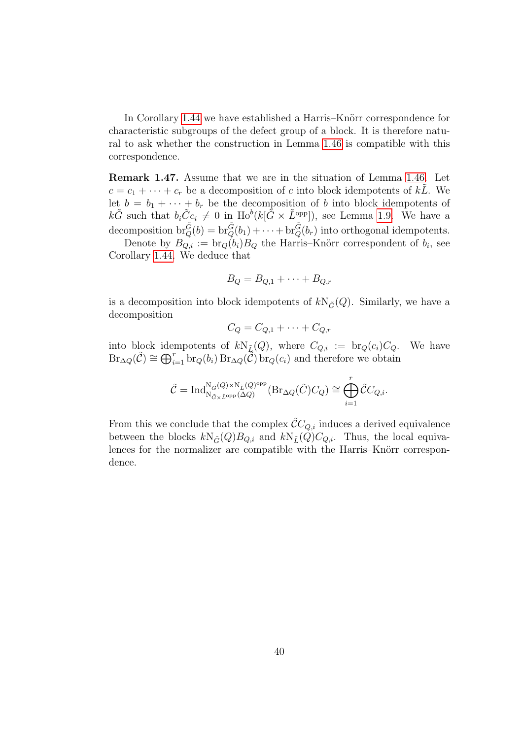In Corollary [1.44](#page-36-1) we have established a Harris–Knörr correspondence for characteristic subgroups of the defect group of a block. It is therefore natural to ask whether the construction in Lemma [1.46](#page-38-0) is compatible with this correspondence.

Remark 1.47. Assume that we are in the situation of Lemma [1.46.](#page-38-0) Let  $c = c_1 + \cdots + c_r$  be a decomposition of c into block idempotents of kL. We let  $b = b_1 + \cdots + b_r$  be the decomposition of b into block idempotents of  $k\tilde{G}$  such that  $b_i\tilde{C}c_i \neq 0$  in  $\text{Ho}^b(k[\tilde{G} \times \tilde{L}^{\text{opp}}])$ , see Lemma [1.9.](#page-19-0) We have a decomposition  $\mathrm{br}_Q^{\tilde{G}}(b) = \mathrm{br}_Q^{\tilde{G}}(b_1) + \cdots + \mathrm{br}_Q^{\tilde{G}}(b_r)$  into orthogonal idempotents.

Denote by  $B_{Q,i} := \text{br}_Q(b_i)B_Q$  the Harris–Knörr correspondent of  $b_i$ , see Corollary [1.44.](#page-36-1) We deduce that

$$
B_Q = B_{Q,1} + \cdots + B_{Q,r}
$$

is a decomposition into block idempotents of  $kN_{\tilde{G}}(Q)$ . Similarly, we have a decomposition

$$
C_Q = C_{Q,1} + \dots + C_{Q,r}
$$

into block idempotents of  $kN_{\tilde{L}}(Q)$ , where  $C_{Q,i} := \text{br}_Q(c_i)C_Q$ . We have  $Br_{\Delta Q}(\tilde{C}) \cong \bigoplus_{i=1}^r br_Q(b_i) Br_{\Delta Q}(\tilde{C}) br_Q(c_i)$  and therefore we obtain

$$
\tilde{\mathcal{C}} = \text{Ind}_{\mathcal{N}_{\tilde{G}\times \tilde{L}^{\text{opp}}}^{\mathcal{N}_{\tilde{G}}(Q)\times \mathcal{N}_{\tilde{L}}(Q)^{\text{opp}}}^{\mathcal{N}(Q)^{\text{opp}}}(\text{Br}_{\Delta Q}(\tilde{C})C_Q) \cong \bigoplus_{i=1}^r \tilde{\mathcal{C}}C_{Q,i}.
$$

From this we conclude that the complex  $\mathcal{C}C_{Q,i}$  induces a derived equivalence between the blocks  $kN_{\tilde{G}}(Q)B_{Q,i}$  and  $kN_{\tilde{L}}(Q)C_{Q,i}$ . Thus, the local equivalences for the normalizer are compatible with the Harris–Knörr correspondence.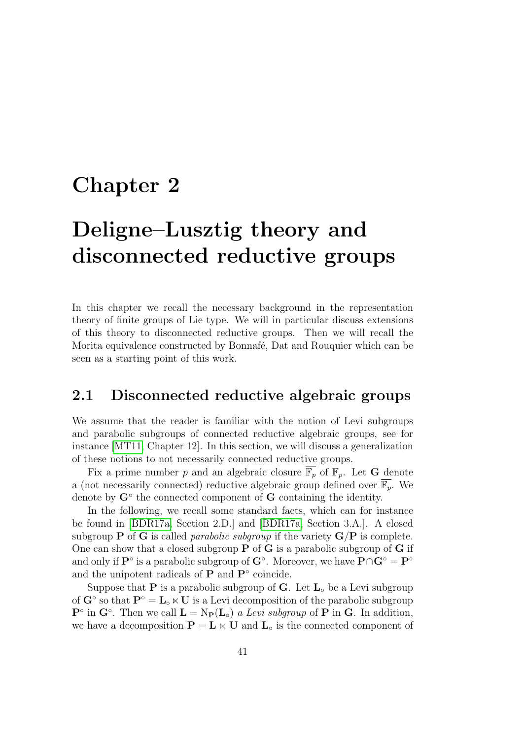## Chapter 2

# Deligne–Lusztig theory and disconnected reductive groups

In this chapter we recall the necessary background in the representation theory of finite groups of Lie type. We will in particular discuss extensions of this theory to disconnected reductive groups. Then we will recall the Morita equivalence constructed by Bonnafé, Dat and Rouquier which can be seen as a starting point of this work.

### 2.1 Disconnected reductive algebraic groups

We assume that the reader is familiar with the notion of Levi subgroups and parabolic subgroups of connected reductive algebraic groups, see for instance [\[MT11,](#page-144-1) Chapter 12]. In this section, we will discuss a generalization of these notions to not necessarily connected reductive groups.

Fix a prime number p and an algebraic closure  $\overline{\mathbb{F}_p}$  of  $\mathbb{F}_p$ . Let **G** denote a (not necessarily connected) reductive algebraic group defined over  $\overline{\mathbb{F}_p}$ . We denote by  $G^{\circ}$  the connected component of  $G$  containing the identity.

In the following, we recall some standard facts, which can for instance be found in [\[BDR17a,](#page-141-0) Section 2.D.] and [\[BDR17a,](#page-141-0) Section 3.A.]. A closed subgroup **P** of **G** is called *parabolic subgroup* if the variety  $G/P$  is complete. One can show that a closed subgroup  $P$  of  $G$  is a parabolic subgroup of  $G$  if and only if  $\mathbf{P}^\circ$  is a parabolic subgroup of  $\mathbf{G}^\circ$ . Moreover, we have  $\mathbf{P}\cap\mathbf{G}^\circ=\mathbf{P}^\circ$ and the unipotent radicals of  $P$  and  $P<sup>°</sup>$  coincide.

Suppose that **P** is a parabolic subgroup of **G**. Let  $\mathbf{L}_{\text{o}}$  be a Levi subgroup of  $G^{\circ}$  so that  $P^{\circ} = L_{\circ} \ltimes U$  is a Levi decomposition of the parabolic subgroup  $\mathbf{P}^{\circ}$  in  $\mathbf{G}^{\circ}$ . Then we call  $\mathbf{L} = \mathrm{N}_{\mathbf{P}}(\mathbf{L}_{\circ})$  a Levi subgroup of  $\mathbf{P}$  in  $\mathbf{G}$ . In addition, we have a decomposition  $\mathbf{P} = \mathbf{L} \times \mathbf{U}$  and  $\mathbf{L} \circ$  is the connected component of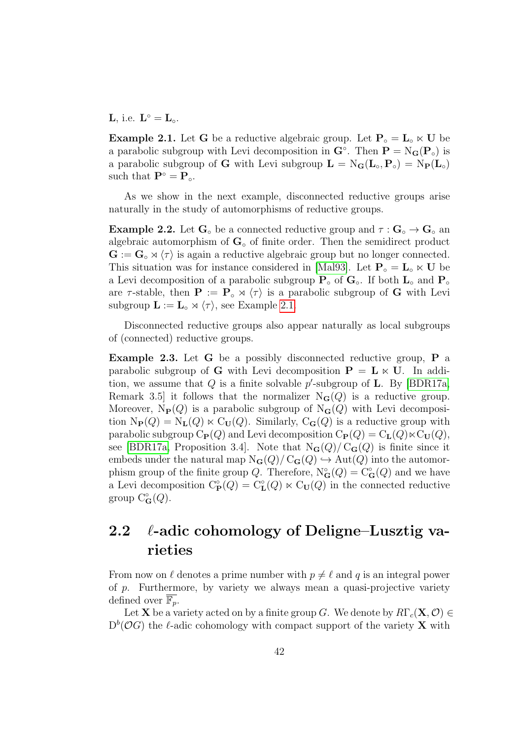**L**, i.e.  $\mathbf{L}^{\circ} = \mathbf{L}_{\circ}$ .

<span id="page-41-0"></span>**Example 2.1.** Let G be a reductive algebraic group. Let  $P_{\circ} = L_{\circ} \times U$  be a parabolic subgroup with Levi decomposition in  $\mathbf{G}^{\circ}$ . Then  $\mathbf{P} = N_{\mathbf{G}}(\mathbf{P}_{\circ})$  is a parabolic subgroup of G with Levi subgroup  $L = N_G(L_o, P_o) = N_P(L_o)$ such that  $\mathbf{P}^{\circ} = \mathbf{P}_{\circ}$ .

As we show in the next example, disconnected reductive groups arise naturally in the study of automorphisms of reductive groups.

**Example 2.2.** Let  $\mathbf{G}^{\circ}$  be a connected reductive group and  $\tau : \mathbf{G}^{\circ} \to \mathbf{G}^{\circ}$  and algebraic automorphism of  $\mathbf{G}_{\circ}$  of finite order. Then the semidirect product  $\mathbf{G} := \mathbf{G} \circ \mathbf{A} \langle \tau \rangle$  is again a reductive algebraic group but no longer connected. This situation was for instance considered in [\[Mal93\]](#page-143-0). Let  $P_{\circ} = L_{\circ} \ltimes U$  be a Levi decomposition of a parabolic subgroup  $P_{\circ}$  of  $G_{\circ}$ . If both  $L_{\circ}$  and  $P_{\circ}$ are  $\tau$ -stable, then  $\mathbf{P} := \mathbf{P} \circ \mathbf{A} \langle \tau \rangle$  is a parabolic subgroup of G with Levi subgroup  $\mathbf{L} := \mathbf{L} \times \langle \tau \rangle$ , see Example [2.1.](#page-41-0)

Disconnected reductive groups also appear naturally as local subgroups of (connected) reductive groups.

Example 2.3. Let G be a possibly disconnected reductive group, P a parabolic subgroup of G with Levi decomposition  $P = L \ltimes U$ . In addition, we assume that  $Q$  is a finite solvable p'-subgroup of **L**. By [\[BDR17a,](#page-141-0) Remark 3.5] it follows that the normalizer  $N_G(Q)$  is a reductive group. Moreover,  $N_P(Q)$  is a parabolic subgroup of  $N_G(Q)$  with Levi decomposition  $N_{\mathbf{P}}(Q) = N_{\mathbf{L}}(Q) \ltimes C_{\mathbf{U}}(Q)$ . Similarly,  $C_{\mathbf{G}}(Q)$  is a reductive group with parabolic subgroup  $C_{\mathbf{P}}(Q)$  and Levi decomposition  $C_{\mathbf{P}}(Q) = C_{\mathbf{L}}(Q) \ltimes C_{\mathbf{U}}(Q)$ , see [\[BDR17a,](#page-141-0) Proposition 3.4]. Note that  $N_{\mathbf{G}}(Q)/C_{\mathbf{G}}(Q)$  is finite since it embeds under the natural map  $N_G(Q)/C_G(Q) \hookrightarrow Aut(Q)$  into the automorphism group of the finite group Q. Therefore,  $N^{\circ}_{\mathbf{G}}(Q) = C^{\circ}_{\mathbf{G}}(Q)$  and we have a Levi decomposition  $C_{\mathbf{P}}^{\circ}(Q) = C_{\mathbf{L}}^{\circ}(Q) \ltimes C_{\mathbf{U}}(Q)$  in the connected reductive group  $C^{\circ}_{\mathbf{G}}(Q)$ .

## 2.2  $\ell$ -adic cohomology of Deligne–Lusztig varieties

From now on  $\ell$  denotes a prime number with  $p \neq \ell$  and q is an integral power of p. Furthermore, by variety we always mean a quasi-projective variety defined over  $\overline{\mathbb{F}_n}$ .

Let **X** be a variety acted on by a finite group G. We denote by  $R\Gamma_c(\mathbf{X}, \mathcal{O}) \in$  $D<sup>b</sup>(\mathcal{O}G)$  the  $\ell$ -adic cohomology with compact support of the variety **X** with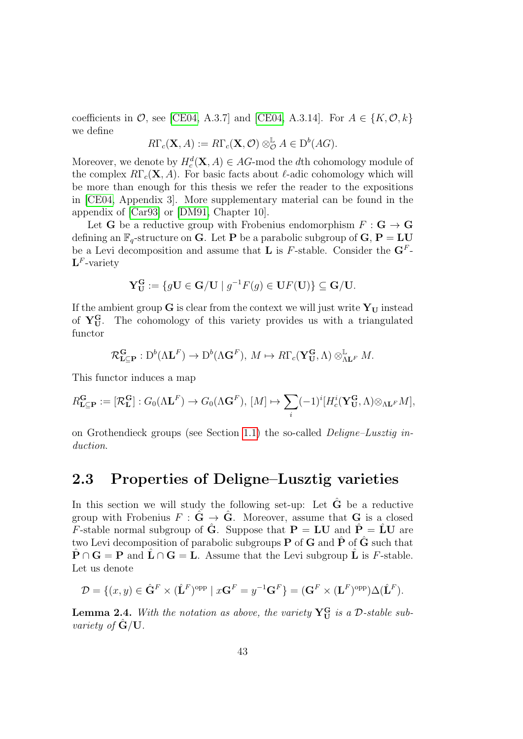coefficients in  $\mathcal{O}$ , see [\[CE04,](#page-142-0) A.3.7] and [CE04, A.3.14]. For  $A \in \{K, \mathcal{O}, k\}$ we define

$$
R\Gamma_c(\mathbf{X},A) := R\Gamma_c(\mathbf{X},\mathcal{O}) \otimes_{\mathcal{O}}^{\mathbb{L}} A \in D^b(AG).
$$

Moreover, we denote by  $H_c^d(\mathbf{X}, A) \in AG$ -mod the dth cohomology module of the complex  $R\Gamma_c(\mathbf{X}, A)$ . For basic facts about  $\ell$ -adic cohomology which will be more than enough for this thesis we refer the reader to the expositions in [\[CE04,](#page-142-0) Appendix 3]. More supplementary material can be found in the appendix of [\[Car93\]](#page-142-1) or [\[DM91,](#page-143-1) Chapter 10].

Let **G** be a reductive group with Frobenius endomorphism  $F: \mathbf{G} \to \mathbf{G}$ defining an  $\mathbb{F}_q$ -structure on **G**. Let **P** be a parabolic subgroup of **G**, **P** = **LU** be a Levi decomposition and assume that **L** is F-stable. Consider the  $\mathbf{G}^F$ - $\mathbf{L}^F$ -variety

$$
\mathbf{Y}_{\mathbf{U}}^{\mathbf{G}} := \{ g\mathbf{U} \in \mathbf{G}/\mathbf{U} \mid g^{-1}F(g) \in \mathbf{U}F(\mathbf{U}) \} \subseteq \mathbf{G}/\mathbf{U}.
$$

If the ambient group  $G$  is clear from the context we will just write  $Y_U$  instead of  $Y_{\text{U}}^{\text{G}}$ . The cohomology of this variety provides us with a triangulated functor

$$
\mathcal{R}^{\mathbf{G}}_{\mathbf{L}\subseteq\mathbf{P}}:D^b(\Lambda\mathbf{L}^F)\to D^b(\Lambda\mathbf{G}^F),\ M\mapsto R\Gamma_c(\mathbf{Y}_{\mathbf{U}}^{\mathbf{G}},\Lambda)\otimes^{\mathbb{L}}_{\Lambda\mathbf{L}^F}M.
$$

This functor induces a map

$$
R_{\mathbf{L}\subseteq\mathbf{P}}^{\mathbf{G}} := [\mathcal{R}_{\mathbf{L}}^{\mathbf{G}}] : G_0(\Lambda \mathbf{L}^F) \to G_0(\Lambda \mathbf{G}^F), [M] \mapsto \sum_i (-1)^i [H_c^i(\mathbf{Y}_{\mathbf{U}}^{\mathbf{G}}, \Lambda) \otimes_{\Lambda \mathbf{L}^F} M],
$$

on Grothendieck groups (see Section [1.1\)](#page-12-0) the so-called *Deligne–Lusztig in*duction.

### 2.3 Properties of Deligne–Lusztig varieties

In this section we will study the following set-up: Let  $\hat{G}$  be a reductive group with Frobenius  $F : \hat{G} \to \hat{G}$ . Moreover, assume that G is a closed F-stable normal subgroup of  $\hat{G}$ . Suppose that  $P = LU$  and  $\hat{P} = LU$  are two Levi decomposition of parabolic subgroups **P** of **G** and  $\hat{\mathbf{P}}$  of  $\hat{\mathbf{G}}$  such that  $\hat{\mathbf{P}} \cap \mathbf{G} = \mathbf{P}$  and  $\hat{\mathbf{L}} \cap \mathbf{G} = \mathbf{L}$ . Assume that the Levi subgroup  $\hat{\mathbf{L}}$  is F-stable. Let us denote

$$
\mathcal{D} = \{ (x, y) \in \hat{\mathbf{G}}^F \times (\hat{\mathbf{L}}^F)^{\text{opp}} \mid x\mathbf{G}^F = y^{-1}\mathbf{G}^F \} = (\mathbf{G}^F \times (\mathbf{L}^F)^{\text{opp}}) \Delta(\hat{\mathbf{L}}^F).
$$

<span id="page-42-0"></span>**Lemma 2.4.** With the notation as above, the variety  $Y_{U}^{G}$  is a D-stable subvariety of  $\dot{G}/U$ .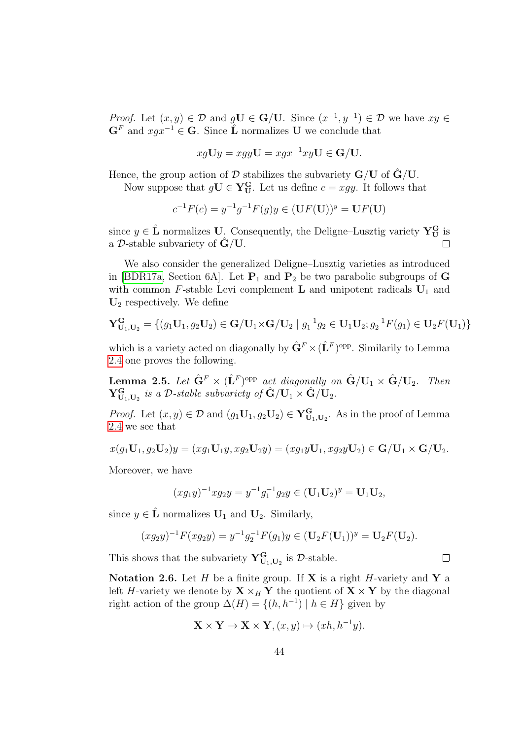*Proof.* Let  $(x, y) \in \mathcal{D}$  and  $gU \in G/U$ . Since  $(x^{-1}, y^{-1}) \in \mathcal{D}$  we have  $xy \in$  $\mathbf{G}^F$  and  $xgx^{-1} \in \mathbf{G}$ . Since  $\mathbf{\hat{L}}$  normalizes U we conclude that

$$
xg\mathbf{U}y = xgy\mathbf{U} = xgx^{-1}xy\mathbf{U} \in \mathbf{G}/\mathbf{U}.
$$

Hence, the group action of  $D$  stabilizes the subvariety  $G/U$  of  $G/U$ .

Now suppose that  $gU \in Y_U^G$ . Let us define  $c = xgy$ . It follows that

$$
c^{-1}F(c) = y^{-1}g^{-1}F(g)y \in (\mathbf{U}F(\mathbf{U}))^y = \mathbf{U}F(\mathbf{U})
$$

since  $y \in \hat{\mathbf{L}}$  normalizes U. Consequently, the Deligne–Lusztig variety  $\mathbf{Y}_{\mathbf{U}}^{\mathbf{G}}$  is a  $\mathcal{D}$ -stable subvariety of  $\mathbf{G}/\mathbf{U}$ .

We also consider the generalized Deligne–Lusztig varieties as introduced in [\[BDR17a,](#page-141-0) Section 6A]. Let  $P_1$  and  $P_2$  be two parabolic subgroups of G with common  $F$ -stable Levi complement **L** and unipotent radicals  $U_1$  and  $U_2$  respectively. We define

$$
\mathbf{Y}_{\mathbf{U}_1,\mathbf{U}_2}^{\mathbf{G}} = \{ (g_1\mathbf{U}_1, g_2\mathbf{U}_2) \in \mathbf{G}/\mathbf{U}_1 \times \mathbf{G}/\mathbf{U}_2 \mid g_1^{-1}g_2 \in \mathbf{U}_1\mathbf{U}_2; g_2^{-1}F(g_1) \in \mathbf{U}_2F(\mathbf{U}_1) \}
$$

which is a variety acted on diagonally by  $\hat{\mathbf{G}}^F \times (\hat{\mathbf{L}}^F)^{\text{opp}}$ . Similarily to Lemma [2.4](#page-42-0) one proves the following.

**Lemma 2.5.** Let  $\hat{\mathbf{G}}^F \times (\hat{\mathbf{L}}^F)^{\text{opp}}$  act diagonally on  $\hat{\mathbf{G}}/\mathbf{U}_1 \times \hat{\mathbf{G}}/\mathbf{U}_2$ . Then  $\mathbf{Y_{U_1,U_2}^G}$  is a D-stable subvariety of  $\hat{\mathbf{G}}/\mathbf{U}_1 \times \hat{\mathbf{G}}/\mathbf{U}_2$ .

*Proof.* Let  $(x, y) \in \mathcal{D}$  and  $(g_1\mathbf{U}_1, g_2\mathbf{U}_2) \in \mathbf{Y}_{\mathbf{U}_1,\mathbf{U}_2}^{\mathbf{G}}$ . As in the proof of Lemma [2.4](#page-42-0) we see that

$$
x(g_1\mathbf{U}_1,g_2\mathbf{U}_2)y=(xg_1\mathbf{U}_1y,xg_2\mathbf{U}_2y)=(xg_1y\mathbf{U}_1,xg_2y\mathbf{U}_2)\in \mathbf{G}/\mathbf{U}_1\times \mathbf{G}/\mathbf{U}_2.
$$

Moreover, we have

$$
(xg_1y)^{-1}xg_2y = y^{-1}g_1^{-1}g_2y \in (\mathbf{U}_1\mathbf{U}_2)^y = \mathbf{U}_1\mathbf{U}_2,
$$

since  $y \in \hat{\mathbf{L}}$  normalizes  $\mathbf{U}_1$  and  $\mathbf{U}_2$ . Similarly,

$$
(xg_2y)^{-1}F(xg_2y) = y^{-1}g_2^{-1}F(g_1)y \in (\mathbf{U}_2F(\mathbf{U}_1))^y = \mathbf{U}_2F(\mathbf{U}_2).
$$

This shows that the subvariety  $Y^G_{U_1,U_2}$  is  $D$ -stable.

**Notation 2.6.** Let H be a finite group. If **X** is a right H-variety and **Y** a left H-variety we denote by  $X \times_H Y$  the quotient of  $X \times Y$  by the diagonal right action of the group  $\Delta(H) = \{(h, h^{-1}) \mid h \in H\}$  given by

$$
\mathbf{X} \times \mathbf{Y} \to \mathbf{X} \times \mathbf{Y}, (x, y) \mapsto (xh, h^{-1}y).
$$

 $\Box$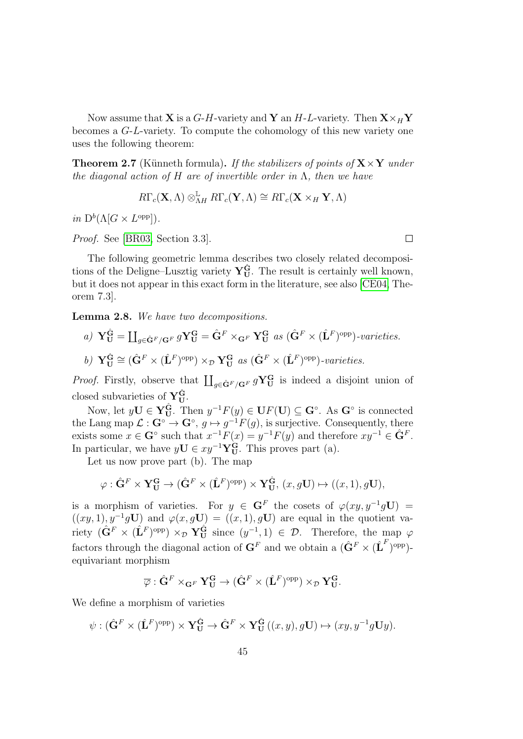Now assume that **X** is a G-H-variety and **Y** an H-L-variety. Then  $\mathbf{X} \times_H \mathbf{Y}$ becomes a G-L-variety. To compute the cohomology of this new variety one uses the following theorem:

<span id="page-44-1"></span>**Theorem 2.7** (Künneth formula). If the stabilizers of points of  $X \times Y$  under the diagonal action of H are of invertible order in  $\Lambda$ , then we have

$$
R\Gamma_c(\mathbf{X},\Lambda) \otimes^{\mathbb{L}}_{\Lambda H} R\Gamma_c(\mathbf{Y},\Lambda) \cong R\Gamma_c(\mathbf{X} \times_H \mathbf{Y},\Lambda)
$$

in  $D^b(\Lambda[G \times L^{\text{opp}}]).$ 

Proof. See [\[BR03,](#page-141-1) Section 3.3].

The following geometric lemma describes two closely related decompositions of the Deligne–Lusztig variety  $Y_{U}^{\hat{G}}$ . The result is certainly well known, but it does not appear in this exact form in the literature, see also [\[CE04,](#page-142-0) Theorem 7.3].

<span id="page-44-0"></span>Lemma 2.8. We have two decompositions.

a)  $\mathbf{Y}_{\mathbf{U}}^{\hat{\mathbf{G}}} = \prod_{g \in \hat{\mathbf{G}}^F / \mathbf{G}^F} g \mathbf{Y}_{\mathbf{U}}^{\mathbf{G}} = \hat{\mathbf{G}}^F \times_{\mathbf{G}^F} \mathbf{Y}_{\mathbf{U}}^{\mathbf{G}}$  as  $(\hat{\mathbf{G}}^F \times (\hat{\mathbf{L}}^F)^{\text{opp}})$ -varieties. b)  $\mathbf{Y}_{\mathbf{U}}^{\hat{\mathbf{G}}} \cong (\hat{\mathbf{G}}^F \times (\hat{\mathbf{L}}^F)^{\text{opp}}) \times_{\mathcal{D}} \mathbf{Y}_{\mathbf{U}}^{\mathbf{G}} \text{ as } (\hat{\mathbf{G}}^F \times (\hat{\mathbf{L}}^F)^{\text{opp}})$ -varieties.

*Proof.* Firstly, observe that  $\prod_{g \in \hat{\mathbf{G}}^F / \mathbf{G}^F} g\mathbf{Y}_{\mathbf{U}}^{\mathbf{G}}$  is indeed a disjoint union of closed subvarieties of  $Y_{U}^{\hat{G}}$ .

Now, let  $y\mathbf{U} \in \mathbf{Y}_{\mathbf{U}}^{\hat{\mathbf{G}}}$ . Then  $y^{-1}F(y) \in \mathbf{U}F(\mathbf{U}) \subseteq \mathbf{G}^{\circ}$ . As  $\mathbf{G}^{\circ}$  is connected the Lang map  $\mathcal{L} : \mathbf{G}^{\circ} \to \mathbf{G}^{\circ}, g \mapsto g^{-1}F(g)$ , is surjective. Consequently, there exists some  $x \in \mathbf{G}^{\circ}$  such that  $x^{-1}F(x) = y^{-1}F(y)$  and therefore  $xy^{-1} \in \hat{\mathbf{G}}^F$ . In particular, we have  $yU \in xy^{-1}Y_U^G$ . This proves part (a).

Let us now prove part (b). The map

$$
\varphi: \hat{\mathbf{G}}^F \times \mathbf{Y}_{\mathbf{U}}^{\mathbf{G}} \to (\hat{\mathbf{G}}^F \times (\hat{\mathbf{L}}^F)^{\text{opp}}) \times \mathbf{Y}_{\mathbf{U}}^{\hat{\mathbf{G}}}, (x, g\mathbf{U}) \mapsto ((x, 1), g\mathbf{U}),
$$

is a morphism of varieties. For  $y \in G^F$  the cosets of  $\varphi(xy, y^{-1}g\mathbf{U}) =$  $((xy, 1), y^{-1}gU)$  and  $\varphi(x, gU) = ((x, 1), gU)$  are equal in the quotient variety  $(\hat{\mathbf{G}}^F \times (\hat{\mathbf{L}}^F)^{\text{opp}}) \times_{\mathcal{D}} \mathbf{Y}_{\mathbf{U}}^{\hat{\mathbf{G}}}$  since  $(y^{-1}, 1) \in \mathcal{D}$ . Therefore, the map  $\varphi$ factors through the diagonal action of  $G^F$  and we obtain a  $(\hat{G}^F \times (\hat{L}^F)^{\text{opp}})$ equivariant morphism

$$
\overline{\varphi}: \hat{\mathbf{G}}^F \times_{\mathbf{G}^F} \mathbf{Y}_{\mathbf{U}}^{\mathbf{G}} \to (\hat{\mathbf{G}}^F \times (\hat{\mathbf{L}}^F)^{\text{opp}}) \times_{\mathcal{D}} \mathbf{Y}_{\mathbf{U}}^{\mathbf{G}}.
$$

We define a morphism of varieties

$$
\psi : (\hat{\mathbf{G}}^F \times (\hat{\mathbf{L}}^F)^{\text{opp}}) \times \mathbf{Y}_{\mathbf{U}}^{\hat{\mathbf{G}}} \to \hat{\mathbf{G}}^F \times \mathbf{Y}_{\mathbf{U}}^{\hat{\mathbf{G}}}((x, y), g\mathbf{U}) \mapsto (xy, y^{-1}g\mathbf{U}y).
$$

 $\Box$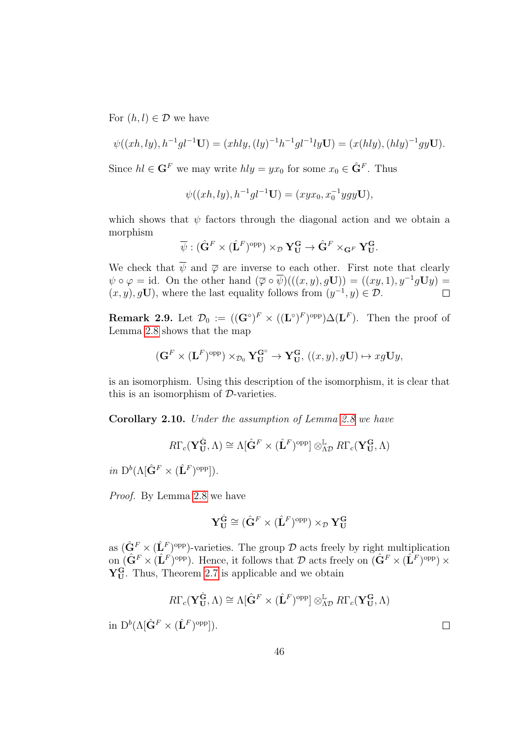For  $(h, l) \in \mathcal{D}$  we have

$$
\psi((xh, ly), h^{-1}gl^{-1}\mathbf{U}) = (xhly, (ly)^{-1}h^{-1}gl^{-1}ly\mathbf{U}) = (x(hly), (hly)^{-1}gy\mathbf{U}).
$$

Since  $hl \in \mathbf{G}^F$  we may write  $hly = yx_0$  for some  $x_0 \in \hat{\mathbf{G}}^F$ . Thus

$$
\psi((xh, ly), h^{-1}gl^{-1}\mathbf{U}) = (xyx_0, x_0^{-1}ygy\mathbf{U}),
$$

which shows that  $\psi$  factors through the diagonal action and we obtain a morphism

$$
\overline{\psi}:(\hat{\mathbf{G}}^F\times(\hat{\mathbf{L}}^F)^{\mathrm{opp}})\times_{\mathcal{D}}\mathbf{Y}_{\mathbf{U}}^{\mathbf{G}}\to\hat{\mathbf{G}}^F\times_{\mathbf{G}^F}\mathbf{Y}_{\mathbf{U}}^{\mathbf{G}}.
$$

We check that  $\overline{\psi}$  and  $\overline{\varphi}$  are inverse to each other. First note that clearly  $\psi \circ \varphi = id.$  On the other hand  $(\overline{\varphi} \circ \overline{\psi})(((x, y), g\mathbf{U})) = ((xy, 1), y^{-1}g\mathbf{U}y) =$  $(x, y), g$ U), where the last equality follows from  $(y^{-1}, y) \in \mathcal{D}$ .  $\Box$ 

**Remark 2.9.** Let  $\mathcal{D}_0 := ((\mathbf{G}^{\circ})^F \times ((\mathbf{L}^{\circ})^F)^{\text{opp}}) \Delta(\mathbf{L}^F)$ . Then the proof of Lemma [2.8](#page-44-0) shows that the map

$$
(\mathbf{G}^F \times (\mathbf{L}^F)^{\text{opp}}) \times_{\mathcal{D}_0} \mathbf{Y}_\mathbf{U}^{\mathbf{G}^\circ} \to \mathbf{Y}_\mathbf{U}^{\mathbf{G}}, ((x, y), g\mathbf{U}) \mapsto xg\mathbf{U}y,
$$

is an isomorphism. Using this description of the isomorphism, it is clear that this is an isomorphism of D-varieties.

Corollary 2.10. Under the assumption of Lemma [2.8](#page-44-0) we have

$$
R\Gamma_c(\mathbf{Y_U^{\hat{G}}},\Lambda) \cong \Lambda[\hat{\mathbf{G}}^F \times (\hat{\mathbf{L}}^F)^{\mathrm{opp}}] \otimes_{\Lambda\mathcal{D}}^{\mathbb{L}} R\Gamma_c(\mathbf{Y_U^G},\Lambda)
$$

in  $D^b(\Lambda[\hat{\mathbf{G}}^F \times (\hat{\mathbf{L}}^F)^{\text{opp}}]).$ 

Proof. By Lemma [2.8](#page-44-0) we have

$$
\mathbf{Y}_{\mathbf{U}}^{\hat{\mathbf{G}}} \cong (\hat{\mathbf{G}}^F \times (\hat{\mathbf{L}}^F)^{\mathrm{opp}}) \times_{\mathcal{D}} \mathbf{Y}_{\mathbf{U}}^{\mathbf{G}}
$$

as  $(\hat{\mathbf{G}}^F \times (\hat{\mathbf{L}}^F)^{\text{opp}})$ -varieties. The group  $\mathcal D$  acts freely by right multiplication on  $(\hat{\mathbf{G}}^F \times (\hat{\mathbf{L}}^F)^{\text{opp}})$ . Hence, it follows that  $\mathcal D$  acts freely on  $(\hat{\mathbf{G}}^F \times (\hat{\mathbf{L}}^F)^{\text{opp}}) \times$  $Y_{U}^{G}$ . Thus, Theorem [2.7](#page-44-1) is applicable and we obtain

$$
R\Gamma_c(\mathbf{Y}_{\mathbf{U}}^{\widehat{\mathbf{G}}},\Lambda)\cong\Lambda[\hat{\mathbf{G}}^F\times(\hat{\mathbf{L}}^F)^{\mathrm{opp}}]\otimes_{\Lambda\mathcal{D}}^{\mathbb{L}}R\Gamma_c(\mathbf{Y}_{\mathbf{U}}^{\mathbf{G}},\Lambda)
$$

in  $D^b(\Lambda[\hat{\mathbf{G}}^F \times (\hat{\mathbf{L}}^F)^{\text{opp}}]).$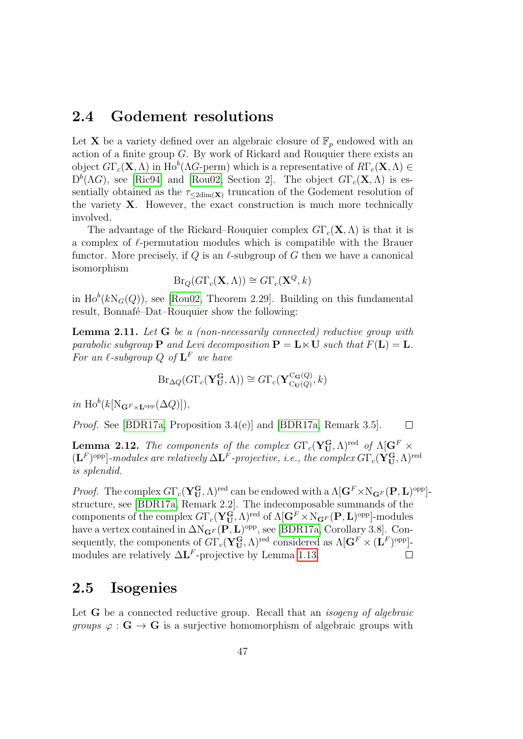#### 2.4 Godement resolutions

Let **X** be a variety defined over an algebraic closure of  $\mathbb{F}_p$  endowed with an action of a finite group G. By work of Rickard and Rouquier there exists an object  $G\Gamma_c(\mathbf{X}, \Lambda)$  in Ho<sup>b</sup>( $\Lambda$ G-perm) which is a representative of  $R\Gamma_c(\mathbf{X}, \Lambda) \in$  $D<sup>b</sup>(\Lambda G)$ , see [\[Ric94\]](#page-144-2) and [\[Rou02,](#page-145-0) Section 2]. The object  $G\Gamma_c(\mathbf{X},\Lambda)$  is essentially obtained as the  $\tau_{\text{2dim}(\mathbf{X})}$  truncation of the Godement resolution of the variety  $X$ . However, the exact construction is much more technically involved.

The advantage of the Rickard–Rouquier complex  $G\Gamma_c(\mathbf{X},\Lambda)$  is that it is a complex of  $\ell$ -permutation modules which is compatible with the Brauer functor. More precisely, if Q is an  $\ell$ -subgroup of G then we have a canonical isomorphism

$$
Br_Q(G\Gamma_c(\mathbf{X},\Lambda)) \cong Gr_c(\mathbf{X}^Q,k)
$$

in  $\text{Ho}^b(k\text{N}_G(Q))$ , see [\[Rou02,](#page-145-0) Theorem 2.29]. Building on this fundamental result, Bonnafé–Dat–Rouquier show the following:

<span id="page-46-0"></span>**Lemma 2.11.** Let  $G$  be a (non-necessarily connected) reductive group with parabolic subgroup **P** and Levi decomposition  $P = L \times U$  such that  $F(L) = L$ . For an  $\ell$ -subgroup Q of  $\mathbf{L}^F$  we have

$$
\operatorname{Br}_{\Delta Q}(G\Gamma_c(\mathbf{Y_U^G},\Lambda)) \cong G\Gamma_c(\mathbf{Y_{C_U(Q)}^{C_G(Q)}},k)
$$

in  $\text{Ho}^b(k[\text{N}_{\mathbf{G}^F\times\mathbf{L}^{\text{opp}}}(\Delta Q)]),$ 

Proof. See [\[BDR17a,](#page-141-0) Proposition 3.4(e)] and [\[BDR17a,](#page-141-0) Remark 3.5].  $\Box$ 

**Lemma 2.12.** The components of the complex  $G\Gamma_c(\mathbf{Y}_{\mathbf{U}}^{\mathbf{G}},\Lambda)^{\text{red}}$  of  $\Lambda[\mathbf{G}^F\times$  $(\mathbf{L}^F)^\mathrm{opp}]$ -modules are relatively  $\Delta \mathbf{L}^F$ -projective, i.e., the complex  $G\Gamma_c(\mathbf{Y}_\mathbf{U}^\mathbf{G},\Lambda)^\mathrm{red}$ is splendid.

*Proof.* The complex  $G\Gamma_c(\mathbf{Y_U^G},\Lambda)^{\text{red}}$  can be endowed with a  $\Lambda[\mathbf{G}^F\times N_{\mathbf{G}^F}(\mathbf{P},\mathbf{L})^{\text{opp}}]$ structure, see [\[BDR17a,](#page-141-0) Remark 2.2]. The indecomposable summands of the components of the complex  $G\Gamma_c(\mathbf{Y}_\mathbf{U}^\mathbf{G},\Lambda)^\text{red}$  of  $\Lambda[\mathbf{G}^F\times\mathrm{N}_{\mathbf{G}^F}(\mathbf{P},\mathbf{L})^\text{opp}]\text{-modules}$ have a vertex contained in  $\Delta N_{\mathbf{G}^F}(\mathbf{P}, \mathbf{L})^{\text{opp}}$ , see [\[BDR17a,](#page-141-0) Corollary 3.8]. Consequently, the components of  $G\Gamma_c(\mathbf{Y}_U^{\mathbf{G}},\Lambda)^\text{red}$  considered as  $\Lambda[\mathbf{G}^F\times(\mathbf{L}^F)^{\text{opp}}]$ modules are relatively  $\Delta L^F$ -projective by Lemma [1.13.](#page-20-0)  $\Box$ 

#### 2.5 Isogenies

Let **G** be a connected reductive group. Recall that an *isogeny of algebraic groups*  $\varphi : \mathbf{G} \to \mathbf{G}$  is a surjective homomorphism of algebraic groups with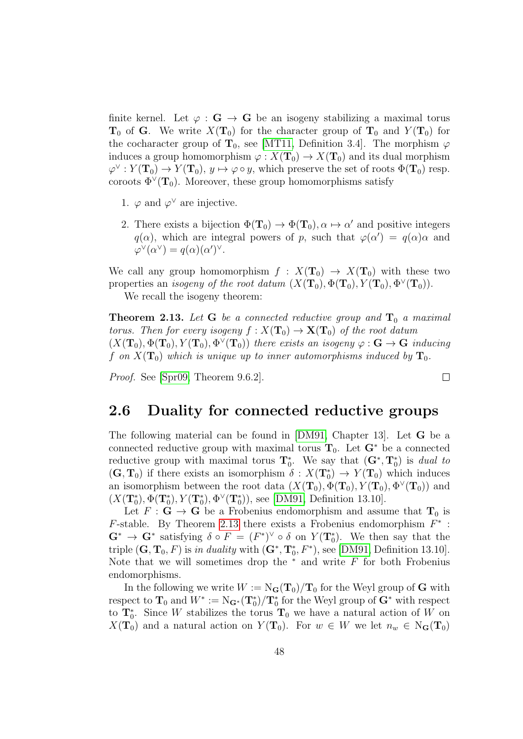finite kernel. Let  $\varphi : G \to G$  be an isogeny stabilizing a maximal torus  $T_0$  of G. We write  $X(T_0)$  for the character group of  $T_0$  and  $Y(T_0)$  for the cocharacter group of  $\mathbf{T}_0$ , see [\[MT11,](#page-144-1) Definition 3.4]. The morphism  $\varphi$ induces a group homomorphism  $\varphi: X(\mathbf{T}_0) \to X(\mathbf{T}_0)$  and its dual morphism  $\varphi^{\vee}: Y(\mathbf{T}_0) \to Y(\mathbf{T}_0), y \mapsto \varphi \circ y$ , which preserve the set of roots  $\Phi(\mathbf{T}_0)$  resp. coroots  $\Phi^{\vee}(\mathbf{T}_0)$ . Moreover, these group homomorphisms satisfy

- 1.  $\varphi$  and  $\varphi^{\vee}$  are injective.
- 2. There exists a bijection  $\Phi(\mathbf{T}_0) \to \Phi(\mathbf{T}_0)$ ,  $\alpha \mapsto \alpha'$  and positive integers  $q(\alpha)$ , which are integral powers of p, such that  $\varphi(\alpha') = q(\alpha)\alpha$  and  $\varphi^{\vee}(\alpha^{\vee}) = q(\alpha)(\alpha')^{\vee}.$

We call any group homomorphism  $f : X(T_0) \to X(T_0)$  with these two properties an *isogeny of the root datum*  $(X(\mathbf{T}_0), \Phi(\mathbf{T}_0), Y(\mathbf{T}_0), \Phi^{\vee}(\mathbf{T}_0)).$ 

We recall the isogeny theorem:

<span id="page-47-0"></span>**Theorem 2.13.** Let G be a connected reductive group and  $T_0$  a maximal torus. Then for every isogeny  $f: X(\mathbf{T}_0) \to X(\mathbf{T}_0)$  of the root datum  $(X(T_0), \Phi(T_0), Y(T_0), \Phi^{\vee}(T_0))$  there exists an isogeny  $\varphi : G \to G$  inducing f on  $X(T_0)$  which is unique up to inner automorphisms induced by  $T_0$ .

 $\Box$ 

Proof. See [\[Spr09,](#page-145-1) Theorem 9.6.2].

#### <span id="page-47-1"></span>2.6 Duality for connected reductive groups

The following material can be found in [\[DM91,](#page-143-1) Chapter 13]. Let G be a connected reductive group with maximal torus  $T_0$ . Let  $G^*$  be a connected reductive group with maximal torus  $\mathbf{T}_0^*$ . We say that  $(\mathbf{G}^*, \mathbf{T}_0^*)$  is dual to  $(G, T_0)$  if there exists an isomorphism  $\delta : X(T_0^*) \to Y(T_0)$  which induces an isomorphism between the root data  $(X(\mathbf{T}_0), \Phi(\mathbf{T}_0), Y(\mathbf{T}_0), \Phi^{\vee}(\mathbf{T}_0))$  and  $(X(T_0^*), \Phi(T_0^*), Y(T_0^*), \Phi^{\vee}(T_0^*)),$  see [\[DM91,](#page-143-1) Definition 13.10].

Let  $F: G \to G$  be a Frobenius endomorphism and assume that  $T_0$  is  $F$ -stable. By Theorem [2.13](#page-47-0) there exists a Frobenius endomorphism  $F^*$ :  $\mathbf{G}^* \to \mathbf{G}^*$  satisfying  $\delta \circ F = (F^*)^\vee \circ \delta$  on  $Y(\mathbf{T}_0^*)$ . We then say that the triple  $(G, T_0, F)$  is in duality with  $(G^*, T_0^*, F^*)$ , see [\[DM91,](#page-143-1) Definition 13.10]. Note that we will sometimes drop the  $*$  and write  $F$  for both Frobenius endomorphisms.

In the following we write  $W := N_{\mathbf{G}}(\mathbf{T}_0)/\mathbf{T}_0$  for the Weyl group of G with respect to  $\mathbf{T}_0$  and  $W^* := \mathrm{N}_{\mathbf{G}^*}(\mathbf{T}_0^*)/\mathbf{T}_0^*$  for the Weyl group of  $\mathbf{G}^*$  with respect to  $\mathbf{T}_0^*$ . Since W stabilizes the torus  $\mathbf{T}_0$  we have a natural action of W on  $X(\mathbf{T}_0)$  and a natural action on  $Y(\mathbf{T}_0)$ . For  $w \in W$  we let  $n_w \in N_G(\mathbf{T}_0)$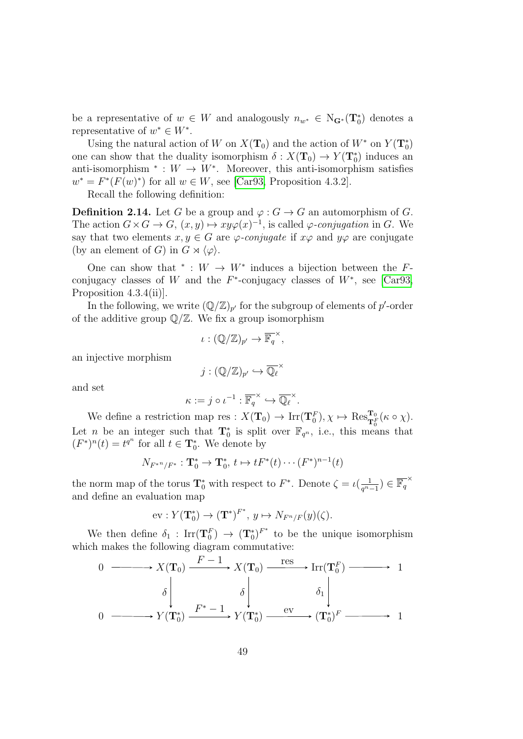be a representative of  $w \in W$  and analogously  $n_{w^*} \in N_{\mathbf{G}^*}(\mathbf{T}_0^*)$  denotes a representative of  $w^* \in W^*$ .

Using the natural action of W on  $X(\mathbf{T}_0)$  and the action of  $W^*$  on  $Y(\mathbf{T}_0^*)$ one can show that the duality isomorphism  $\delta: X(\mathbf{T}_0) \to Y(\mathbf{T}_0^*)$  induces an anti-isomorphism  $* : W \to W^*$ . Moreover, this anti-isomorphism satisfies  $w^* = F^*(F(w)^*)$  for all  $w \in W$ , see [\[Car93,](#page-142-1) Proposition 4.3.2].

Recall the following definition:

**Definition 2.14.** Let G be a group and  $\varphi: G \to G$  an automorphism of G. The action  $G \times G \to G$ ,  $(x, y) \mapsto xy\varphi(x)^{-1}$ , is called  $\varphi$ -conjugation in G. We say that two elements  $x, y \in G$  are  $\varphi$ -conjugate if  $x\varphi$  and  $y\varphi$  are conjugate (by an element of G) in  $G \rtimes \langle \varphi \rangle$ .

One can show that  $* : W \to W^*$  induces a bijection between the Fconjugacy classes of W and the  $F^*$ -conjugacy classes of  $W^*$ , see [\[Car93,](#page-142-1) Proposition 4.3.4(ii).

In the following, we write  $(\mathbb{Q}/\mathbb{Z})_{p'}$  for the subgroup of elements of p'-order of the additive group  $\mathbb{Q}/\mathbb{Z}$ . We fix a group isomorphism

$$
\iota: (\mathbb{Q}/\mathbb{Z})_{p'} \to \overline{\mathbb{F}_q}^{\times},
$$

an injective morphism

$$
j:(\mathbb{Q}/\mathbb{Z})_{p'}\hookrightarrow\overline{\mathbb{Q}_\ell}^\times
$$

and set

$$
\kappa := j \circ \iota^{-1} : \overline{\mathbb{F}_q}^{\times} \hookrightarrow \overline{\mathbb{Q}_\ell}^{\times}.
$$

We define a restriction map res :  $X(\mathbf{T}_0) \to \text{Irr}(\mathbf{T}_0^F), \chi \mapsto \text{Res}_{\mathbf{T}_0^F}^{\mathbf{T}_0}(\kappa \circ \chi).$ Let *n* be an integer such that  $\mathbf{T}_0^*$  is split over  $\mathbb{F}_{q^n}$ , i.e., this means that  $(F^*)^n(t) = t^{q^n}$  for all  $t \in \mathbf{T}_0^*$ . We denote by

$$
N_{F^{*n}/F^*}: \mathbf{T}_0^* \to \mathbf{T}_0^*, t \mapsto tF^*(t) \cdots (F^*)^{n-1}(t)
$$

the norm map of the torus  $\mathbf{T}_0^*$  with respect to  $F^*$ . Denote  $\zeta = \iota(\frac{1}{q^n})$  $\frac{1}{q^{n}-1}$ ) ∈  $\overline{\mathbb{F}_q}^{\times}$ and define an evaluation map

$$
\text{ev}: Y(\mathbf{T}_0^*) \to (\mathbf{T}^*)^{F^*}, y \mapsto N_{F^n/F}(y)(\zeta).
$$

We then define  $\delta_1$ :  $\text{Irr}(\mathbf{T}_0^F) \rightarrow (\mathbf{T}_0^*)^{F^*}$  to be the unique isomorphism which makes the following diagram commutative:

$$
\begin{array}{ccc}\n0 & \xrightarrow{\hspace{1cm}} & X(\mathbf{T}_0) \xrightarrow{F-1} & X(\mathbf{T}_0) \xrightarrow{\hspace{1cm}} & \text{Irr}(\mathbf{T}_0^F) \xrightarrow{\hspace{1cm}} & 1 \\
\delta \downarrow & \delta \downarrow & \delta \downarrow & \delta \downarrow \\
0 & \xrightarrow{\hspace{1cm}} & Y(\mathbf{T}_0^*) \xrightarrow{F^* - 1} & Y(\mathbf{T}_0^*) \xrightarrow{\hspace{1cm}} & \text{ev} \xrightarrow{\hspace{1cm}} (\mathbf{T}_0^*)^F \xrightarrow{\hspace{1cm}} & 1\n\end{array}
$$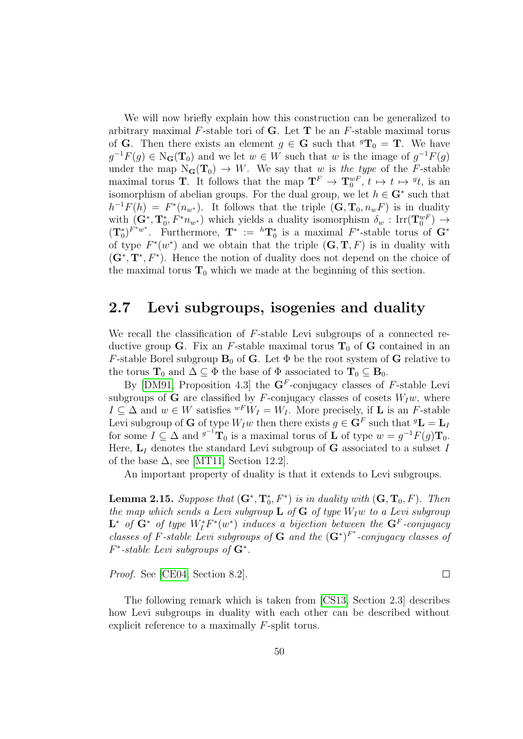We will now briefly explain how this construction can be generalized to arbitrary maximal  $F$ -stable tori of **G**. Let **T** be an  $F$ -stable maximal torus of **G**. Then there exists an element  $g \in \mathbf{G}$  such that  ${}^g\mathbf{T}_0 = \mathbf{T}$ . We have  $g^{-1}F(g) \in N_G(\mathbf{T}_0)$  and we let  $w \in W$  such that w is the image of  $g^{-1}F(g)$ under the map  $N_G(T_0) \to W$ . We say that w is the type of the F-stable maximal torus **T**. It follows that the map  $\mathbf{T}^F \to \mathbf{T}_0^{wF}$ ,  $t \mapsto t \mapsto {}^gt t$ , is an isomorphism of abelian groups. For the dual group, we let  $h \in \mathbf{G}^*$  such that  $h^{-1}F(h) = F^*(n_{w^*})$ . It follows that the triple  $(G, T_0, n_wF)$  is in duality with  $(G^*, T_0^*, F^*n_{w^*})$  which yields a duality isomorphism  $\delta_w : \text{Irr}(T_0^{wF}) \to$  $({\bf T}_0^*)^{F^*w^*}$ . Furthermore,  ${\bf T}^* := {}^h{\bf T}_0^*$  is a maximal  $F^*$ -stable torus of  ${\bf G}^*$ of type  $F^*(w^*)$  and we obtain that the triple  $(G, T, F)$  is in duality with  $(G^*, T^*, F^*)$ . Hence the notion of duality does not depend on the choice of the maximal torus  $T_0$  which we made at the beginning of this section.

### 2.7 Levi subgroups, isogenies and duality

We recall the classification of F-stable Levi subgroups of a connected reductive group G. Fix an F-stable maximal torus  $T_0$  of G contained in an F-stable Borel subgroup  $B_0$  of G. Let  $\Phi$  be the root system of G relative to the torus  $\mathbf{T}_0$  and  $\Delta \subseteq \Phi$  the base of  $\Phi$  associated to  $\mathbf{T}_0 \subseteq \mathbf{B}_0$ .

By [\[DM91,](#page-143-1) Proposition 4.3] the  $G<sup>F</sup>$ -conjugacy classes of F-stable Levi subgroups of G are classified by F-conjugacy classes of cosets  $W_I w$ , where  $I \subseteq \Delta$  and  $w \in W$  satisfies  ${}^{wF}W_I = W_I$ . More precisely, if **L** is an *F*-stable Levi subgroup of **G** of type  $W_I w$  then there exists  $g \in \mathbf{G}^F$  such that  ${}^g\mathbf{L} = \mathbf{L}_I$ for some  $I \subseteq \Delta$  and  $g^{-1}$ **T**<sub>0</sub> is a maximal torus of **L** of type  $w = g^{-1}F(g)$ **T**<sub>0</sub>. Here,  $L_I$  denotes the standard Levi subgroup of G associated to a subset I of the base  $\Delta$ , see [\[MT11,](#page-144-1) Section 12.2].

An important property of duality is that it extends to Levi subgroups.

<span id="page-49-0"></span>**Lemma 2.15.** Suppose that  $(G^*, T_0^*, F^*)$  is in duality with  $(G, T_0, F)$ . Then the map which sends a Levi subgroup  $\bf{L}$  of  $\bf{G}$  of type  $W_Iw$  to a Levi subgroup  $\mathbf{L}^*$  of  $\mathbf{G}^*$  of type  $W_I^*F^*(w^*)$  induces a bijection between the  $\mathbf{G}^F$ -conjugacy classes of F-stable Levi subgroups of G and the  $(G^*)^{F^*}$ -conjugacy classes of  $F^*$ -stable Levi subgroups of  $G^*$ .

Proof. See [\[CE04,](#page-142-0) Section 8.2].

The following remark which is taken from [\[CS13,](#page-142-2) Section 2.3] describes how Levi subgroups in duality with each other can be described without explicit reference to a maximally F-split torus.

 $\Box$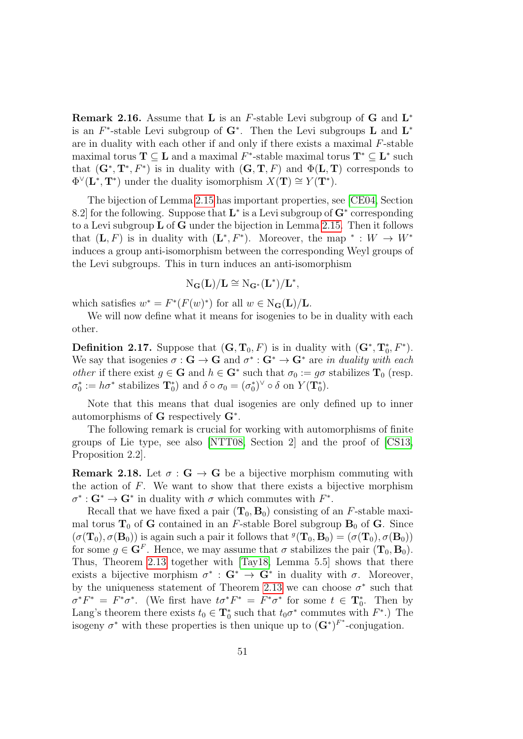<span id="page-50-2"></span>**Remark 2.16.** Assume that **L** is an *F*-stable Levi subgroup of **G** and  $L^*$ is an  $F^*$ -stable Levi subgroup of  $G^*$ . Then the Levi subgroups L and L<sup>\*</sup> are in duality with each other if and only if there exists a maximal  $F$ -stable maximal torus  $\mathbf{T} \subseteq \mathbf{L}$  and a maximal  $F^*$ -stable maximal torus  $\mathbf{T}^* \subseteq \mathbf{L}^*$  such that  $(\mathbf{G}^*, \mathbf{T}^*, F^*)$  is in duality with  $(\mathbf{G}, \mathbf{T}, F)$  and  $\Phi(\mathbf{L}, \mathbf{T})$  corresponds to  $\Phi^{\vee}(\mathbf{L}^*, \mathbf{T}^*)$  under the duality isomorphism  $X(\mathbf{T}) \cong Y(\mathbf{T}^*)$ .

The bijection of Lemma [2.15](#page-49-0) has important properties, see [\[CE04,](#page-142-0) Section 8.2 for the following. Suppose that  $\mathbf{L}^*$  is a Levi subgroup of  $\mathbf{G}^*$  corresponding to a Levi subgroup L of G under the bijection in Lemma [2.15.](#page-49-0) Then it follows that  $(L, F)$  is in duality with  $(L^*, F^*)$ . Moreover, the map  $* : W \to W^*$ induces a group anti-isomorphism between the corresponding Weyl groups of the Levi subgroups. This in turn induces an anti-isomorphism

$$
N_{\mathbf{G}}(\mathbf{L})/\mathbf{L} \cong N_{\mathbf{G}^*}(\mathbf{L}^*)/ \mathbf{L}^*,
$$

which satisfies  $w^* = F^*(F(w)^*)$  for all  $w \in N_G(L)/L$ .

We will now define what it means for isogenies to be in duality with each other.

<span id="page-50-1"></span>**Definition 2.17.** Suppose that  $(G, T_0, F)$  is in duality with  $(G^*, T_0^*, F^*)$ . We say that isogenies  $\sigma : G \to \mathbf{G}$  and  $\sigma^* : G^* \to \mathbf{G}^*$  are in duality with each *other* if there exist  $g \in \mathbf{G}$  and  $h \in \mathbf{G}^*$  such that  $\sigma_0 := g\sigma$  stabilizes  $\mathbf{T}_0$  (resp.  $\sigma_0^* := h \sigma^*$  stabilizes  $\mathbf{T}_0^*$  and  $\delta \circ \sigma_0 = (\sigma_0^*)^\vee \circ \delta$  on  $Y(\mathbf{T}_0^*)$ .

Note that this means that dual isogenies are only defined up to inner automorphisms of  $G$  respectively  $G^*$ .

The following remark is crucial for working with automorphisms of finite groups of Lie type, see also [\[NTT08,](#page-144-3) Section 2] and the proof of [\[CS13,](#page-142-2) Proposition 2.2].

<span id="page-50-0"></span>**Remark 2.18.** Let  $\sigma : G \to G$  be a bijective morphism commuting with the action of  $F$ . We want to show that there exists a bijective morphism  $\sigma^*: \mathbf{G}^* \to \mathbf{G}^*$  in duality with  $\sigma$  which commutes with  $F^*$ .

Recall that we have fixed a pair  $(T_0, B_0)$  consisting of an F-stable maximal torus  $T_0$  of G contained in an F-stable Borel subgroup  $B_0$  of G. Since  $(\sigma(\mathbf{T}_0), \sigma(\mathbf{B}_0))$  is again such a pair it follows that  $^g(\mathbf{T}_0, \mathbf{B}_0) = (\sigma(\mathbf{T}_0), \sigma(\mathbf{B}_0))$ for some  $g \in \mathbf{G}^F$ . Hence, we may assume that  $\sigma$  stabilizes the pair  $(\mathbf{T}_0, \mathbf{B}_0)$ . Thus, Theorem [2.13](#page-47-0) together with [\[Tay18,](#page-145-2) Lemma 5.5] shows that there exists a bijective morphism  $\sigma^*$ :  $G^* \to G^*$  in duality with  $\sigma$ . Moreover, by the uniqueness statement of Theorem [2.13](#page-47-0) we can choose  $\sigma^*$  such that  $\sigma^* F^* = F^* \sigma^*$ . (We first have  $t \sigma^* F^* = F^* \sigma^*$  for some  $t \in \mathbf{T}_0^*$ . Then by Lang's theorem there exists  $t_0 \in \mathbf{T}_0^*$  such that  $t_0 \sigma^*$  commutes with  $F^*$ .) The isogeny  $\sigma^*$  with these properties is then unique up to  $(\mathbf{G}^*)^{F^*}$ -conjugation.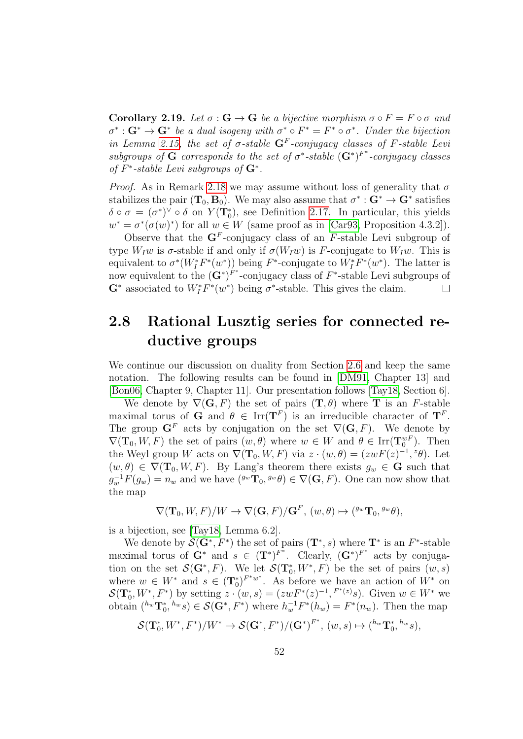**Corollary 2.19.** Let  $\sigma : G \to G$  be a bijective morphism  $\sigma \circ F = F \circ \sigma$  and  $\sigma^*: \mathbf{G}^* \to \mathbf{G}^*$  be a dual isogeny with  $\sigma^* \circ F^* = F^* \circ \sigma^*$ . Under the bijection in Lemma [2.15,](#page-49-0) the set of  $\sigma$ -stable  $G^F$ -conjugacy classes of F-stable Levi subgroups of G corresponds to the set of  $\sigma^*$ -stable  $(G^*)^{F^*}$ -conjugacy classes of  $F^*$ -stable Levi subgroups of  $G^*$ .

*Proof.* As in Remark [2.18](#page-50-0) we may assume without loss of generality that  $\sigma$ stabilizes the pair  $(T_0, B_0)$ . We may also assume that  $\sigma^* : G^* \to G^*$  satisfies  $\delta \circ \sigma = (\sigma^*)^{\vee} \circ \delta$  on  $Y(\mathbf{T}_0^*)$ , see Definition [2.17.](#page-50-1) In particular, this yields  $w^* = \sigma^*(\sigma(w)^*)$  for all  $w \in W$  (same proof as in [\[Car93,](#page-142-1) Proposition 4.3.2]).

Observe that the  $\mathbf{G}^F$ -conjugacy class of an F-stable Levi subgroup of type  $W_I w$  is  $\sigma$ -stable if and only if  $\sigma(W_I w)$  is F-conjugate to  $W_I w$ . This is equivalent to  $\sigma^*(W_I^*F^*(w^*))$  being  $F^*$ -conjugate to  $W_I^*F^*(w^*)$ . The latter is now equivalent to the  $(G^*)^{F^*}$ -conjugacy class of  $F^*$ -stable Levi subgroups of  $\mathbf{G}^*$  associated to  $W_I^*F^*(w^*)$  being  $\sigma^*$ -stable. This gives the claim.  $\Box$ 

## 2.8 Rational Lusztig series for connected reductive groups

We continue our discussion on duality from Section [2.6](#page-47-1) and keep the same notation. The following results can be found in [\[DM91,](#page-143-1) Chapter 13] and [\[Bon06,](#page-141-2) Chapter 9, Chapter 11]. Our presentation follows [\[Tay18,](#page-145-2) Section 6].

We denote by  $\nabla(G, F)$  the set of pairs  $(T, \theta)$  where T is an F-stable maximal torus of **G** and  $\theta \in \text{Irr}(\mathbf{T}^F)$  is an irreducible character of  $\mathbf{T}^F$ . The group  $G<sup>F</sup>$  acts by conjugation on the set  $\nabla(G, F)$ . We denote by  $\nabla(\mathbf{T}_0, W, F)$  the set of pairs  $(w, \theta)$  where  $w \in W$  and  $\theta \in \text{Irr}(\mathbf{T}_0^{wF})$ . Then the Weyl group W acts on  $\nabla(\mathbf{T}_0, W, F)$  via  $z \cdot (w, \theta) = (zwF(z)^{-1}, z\theta)$ . Let  $(w, \theta) \in \nabla(\mathbf{T}_0, W, F)$ . By Lang's theorem there exists  $g_w \in \mathbf{G}$  such that  $g_w^{-1}F(g_w) = n_w$  and we have  $({}^{g_w}\mathbf{T}_0, {}^{g_w}\theta) \in \nabla(\mathbf{G}, F)$ . One can now show that the map

$$
\nabla(\mathbf{T}_0, W, F)/W \to \nabla(\mathbf{G}, F)/\mathbf{G}^F, (w, \theta) \mapsto ({}^{g_w}\mathbf{T}_0, {}^{g_w}\theta),
$$

is a bijection, see [\[Tay18,](#page-145-2) Lemma 6.2].

We denote by  $\mathcal{S}(\mathbf{G}^*, F^*)$  the set of pairs  $(\mathbf{T}^*, s)$  where  $\mathbf{T}^*$  is an  $F^*$ -stable maximal torus of  $G^*$  and  $s \in (T^*)^{F^*}$ . Clearly,  $(G^*)^{F^*}$  acts by conjugation on the set  $\mathcal{S}(\mathbf{G}^*, F)$ . We let  $\mathcal{S}(\mathbf{T}_0^*, W^*, F)$  be the set of pairs  $(w, s)$ where  $w \in W^*$  and  $s \in (\mathbf{T}_0^*)^{F^*w^*}$ . As before we have an action of  $W^*$  on  $\mathcal{S}(\mathbf{T}_0^*, W^*, F^*)$  by setting  $z \cdot (w, s) = (zwF^*(z)^{-1}, F^{*(z)}s)$ . Given  $w \in W^*$  we obtain  $({}^{h_w}\mathbf{T}_0^*, {}^{h_w}s) \in \mathcal{S}(\mathbf{G}^*, F^*)$  where  $h_w^{-1}F^*(h_w) = F^*(n_w)$ . Then the map

$$
\mathcal S(\mathbf T_0^*,W^*,F^*)/W^*\rightarrow \mathcal S(\mathbf G^*,F^*)/(\mathbf G^*)^{F^*},~(w,s)\mapsto ({}^{h_w}\mathbf T_0^*,{}^{h_w}s),
$$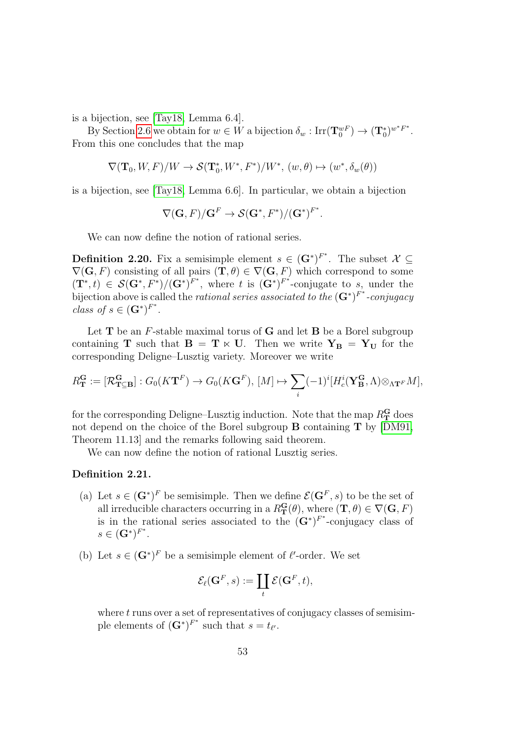is a bijection, see [\[Tay18,](#page-145-2) Lemma 6.4].

By Section [2.6](#page-47-1) we obtain for  $w \in W$  a bijection  $\delta_w : \text{Irr}(\mathbf{T}_0^{wF}) \to (\mathbf{T}_0^*)^{w^*F^*}$ . From this one concludes that the map

$$
\nabla(\mathbf{T}_0, W, F)/W \to \mathcal{S}(\mathbf{T}_0^*, W^*, F^*)/W^*, (w, \theta) \mapsto (w^*, \delta_w(\theta))
$$

is a bijection, see [\[Tay18,](#page-145-2) Lemma 6.6]. In particular, we obtain a bijection

$$
\nabla(\mathbf{G}, F)/\mathbf{G}^F \to \mathcal{S}(\mathbf{G}^*, F^*)/(\mathbf{G}^*)^{F^*}.
$$

We can now define the notion of rational series.

<span id="page-52-1"></span>**Definition 2.20.** Fix a semisimple element  $s \in (\mathbf{G}^*)^{F^*}$ . The subset  $\mathcal{X} \subseteq$  $\nabla(G, F)$  consisting of all pairs  $(\mathbf{T}, \theta) \in \nabla(\mathbf{G}, F)$  which correspond to some  $(\mathbf{T}^*,t) \in \mathcal{S}(\mathbf{G}^*,F^*)/(\mathbf{G}^*)^{F^*}$ , where t is  $(\mathbf{G}^*)^{F^*}$ -conjugate to s, under the bijection above is called the *rational series associated to the*  $(G^*)^{F^*}$ -conjugacy class of  $s \in (\mathbf{G}^*)^{F^*}.$ 

Let  $T$  be an  $F$ -stable maximal torus of  $G$  and let  $B$  be a Borel subgroup containing **T** such that  $B = T \times U$ . Then we write  $Y_B = Y_U$  for the corresponding Deligne–Lusztig variety. Moreover we write

$$
R_{\mathbf{T}}^{\mathbf{G}} := [\mathcal{R}_{\mathbf{T}\subseteq \mathbf{B}}^{\mathbf{G}}] : G_0(K\mathbf{T}^F) \to G_0(K\mathbf{G}^F), [M] \mapsto \sum_i (-1)^i [H_c^i(\mathbf{Y}_{\mathbf{B}}^{\mathbf{G}}, \Lambda) \otimes_{\Lambda \mathbf{T}^F} M],
$$

for the corresponding Deligne–Lusztig induction. Note that the map  $R_{\mathbf{T}}^{\mathbf{G}}$  does not depend on the choice of the Borel subgroup B containing T by [\[DM91,](#page-143-1) Theorem 11.13] and the remarks following said theorem.

We can now define the notion of rational Lusztig series.

#### <span id="page-52-0"></span>Definition 2.21.

- (a) Let  $s \in (\mathbf{G}^*)^F$  be semisimple. Then we define  $\mathcal{E}(\mathbf{G}^F, s)$  to be the set of all irreducible characters occurring in a  $R_{\mathbf{T}}^{\mathbf{G}}(\theta)$ , where  $(\mathbf{T}, \theta) \in \nabla(\mathbf{G}, F)$ is in the rational series associated to the  $(\mathbf{G}^*)^{F^*}$ -conjugacy class of  $s \in (\mathbf{G}^*)^{F^*}.$
- (b) Let  $s \in (\mathbf{G}^*)^F$  be a semisimple element of  $\ell'$ -order. We set

$$
\mathcal{E}_{\ell}({\bf G}^F, s) := \coprod_t \mathcal{E}({\bf G}^F, t),
$$

where  $t$  runs over a set of representatives of conjugacy classes of semisimple elements of  $(\mathbf{G}^*)^{F^*}$  such that  $s = t_{\ell'}$ .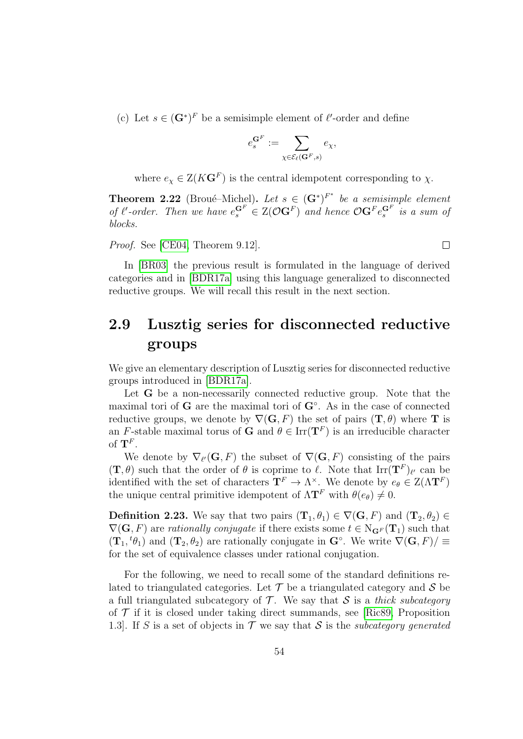(c) Let  $s \in (\mathbf{G}^*)^F$  be a semisimple element of  $\ell'$ -order and define

$$
e^{{\mathbf G}^F}_s:=\sum_{\chi\in\mathcal{E}_\ell({\mathbf G}^F,s)}e_\chi,
$$

where  $e_\chi \in Z(K\mathbf{G}^F)$  is the central idempotent corresponding to  $\chi$ .

**Theorem 2.22** (Broué–Michel). Let  $s \in (\mathbf{G}^*)^{F^*}$  be a semisimple element of  $\ell$ -order. Then we have  $e_s^{\mathbf{G}^F} \in \mathcal{Z}(\mathcal{O}\mathbf{G}^F)$  and hence  $\mathcal{O}\mathbf{G}^F e_s^{\mathbf{G}^F}$  is a sum of blocks.

 $\Box$ 

Proof. See [\[CE04,](#page-142-0) Theorem 9.12].

In [\[BR03\]](#page-141-1) the previous result is formulated in the language of derived categories and in [\[BDR17a\]](#page-141-0) using this language generalized to disconnected reductive groups. We will recall this result in the next section.

## 2.9 Lusztig series for disconnected reductive groups

We give an elementary description of Lusztig series for disconnected reductive groups introduced in [\[BDR17a\]](#page-141-0).

Let **G** be a non-necessarily connected reductive group. Note that the maximal tori of  $G$  are the maximal tori of  $G<sup>°</sup>$ . As in the case of connected reductive groups, we denote by  $\nabla(G, F)$  the set of pairs  $(T, \theta)$  where T is an F-stable maximal torus of **G** and  $\theta \in \text{Irr}(\mathbf{T}^F)$  is an irreducible character of  $\mathbf{T}^F$ .

We denote by  $\nabla_{\ell'}({\bf G}, F)$  the subset of  $\nabla({\bf G}, F)$  consisting of the pairs  $(\mathbf{T}, \theta)$  such that the order of  $\theta$  is coprime to  $\ell$ . Note that  $\text{Irr}(\mathbf{T}^F)_{\ell'}$  can be identified with the set of characters  $\mathbf{T}^F \to \Lambda^\times$ . We denote by  $e_\theta \in Z(\Lambda \mathbf{T}^F)$ the unique central primitive idempotent of  $\Lambda T^F$  with  $\theta(e_{\theta}) \neq 0$ .

**Definition 2.23.** We say that two pairs  $(\mathbf{T}_1, \theta_1) \in \nabla(\mathbf{G}, F)$  and  $(\mathbf{T}_2, \theta_2) \in$  $\nabla(G, F)$  are rationally conjugate if there exists some  $t \in N_{\mathbf{G}^F}(\mathbf{T}_1)$  such that  $(\mathbf{T}_1, {}^t\theta_1)$  and  $(\mathbf{T}_2, \theta_2)$  are rationally conjugate in  $\mathbf{G}^\circ$ . We write  $\nabla(\mathbf{G}, F)/\equiv$ for the set of equivalence classes under rational conjugation.

For the following, we need to recall some of the standard definitions related to triangulated categories. Let  $\mathcal T$  be a triangulated category and  $\mathcal S$  be a full triangulated subcategory of  $\mathcal T$ . We say that S is a thick subcategory of  $\mathcal T$  if it is closed under taking direct summands, see [\[Ric89,](#page-144-4) Proposition 1.3. If S is a set of objects in  $\mathcal T$  we say that S is the *subcategory generated*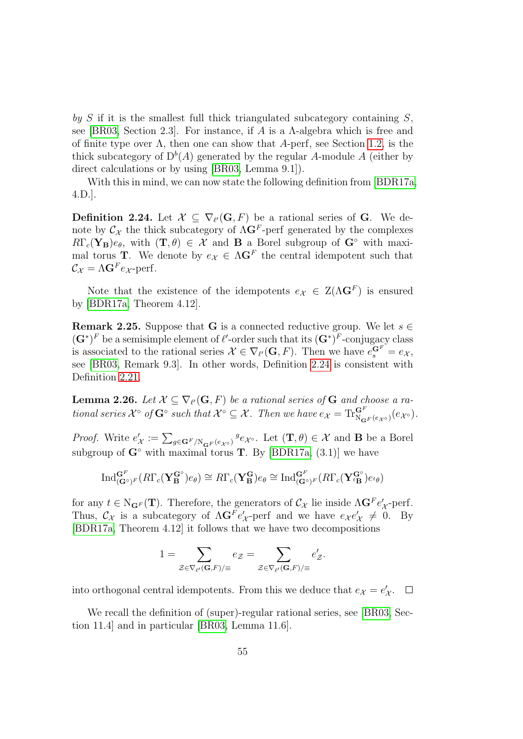by S if it is the smallest full thick triangulated subcategory containing  $S$ , see [\[BR03,](#page-141-1) Section 2.3]. For instance, if A is a  $\Lambda$ -algebra which is free and of finite type over  $\Lambda$ , then one can show that A-perf, see Section [1.2,](#page-13-0) is the thick subcategory of  $D^b(A)$  generated by the regular A-module A (either by direct calculations or by using [\[BR03,](#page-141-1) Lemma 9.1]).

With this in mind, we can now state the following definition from [\[BDR17a,](#page-141-0) 4.D.].

<span id="page-54-0"></span>**Definition 2.24.** Let  $\mathcal{X} \subseteq \nabla_{\ell'}(\mathbf{G}, F)$  be a rational series of G. We denote by  $\mathcal{C}_{\mathcal{X}}$  the thick subcategory of  $\Lambda \mathbf{G}^F$ -perf generated by the complexes  $R\Gamma_c(\mathbf{Y}_B)e_{\theta}$ , with  $(\mathbf{T},\theta) \in \mathcal{X}$  and **B** a Borel subgroup of  $\mathbf{G}^{\circ}$  with maximal torus **T**. We denote by  $e_{\mathcal{X}} \in \Lambda \mathbf{G}^F$  the central idempotent such that  $\mathcal{C}_{\mathcal{X}} = \Lambda \mathbf{G}^F e_{\mathcal{X}}$ -perf.

Note that the existence of the idempotents  $e_{\mathcal{X}} \in Z(\Lambda \mathbf{G}^F)$  is ensured by [\[BDR17a,](#page-141-0) Theorem 4.12].

**Remark 2.25.** Suppose that G is a connected reductive group. We let  $s \in \mathbb{R}$  $(\mathbf{G}^*)^F$  be a semisimple element of  $\ell'$ -order such that its  $(\mathbf{G}^*)^F$ -conjugacy class is associated to the rational series  $\mathcal{X} \in \nabla_{\ell'}(\mathbf{G}, F)$ . Then we have  $e_s^{\mathbf{G}^F} = e_{\mathcal{X}},$ see [\[BR03,](#page-141-1) Remark 9.3]. In other words, Definition [2.24](#page-54-0) is consistent with Definition [2.21.](#page-52-0)

<span id="page-54-1"></span>**Lemma 2.26.** Let  $\mathcal{X} \subseteq \nabla_{\ell'}(\mathbf{G}, F)$  be a rational series of  $\mathbf{G}$  and choose a rational series  $\mathcal{X}^{\circ}$  of  $\mathbf{G}^{\circ}$  such that  $\mathcal{X}^{\circ} \subseteq \mathcal{X}$ . Then we have  $e_{\mathcal{X}} = \text{Tr}_{\mathcal{S}_{\mathbf{G}}F(e_{\mathcal{X}^{\circ}})}^{\mathbf{G}F}(e_{\mathcal{X}^{\circ}})$ .

*Proof.* Write  $e'_\mathcal{X} := \sum_{g \in \mathbf{G}^F/\mathbb{N}_{\mathbf{G}^F}(e_{\mathcal{X}^\circ})} g_{e_{\mathcal{X}^\circ}}$ . Let  $(\mathbf{T}, \theta) \in \mathcal{X}$  and **B** be a Borel subgroup of  $\mathbf{G}^{\circ}$  with maximal torus **T**. By [\[BDR17a,](#page-141-0) (3.1)] we have

$$
\mathrm{Ind}_{(\mathbf{G}^{\circ})^F}^{\mathbf{G}^F}(R\Gamma_c(\mathbf{Y}_{\mathbf{B}}^{\mathbf{G}^{\circ}})e_{\theta}) \cong R\Gamma_c(\mathbf{Y}_{\mathbf{B}}^{\mathbf{G}})e_{\theta} \cong \mathrm{Ind}_{(\mathbf{G}^{\circ})^F}^{\mathbf{G}^F}(R\Gamma_c(\mathbf{Y}_{\iota\mathbf{B}}^{\mathbf{G}^{\circ}})e_{\iota\theta})
$$

for any  $t \in N_{\mathbf{G}^F}(\mathbf{T})$ . Therefore, the generators of  $\mathcal{C}_{\mathcal{X}}$  lie inside  $\Lambda \mathbf{G}^F e'_{\mathcal{X}}$ -perf. Thus,  $C_{\mathcal{X}}$  is a subcategory of  $\Lambda \mathbf{G}^F e'_{\mathcal{X}}$ -perf and we have  $e_{\mathcal{X}} e'_{\mathcal{X}} \neq 0$ . By [\[BDR17a,](#page-141-0) Theorem 4.12] it follows that we have two decompositions

$$
1 = \sum_{\mathcal{Z} \in \nabla_{\ell'}({\bf G},F)/\equiv} e_{\mathcal{Z}} = \sum_{\mathcal{Z} \in \nabla_{\ell'}({\bf G},F)/\equiv} e'_{\mathcal{Z}}.
$$

into orthogonal central idempotents. From this we deduce that  $e_{\mathcal{X}} = e'_{\mathcal{X}}$ .

We recall the definition of (super)-regular rational series, see [\[BR03,](#page-141-1) Section 11.4] and in particular [\[BR03,](#page-141-1) Lemma 11.6].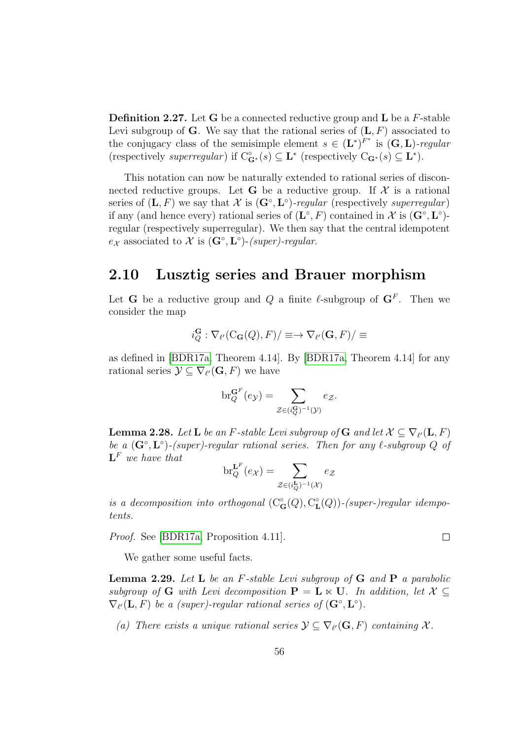**Definition 2.27.** Let G be a connected reductive group and  $\bf{L}$  be a  $F$ -stable Levi subgroup of G. We say that the rational series of  $(L, F)$  associated to the conjugacy class of the semisimple element  $s \in (\mathbf{L}^*)^{F^*}$  is  $(\mathbf{G}, \mathbf{L})$ -regular (respectively superregular) if  $C_{\mathbf{G}^*}^{\circ}(s) \subseteq \mathbf{L}^*$  (respectively  $C_{\mathbf{G}^*}(s) \subseteq \mathbf{L}^*$ ).

This notation can now be naturally extended to rational series of disconnected reductive groups. Let **G** be a reductive group. If  $\mathcal{X}$  is a rational series of  $(L, F)$  we say that X is  $(G<sup>\circ</sup>, L<sup>\circ</sup>)$ -regular (respectively superregular) if any (and hence every) rational series of  $(\mathbf{L}^{\circ}, F)$  contained in X is  $(\mathbf{G}^{\circ}, \mathbf{L}^{\circ})$ regular (respectively superregular). We then say that the central idempotent  $e_{\mathcal{X}}$  associated to  $\mathcal{X}$  is  $(\mathbf{G}^{\circ}, \mathbf{L}^{\circ})$ -(super)-regular.

#### 2.10 Lusztig series and Brauer morphism

Let **G** be a reductive group and Q a finite  $\ell$ -subgroup of  $\mathbf{G}^F$ . Then we consider the map

$$
i_Q^{\mathbf{G}} : \nabla_{\ell'}(\mathrm{C}_{\mathbf{G}}(Q), F)/\equiv \rightarrow \nabla_{\ell'}(\mathbf{G}, F)/\equiv
$$

as defined in [\[BDR17a,](#page-141-0) Theorem 4.14]. By [\[BDR17a,](#page-141-0) Theorem 4.14] for any rational series  $\mathcal{Y} \subseteq \nabla_{\ell'}(\mathbf{G}, F)$  we have

$$
\mathrm{br}_Q^{\mathbf{G}^F}(e_{\mathcal{Y}})=\sum_{\mathcal{Z}\in(i_Q^{\mathbf{G}})^{-1}(\mathcal{Y})}e_{\mathcal{Z}}.
$$

<span id="page-55-0"></span>**Lemma 2.28.** Let **L** be an F-stable Levi subgroup of **G** and let  $\mathcal{X} \subseteq \nabla_{\ell'}(\mathbf{L}, F)$ be a  $(G^{\circ}, L^{\circ})$ -(super)-regular rational series. Then for any  $\ell$ -subgroup Q of  $\mathbf{L}^F$  we have that

$$
\mathrm{br}_{Q}^{\mathbf{L}^F}(e_{\mathcal{X}})=\sum_{\mathcal{Z}\in(i_Q^{\mathbf{L}})^{-1}(\mathcal{X})}e_{\mathcal{Z}}
$$

is a decomposition into orthogonal  $(C_G^{\circ}(Q), C_{\mathbf{I}}^{\circ})$  $_{\mathbf L}^{\circ}(Q)$ )-(super-)regular idempotents.

Proof. See [\[BDR17a,](#page-141-0) Proposition 4.11].

We gather some useful facts.

**Lemma 2.29.** Let **L** be an F-stable Levi subgroup of  $G$  and  $P$  a parabolic subgroup of G with Levi decomposition  $P = L \ltimes U$ . In addition, let  $\mathcal{X} \subset$  $\nabla_{\ell'}(\mathbf{L}, F)$  be a (super)-regular rational series of  $(\mathbf{G}^{\circ}, \mathbf{L}^{\circ})$ .

(a) There exists a unique rational series  $\mathcal{Y} \subseteq \nabla_{\ell}(\mathbf{G}, F)$  containing X.

 $\Box$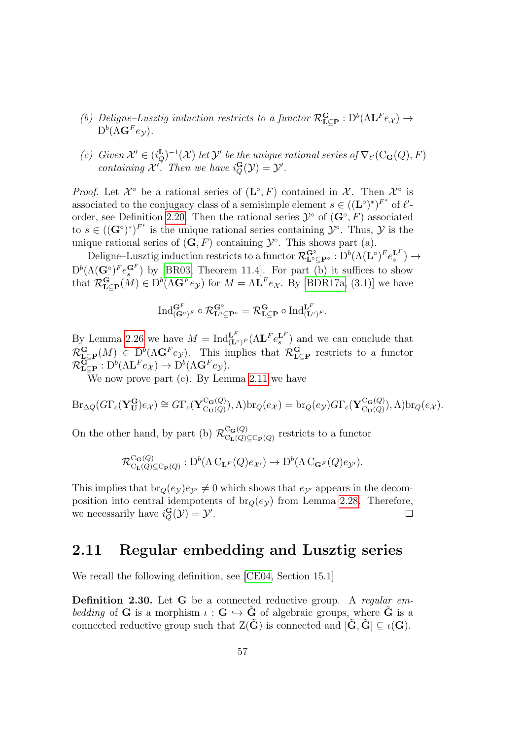- (b) Deligne–Lusztig induction restricts to a functor  $\mathcal{R}^{\mathbf{G}}_{\mathbf{L}\subseteq\mathbf{P}} : D^b(\Lambda \mathbf{L}^F e_{\mathcal{X}}) \to$  $\mathrm{D}^b(\Lambda \mathbf{G}^F e_{\mathcal{Y}}).$
- (c) Given  $\mathcal{X}' \in (i_Q^{\mathbf{L}})^{-1}(\mathcal{X})$  let  $\mathcal{Y}'$  be the unique rational series of  $\nabla_{\ell'}(\mathcal{C}_\mathbf{G}(Q), F)$ containing X'. Then we have  $i_Q^{\mathbf{G}}(\mathcal{Y}) = \mathcal{Y}'$ .

*Proof.* Let  $\mathcal{X}^{\circ}$  be a rational series of  $(L^{\circ}, F)$  contained in  $\mathcal{X}$ . Then  $\mathcal{X}^{\circ}$  is associated to the conjugacy class of a semisimple element  $s \in ((\mathbf{L}^{\circ})^*)^{F^*}$  of  $\ell'$ -order, see Definition [2.20.](#page-52-1) Then the rational series  $\mathcal{Y}^{\circ}$  of  $(\mathbf{G}^{\circ}, F)$  associated to  $s \in ((\mathbf{G}^{\circ})^*)^{F^*}$  is the unique rational series containing  $\mathcal{Y}^{\circ}$ . Thus,  $\mathcal{Y}$  is the unique rational series of  $(G, F)$  containing  $\mathcal{Y}^{\circ}$ . This shows part (a).

 $\mathrm{Deligne\text{-}Lusztig}\text{ induction restricts to a functor }\mathcal{R}^{\mathbf{G}^{\circ}}_{\mathbf{L}^{\circ}\subseteq\mathbf{P}^{\circ}}:\mathrm{D}^b(\Lambda(\mathbf{L}^{\circ})^F e_s^{\mathbf{L}^F})\to$  $D^{b}(\Lambda(\mathbf{G}^{\circ})^F e_s^{\mathbf{G}^F})$  by [\[BR03,](#page-141-1) Theorem 11.4]. For part (b) it suffices to show that  $\mathcal{R}_{\mathbf{L}\subseteq\mathbf{P}}^{\mathbf{G}}(M) \in D^b(\Lambda\mathbf{G}^F e_{\mathcal{Y}})$  for  $M = \Lambda\mathbf{L}^F e_{\mathcal{X}}$ . By [\[BDR17a,](#page-141-0) (3.1)] we have

$$
\mathrm{Ind}_{(\mathbf{G}^\circ)^F}^{\mathbf{G}^F} \circ \mathcal{R}_{\mathbf{L}^\circ \subseteq \mathbf{P}^\circ}^{\mathbf{G}^\circ} = \mathcal{R}_{\mathbf{L} \subseteq \mathbf{P}}^{\mathbf{G}} \circ \mathrm{Ind}_{(\mathbf{L}^\circ)^F}^{\mathbf{L}^F}.
$$

By Lemma [2.26](#page-54-1) we have  $M = Ind_{(\mathbf{L}^{\circ})^F}^{\mathbf{L}^F}(\Lambda \mathbf{L}^F e_s^{\mathbf{L}^F})$  and we can conclude that  $\mathcal{R}^{\mathbf{G}}_{\mathbf{L}\subseteq\mathbf{P}}(M) \in D^b(\Lambda\mathbf{G}^F e_{\mathcal{Y}}).$  This implies that  $\mathcal{R}^{\mathbf{G}}_{\mathbf{L}\subseteq\mathbf{P}}$  restricts to a functor  $\mathcal{R}^{\mathbf{G}^-}_{\mathbf{L}\subseteq \mathbf{P}}: {\mathrm{D}}^b(\Lambda\mathbf{L}^F e_{\mathcal{X}})\to {\mathrm{D}}^b(\Lambda\mathbf{G}^F e_{\mathcal{Y}}).$ 

We now prove part (c). By Lemma [2.11](#page-46-0) we have

$$
\mathrm{Br}_{\Delta Q}(G\Gamma_c(\mathbf{Y_U^G})e_{\mathcal{X}})\cong G\Gamma_c(\mathbf{Y_{C_U(Q)}^{C_{\mathbf{G}}(Q)}}),\Lambda)\mathrm{br}_Q(e_{\mathcal{X}})=\mathrm{br}_Q(e_{\mathcal{Y}})G\Gamma_c(\mathbf{Y_{C_U(Q)}^{C_{\mathbf{G}}(Q)}}),\Lambda)\mathrm{br}_Q(e_{\mathcal{X}}).
$$

On the other hand, by part (b)  $\mathcal{R}_{C_{\mathbf{r}}(O)}^{C_{\mathbf{G}}(Q)}$  $C_{\mathbf{L}}(Q) \subseteq C_{\mathbf{P}}(Q)$  restricts to a functor

$$
\mathcal{R}^{\mathrm{C}_{\mathbf{G}}(Q)}_{\mathrm{C}_{\mathbf{L}}(Q)\subseteq \mathrm{C}_{\mathbf{P}}(Q)} : D^{b}(\Lambda \mathrm{C}_{\mathbf{L}^F}(Q)e_{\mathcal{X}'}) \to D^{b}(\Lambda \mathrm{C}_{\mathbf{G}^F}(Q)e_{\mathcal{Y}'}).
$$

This implies that  $br_0(e_\nu)e_{\nu'}\neq 0$  which shows that  $e_{\nu'}$  appears in the decomposition into central idempotents of  $br_0(e_y)$  from Lemma [2.28.](#page-55-0) Therefore, we necessarily have  $i_Q^{\mathbf{G}}(\mathcal{Y}) = \mathcal{Y}'$ .  $\Box$ 

#### 2.11 Regular embedding and Lusztig series

We recall the following definition, see [\[CE04,](#page-142-0) Section 15.1]

Definition 2.30. Let G be a connected reductive group. A regular embedding of G is a morphism  $\iota : G \hookrightarrow \tilde{G}$  of algebraic groups, where  $\tilde{G}$  is a connected reductive group such that  $Z(\tilde{G})$  is connected and  $[\tilde{G}, \tilde{G}] \subseteq \iota(G)$ .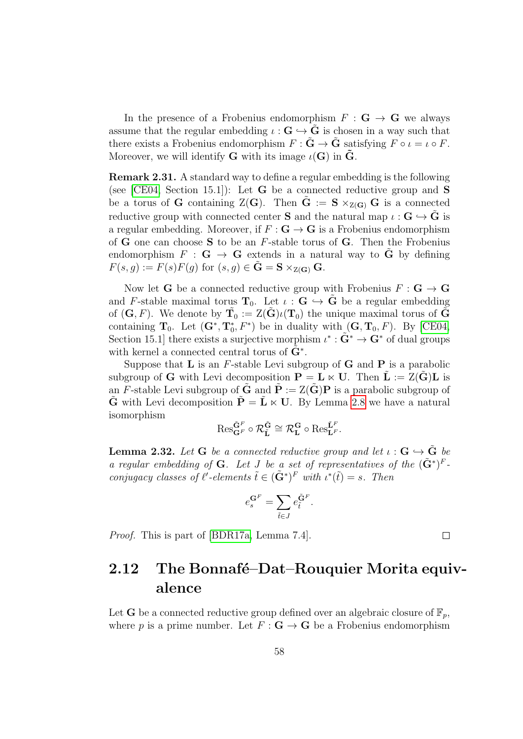In the presence of a Frobenius endomorphism  $F : G \to G$  we always assume that the regular embedding  $\iota : \mathbf{G} \hookrightarrow \tilde{\mathbf{G}}$  is chosen in a way such that there exists a Frobenius endomorphism  $F : \tilde{G} \to \tilde{G}$  satisfying  $F \circ \iota = \iota \circ F$ . Moreover, we will identify **G** with its image  $\iota(G)$  in **G**.

Remark 2.31. A standard way to define a regular embedding is the following (see [\[CE04,](#page-142-0) Section 15.1]): Let **G** be a connected reductive group and **S** be a torus of **G** containing  $Z(G)$ . Then  $G := S \times_{Z(G)} G$  is a connected reductive group with connected center **S** and the natural map  $\iota : \mathbf{G} \hookrightarrow \tilde{\mathbf{G}}$  is a regular embedding. Moreover, if  $F : G \to G$  is a Frobenius endomorphism of **G** one can choose **S** to be an  $F$ -stable torus of **G**. Then the Frobenius endomorphism  $F : G \to G$  extends in a natural way to  $\tilde{G}$  by defining  $F(s, g) := F(s)F(g)$  for  $(s, g) \in \tilde{G} = S \times_{Z(G)} G$ .

Now let **G** be a connected reductive group with Frobenius  $F : G \to G$ and F-stable maximal torus  $\mathbf{T}_0$ . Let  $\iota : \mathbf{G} \hookrightarrow \mathbf{G}$  be a regular embedding of  $(G, F)$ . We denote by  $\tilde{T}_0 := Z(\tilde{G})\iota(T_0)$  the unique maximal torus of  $\tilde{G}$ containing  $\mathbf{T}_0$ . Let  $(\mathbf{G}^*, \mathbf{T}_0^*, F^*)$  be in duality with  $(\mathbf{G}, \mathbf{T}_0, F)$ . By [\[CE04,](#page-142-0) Section 15.1 there exists a surjective morphism  $\iota^* : \tilde{G}^* \to G^*$  of dual groups with kernel a connected central torus of  $\tilde{\mathbf{G}}^*$ .

Suppose that **L** is an  $F$ -stable Levi subgroup of **G** and **P** is a parabolic subgroup of G with Levi decomposition  $P = L \ltimes U$ . Then  $L := Z(G)L$  is an F-stable Levi subgroup of  $\tilde{G}$  and  $\tilde{P} := Z(\tilde{G})P$  is a parabolic subgroup of  $\tilde{G}$  with Levi decomposition  $\tilde{P} = \tilde{L} \times U$ . By Lemma [2.8](#page-44-0) we have a natural isomorphism

$$
\mathrm{Res}^{\tilde{\mathbf{G}}^F}_{\mathbf{G}^F} \circ \mathcal{R}^{\tilde{\mathbf{G}}}_{\tilde{\mathbf{L}}} \cong \mathcal{R}_{\mathbf{L}}^{\mathbf{G}} \circ \mathrm{Res}^{\tilde{\mathbf{L}}^F}_{\mathbf{L}^F}.
$$

**Lemma 2.32.** Let **G** be a connected reductive group and let  $\iota : \mathbf{G} \hookrightarrow \tilde{\mathbf{G}}$  be a regular embedding of G. Let J be a set of representatives of the  $(\tilde{G}^*)^F$ . conjugacy classes of  $\ell'$ -elements  $\tilde{t} \in (\tilde{G}^*)^F$  with  $\iota^*(\tilde{t}) = s$ . Then

$$
e^{{\bf G}^F}_s = \sum_{\tilde{t} \in J} e^{\tilde{\bf G}^F}_{\tilde{t}}.
$$

Proof. This is part of [\[BDR17a,](#page-141-0) Lemma 7.4].

## <span id="page-57-0"></span>2.12 The Bonnafé–Dat–Rouquier Morita equivalence

 $\Box$ 

Let **G** be a connected reductive group defined over an algebraic closure of  $\mathbb{F}_n$ , where p is a prime number. Let  $F : G \to G$  be a Frobenius endomorphism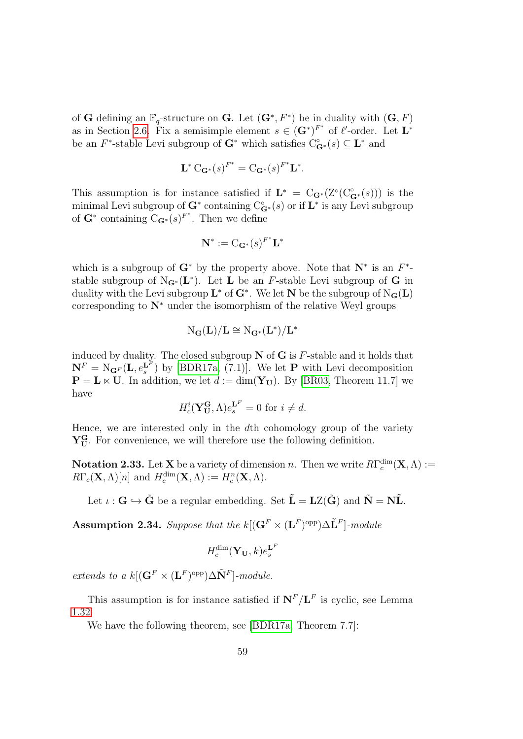of G defining an  $\mathbb{F}_q$ -structure on G. Let  $(G^*, F^*)$  be in duality with  $(G, F)$ as in Section [2.6.](#page-47-1) Fix a semisimple element  $s \in (\mathbf{G}^*)^{F^*}$  of  $\ell'$ -order. Let  $\mathbf{L}^*$ be an  $F^*$ -stable Levi subgroup of  $G^*$  which satisfies  $C^{\circ}_{G^*}(s) \subseteq L^*$  and

$$
\mathbf{L}^* \mathbf{C}_{\mathbf{G}^*}(s)^{F^*} = \mathbf{C}_{\mathbf{G}^*}(s)^{F^*} \mathbf{L}^*.
$$

This assumption is for instance satisfied if  $\mathbf{L}^* = C_{\mathbf{G}^*}(Z^{\circ}(C_{\mathbf{G}^*}^{\circ}(s)))$  is the minimal Levi subgroup of  $\mathbf{G}^*$  containing  $\mathrm{C}^\circ_{\mathbf{G}^*}(s)$  or if  $\mathbf{L}^*$  is any Levi subgroup of  $\mathbf{G}^*$  containing  $C_{\mathbf{G}^*}(s)^{F^*}$ . Then we define

$$
\mathbf{N}^* := \mathrm{C}_{\mathbf{G}^*}(s)^{F^*} \mathbf{L}^*
$$

which is a subgroup of  $G^*$  by the property above. Note that  $N^*$  is an  $F^*$ stable subgroup of  $N_{\mathbf{G}^*}(\mathbf{L}^*)$ . Let **L** be an F-stable Levi subgroup of **G** in duality with the Levi subgroup  $\mathbf{L}^*$  of  $\mathbf{G}^*$ . We let  $\mathbf{N}$  be the subgroup of  $\mathrm{N}_\mathbf{G}(\mathbf{L})$ corresponding to  $N^*$  under the isomorphism of the relative Weyl groups

$$
\mathrm{N}_\mathbf{G}(\mathbf{L})/\mathbf{L} \cong \mathrm{N}_{\mathbf{G}^*}(\mathbf{L}^*)/\mathbf{L}^*
$$

induced by duality. The closed subgroup  $N$  of  $G$  is  $F$ -stable and it holds that  $\mathbf{N}^F = \mathrm{N}_{\mathbf{G}^F}(\mathbf{L}, e_s^{\mathbf{L}^F})$  by [\[BDR17a,](#page-141-0) (7.1)]. We let **P** with Levi decomposition  $\mathbf{P} = \mathbf{L} \times \mathbf{U}$ . In addition, we let  $d := \dim(\mathbf{Y}_{\mathbf{U}})$ . By [\[BR03,](#page-141-1) Theorem 11.7] we have

$$
H_c^i(\mathbf{Y_U^G}, \Lambda)e_s^{\mathbf{L}^F} = 0 \text{ for } i \neq d.
$$

Hence, we are interested only in the dth cohomology group of the variety  $Y_{U}^{G}$ . For convenience, we will therefore use the following definition.

**Notation 2.33.** Let **X** be a variety of dimension n. Then we write  $R\Gamma_c^{\dim}(\mathbf{X}, \Lambda) :=$  $R\Gamma_c(\mathbf{X}, \Lambda)[n]$  and  $H_c^{\dim}(\mathbf{X}, \Lambda) := H_c^n(\mathbf{X}, \Lambda)$ .

Let  $\iota: \mathbf{G} \hookrightarrow \tilde{\mathbf{G}}$  be a regular embedding. Set  $\tilde{\mathbf{L}} = \mathbf{LZ}(\tilde{\mathbf{G}})$  and  $\tilde{\mathbf{N}} = \mathbf{N}\tilde{\mathbf{L}}$ .

<span id="page-58-0"></span>Assumption 2.34. Suppose that the  $k[(\mathbf{G}^F \times (\mathbf{L}^F)^{\text{opp}}) \Delta \tilde{\mathbf{L}}^F]$ -module

$$
H_c^{\dim}(\mathbf{Y}_{\mathbf{U}},k)e^{\mathbf{L}^F}_{s}
$$

extends to a  $k[(\mathbf{G}^F \times (\mathbf{L}^F)^{\text{opp}}) \Delta \tilde{\mathbf{N}}^F]$ -module.

This assumption is for instance satisfied if  $N^F/L^F$  is cyclic, see Lemma [1.32.](#page-30-0)

We have the following theorem, see [\[BDR17a,](#page-141-0) Theorem 7.7]: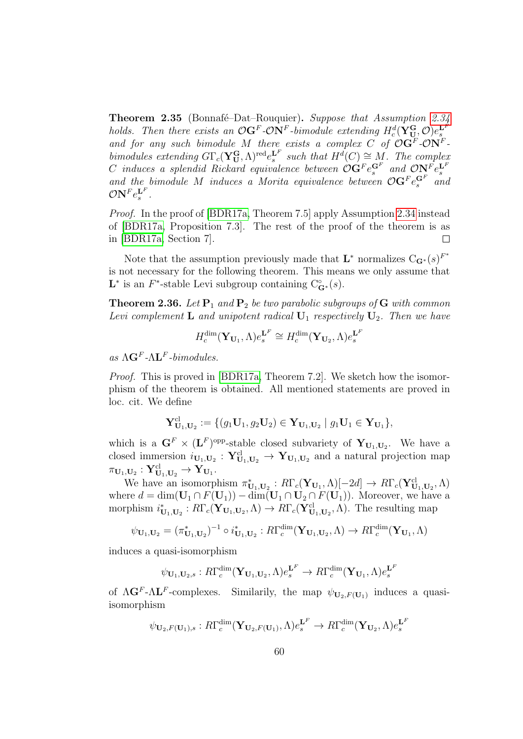<span id="page-59-0"></span>Theorem 2.35 (Bonnafé–Dat–Rouquier). Suppose that Assumption [2.34](#page-58-0) holds. Then there exists an  $\mathcal{O}G^F$ - $\mathcal{O}N^F$ -bimodule extending  $H_c^d(\mathbf{Y}_{\mathbf{U}}^{\mathbf{G}}, \mathcal{O})e_s^{\mathbf{L}^F}$ and for any such bimodule M there exists a complex C of  $\mathcal{O} \mathbf{G}^F$ - $\mathcal{O} \mathbf{N}^F$ bimodules extending  $G\Gamma_c(\mathbf{Y_U^G},\Lambda)^{\text{red}}e_s^{\mathbf{L}^F}$  such that  $H^d(C) \cong M$ . The complex C induces a splendid Rickard equivalence between  $\mathcal{O} \mathbf{G}^F e_s^{\mathbf{G}^F}$  and  $\mathcal{O} \mathbf{N}_r^F e_s^{\mathbf{L}^F}$ and the bimodule M induces a Morita equivalence between  $\mathcal{O} \mathbf{G}^F e_s^{\mathbf{G}^F}$  and  $\mathcal{O} {\rm\bf N}^F e^{{\rm\bf L}^F}_s.$ 

Proof. In the proof of [\[BDR17a,](#page-141-0) Theorem 7.5] apply Assumption [2.34](#page-58-0) instead of [\[BDR17a,](#page-141-0) Proposition 7.3]. The rest of the proof of the theorem is as in [\[BDR17a,](#page-141-0) Section 7].  $\Box$ 

Note that the assumption previously made that  $\mathbf{L}^*$  normalizes  $C_{\mathbf{G}^*}(s)^{F^*}$ is not necessary for the following theorem. This means we only assume that L<sup>\*</sup> is an F<sup>\*</sup>-stable Levi subgroup containing  $C_{\mathbf{G}^*}^{\circ}(s)$ .

**Theorem 2.36.** Let  $P_1$  and  $P_2$  be two parabolic subgroups of G with common Levi complement **L** and unipotent radical  $U_1$  respectively  $U_2$ . Then we have

$$
H_c^{\dim}(\mathbf{Y}_{\mathbf{U}_1}, \Lambda)e_s^{\mathbf{L}^F} \cong H_c^{\dim}(\mathbf{Y}_{\mathbf{U}_2}, \Lambda)e_s^{\mathbf{L}^F}
$$

as  $\Lambda$ **G**<sup>F</sup>- $\Lambda$ **L**<sup>F</sup>-bimodules.

Proof. This is proved in [\[BDR17a,](#page-141-0) Theorem 7.2]. We sketch how the isomorphism of the theorem is obtained. All mentioned statements are proved in loc. cit. We define

$$
\mathbf{Y}_{\mathbf{U}_1,\mathbf{U}_2}^{\mathrm{cl}} := \{ (g_1\mathbf{U}_1, g_2\mathbf{U}_2) \in \mathbf{Y}_{\mathbf{U}_1,\mathbf{U}_2} \mid g_1\mathbf{U}_1 \in \mathbf{Y}_{\mathbf{U}_1} \},
$$

which is a  $\mathbf{G}^F \times (\mathbf{L}^F)^\text{opp-stable closed subvariety of } \mathbf{Y}_{\mathbf{U}_1,\mathbf{U}_2}$ . We have a closed immersion  $i_{U_1,U_2}$ :  $Y^{\text{cl}}_{U_1,U_2} \to Y_{U_1,U_2}$  and a natural projection map  $\pi_{\mathbf{U}_1,\mathbf{U}_2}:\mathbf{Y}_{\mathbf{U}_1,\mathbf{U}_2}^{ \text{cl} }\rightarrow \mathbf{Y}_{\mathbf{U}_1}.$ 

We have an isomorphism  $\pi_{\mathbf{U}_1,\mathbf{U}_2}^* : R\Gamma_c(\mathbf{Y}_{\mathbf{U}_1}, \Lambda)[-2d] \to R\Gamma_c(\mathbf{Y}_{\mathbf{U}_1,\mathbf{U}_2}, \Lambda)$ where  $d = \dim(\mathbf{U}_1 \cap F(\mathbf{U}_1)) - \dim(\mathbf{U}_1 \cap \mathbf{U}_2 \cap F(\mathbf{U}_1))$ . Moreover, we have a morphism  $i_{\mathbf{U}_1,\mathbf{U}_2}^* : R\Gamma_c(\mathbf{Y}_{\mathbf{U}_1,\mathbf{U}_2},\Lambda) \to R\Gamma_c(\mathbf{Y}_{\mathbf{U}_1,\mathbf{U}_2}^{\text{cl}},\Lambda)$ . The resulting map

$$
\psi_{\mathbf{U}_1,\mathbf{U}_2} = (\pi_{\mathbf{U}_1,\mathbf{U}_2}^*)^{-1} \circ i_{\mathbf{U}_1,\mathbf{U}_2}^* : R\Gamma_c^{\dim}(\mathbf{Y}_{\mathbf{U}_1,\mathbf{U}_2}, \Lambda) \to R\Gamma_c^{\dim}(\mathbf{Y}_{\mathbf{U}_1}, \Lambda)
$$

induces a quasi-isomorphism

$$
\psi_{\mathbf{U}_1,\mathbf{U}_2,s}:R\Gamma_c^{\dim}(\mathbf{Y}_{\mathbf{U}_1,\mathbf{U}_2},\Lambda)e_s^{\mathbf{L}^F}\to R\Gamma_c^{\dim}(\mathbf{Y}_{\mathbf{U}_1},\Lambda)e_s^{\mathbf{L}^F}
$$

of  $\Lambda$ **G**<sup>F</sup>- $\Lambda$ **L**<sup>F</sup>-complexes. Similarily, the map  $\psi_{\mathbf{U}_2, F(\mathbf{U}_1)}$  induces a quasiisomorphism

$$
\psi_{\mathbf{U}_2,F(\mathbf{U}_1),s}:R\Gamma_c^{\dim}(\mathbf{Y}_{\mathbf{U}_2,F(\mathbf{U}_1)},\Lambda)e_s^{\mathbf{L}^F}\to R\Gamma_c^{\dim}(\mathbf{Y}_{\mathbf{U}_2},\Lambda)e_s^{\mathbf{L}^F}
$$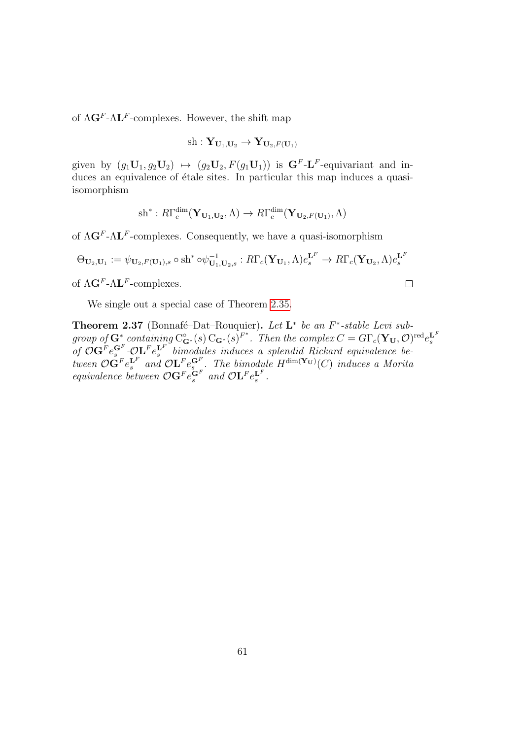of  $\Lambda$ **G**<sup>F</sup>- $\Lambda$ **L**<sup>F</sup>-complexes. However, the shift map

$$
\operatorname{sh} : \mathbf{Y}_{\mathbf{U}_1,\mathbf{U}_2} \to \mathbf{Y}_{\mathbf{U}_2,F(\mathbf{U}_1)}
$$

given by  $(g_1\mathbf{U}_1, g_2\mathbf{U}_2) \mapsto (g_2\mathbf{U}_2, F(g_1\mathbf{U}_1))$  is  $\mathbf{G}^F\text{-}\mathbf{L}^F\text{-}\text{equivariant}$  and induces an equivalence of étale sites. In particular this map induces a quasiisomorphism

sh<sup>\*</sup>: 
$$
R\Gamma_c^{\dim}(\mathbf{Y}_{\mathbf{U}_1,\mathbf{U}_2},\Lambda) \to R\Gamma_c^{\dim}(\mathbf{Y}_{\mathbf{U}_2,F(\mathbf{U}_1)},\Lambda)
$$

of  $\Lambda$ **G**<sup>F</sup>- $\Lambda$ **L**<sup>F</sup>-complexes. Consequently, we have a quasi-isomorphism

$$
\Theta_{\mathbf{U}_2,\mathbf{U}_1} := \psi_{\mathbf{U}_2,F(\mathbf{U}_1),s} \circ \mathrm{sh}^* \circ \psi_{\mathbf{U}_1,\mathbf{U}_2,s}^{-1} : R\Gamma_c(\mathbf{Y}_{\mathbf{U}_1},\Lambda)e_s^{\mathbf{L}^F} \to R\Gamma_c(\mathbf{Y}_{\mathbf{U}_2},\Lambda)e_s^{\mathbf{L}^F}
$$

of  $\Lambda$ **G**<sup>F</sup>- $\Lambda$ **L**<sup>F</sup>-complexes.

We single out a special case of Theorem [2.35.](#page-59-0)

Theorem 2.37 (Bonnafé–Dat–Rouquier). Let  $L^*$  be an  $F^*$ -stable Levi subgroup of  $\mathbf{G}^*$  containing  $C_{\mathbf{G}^*}^{\circ}(s) C_{\mathbf{G}^*}(s)^{F^*}$ . Then the complex  $C = G\Gamma_c(\mathbf{Y}_U, \mathcal{O})^{\text{red}} e_s^{\mathbf{L}^F}$ <br>of  $\mathcal{O}\mathbf{G}^F e_s^{\mathbf{G}^F}$ - $\mathcal{O}\mathbf{L}^F e_s^{\mathbf{L}^F}$  bimodules induces a splendid Ricka tween  $\mathcal{O} \mathbf{G}^F e_s^{\mathbf{L}^F}$  and  $\mathcal{O} \mathbf{L}^F e_s^{\mathbf{G}^F}$ . The bimodule  $H^{\dim(\mathbf{Y_U})}(C)$  induces a Morita equivalence between  $\mathcal{O} \mathbf{G}^F e_s^{\mathbf{G}^F}$  and  $\mathcal{O} \mathbf{L}^F e_s^{\mathbf{L}^F}$ .

 $\Box$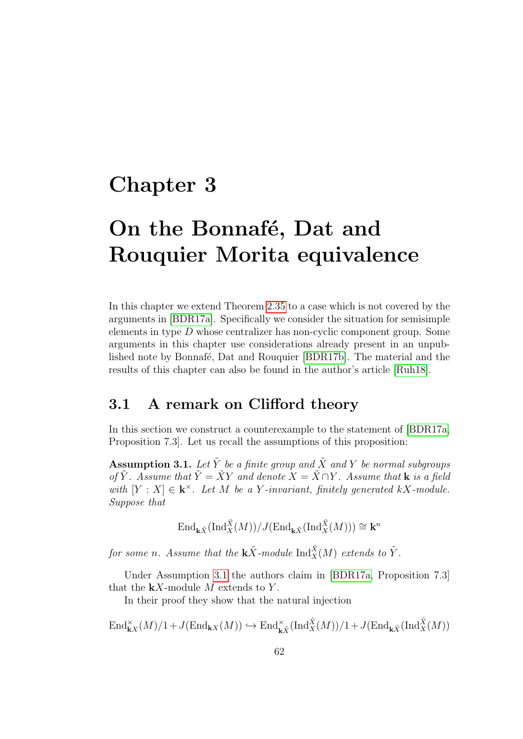## Chapter 3

# On the Bonnafé, Dat and Rouquier Morita equivalence

In this chapter we extend Theorem [2.35](#page-59-0) to a case which is not covered by the arguments in [\[BDR17a\]](#page-141-0). Specifically we consider the situation for semisimple elements in type D whose centralizer has non-cyclic component group. Some arguments in this chapter use considerations already present in an unpub-lished note by Bonnafé, Dat and Rouquier [\[BDR17b\]](#page-141-3). The material and the results of this chapter can also be found in the author's article [\[Ruh18\]](#page-145-3).

### 3.1 A remark on Clifford theory

In this section we construct a counterexample to the statement of [\[BDR17a,](#page-141-0) Proposition 7.3]. Let us recall the assumptions of this proposition:

<span id="page-61-0"></span>**Assumption 3.1.** Let  $\tilde{Y}$  be a finite group and  $\tilde{X}$  and Y be normal subgroups of  $\tilde{Y}$ . Assume that  $\tilde{Y} = \tilde{X}Y$  and denote  $X = \tilde{X} \cap Y$ . Assume that **k** is a field with  $[Y : X] \in \mathbf{k}^{\times}$ . Let M be a Y-invariant, finitely generated kX-module. Suppose that

 $\operatorname{End}\nolimits_{\mathbf{k}\tilde{X}}(\operatorname{Ind}\nolimits_{X}^{\tilde{X}}(M))/J(\operatorname{End}\nolimits_{\mathbf{k}\tilde{X}}(\operatorname{Ind}\nolimits_{X}^{\tilde{X}}(M))) \cong \mathbf{k}^{n}$ 

for some n. Assume that the  $\mathbf{k}\tilde{X}$ -module  $\mathrm{Ind}_{X}^{\tilde{X}}(M)$  extends to  $\tilde{Y}$ .

Under Assumption [3.1](#page-61-0) the authors claim in [\[BDR17a,](#page-141-0) Proposition 7.3] that the  $kX$ -module M extends to Y.

In their proof they show that the natural injection

$$
\text{End}_{\mathbf{k}X}^{\times}(M)/1 + J(\text{End}_{\mathbf{k}X}(M)) \hookrightarrow \text{End}_{\mathbf{k}\tilde{X}}^{\times}(\text{Ind}_{X}^{\tilde{X}}(M))/1 + J(\text{End}_{\mathbf{k}\tilde{X}}(\text{Ind}_{X}^{\tilde{X}}(M))
$$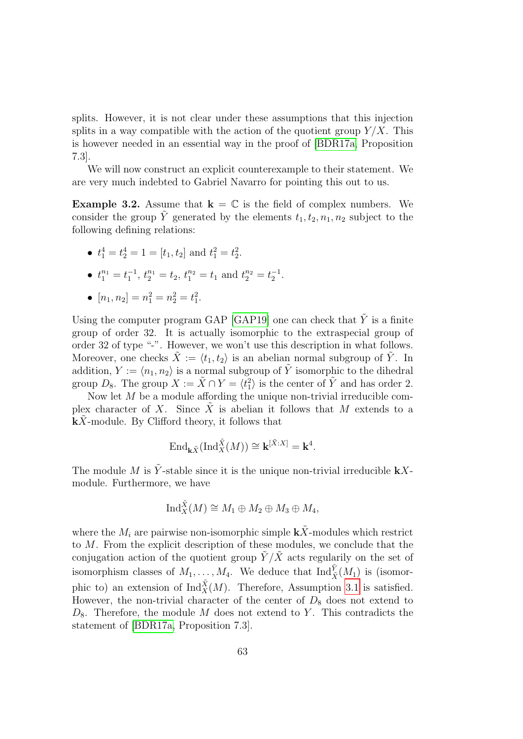splits. However, it is not clear under these assumptions that this injection splits in a way compatible with the action of the quotient group  $Y/X$ . This is however needed in an essential way in the proof of [\[BDR17a,](#page-141-0) Proposition 7.3].

We will now construct an explicit counterexample to their statement. We are very much indebted to Gabriel Navarro for pointing this out to us.

**Example 3.2.** Assume that  $\mathbf{k} = \mathbb{C}$  is the field of complex numbers. We consider the group  $\tilde{Y}$  generated by the elements  $t_1, t_2, n_1, n_2$  subject to the following defining relations:

• 
$$
t_1^4 = t_2^4 = 1 = [t_1, t_2]
$$
 and  $t_1^2 = t_2^2$ .

• 
$$
t_1^{n_1} = t_1^{-1}, t_2^{n_1} = t_2, t_1^{n_2} = t_1
$$
 and  $t_2^{n_2} = t_2^{-1}$ .

• 
$$
[n_1, n_2] = n_1^2 = n_2^2 = t_1^2
$$
.

Using the computer program GAP [\[GAP19\]](#page-143-2) one can check that  $\tilde{Y}$  is a finite group of order 32. It is actually isomorphic to the extraspecial group of order 32 of type "-". However, we won't use this description in what follows. Moreover, one checks  $\hat{X} := \langle t_1, t_2 \rangle$  is an abelian normal subgroup of  $\hat{Y}$ . In addition,  $Y := \langle n_1, n_2 \rangle$  is a normal subgroup of  $\tilde{Y}$  isomorphic to the dihedral group  $D_8$ . The group  $X := \tilde{X} \cap Y = \langle t_1^2 \rangle$  is the center of  $\tilde{Y}$  and has order 2.

Now let M be a module affording the unique non-trivial irreducible complex character of X. Since X is abelian it follows that M extends to a  $kX$ -module. By Clifford theory, it follows that

$$
\text{End}_{\mathbf{k}\tilde{X}}(\text{Ind}_{X}^{\tilde{X}}(M)) \cong \mathbf{k}^{[\tilde{X}:X]} = \mathbf{k}^{4}.
$$

The module M is  $\tilde{Y}$ -stable since it is the unique non-trivial irreducible **k**Xmodule. Furthermore, we have

$$
\mathrm{Ind}_X^{\tilde{X}}(M) \cong M_1 \oplus M_2 \oplus M_3 \oplus M_4,
$$

where the  $M_i$  are pairwise non-isomorphic simple  $k\tilde{X}$ -modules which restrict to M. From the explicit description of these modules, we conclude that the conjugation action of the quotient group  $\tilde{Y}/\tilde{X}$  acts regularily on the set of isomorphism classes of  $M_1, \ldots, M_4$ . We deduce that  $\text{Ind}_{\tilde{X}}^{\tilde{Y}}(M_1)$  is (isomorphic to) an extension of  $\text{Ind}_{X}^{\tilde{X}}(M)$ . Therefore, Assumption [3.1](#page-61-0) is satisfied. However, the non-trivial character of the center of  $D_8$  does not extend to  $D_8$ . Therefore, the module M does not extend to Y. This contradicts the statement of [\[BDR17a,](#page-141-0) Proposition 7.3].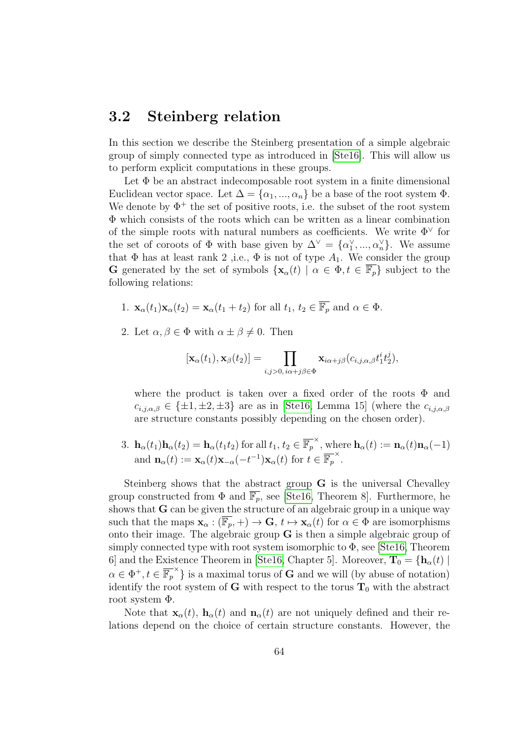### <span id="page-63-0"></span>3.2 Steinberg relation

In this section we describe the Steinberg presentation of a simple algebraic group of simply connected type as introduced in [\[Ste16\]](#page-145-4). This will allow us to perform explicit computations in these groups.

Let  $\Phi$  be an abstract indecomposable root system in a finite dimensional Euclidean vector space. Let  $\Delta = {\alpha_1, ..., \alpha_n}$  be a base of the root system  $\Phi$ . We denote by  $\Phi^+$  the set of positive roots, i.e. the subset of the root system Φ which consists of the roots which can be written as a linear combination of the simple roots with natural numbers as coefficients. We write  $\Phi^{\vee}$  for the set of coroots of  $\Phi$  with base given by  $\Delta^{\vee} = {\alpha_1^{\vee}, ..., \alpha_n^{\vee}}$ . We assume that  $\Phi$  has at least rank 2, i.e.,  $\Phi$  is not of type  $A_1$ . We consider the group G generated by the set of symbols  $\{x_\alpha(t) \mid \alpha \in \Phi, t \in \overline{\mathbb{F}_p}\}\$  subject to the following relations:

- 1.  $\mathbf{x}_{\alpha}(t_1)\mathbf{x}_{\alpha}(t_2) = \mathbf{x}_{\alpha}(t_1+t_2)$  for all  $t_1, t_2 \in \overline{\mathbb{F}_p}$  and  $\alpha \in \Phi$ .
- 2. Let  $\alpha, \beta \in \Phi$  with  $\alpha \pm \beta \neq 0$ . Then

$$
[\mathbf{x}_{\alpha}(t_1), \mathbf{x}_{\beta}(t_2)] = \prod_{i,j>0, i\alpha+j\beta \in \Phi} \mathbf{x}_{i\alpha+j\beta}(c_{i,j,\alpha,\beta}t_1^it_2^j),
$$

where the product is taken over a fixed order of the roots  $\Phi$  and  $c_{i,i,\alpha,\beta} \in {\pm 1, \pm 2, \pm 3}$  are as in [\[Ste16,](#page-145-4) Lemma 15] (where the  $c_{i,i,\alpha,\beta}$ are structure constants possibly depending on the chosen order).

3.  $\mathbf{h}_{\alpha}(t_1)\mathbf{h}_{\alpha}(t_2) = \mathbf{h}_{\alpha}(t_1t_2)$  for all  $t_1, t_2 \in \overline{\mathbb{F}_p}^{\times}$ , where  $\mathbf{h}_{\alpha}(t) := \mathbf{n}_{\alpha}(t)\mathbf{n}_{\alpha}(-1)$ and  $\mathbf{n}_{\alpha}(t) := \mathbf{x}_{\alpha}(t)\mathbf{x}_{-\alpha}(-t^{-1})\mathbf{x}_{\alpha}(t)$  for  $t \in \overline{\mathbb{F}_p}^{\times}$ .

Steinberg shows that the abstract group G is the universal Chevalley group constructed from  $\Phi$  and  $\overline{\mathbb{F}_p}$ , see [\[Ste16,](#page-145-4) Theorem 8]. Furthermore, he shows that G can be given the structure of an algebraic group in a unique way such that the maps  $\mathbf{x}_{\alpha}: (\overline{\mathbb{F}_p}, +) \to \mathbf{G}, t \mapsto \mathbf{x}_{\alpha}(t)$  for  $\alpha \in \Phi$  are isomorphisms onto their image. The algebraic group  $G$  is then a simple algebraic group of simply connected type with root system isomorphic to  $\Phi$ , see [\[Ste16,](#page-145-4) Theorem 6] and the Existence Theorem in [\[Ste16,](#page-145-4) Chapter 5]. Moreover,  $\mathbf{T}_0 = {\mathbf{h}_{\alpha}(t) | \mathbf{h}_{\alpha}(t)}$  $\alpha \in \Phi^+, t \in \overline{\mathbb{F}_p}^{\times}$  is a maximal torus of **G** and we will (by abuse of notation) identify the root system of G with respect to the torus  $T_0$  with the abstract root system Φ.

Note that  $\mathbf{x}_{\alpha}(t)$ ,  $\mathbf{h}_{\alpha}(t)$  and  $\mathbf{n}_{\alpha}(t)$  are not uniquely defined and their relations depend on the choice of certain structure constants. However, the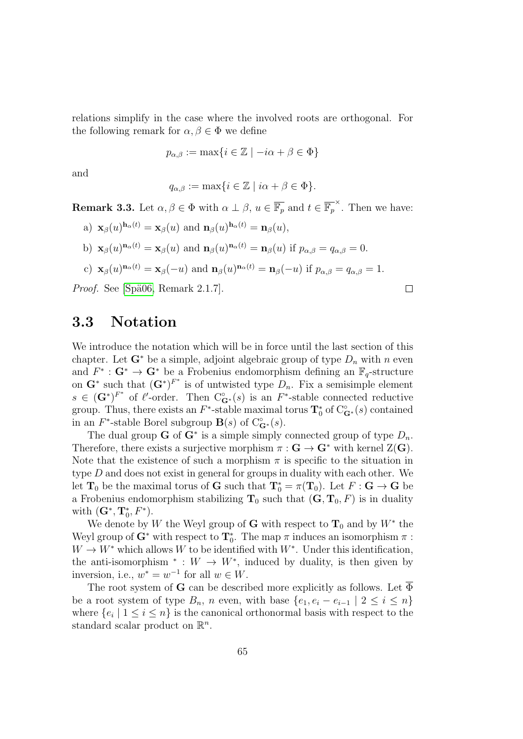relations simplify in the case where the involved roots are orthogonal. For the following remark for  $\alpha, \beta \in \Phi$  we define

$$
p_{\alpha,\beta} := \max\{i \in \mathbb{Z} \mid -i\alpha + \beta \in \Phi\}
$$

and

$$
q_{\alpha,\beta} := \max\{i \in \mathbb{Z} \mid i\alpha + \beta \in \Phi\}.
$$

<span id="page-64-0"></span>**Remark 3.3.** Let  $\alpha, \beta \in \Phi$  with  $\alpha \perp \beta$ ,  $u \in \overline{\mathbb{F}_p}$  and  $t \in \overline{\mathbb{F}_p}^{\times}$ . Then we have:

a) 
$$
\mathbf{x}_{\beta}(u)^{\mathbf{h}_{\alpha}(t)} = \mathbf{x}_{\beta}(u)
$$
 and  $\mathbf{n}_{\beta}(u)^{\mathbf{h}_{\alpha}(t)} = \mathbf{n}_{\beta}(u)$ ,  
\nb)  $\mathbf{x}_{\beta}(u)^{\mathbf{n}_{\alpha}(t)} = \mathbf{x}_{\beta}(u)$  and  $\mathbf{n}_{\beta}(u)^{\mathbf{n}_{\alpha}(t)} = \mathbf{n}_{\beta}(u)$  if  $p_{\alpha,\beta} = q_{\alpha,\beta} = 0$ .  
\nc)  $\mathbf{x}_{\beta}(u)^{\mathbf{n}_{\alpha}(t)} = \mathbf{x}_{\beta}(-u)$  and  $\mathbf{n}_{\beta}(u)^{\mathbf{n}_{\alpha}(t)} = \mathbf{n}_{\beta}(-u)$  if  $p_{\alpha,\beta} = q_{\alpha,\beta} = 1$ .  
\n*root.* See [Spä06, Remark 2.1.7].

*Proof.* See [Spä06, Remark 2.1.7].

#### 3.3 Notation

We introduce the notation which will be in force until the last section of this chapter. Let  $G^*$  be a simple, adjoint algebraic group of type  $D_n$  with n even and  $F^* : G^* \to G^*$  be a Frobenius endomorphism defining an  $\mathbb{F}_q$ -structure on  $\mathbf{G}^*$  such that  $(\mathbf{G}^*)^{F^*}$  is of untwisted type  $D_n$ . Fix a semisimple element  $s \in (\mathbf{G}^*)^{F^*}$  of  $\ell'$ -order. Then  $C^{\circ}_{\mathbf{G}^*}(s)$  is an  $F^*$ -stable connected reductive group. Thus, there exists an  $F^*$ -stable maximal torus  $\mathbf{T}_0^*$  of  $C_{\mathbf{G}^*}^{\circ}(s)$  contained in an  $F^*$ -stable Borel subgroup  $\mathbf{B}(s)$  of  $C^{\circ}_{\mathbf{G}^*}(s)$ .

The dual group **G** of  $G^*$  is a simple simply connected group of type  $D_n$ . Therefore, there exists a surjective morphism  $\pi : G \to G^*$  with kernel  $Z(G)$ . Note that the existence of such a morphism  $\pi$  is specific to the situation in type D and does not exist in general for groups in duality with each other. We let  $\mathbf{T}_0$  be the maximal torus of  $\mathbf{G}$  such that  $\mathbf{T}_0^* = \pi(\mathbf{T}_0)$ . Let  $F : \mathbf{G} \to \mathbf{G}$  be a Frobenius endomorphism stabilizing  $T_0$  such that  $(G, T_0, F)$  is in duality with  $(\mathbf{G}^*, \mathbf{T}_0^*, F^*)$ .

We denote by W the Weyl group of G with respect to  $\mathbf{T}_0$  and by  $W^*$  the Weyl group of  $\mathbf{G}^*$  with respect to  $\mathbf{T}_0^*$ . The map  $\pi$  induces an isomorphism  $\pi$ :  $W \to W^*$  which allows W to be identified with  $W^*$ . Under this identification, the anti-isomorphism  $* : W \to W^*$ , induced by duality, is then given by inversion, i.e.,  $w^* = w^{-1}$  for all  $w \in W$ .

The root system of G can be described more explicitly as follows. Let  $\overline{\Phi}$ be a root system of type  $B_n$ , n even, with base  $\{e_1, e_i - e_{i-1} \mid 2 \leq i \leq n\}$ where  $\{e_i \mid 1 \leq i \leq n\}$  is the canonical orthonormal basis with respect to the standard scalar product on  $\mathbb{R}^n$ .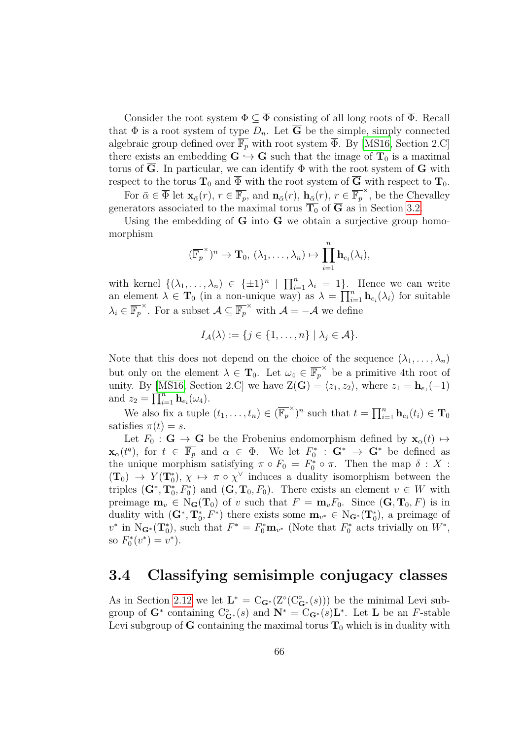Consider the root system  $\Phi \subseteq \overline{\Phi}$  consisting of all long roots of  $\overline{\Phi}$ . Recall that  $\Phi$  is a root system of type  $D_n$ . Let  $\overline{G}$  be the simple, simply connected algebraic group defined over  $\overline{\mathbb{F}_p}$  with root system  $\overline{\Phi}$ . By [\[MS16,](#page-144-5) Section 2.C] there exists an embedding  $G \hookrightarrow \overline{G}$  such that the image of  $T_0$  is a maximal torus of  $\overline{G}$ . In particular, we can identify  $\Phi$  with the root system of  $G$  with respect to the torus  $T_0$  and  $\overline{\Phi}$  with the root system of  $\overline{G}$  with respect to  $T_0$ .

For  $\bar{\alpha} \in \overline{\Phi}$  let  $\mathbf{x}_{\bar{\alpha}}(r)$ ,  $r \in \overline{\mathbb{F}_p}$ , and  $\mathbf{n}_{\bar{\alpha}}(r)$ ,  $\mathbf{n}_{\bar{\alpha}}(r)$ ,  $r \in \overline{\mathbb{F}_p}^{\times}$ , be the Chevalley generators associated to the maximal torus  $\overline{T_0}$  of  $\overline{G}$  as in Section [3.2.](#page-63-0)

Using the embedding of G into  $\overline{G}$  we obtain a surjective group homomorphism

$$
(\overline{\mathbb{F}_p}^{\times})^n \to \mathbf{T}_0, (\lambda_1, \ldots, \lambda_n) \mapsto \prod_{i=1}^n \mathbf{h}_{e_i}(\lambda_i),
$$

with kernel  $\{(\lambda_1,\ldots,\lambda_n)\in \{\pm 1\}^n \mid \prod_{i=1}^n \lambda_i = 1\}$ . Hence we can write an element  $\lambda \in \mathbf{T}_0$  (in a non-unique way) as  $\lambda = \prod_{i=1}^n \mathbf{h}_{e_i}(\lambda_i)$  for suitable  $\lambda_i \in \overline{\mathbb{F}_p}^{\times}$ . For a subset  $\mathcal{A} \subseteq \overline{\mathbb{F}_p}^{\times}$  with  $\mathcal{A} = -\mathcal{A}$  we define

$$
I_{\mathcal{A}}(\lambda) := \{ j \in \{1, \ldots, n\} \mid \lambda_j \in \mathcal{A} \}.
$$

Note that this does not depend on the choice of the sequence  $(\lambda_1, \ldots, \lambda_n)$ but only on the element  $\lambda \in \mathbf{T}_0$ . Let  $\omega_4 \in \overline{\mathbb{F}_p}^{\times}$  be a primitive 4th root of unity. By [\[MS16,](#page-144-5) Section 2.C] we have  $Z(\mathbf{G}) = \langle z_1, z_2 \rangle$ , where  $z_1 = \mathbf{h}_{e_1}(-1)$ and  $z_2 = \prod_{i=1}^n \mathbf{h}_{e_i}(\omega_4)$ .

We also fix a tuple  $(t_1, \ldots, t_n) \in (\overline{\mathbb{F}_p}^{\times})^n$  such that  $t = \prod_{i=1}^n \mathbf{h}_{e_i}(t_i) \in \mathbf{T}_0$ satisfies  $\pi(t) = s$ .

Let  $F_0$ :  $\mathbf{G} \to \mathbf{G}$  be the Frobenius endomorphism defined by  $\mathbf{x}_\alpha(t) \mapsto$  $\mathbf{x}_{\alpha}(t^q)$ , for  $t \in \overline{\mathbb{F}_p}$  and  $\alpha \in \Phi$ . We let  $F_0^* : \mathbf{G}^* \to \mathbf{G}^*$  be defined as the unique morphism satisfying  $\pi \circ F_0 = F_0^* \circ \pi$ . Then the map  $\delta : X$ :  $(T_0) \to Y(T_0^*), \chi \mapsto \pi \circ \chi^{\vee}$  induces a duality isomorphism between the triples  $(G^*, T_0^*, F_0^*)$  and  $(G, T_0, F_0)$ . There exists an element  $v \in W$  with preimage  $\mathbf{m}_v \in N_{\mathbf{G}}(\mathbf{T}_0)$  of v such that  $F = \mathbf{m}_v F_0$ . Since  $(\mathbf{G}, \mathbf{T}_0, F)$  is in duality with  $(G^*, T_0^*, F^*)$  there exists some  $m_{v^*} \in N_{G^*}(T_0^*)$ , a preimage of  $v^*$  in N<sub>G<sup>\*</sup></sub>(T<sub>0</sub><sup>\*</sup>), such that  $F^* = F_0^* \mathbf{m}_{v^*}$  (Note that  $F_0^*$  acts trivially on  $W^*$ , so  $F_0^*(v^*) = v^*$ .

#### 3.4 Classifying semisimple conjugacy classes

As in Section [2.12](#page-57-0) we let  $\mathbf{L}^* = \mathbf{C}_{\mathbf{G}^*}(\mathbf{Z}^{\circ}(\mathbf{C}^{\circ}_{\mathbf{G}^*}(s)))$  be the minimal Levi subgroup of  $\mathbf{G}^*$  containing  $C^{\circ}_{\mathbf{G}^*}(s)$  and  $\mathbf{N}^* = C_{\mathbf{G}^*}(s)\mathbf{L}^*$ . Let  $\mathbf{L}$  be an F-stable Levi subgroup of G containing the maximal torus  $T_0$  which is in duality with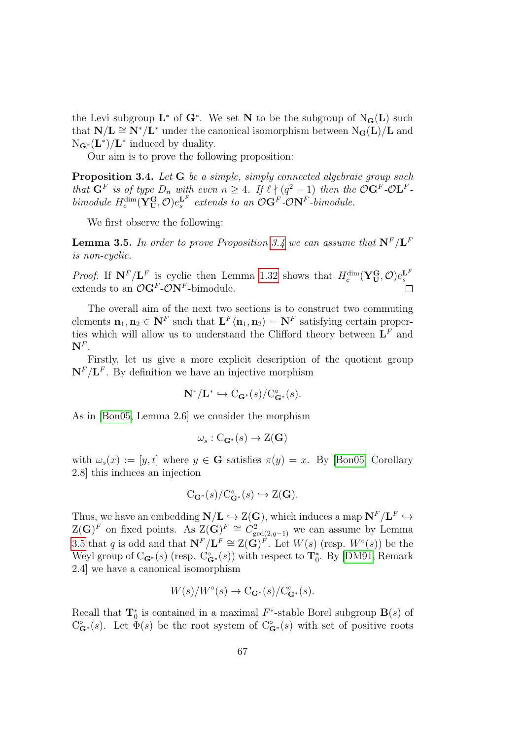the Levi subgroup  $\mathbf{L}^*$  of  $\mathbf{G}^*$ . We set N to be the subgroup of  $N_{\mathbf{G}}(\mathbf{L})$  such that  $N/L \cong N^*/\mathbf{L}^*$  under the canonical isomorphism between  $N_{\mathbf{G}}(\mathbf{L})/\mathbf{L}$  and  $N_{\mathbf{G}^*}(\mathbf{L}^*)/ \mathbf{L}^*$  induced by duality.

Our aim is to prove the following proposition:

<span id="page-66-0"></span>Proposition 3.4. Let G be a simple, simply connected algebraic group such that  $\mathbf{G}^F$  is of type  $D_n$  with even  $n \geq 4$ . If  $\ell \nmid (q^2 - 1)$  then the  $\mathcal{O} \mathbf{G}^F \text{-} \mathcal{O} \mathbf{L}^F$ . bimodule  $H_c^{\dim}(\mathbf{Y_U^G}, \mathcal{O})e_s^{\mathbf{L}^F}$  extends to an  $\mathcal{O}\mathbf{G}^F\text{-}\mathcal{O}\mathbf{N}^F\text{-}bimodule.$ 

We first observe the following:

<span id="page-66-1"></span>**Lemma 3.5.** In order to prove Proposition [3.4](#page-66-0) we can assume that  $N^F/L^F$ is non-cyclic.

*Proof.* If  $N^F/L^F$  is cyclic then Lemma [1.32](#page-30-0) shows that  $H_c^{\dim}(\mathbf{Y}_{\mathbf{U}}^{\mathbf{G}}, \mathcal{O})e_s^{L^F}$ extends to an  $\mathcal{O}G^F\text{-}\mathcal{O}N^F\text{-bimodule.}$ 

The overall aim of the next two sections is to construct two commuting elements  $\mathbf{n}_1, \mathbf{n}_2 \in \mathbf{N}^F$  such that  $\mathbf{L}^F \langle \mathbf{n}_1, \mathbf{n}_2 \rangle = \mathbf{N}^F$  satisfying certain properties which will allow us to understand the Clifford theory between  $\mathbf{L}^F$  and  $\mathbf{N}^F.$ 

Firstly, let us give a more explicit description of the quotient group  $N^F/L^F$ . By definition we have an injective morphism

$$
\mathbf{N}^*/\mathbf{L}^* \hookrightarrow C_{\mathbf{G}^*}(s)/C_{\mathbf{G}^*}^{\circ}(s).
$$

As in [\[Bon05,](#page-141-4) Lemma 2.6] we consider the morphism

$$
\omega_s : C_{\mathbf{G}^*}(s) \to \mathrm{Z}(\mathbf{G})
$$

with  $\omega_s(x) := [y, t]$  where  $y \in \mathbf{G}$  satisfies  $\pi(y) = x$ . By [\[Bon05,](#page-141-4) Corollary 2.8] this induces an injection

$$
C_{\mathbf{G}^*}(s)/C_{\mathbf{G}^*}^{\circ}(s) \hookrightarrow Z(\mathbf{G}).
$$

Thus, we have an embedding  $N/L \hookrightarrow Z(G)$ , which induces a map  $N^F/L^F \hookrightarrow$  $Z(\mathbf{G})^F$  on fixed points. As  $Z(\mathbf{G})^F \cong C_{\gcd(2,q-1)}^2$  we can assume by Lemma [3.5](#page-66-1) that q is odd and that  $\mathbf{N}^F/\mathbf{L}^F \cong \mathbf{Z}(\mathbf{G})^F$ . Let  $W(s)$  (resp.  $W^{\circ}(s)$ ) be the Weyl group of  $C_{\mathbf{G}^*}(s)$  (resp.  $C_{\mathbf{G}^*}^*(s)$ ) with respect to  $\mathbf{T}_0^*$ . By [\[DM91,](#page-143-1) Remark 2.4] we have a canonical isomorphism

$$
W(s)/W^{\circ}(s) \to C_{\mathbf{G}^*}(s)/C^{\circ}_{\mathbf{G}^*}(s).
$$

Recall that  $\mathbf{T}_0^*$  is contained in a maximal  $F^*$ -stable Borel subgroup  $\mathbf{B}(s)$  of  $C_{\bf G}^{\circ}(s)$ . Let  $\Phi(s)$  be the root system of  $C_{\bf G}^{\circ}(s)$  with set of positive roots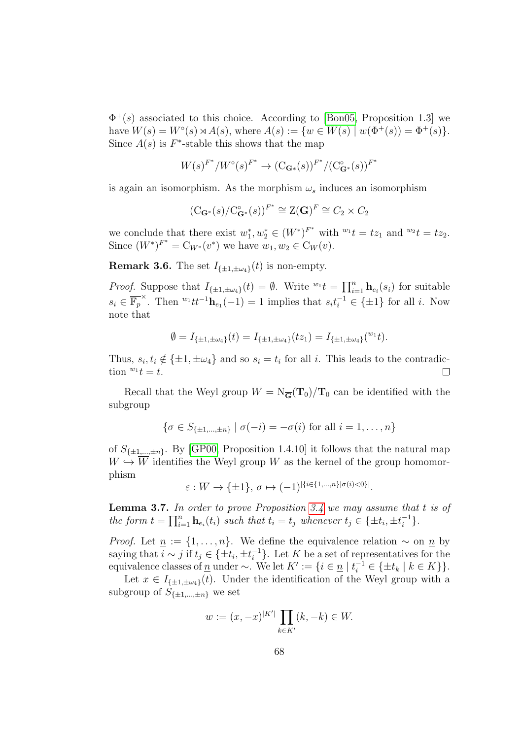$\Phi^+(s)$  associated to this choice. According to [\[Bon05,](#page-141-4) Proposition 1.3] we have  $W(s) = W^{\circ}(s) \rtimes A(s)$ , where  $A(s) := \{ w \in W(s) \mid w(\Phi^+(s)) = \Phi^+(s) \}.$ Since  $A(s)$  is  $F^*$ -stable this shows that the map

$$
W(s)^{F^*}/W^{\circ}(s)^{F^*} \to (\mathbf{C}_{\mathbf{G}^*}(s))^{F^*}/(\mathbf{C}_{\mathbf{G}^*}^{\circ}(s))^{F^*}
$$

is again an isomorphism. As the morphism  $\omega_s$  induces an isomorphism

$$
(\mathrm{C}_{\mathbf{G}^*}(s)/\mathrm{C}_{\mathbf{G}^*}^\circ(s))^{F^*} \cong \mathrm{Z}(\mathbf{G})^F \cong C_2 \times C_2
$$

we conclude that there exist  $w_1^*, w_2^* \in (W^*)^{F^*}$  with  $w_1 t = t z_1$  and  $w_2 t = t z_2$ . Since  $(W^*)^{F^*} = C_{W^*}(v^*)$  we have  $w_1, w_2 \in C_W(v)$ .

<span id="page-67-1"></span>**Remark 3.6.** The set  $I_{\{\pm 1,\pm \omega_4\}}(t)$  is non-empty.

*Proof.* Suppose that  $I_{\{\pm 1,\pm \omega_4\}}(t) = \emptyset$ . Write  ${}^{w_1}t = \prod_{i=1}^n \mathbf{h}_{e_i}(s_i)$  for suitable  $s_i \in \overline{\mathbb{F}_p}^{\times}$ . Then  ${}^{w_1}tt^{-1}\mathbf{h}_{e_1}(-1) = 1$  implies that  $s_it_i^{-1} \in \{\pm 1\}$  for all i. Now note that

$$
\emptyset = I_{\{\pm 1, \pm \omega_4\}}(t) = I_{\{\pm 1, \pm \omega_4\}}(tz_1) = I_{\{\pm 1, \pm \omega_4\}}(^{w_1}t).
$$

Thus,  $s_i, t_i \notin {\pm 1, \pm \omega_4}$  and so  $s_i = t_i$  for all i. This leads to the contradiction  $^{w_1}t = t$ .  $\Box$ 

Recall that the Weyl group  $\overline{W} = N_{\overline{G}}(T_0)/T_0$  can be identified with the subgroup

$$
\{\sigma \in S_{\{\pm 1,\dots,\pm n\}} \mid \sigma(-i) = -\sigma(i) \text{ for all } i = 1,\dots,n\}
$$

of  $S_{\{\pm 1,\dots,\pm n\}}$ . By [\[GP00,](#page-143-3) Proposition 1.4.10] it follows that the natural map  $W \hookrightarrow \overline{W}$  identifies the Weyl group W as the kernel of the group homomorphism

 $\varepsilon : \overline{W} \rightarrow \{\pm 1\}, \, \sigma \mapsto (-1)^{|\{i \in \{1, ..., n\} | \sigma(i) < 0\}|}.$ 

<span id="page-67-0"></span>**Lemma 3.7.** In order to prove Proposition [3.4](#page-66-0) we may assume that  $t$  is of the form  $t = \prod_{i=1}^n \mathbf{h}_{e_i}(t_i)$  such that  $t_i = t_j$  whenever  $t_j \in {\pm t_i, \pm t_i^{-1}}$  $\begin{bmatrix} -1 \\ i \end{bmatrix}$ .

*Proof.* Let  $\underline{n} := \{1, \ldots, n\}$ . We define the equivalence relation  $\sim$  on  $\underline{n}$  by saying that  $i \sim j$  if  $t_j \in {\{\pm t_i, \pm t_i^{-1}\}}$  $i^{-1}$ . Let K be a set of representatives for the equivalence classes of  $\underline{n}$  under ∼. We let  $K' := \{i \in \underline{n} | t_i^{-1} \in \{\pm t_k | k \in K\}\}.$ 

Let  $x \in I_{\{\pm 1,\pm \omega_4\}}(t)$ . Under the identification of the Weyl group with a subgroup of  $S_{\{\pm 1,\dots,\pm n\}}$  we set

$$
w := (x, -x)^{|K'|} \prod_{k \in K'} (k, -k) \in W.
$$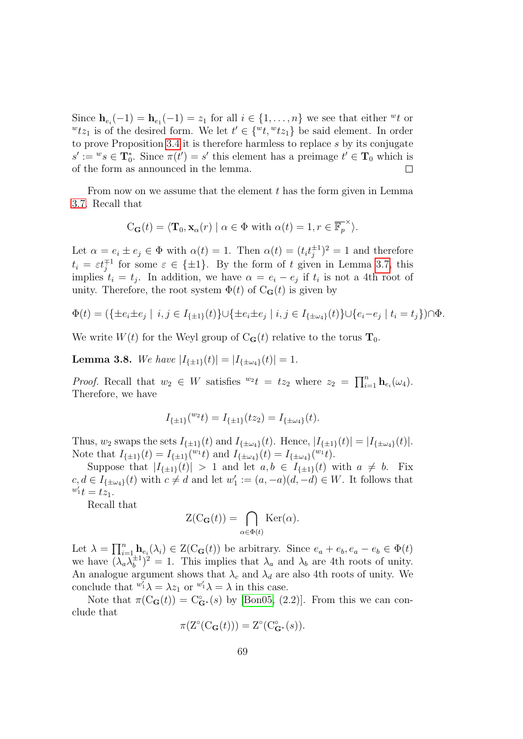Since  $\mathbf{h}_{e_i}(-1) = \mathbf{h}_{e_1}(-1) = z_1$  for all  $i \in \{1, ..., n\}$  we see that either "t or  $\forall x_1$  is of the desired form. We let  $t' \in \{\forall t, \forall t z_1\}$  be said element. In order to prove Proposition [3.4](#page-66-0) it is therefore harmless to replace s by its conjugate  $s' := w s \in T_0^*$ . Since  $\pi(t') = s'$  this element has a preimage  $t' \in T_0$  which is of the form as announced in the lemma.  $\Box$ 

From now on we assume that the element  $t$  has the form given in Lemma [3.7.](#page-67-0) Recall that

$$
C_{\mathbf{G}}(t) = \langle \mathbf{T}_0, \mathbf{x}_{\alpha}(r) | \alpha \in \Phi \text{ with } \alpha(t) = 1, r \in \overline{\mathbb{F}_p}^{\times} \rangle.
$$

Let  $\alpha = e_i \pm e_j \in \Phi$  with  $\alpha(t) = 1$ . Then  $\alpha(t) = (t_i t_i^{\pm 1})$  $j^{\pm 1})^2 = 1$  and therefore  $t_i = \varepsilon t_i^{\mp 1}$  for some  $\varepsilon \in {\pm 1}$ . By the form of t given in Lemma [3.7,](#page-67-0) this implies  $t_i = t_j$ . In addition, we have  $\alpha = e_i - e_j$  if  $t_i$  is not a 4th root of unity. Therefore, the root system  $\Phi(t)$  of  $C_{\mathbf{G}}(t)$  is given by

$$
\Phi(t) = (\{\pm e_i \pm e_j \mid i, j \in I_{\{\pm 1\}}(t)\} \cup \{\pm e_i \pm e_j \mid i, j \in I_{\{\pm \omega_4\}}(t)\} \cup \{e_i - e_j \mid t_i = t_j\}) \cap \Phi.
$$

We write  $W(t)$  for the Weyl group of  $C_{\mathbf{G}}(t)$  relative to the torus  $\mathbf{T}_0$ .

**Lemma 3.8.** We have  $|I_{\{\pm 1\}}(t)| = |I_{\{\pm \omega_A\}}(t)| = 1$ .

*Proof.* Recall that  $w_2 \in W$  satisfies  ${}^{w_2}t = tz_2$  where  $z_2 = \prod_{i=1}^n \mathbf{h}_{e_i}(\omega_4)$ . Therefore, we have

$$
I_{\{\pm 1\}}(^{w_2}t) = I_{\{\pm 1\}}(tz_2) = I_{\{\pm \omega_4\}}(t).
$$

Thus,  $w_2$  swaps the sets  $I_{\{\pm 1\}}(t)$  and  $I_{\{\pm \omega_4\}}(t)$ . Hence,  $|I_{\{\pm 1\}}(t)| = |I_{\{\pm \omega_4\}}(t)|$ . Note that  $I_{\{\pm 1\}}(t) = I_{\{\pm 1\}}(t^{_01}t)$  and  $I_{\{\pm \omega_4\}}(t) = I_{\{\pm \omega_4\}}(t^{_01}t)$ .

Suppose that  $|I_{\{\pm 1\}}(t)| > 1$  and let  $a, b \in I_{\{\pm 1\}}(t)$  with  $a \neq b$ . Fix  $c, d \in I_{\{\pm \omega_4\}}(t)$  with  $c \neq d$  and let  $w'_1 := (a, -a)(d, -d) \in W$ . It follows that  $w_1't = tz_1.$ 

Recall that

$$
Z(C_{\mathbf{G}}(t)) = \bigcap_{\alpha \in \Phi(t)} \text{Ker}(\alpha).
$$

Let  $\lambda = \prod_{i=1}^n \mathbf{h}_{e_i}(\lambda_i) \in \mathcal{Z}(\mathcal{C}_{\mathbf{G}}(t))$  be arbitrary. Since  $e_a + e_b, e_a - e_b \in \Phi(t)$ we have  $(\lambda_a \lambda_b^{\pm 1})$  $\lambda_b^{\pm 1}$ )<sup>2</sup> = 1. This implies that  $\lambda_a$  and  $\lambda_b$  are 4th roots of unity. An analogue argument shows that  $\lambda_c$  and  $\lambda_d$  are also 4th roots of unity. We conclude that  ${}^{w'_1}\lambda = \lambda z_1$  or  ${}^{w'_1}\lambda = \lambda$  in this case.

Note that  $\pi(C_{\mathbf{G}}(t)) = C_{\mathbf{G}^*}^{\circ}(s)$  by [\[Bon05,](#page-141-4) (2.2)]. From this we can conclude that

$$
\pi(\mathcal{Z}^{\circ}(\mathcal{C}_{\mathbf{G}}(t))) = \mathcal{Z}^{\circ}(\mathcal{C}_{\mathbf{G}^*}^{\circ}(s)).
$$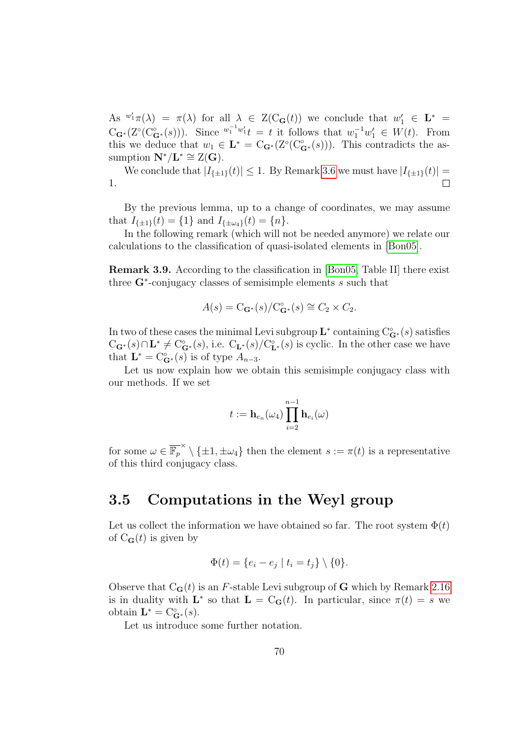As  $^{w'_1}\pi(\lambda) = \pi(\lambda)$  for all  $\lambda \in Z(C_{\mathbf{G}}(t))$  we conclude that  $w'_1 \in \mathbf{L}^* =$  $C_{\mathbf{G}^*}(Z^{\circ}(C^{\circ}_{\mathbf{G}^*}(s)))$ . Since  $\frac{w_1^{-1}w_1'}{t} = t$  it follows that  $w_1^{-1}w_1' \in W(t)$ . From this we deduce that  $w_1 \in \mathbf{L}^* = C_{\mathbf{G}^*}(Z^{\circ}(C_{\mathbf{G}^*}^{\circ}(s)))$ . This contradicts the assumption  $\mathbf{N}^* / \mathbf{L}^* \cong \mathbf{Z}(\mathbf{G}).$ 

We conclude that  $|I_{\{\pm 1\}}(t)| \leq 1$ . By Remark [3.6](#page-67-1) we must have  $|I_{\{\pm 1\}}(t)| =$ 1.  $\Box$ 

By the previous lemma, up to a change of coordinates, we may assume that  $I_{\{\pm 1\}}(t) = \{1\}$  and  $I_{\{\pm \omega_4\}}(t) = \{n\}.$ 

In the following remark (which will not be needed anymore) we relate our calculations to the classification of quasi-isolated elements in [\[Bon05\]](#page-141-4).

Remark 3.9. According to the classification in [\[Bon05,](#page-141-4) Table II] there exist three  $G^*$ -conjugacy classes of semisimple elements  $s$  such that

$$
A(s) = \mathcal{C}_{\mathbf{G}^*}(s) / \mathcal{C}_{\mathbf{G}^*}^{\circ}(s) \cong C_2 \times C_2.
$$

In two of these cases the minimal Levi subgroup  $\mathbf{L}^*$  containing  $C^{\circ}_{\mathbf{G}^*}(s)$  satisfies  $C_{\bf G}$ ∗(s)∩**L**<sup>\*</sup>  $\neq$  C<sup>°</sup><sub>**G**<sup>\*</sup></sub>(s), i.e.  $C_{\bf L}$ ∗(s)/C<sup>°</sup><sub>**L**<sup>\*</sup>(s)</sub> is cyclic. In the other case we have that  $\mathbf{L}^* = \mathbf{C}_{\mathbf{G}^*}^{\circ}(s)$  is of type  $A_{n-3}$ .

Let us now explain how we obtain this semisimple conjugacy class with our methods. If we set

$$
t:=\mathbf{h}_{e_n}(\omega_4)\prod_{i=2}^{n-1}\mathbf{h}_{e_i}(\omega)
$$

for some  $\omega \in \overline{\mathbb{F}_p}^{\times} \setminus {\{\pm 1, \pm \omega_4\}}$  then the element  $s := \pi(t)$  is a representative of this third conjugacy class.

#### 3.5 Computations in the Weyl group

Let us collect the information we have obtained so far. The root system  $\Phi(t)$ of  $C_{\mathbf{G}}(t)$  is given by

$$
\Phi(t) = \{e_i - e_j \mid t_i = t_j\} \setminus \{0\}.
$$

Observe that  $C_{\mathbf{G}}(t)$  is an F-stable Levi subgroup of G which by Remark [2.16](#page-50-2) is in duality with  $\mathbf{L}^*$  so that  $\mathbf{L} = \mathbf{C}_{\mathbf{G}}(t)$ . In particular, since  $\pi(t) = s$  we obtain  $\mathbf{L}^* = \mathrm{C}_{\mathbf{G}^*}^{\circ}(s)$ .

Let us introduce some further notation.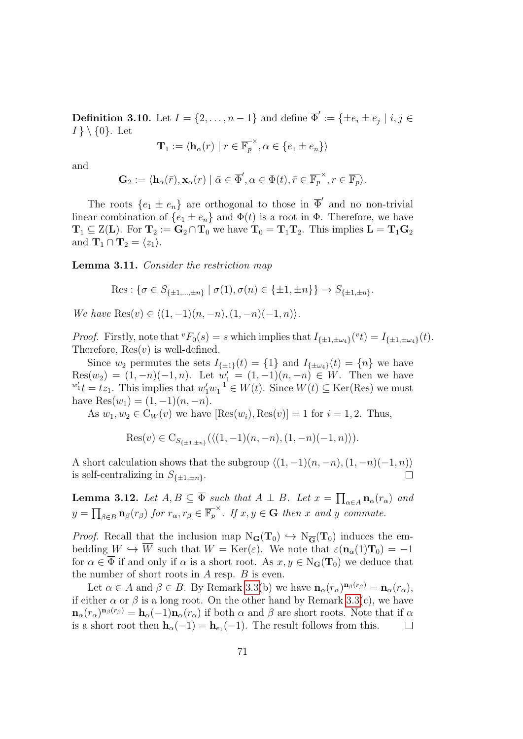**Definition 3.10.** Let  $I = \{2, ..., n-1\}$  and define  $\overline{\Phi}' := \{\pm e_i \pm e_j \mid i, j \in I\}$  $I \setminus \{0\}$ . Let

$$
\mathbf{T}_1 := \langle \mathbf{h}_{\alpha}(r) \mid r \in \overline{\mathbb{F}_p}^{\times}, \alpha \in \{e_1 \pm e_n\} \rangle
$$

and

$$
\mathbf{G}_2 := \langle \mathbf{h}_{\bar{\alpha}}(\bar{r}), \mathbf{x}_{\alpha}(r) \mid \bar{\alpha} \in \overline{\Phi}', \alpha \in \Phi(t), \bar{r} \in \overline{\mathbb{F}_p}^{\times}, r \in \overline{\mathbb{F}_p} \rangle.
$$

The roots  $\{e_1 \pm e_n\}$  are orthogonal to those in  $\overline{\Phi}'$  and no non-trivial linear combination of  $\{e_1 \pm e_n\}$  and  $\Phi(t)$  is a root in  $\Phi$ . Therefore, we have  $T_1 \subseteq Z(L)$ . For  $T_2 := G_2 \cap T_0$  we have  $T_0 = T_1T_2$ . This implies  $L = T_1G_2$ and  $\mathbf{T}_1 \cap \mathbf{T}_2 = \langle z_1 \rangle$ .

<span id="page-70-0"></span>Lemma 3.11. Consider the restriction map

Res: 
$$
\{\sigma \in S_{\{\pm 1,\dots,\pm n\}} \mid \sigma(1), \sigma(n) \in \{\pm 1, \pm n\}\}\rightarrow S_{\{\pm 1,\pm n\}}.
$$

We have  $\text{Res}(v) \in \langle (1, -1)(n, -n), (1, -n)(-1, n) \rangle$ .

*Proof.* Firstly, note that  ${}^v F_0(s) = s$  which implies that  $I_{\{\pm 1, \pm \omega_4\}}({}^v t) = I_{\{\pm 1, \pm \omega_4\}}(t)$ . Therefore,  $\text{Res}(v)$  is well-defined.

Since  $w_2$  permutes the sets  $I_{\{\pm 1\}}(t) = \{1\}$  and  $I_{\{\pm \omega_4\}}(t) = \{n\}$  we have  $Res(w_2) = (1, -n)(-1, n)$ . Let  $w'_1 = (1, -1)(n, -n) \in W$ . Then we have  $w_1' t = t z_1$ . This implies that  $w_1' w_1^{-1} \in W(t)$ . Since  $W(t) \subseteq \text{Ker}(\text{Res})$  we must have  $\text{Res}(w_1) = (1, -1)(n, -n)$ .

As  $w_1, w_2 \in C_W(v)$  we have  $[Res(w_i), Res(v)] = 1$  for  $i = 1, 2$ . Thus,

Res(v) 
$$
\in
$$
 C<sub>S<sub>{\pm 1,\pm n}</sub></sub> $(\langle (1,-1)(n,-n), (1,-n)(-1,n) \rangle).$ 

A short calculation shows that the subgroup  $\langle (1, -1)(n, -n), (1, -n)(-1, n) \rangle$ is self-centralizing in  $S_{\{\pm 1,\pm n\}}$ .

<span id="page-70-1"></span>**Lemma 3.12.** Let  $A, B \subseteq \overline{\Phi}$  such that  $A \perp B$ . Let  $x = \prod_{\alpha \in A} \mathbf{n}_{\alpha}(r_{\alpha})$  and  $y = \prod_{\beta \in B} \mathbf{n}_{\beta}(r_{\beta})$  for  $r_{\alpha}, r_{\beta} \in \overline{\mathbb{F}_p}^{\times}$ . If  $x, y \in \mathbf{G}$  then x and y commute.

*Proof.* Recall that the inclusion map  $N_{\mathbf{G}}(\mathbf{T}_0) \hookrightarrow N_{\overline{\mathbf{G}}}(\mathbf{T}_0)$  induces the embedding  $W \hookrightarrow \overline{W}$  such that  $W = \text{Ker}(\varepsilon)$ . We note that  $\varepsilon(\mathbf{n}_{\alpha}(1)\mathbf{T}_0) = -1$ for  $\alpha \in \overline{\Phi}$  if and only if  $\alpha$  is a short root. As  $x, y \in N_G(\mathbf{T}_0)$  we deduce that the number of short roots in  $A$  resp.  $B$  is even.

Let  $\alpha \in A$  and  $\beta \in B$ . By Remark [3.3\(](#page-64-0)b) we have  $\mathbf{n}_{\alpha}(r_{\alpha})^{\mathbf{n}_{\beta}(r_{\beta})} = \mathbf{n}_{\alpha}(r_{\alpha}),$ if either  $\alpha$  or  $\beta$  is a long root. On the other hand by Remark [3.3\(](#page-64-0)c), we have  $\mathbf{n}_{\alpha}(r_{\alpha})^{\mathbf{n}_{\beta}(r_{\beta})} = \mathbf{h}_{\alpha}(-1)\mathbf{n}_{\alpha}(r_{\alpha})$  if both  $\alpha$  and  $\beta$  are short roots. Note that if  $\alpha$ is a short root then  $\mathbf{h}_{\alpha}(-1) = \mathbf{h}_{e_1}(-1)$ . The result follows from this.  $\Box$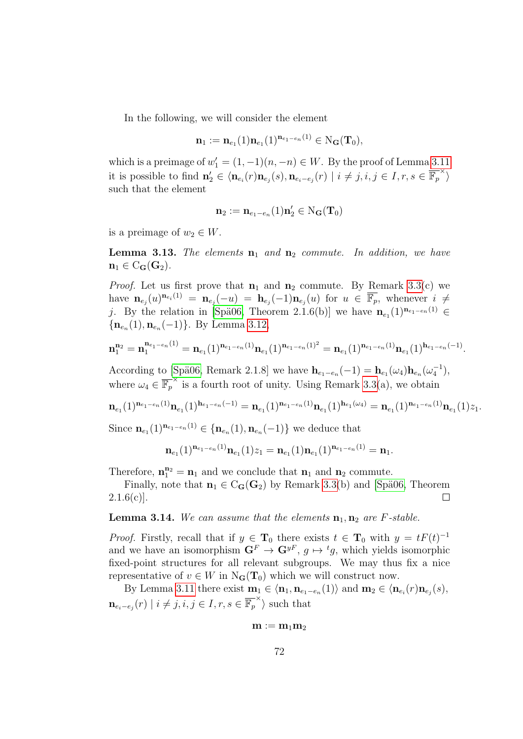In the following, we will consider the element

$$
\mathbf{n}_1 := \mathbf{n}_{e_1}(1)\mathbf{n}_{e_1}(1)^{\mathbf{n}_{e_1-e_n}(1)} \in \mathrm{N}_\mathbf{G}(\mathbf{T}_0),
$$

which is a preimage of  $w'_1 = (1, -1)(n, -n) \in W$ . By the proof of Lemma [3.11](#page-70-0) it is possible to find  $\mathbf{n}'_2 \in \langle \mathbf{n}_{e_i}(r) \mathbf{n}_{e_j}(s), \mathbf{n}_{e_i-e_j}(r) \mid i \neq j, i, j \in I, r, s \in \overline{\mathbb{F}_p}^{\times} \rangle$ such that the element

$$
\mathbf{n}_2:=\mathbf{n}_{e_1-e_n}(1)\mathbf{n}_2'\in\mathrm{N}_\mathbf{G}(\mathbf{T}_0)
$$

is a preimage of  $w_2 \in W$ .

**Lemma 3.13.** The elements  $n_1$  and  $n_2$  commute. In addition, we have  $n_1 \in C_G(G_2)$ .

*Proof.* Let us first prove that  $n_1$  and  $n_2$  commute. By Remark [3.3\(](#page-64-0)c) we have  $\mathbf{n}_{e_j}(u)^{\mathbf{n}_{e_i}(1)} = \mathbf{n}_{e_j}(-u) = \mathbf{h}_{e_j}(-1)\mathbf{n}_{e_j}(u)$  for  $u \in \overline{\mathbb{F}_p}$ , whenever  $i \neq$ j. By the relation in [Spä06, Theorem 2.1.6(b)] we have  $\mathbf{n}_{e_1}(1)^{\mathbf{n}_{e_1-e_n}(1)} \in$  ${n_{e_n}(1), \mathbf{n}_{e_n}(-1)}$ . By Lemma [3.12,](#page-70-1)

$$
\mathbf{n}^{\mathbf{n}_2}_1 = \mathbf{n}^{\mathbf{n}_{e_1-e_n}(1)}_1 = \mathbf{n}_{e_1}(1)^{\mathbf{n}_{e_1-e_n}(1)} \mathbf{n}_{e_1}(1)^{\mathbf{n}_{e_1-e_n}(1)^2} = \mathbf{n}_{e_1}(1)^{\mathbf{n}_{e_1-e_n}(1)} \mathbf{n}_{e_1}(1)^{\mathbf{h}_{e_1-e_n}(-1)}.
$$

According to [Spä06, Remark 2.1.8] we have  $\mathbf{h}_{e_1-e_n}(-1) = \mathbf{h}_{e_1}(\omega_4)\mathbf{h}_{e_n}(\omega_4^{-1}),$ where  $\omega_4 \in \overline{\mathbb{F}_p}^{\times}$  is a fourth root of unity. Using Remark [3.3\(](#page-64-0)a), we obtain

$$
\mathbf{n}_{e_1}(1)^{\mathbf{n}_{e_1-e_n}(1)}\mathbf{n}_{e_1}(1)^{\mathbf{h}_{e_1-e_n}(-1)}=\mathbf{n}_{e_1}(1)^{\mathbf{n}_{e_1-e_n}(1)}\mathbf{n}_{e_1}(1)^{\mathbf{h}_{e_1}(\omega_4)}=\mathbf{n}_{e_1}(1)^{\mathbf{n}_{e_1-e_n}(1)}\mathbf{n}_{e_1}(1)z_1.
$$

Since  $\mathbf{n}_{e_1}(1)^{\mathbf{n}_{e_1-e_n}(1)} \in {\mathbf{n}_{e_n}(1), \mathbf{n}_{e_n}(-1)}$  we deduce that

$$
\mathbf{n}_{e_1}(1)^{\mathbf{n}_{e_1-e_n}(1)}\mathbf{n}_{e_1}(1)z_1 = \mathbf{n}_{e_1}(1)\mathbf{n}_{e_1}(1)^{\mathbf{n}_{e_1-e_n}(1)} = \mathbf{n}_1.
$$

Therefore,  $\mathbf{n}_1^{\mathbf{n}_2} = \mathbf{n}_1$  and we conclude that  $\mathbf{n}_1$  and  $\mathbf{n}_2$  commute.

Finally, note that  $\mathbf{n}_1 \in C_{\mathbf{G}}(\mathbf{G}_2)$  by Remark [3.3\(](#page-64-0)b) and [Spä06, Theorem  $2.1.6(c)$ .  $\Box$ 

#### **Lemma 3.14.** We can assume that the elements  $n_1, n_2$  are *F*-stable.

*Proof.* Firstly, recall that if  $y \in \mathbf{T}_0$  there exists  $t \in \mathbf{T}_0$  with  $y = tF(t)^{-1}$ and we have an isomorphism  $G^F \to G^{yF}$ ,  $g \mapsto {}^tg$ , which yields isomorphic fixed-point structures for all relevant subgroups. We may thus fix a nice representative of  $v \in W$  in  $N_{\mathbf{G}}(\mathbf{T}_0)$  which we will construct now.

By Lemma [3.11](#page-70-0) there exist  $\mathbf{m}_1 \in \langle \mathbf{n}_1, \mathbf{n}_{e_1-e_n}(1) \rangle$  and  $\mathbf{m}_2 \in \langle \mathbf{n}_{e_i}(r) \mathbf{n}_{e_j}(s), \mathbf{n}_{e_j}(s) \rangle$  $\mathbf{n}_{e_i-e_j}(r) \mid i \neq j, i, j \in I, r, s \in \overline{\mathbb{F}_p}^{\times}$  such that

$$
\mathbf{m}:=\mathbf{m}_1\mathbf{m}_2
$$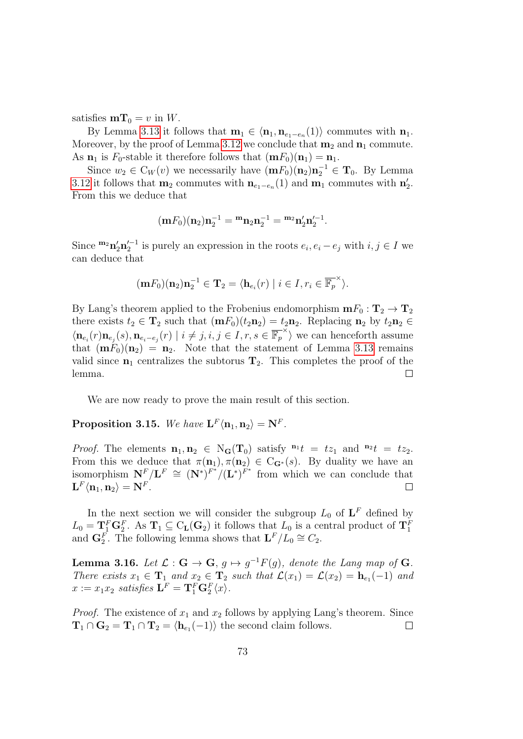satisfies  $mT_0 = v$  in W.

By Lemma [3.13](#page-71-0) it follows that  $\mathbf{m}_1 \in \langle \mathbf{n}_1, \mathbf{n}_{e_1-e_n}(1) \rangle$  commutes with  $\mathbf{n}_1$ . Moreover, by the proof of Lemma [3.12](#page-70-0) we conclude that  $m_2$  and  $n_1$  commute. As  $\mathbf{n}_1$  is  $F_0$ -stable it therefore follows that  $(\mathbf{m}F_0)(\mathbf{n}_1) = \mathbf{n}_1$ .

Since  $w_2 \in C_W(v)$  we necessarily have  $(\mathbf{m} F_0)(\mathbf{n}_2)\mathbf{n}_2^{-1} \in \mathbf{T}_0$ . By Lemma [3.12](#page-70-0) it follows that  $\mathbf{m}_2$  commutes with  $\mathbf{n}_{e_1-e_n}(1)$  and  $\mathbf{m}_1$  commutes with  $\mathbf{n}'_2$ . From this we deduce that

$$
(\mathbf{m}F_0)(\mathbf{n}_2)\mathbf{n}_2^{-1} = {}^{\mathbf{m}}\mathbf{n}_2\mathbf{n}_2^{-1} = {}^{\mathbf{m}_2}\mathbf{n}_2'\mathbf{n}_2'^{-1}.
$$

Since  ${}^{m_2}n'_2n'_2{}^{-1}$  is purely an expression in the roots  $e_i, e_i - e_j$  with  $i, j \in I$  we can deduce that

$$
(\mathbf{m}F_0)(\mathbf{n}_2)\mathbf{n}_2^{-1} \in \mathbf{T}_2 = \langle \mathbf{h}_{e_i}(r) \mid i \in I, r_i \in \overline{\mathbb{F}_p}^{\times} \rangle.
$$

By Lang's theorem applied to the Frobenius endomorphism  $\mathbf{m} F_0 : \mathbf{T}_2 \to \mathbf{T}_2$ there exists  $t_2 \in \mathbf{T}_2$  such that  $(\mathbf{m} F_0)(t_2 \mathbf{n}_2) = t_2 \mathbf{n}_2$ . Replacing  $\mathbf{n}_2$  by  $t_2 \mathbf{n}_2 \in$  $\langle \mathbf{n}_{e_i}(r) \mathbf{n}_{e_j}(s), \mathbf{n}_{e_i-e_j}(r) \mid i \neq j, i, j \in I, r, s \in \overline{\mathbb{F}_p}^{\times} \rangle$  we can henceforth assume that  $(mF_0)(n_2) = n_2$ . Note that the statement of Lemma [3.13](#page-71-0) remains valid since  $n_1$  centralizes the subtorus  $T_2$ . This completes the proof of the lemma.  $\Box$ 

We are now ready to prove the main result of this section.

Proposition 3.15. We have  $\mathbf{L}^F \langle \mathbf{n}_1, \mathbf{n}_2 \rangle = \mathbf{N}^F$ .

*Proof.* The elements  $\mathbf{n}_1, \mathbf{n}_2 \in N_G(\mathbf{T}_0)$  satisfy  $\mathbf{n}_1 t = t z_1$  and  $\mathbf{n}_2 t = t z_2$ . From this we deduce that  $\pi(\mathbf{n}_1), \pi(\mathbf{n}_2) \in C_{\mathbf{G}^*}(s)$ . By duality we have an isomorphism  $N^F/L^F \cong (N^*)^{F^*}/(L^*)^{F^*}$  from which we can conclude that  $\mathbf{L}^F \langle \mathbf{n}_1, \mathbf{n}_2 \rangle = \mathbf{N}^F.$  $\Box$ 

In the next section we will consider the subgroup  $L_0$  of  $\mathbf{L}^F$  defined by  $L_0 = \mathbf{T}_1^F \mathbf{G}_2^F$ . As  $\mathbf{T}_1 \subseteq C_{\mathbf{L}}(\mathbf{G}_2)$  it follows that  $L_0$  is a central product of  $\mathbf{T}_1^F$  and  $\mathbf{G}_2^F$ . The following lemma shows that  $\mathbf{L}^F/L_0 \cong C_2$ .

<span id="page-72-0"></span>**Lemma 3.16.** Let  $\mathcal{L}: \mathbf{G} \to \mathbf{G}, g \mapsto g^{-1}F(g)$ , denote the Lang map of G. There exists  $x_1 \in \mathbf{T}_1$  and  $x_2 \in \mathbf{T}_2$  such that  $\mathcal{L}(x_1) = \mathcal{L}(x_2) = \mathbf{h}_{e_1}(-1)$  and  $x := x_1 x_2$  satisfies  $\mathbf{L}^F = \mathbf{T}_1^F \mathbf{G}_2^F \langle x \rangle$ .

*Proof.* The existence of  $x_1$  and  $x_2$  follows by applying Lang's theorem. Since  $\mathbf{T}_1 \cap \mathbf{G}_2 = \mathbf{T}_1 \cap \mathbf{T}_2 = \langle \mathbf{h}_{e_1}(-1) \rangle$  the second claim follows.  $\Box$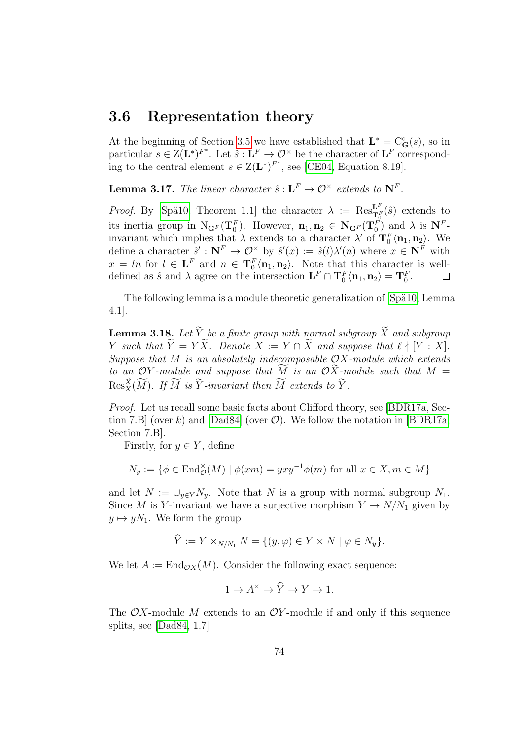### 3.6 Representation theory

At the beginning of Section [3.5](#page-69-0) we have established that  $\mathbf{L}^* = \mathbf{C}_\mathbf{G}^\circ(s)$ , so in particular  $s \in \mathbb{Z}(\mathbf{L}^*)^{F^*}$ . Let  $\hat{s}: \mathbf{L}^F \to \mathcal{O}^\times$  be the character of  $\mathbf{L}^F$  corresponding to the central element  $s \in Z(L^*)^{F^*}$ , see [\[CE04,](#page-142-0) Equation 8.19].

<span id="page-73-0"></span>**Lemma 3.17.** The linear character  $\hat{s}: L^F \to \mathcal{O}^\times$  extends to  $\mathbf{N}^F$ .

*Proof.* By [Spä10, Theorem 1.1] the character  $\lambda := \text{Res}_{\mathbf{T}_0^F}^{\mathbf{L}^F}(\hat{s})$  extends to its inertia group in  $N_{\mathbf{G}^F}(\mathbf{T}_0^F)$ . However,  $\mathbf{n}_1, \mathbf{n}_2 \in \mathbf{N}_{\mathbf{G}^F}(\mathbf{T}_0^F)$  and  $\lambda$  is  $\mathbf{N}^F$ invariant which implies that  $\lambda$  extends to a character  $\lambda'$  of  $\mathbf{T}_0^F\langle \mathbf{n}_1, \mathbf{n}_2 \rangle$ . We define a character  $\hat{s}' : \mathbf{N}^F \to \mathcal{O}^\times$  by  $\hat{s}'(x) := \hat{s}(l)\lambda'(n)$  where  $x \in \mathbf{N}^F$  with  $x = \ln \text{ for } l \in \mathbf{L}^F \text{ and } n \in \mathbf{T}_0^F \langle \mathbf{n}_1, \mathbf{n}_2 \rangle$ . Note that this character is welldefined as  $\hat{s}$  and  $\lambda$  agree on the intersection  $\mathbf{L}^F \cap \mathbf{T}_0^F \langle \mathbf{n}_1, \mathbf{n}_2 \rangle = \mathbf{T}_0^F$ .  $\Box$ 

The following lemma is a module theoretic generalization of [Spä10, Lemma 4.1].

<span id="page-73-1"></span>**Lemma 3.18.** Let  $\widetilde{Y}$  be a finite group with normal subgroup  $\widetilde{X}$  and subgroup Y such that  $\widetilde{Y} = Y\widetilde{X}$ . Denote  $X := Y \cap \widetilde{X}$  and suppose that  $\ell \nmid [Y : X].$ Suppose that  $M$  is an absolutely indecomposable  $OX$ -module which extends to an OY-module and suppose that M is an OX-module such that  $M =$  $\text{Res}_{X}^{X}(\widetilde{M})$ . If  $\widetilde{M}$  is  $\widetilde{Y}$ -invariant then  $\widetilde{M}$  extends to  $\widetilde{Y}$ .

Proof. Let us recall some basic facts about Clifford theory, see [\[BDR17a,](#page-141-0) Sec-tion 7.B] (over k) and [\[Dad84\]](#page-142-1) (over  $\mathcal{O}$ ). We follow the notation in [\[BDR17a,](#page-141-0) Section 7.B].

Firstly, for  $y \in Y$ , define

$$
N_y := \{ \phi \in \text{End}_{\mathcal{O}}^{\times}(M) \mid \phi(xm) = yxy^{-1}\phi(m) \text{ for all } x \in X, m \in M \}
$$

and let  $N := \bigcup_{y \in Y} N_y$ . Note that N is a group with normal subgroup  $N_1$ . Since M is Y-invariant we have a surjective morphism  $Y \to N/N_1$  given by  $y \mapsto yN_1$ . We form the group

$$
\hat{Y} := Y \times_{N/N_1} N = \{ (y, \varphi) \in Y \times N \mid \varphi \in N_y \}.
$$

We let  $A := \text{End}_{\mathcal{O}X}(M)$ . Consider the following exact sequence:

$$
1 \to A^{\times} \to \widehat{Y} \to Y \to 1.
$$

The  $\mathcal{O}X$ -module M extends to an  $\mathcal{O}Y$ -module if and only if this sequence splits, see [\[Dad84,](#page-142-1) 1.7]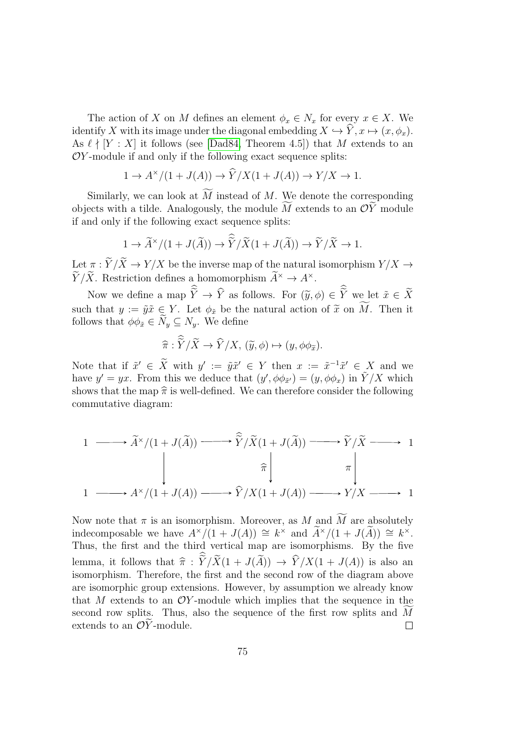The action of X on M defines an element  $\phi_x \in N_x$  for every  $x \in X$ . We identify X with its image under the diagonal embedding  $X \hookrightarrow \widehat{Y}, x \mapsto (x, \phi_x)$ . As  $\ell \nmid [Y : X]$  it follows (see [\[Dad84,](#page-142-1) Theorem 4.5]) that M extends to an  $OY$ -module if and only if the following exact sequence splits:

$$
1 \to A^{\times}/(1 + J(A)) \to \widehat{Y}/X(1 + J(A)) \to Y/X \to 1.
$$

Similarly, we can look at  $\widetilde{M}$  instead of M. We denote the corresponding objects with a tilde. Analogously, the module  $\overline{M}$  extends to an  $\mathcal{O}\widetilde{Y}$  module if and only if the following exact sequence splits:

$$
1 \to \widetilde{A}^{\times}/(1+J(\widetilde{A})) \to \widetilde{\widetilde{Y}}/\widetilde{X}(1+J(\widetilde{A})) \to \widetilde{Y}/\widetilde{X} \to 1.
$$

Let  $\pi : \widetilde{Y} / \widetilde{X} \rightarrow Y / X$  be the inverse map of the natural isomorphism  $Y / X \rightarrow$  $\widetilde{Y}/\widetilde{X}$ . Restriction defines a homomorphism  $\widetilde{A}^{\times} \to A^{\times}$ .

Now we define a map  $Y \to Y$  as follows. For  $(\tilde{y}, \phi) \in Y$  we let  $\tilde{x} \in X$ such that  $y := \tilde{y}\tilde{x} \in Y$ . Let  $\phi_{\tilde{x}}$  be the natural action of  $\tilde{x}$  on  $\widetilde{M}$ . Then it follows that  $\phi \phi_{\tilde{x}} \in \widetilde{N}_y \subseteq N_y$ . We define

$$
\widehat{\pi}: \widetilde{Y}/\widetilde{X} \to \widehat{Y}/X, \ (\widetilde{y}, \phi) \mapsto (y, \phi \phi_{\widetilde{x}}).
$$

Note that if  $\tilde{x}' \in \tilde{X}$  with  $y' := \tilde{y}\tilde{x}' \in Y$  then  $x := \tilde{x}^{-1}\tilde{x}' \in X$  and we have  $y' = yx$ . From this we deduce that  $(y', \phi \phi_{\tilde{x}'}) = (y, \phi \phi_x)$  in  $\tilde{Y}/X$  which shows that the map  $\hat{\pi}$  is well-defined. We can therefore consider the following commutative diagram:

$$
1 \longrightarrow \widetilde{A}^{\times}/(1+J(\widetilde{A})) \longrightarrow \widetilde{\widetilde{Y}}/\widetilde{X}(1+J(\widetilde{A})) \longrightarrow \widetilde{Y}/\widetilde{X} \longrightarrow 1
$$
  
\n
$$
\uparrow \qquad \qquad \uparrow \qquad \qquad \uparrow
$$
  
\n
$$
1 \longrightarrow A^{\times}/(1+J(A)) \longrightarrow \widehat{Y}/X(1+J(A)) \longrightarrow Y/X \longrightarrow 1
$$

Now note that  $\pi$  is an isomorphism. Moreover, as M and  $\widetilde{M}$  are absolutely indecomposable we have  $A^{\times}/(1+J(A)) \cong k^{\times}$  and  $\widetilde{A}^{\times}/(1+J(\widetilde{A})) \cong k^{\times}$ . Thus, the first and the third vertical map are isomorphisms. By the five lemma, it follows that  $\hat{\pi}$  :  $Y/X(1 + J(A)) \rightarrow Y/X(1 + J(A))$  is also an isomorphism. Therefore, the first and the second row of the diagram above isomorphism. Therefore, the first and the second row of the diagram above are isomorphic group extensions. However, by assumption we already know that M extends to an  $OY$ -module which implies that the sequence in the second row splits. Thus, also the sequence of the first row splits and M extends to an  $\mathcal{O}\widetilde{Y}$ -module. extends to an  $OY$ -module.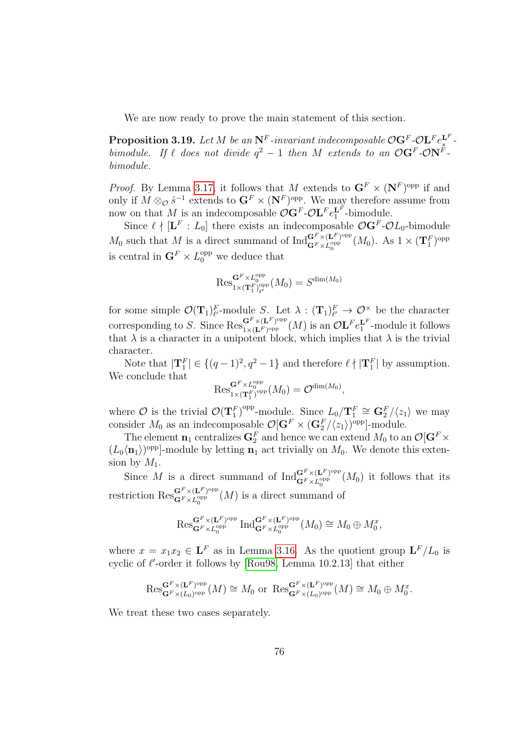We are now ready to prove the main statement of this section.

<span id="page-75-0"></span>**Proposition 3.19.** Let M be an  $N^F$ -invariant indecomposable  $\mathcal{O}G^F$ - $\mathcal{O}L^F e_s^{L^F}$ . s bimodule. If  $\ell$  does not divide  $q^2 - 1$  then M extends to an  $\mathcal{O} \mathbf{G}^F \text{-} \mathcal{O} \mathbf{N}^F$ . bimodule.

*Proof.* By Lemma [3.17,](#page-73-0) it follows that M extends to  $\mathbf{G}^F \times (\mathbf{N}^F)^{\text{opp}}$  if and only if  $M \otimes_{\mathcal{O}} \hat{s}^{-1}$  extends to  $\mathbf{G}^F \times (\mathbf{N}^F)^{\text{opp}}$ . We may therefore assume from now on that M is an indecomposable  $\mathcal{O}(\mathbf{G}^F - \mathcal{O}(\mathbf{L}^F \mathbf{e}_1^{\mathbf{L}^F})$ -bimodule.

Since  $\ell \nmid [\mathbf{L}^F : L_0]$  there exists an indecomposable  $\mathcal{O}(\mathbf{G}^F \cdot \mathcal{O}L_0)$ -bimodule  $M_0$  such that M is a direct summand of  $\text{Ind}_{\mathbf{G}^F \times L^{opp}_{\alpha}}^{\mathbf{G}^F \times (\mathbf{L}^F)^{\text{opp}}}$  $\frac{\mathbf{G}^F \times (\mathbf{L}^F)^{\text{opp}}}{\mathbf{G}^F \times L_0^{\text{opp}}}(M_0)$ . As  $1 \times (\mathbf{T}_1^F)^{\text{opp}}$ is central in  $\mathbf{G}^F \times L_0^{\text{opp}}$  we deduce that

$$
\operatorname{Res}^{\mathbf{G}^F\times L^{\operatorname{opp}}_0}_{1\times(\mathbf{T}^F_1)_{\ell'}^{\operatorname{opp}}}(M_0)=S^{\operatorname{dim}(M_0)}
$$

for some simple  $\mathcal{O}(\mathbf{T}_1)_{\ell'}^F$ -module S. Let  $\lambda: (\mathbf{T}_1)_{\ell'}^F \to \mathcal{O}^\times$  be the character corresponding to S. Since  $\operatorname{Res}_{1 \times (\mathbf{L}^F)^{\text{opp}}}^{\mathbf{G}^F \times (\mathbf{L}^F)^{\text{opp}}}$  $\frac{\mathbf{G}^F \times (\mathbf{L}^F)^{\text{opp}}}{1 \times (\mathbf{L}^F)^{\text{opp}}} (M)$  is an  $\mathcal{O}\mathbf{L}^F e_1^{\mathbf{L}^F}$ -module it follows that  $\lambda$  is a character in a unipotent block, which implies that  $\lambda$  is the trivial character.

Note that  $|\mathbf{T}_1^F| \in \{(q-1)^2, q^2-1\}$  and therefore  $\ell \nmid |\mathbf{T}_1^F|$  by assumption. We conclude that

$$
\operatorname{Res}^{\mathbf{G}^F\times L^{\operatorname{opp}}_0}_{1\times(\mathbf{T}_1^F)^{\operatorname{opp}}}(M_0)=\mathcal{O}^{\operatorname{dim}(M_0)},
$$

where  $\mathcal O$  is the trivial  $\mathcal O(\mathbf T_1^F)^{\text{opp}}$ -module. Since  $L_0/\mathbf T_1^F \cong \mathbf G_2^F/\langle z_1\rangle$  we may consider  $M_0$  as an indecomposable  $\mathcal{O}[\mathbf{G}^F \times (\mathbf{G}_2^F / \langle z_1 \rangle)^{\text{opp}}]$ -module.

The element  $\mathbf{n}_1$  centralizes  $\mathbf{G}_2^F$  and hence we can extend  $M_0$  to an  $\mathcal{O}[\mathbf{G}^F \times$  $(L_0\langle n_1\rangle)$ <sup>opp</sup>]-module by letting  $n_1$  act trivially on  $M_0$ . We denote this extension by  $M_1$ .

Since M is a direct summand of  $\operatorname{Ind}_{\mathbf{C}^F \times I^{\text{opp}}_{\mathbf{C}^F}}^{\mathbf{G}^F \times (\mathbf{L}^F)^{\text{opp}}}$  $\mathbf{G}^F \times \mathbf{L}^{\text{opp}}_{\mathbf{G}}(M_0)$  it follows that its restriction  $\operatorname{Res}_{\mathbf{G}^F \times \mathbf{L}^F}^{\mathbf{G}^F \times (\mathbf{L}^F)^{\text{opp}}}(M)$  is a direct summa  $\mathbf{G}^{\text{F}} \times \mathbf{L}_{0}^{\text{opp}}(M)$  is a direct summand of

$$
\mathrm{Res}^{\mathbf{G}^F\times(\mathbf{L}^F)\text{opp}}_{\mathbf{G}^F\times L_0^{\text{opp}}}\mathrm{Ind}^{\mathbf{G}^F\times(\mathbf{L}^F)\text{opp}}_{\mathbf{G}^F\times L_0^{\text{opp}}}(M_0)\cong M_0\oplus M_0^x,
$$

where  $x = x_1 x_2 \in \mathbf{L}^F$  as in Lemma [3.16.](#page-72-0) As the quotient group  $\mathbf{L}^F/L_0$  is cyclic of  $\ell'$ -order it follows by [\[Rou98,](#page-145-1) Lemma 10.2.13] that either

$$
\mathrm{Res}^{\mathbf{G}^F\times(\mathbf{L}^F)\text{opp}}_{\mathbf{G}^F\times(L_0)\text{opp}}(M)\cong M_0 \text{ or } \mathrm{Res}^{\mathbf{G}^F\times(\mathbf{L}^F)\text{opp}}_{\mathbf{G}^F\times(L_0)\text{opp}}(M)\cong M_0\oplus M_0^x.
$$

We treat these two cases separately.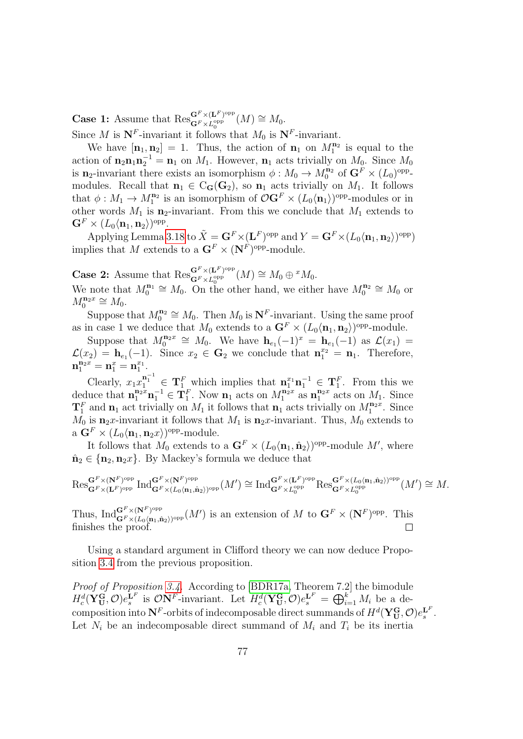**Case 1:** Assume that  $\operatorname{Res}_{\mathbf{G}^F \times \mathbf{L}^F$  opp  $\mathbf{G}^F\times (\mathbf{L}^F)^\mathrm{opp}_{\qquad \qquad }(M)\cong M_0.$ 

Since M is  $N^F$ -invariant it follows that  $M_0$  is  $N^F$ -invariant.

We have  $[\mathbf{n}_1, \mathbf{n}_2] = 1$ . Thus, the action of  $\mathbf{n}_1$  on  $M_1^{\mathbf{n}_2}$  is equal to the action of  $\mathbf{n}_2 \mathbf{n}_1 \mathbf{n}_2^{-1} = \mathbf{n}_1$  on  $M_1$ . However,  $\mathbf{n}_1$  acts trivially on  $M_0$ . Since  $M_0$ is  $n_2$ -invariant there exists an isomorphism  $\phi: M_0 \to M_0^{n_2}$  of  $G^F \times (L_0)^{\text{opp}}$ modules. Recall that  $\mathbf{n}_1 \in C_G(\mathbf{G}_2)$ , so  $\mathbf{n}_1$  acts trivially on  $M_1$ . It follows that  $\phi: M_1 \to M_1^{\mathbf{n}_2}$  is an isomorphism of  $\mathcal{O} \mathbf{G}^F \times (L_0 \langle \mathbf{n}_1 \rangle)^\text{opp-modules}$  or in other words  $M_1$  is n<sub>2</sub>-invariant. From this we conclude that  $M_1$  extends to  $\mathbf{G}^F\times (L_0\langle \mathbf{n}_1, \mathbf{n}_2\rangle)^{\mathrm{opp}}.$ 

Applying Lemma [3.18](#page-73-1) to  $\tilde{X} = \mathbf{G}^F \times (\mathbf{L}^F)^\mathrm{opp}$  and  $Y = \mathbf{G}^F \times (L_0 \langle \mathbf{n}_1, \mathbf{n}_2 \rangle)^\mathrm{opp})$ implies that M extends to a  $\mathbf{G}^F \times (\mathbf{N}^F)^\text{opp}\text{-module.}$ 

**Case 2:** Assume that  $\operatorname{Res}_{\mathbf{G}^F\times\mathbf{L}^F\mathbf{P}^{\text{opp}}_{\mathbf{L}}$  $\mathbf{G}^{F} \times (\mathbf{L}^{F})^{\mathrm{opp}}_{0} (M) \cong M_{0} \oplus {}^{x} M_{0}.$ 

We note that  $M_0^{n_1} \cong M_0$ . On the other hand, we either have  $M_0^{n_2} \cong M_0$  or  $M_0^{\mathbf{n}_2 x} \cong M_0.$ 

Suppose that  $M_0^{\mathbf{n}_2} \cong M_0$ . Then  $M_0$  is  $\mathbf{N}^F$ -invariant. Using the same proof as in case 1 we deduce that  $M_0$  extends to a  $\mathbf{G}^F \times (L_0 \langle \mathbf{n}_1, \mathbf{n}_2 \rangle)$ <sup>opp</sup>-module.

Suppose that  $M_0^{\mathbf{n}_2 x} \cong M_0$ . We have  $\mathbf{h}_{e_1}(-1)^x = \mathbf{h}_{e_1}(-1)$  as  $\mathcal{L}(x_1) =$  $\mathcal{L}(x_2) = \mathbf{h}_{e_1}(-1)$ . Since  $x_2 \in \mathbf{G}_2$  we conclude that  $\mathbf{n}_1^{x_2} = \mathbf{n}_1$ . Therefore,  $\mathbf{n}_1^{\mathbf{n}_2 x} = \mathbf{n}_1^x = \mathbf{n}_1^{x_1}.$ 

Clearly,  $x_1x_1^{n_1^{-1}} \in \mathbf{T}_1^F$  which implies that  $\mathbf{n}_1^{x_1} \mathbf{n}_1^{-1} \in \mathbf{T}_1^F$ . From this we deduce that  $\mathbf{n}_1^{\mathbf{n}_2 x} \mathbf{n}_1^{-1} \in \mathbf{T}_1^F$ . Now  $\mathbf{n}_1$  acts on  $M_1^{\mathbf{n}_2 x}$  as  $\mathbf{n}_1^{\mathbf{n}_2 x}$  acts on  $M_1$ . Since  $\mathbf{T}_1^F$  and  $\mathbf{n}_1$  act trivially on  $M_1$  it follows that  $\mathbf{n}_1$  acts trivially on  $M_1^{\mathbf{n}_2 x}$ . Since  $M_0$  is  $\mathbf{n}_2 x$ -invariant it follows that  $M_1$  is  $\mathbf{n}_2 x$ -invariant. Thus,  $M_0$  extends to a  $\mathbf{G}^F \times (L_0 \langle \mathbf{n}_1, \mathbf{n}_2 x \rangle)$ <sup>opp</sup>-module.

It follows that  $M_0$  extends to a  $\mathbf{G}^F \times (L_0 \langle \mathbf{n}_1, \hat{\mathbf{n}}_2 \rangle)$ <sup>opp</sup>-module M', where  $\hat{\mathbf{n}}_2 \in \{\mathbf{n}_2, \mathbf{n}_2 x\}$ . By Mackey's formula we deduce that

$$
\operatorname{Res}^{\mathbf{G}^F\times (\mathbf{N}^F)\text{opp}}_{\mathbf{G}^F\times (\mathbf{L}^F)\text{opp}}\operatorname{Ind}^{\mathbf{G}^F\times (\mathbf{N}^F)\text{opp}}_{\mathbf{G}^F\times (L_0\langle \mathbf{n}_1,\hat{\mathbf{n}}_2\rangle)\text{opp}}(M')\cong \operatorname{Ind}^{\mathbf{G}^F\times (\mathbf{L}^F)\text{opp}}_{\mathbf{G}^F\times L_0^\text{opp}}\operatorname{Res}^{\mathbf{G}^F\times (L_0\langle \mathbf{n}_1,\hat{\mathbf{n}}_2\rangle)\text{opp}}_{\mathbf{G}^F\times L_0^\text{opp}}(M')\cong M.
$$

Thus,  ${\rm Ind}^{{\bf G}^F\times ({\bf N}^F)^{\rm opp}}_{{\bf G}^F\times (L_2/{\bf n}_1,\hat{\bf r})}$  $\mathbf{G}^F \times (\mathbf{N}^F)^{\text{opp}}$   $(M')$  is an extension of M to  $\mathbf{G}^F \times (\mathbf{N}^F)^{\text{opp}}$ . This finishes the proof.  $\Box$ 

Using a standard argument in Clifford theory we can now deduce Proposition [3.4](#page-66-0) from the previous proposition.

Proof of Proposition [3.4.](#page-66-0) According to [\[BDR17a,](#page-141-0) Theorem 7.2] the bimodule  $H_c^d(\mathbf{Y_U^G}, \mathcal{O})e_s^{\mathbf{L}^F}$  is  $\mathcal{O}\mathbf{N}^F$ -invariant. Let  $H_c^d(\mathbf{Y_U^G}, \mathcal{O})e_s^{\mathbf{L}^F} = \bigoplus_{i=1}^k M_i$  be a decomposition into  $N^F$ -orbits of indecomposable direct summands of  $H^d(\mathbf{Y}_{\mathbf{U}}^{\mathbf{G}}, \mathcal{O})e_s^{\mathbf{L}^F}.$ Let  $N_i$  be an indecomposable direct summand of  $M_i$  and  $T_i$  be its inertia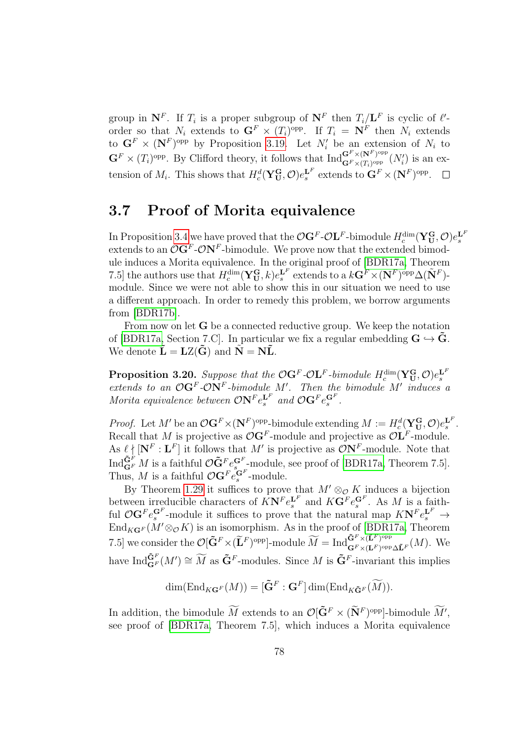group in  $N^F$ . If  $T_i$  is a proper subgroup of  $N^F$  then  $T_i/L^F$  is cyclic of  $\ell'$ order so that  $N_i$  extends to  $\mathbf{G}^F \times (T_i)^{\text{opp}}$ . If  $T_i = \mathbf{N}^F$  then  $N_i$  extends to  $\mathbf{G}^F \times (\mathbf{N}^F)$ <sup>opp</sup> by Proposition [3.19.](#page-75-0) Let  $N_i$  be an extension of  $N_i$  to  $\mathbf{G}^F \times (T_i)^{\text{opp}}$ . By Clifford theory, it follows that  $\text{Ind}_{\mathbf{G}^F \times (T_i)^{\text{opp}}}^{\mathbf{G}^F \times (\mathbf{N}^F)^{\text{opp}}}$  $\frac{\mathbf{G}^{\mathrm{F}} \times (\mathbf{N}^{\mathrm{F}})^{\mathrm{opp}}}{\mathbf{G}^{\mathrm{F}} \times (T_i)^{\mathrm{opp}}}(N_i')$  is an extension of  $M_i$ . This shows that  $H_c^d(\mathbf{Y_U^G}, \mathcal{O})e_s^{\mathbf{L}^F}$  extends to  $\mathbf{G}^F \times (\mathbf{N}^F)^{\text{opp}}$ .

#### 3.7 Proof of Morita equivalence

In Proposition [3.4](#page-66-0) we have proved that the  $\mathcal{O}G^F-\mathcal{O}L^F$ -bimodule  $H_c^{\dim}(\mathbf{Y}_{\mathbf{U}}^{\mathbf{G}}, \mathcal{O})e_s^{\mathbf{L}^F}$ extends to an  $\mathcal{O}(\mathbf{G}^F \text{-} \mathcal{O}(\mathbf{N}^F \text{-} \text{bimodule})$ . We prove now that the extended bimodule induces a Morita equivalence. In the original proof of [\[BDR17a,](#page-141-0) Theorem 7.5] the authors use that  $H_c^{\dim}(\mathbf{Y_U^G}, k) e_s^{\mathbf{L}^F}$  extends to a  $k\mathbf{G}^F \times (\mathbf{N}^F)$ <sup>opp</sup> $\Delta(\tilde{\mathbf{N}}^F)$ module. Since we were not able to show this in our situation we need to use a different approach. In order to remedy this problem, we borrow arguments from [\[BDR17b\]](#page-141-1).

From now on let G be a connected reductive group. We keep the notation of [\[BDR17a,](#page-141-0) Section 7.C]. In particular we fix a regular embedding  $G \hookrightarrow G$ . We denote  $\tilde{\mathbf{L}} = \mathbf{LZ}(\tilde{\mathbf{G}})$  and  $\tilde{\mathbf{N}} = \mathbf{N}\tilde{\mathbf{L}}$ .

<span id="page-77-0"></span>**Proposition 3.20.** Suppose that the  $\mathcal{O}G^F$ - $\mathcal{O}L^F$ -bimodule  $H_c^{\text{dim}}(\mathbf{Y}_{\mathbf{U}}^{\mathbf{G}}, \mathcal{O})e_s^{\mathbf{L}^F}$  extends to an  $\mathcal{O}G^F$ - $\mathcal{O}\mathbf{N}^F$ -bimodule  $M'$ . Then the bimodule  $M'$  induces a Morita equivalence between  $\mathcal{O}N^Fe^{L^F}_s$  and  $\mathcal{O}G^Fe^{G^F}_s$ .

*Proof.* Let M' be an  $\mathcal{O}(\mathbf{G}^F)(\mathbf{N}^F)$ <sup>opp</sup>-bimodule extending  $M := H_c^d(\mathbf{Y}_{\mathbf{U}}^{\mathbf{G}}, \mathcal{O})e_s^{\mathbf{L}^F}.$ Recall that M is projective as  $\mathcal{O} \mathbf{G}^F$ -module and projective as  $\mathcal{O} \mathbf{L}^F$ -module. As  $\ell \nmid [\mathbf{N}^F : \mathbf{L}^F]$  it follows that M' is projective as  $\mathcal{O}\mathbf{N}^F$ -module. Note that Ind $\tilde{\mathbf{G}}_F^F M$  is a faithful  $\mathcal{O}\tilde{\mathbf{G}}_F^F e_{s}^{\mathbf{G}_F}$ -module, see proof of [\[BDR17a,](#page-141-0) Theorem 7.5]. Thus, M is a faithful  $\mathcal{O}$ **G**<sup>F</sup><sub>e</sub><sup>GF</sup>-module.

By Theorem [1.29](#page-29-0) it suffices to prove that  $M' \otimes_{\mathcal{O}} K$  induces a bijection between irreducible characters of  $K N^F e_s^{L^F}$  and  $K G^F e_s^{G^F}$ . As M is a faithful  $\mathcal{O}(\mathbf{G}^F e_s^{\mathbf{G}^F})$ -module it suffices to prove that the natural map  $K(\mathbf{N}^F e_s^{\mathbf{L}^F}) \to$  $\text{End}_{K{\mathbf G}^F}(M^\prime\otimes_\mathcal{O} K)$  is an isomorphism. As in the proof of [\[BDR17a,](#page-141-0) Theorem 7.5] we consider the  $\mathcal{O}[\tilde{\mathbf{G}}^F \times (\tilde{\mathbf{L}}^F)^{\text{opp}}]$ -module  $\widetilde{M} = \text{Ind}_{\mathbf{G}^F \times (\mathbf{L}^F)^{\text{opp}}}^{\tilde{\mathbf{G}}^F \times (\tilde{\mathbf{L}}^F)^{\text{opp}}}$  $\mathbf{G}^F \times (\mathbf{L}^F)^{\text{opp}} \Delta \mathbf{L}^F(M)$ . We have  $\text{Ind}_{\mathbf{G}^F}^{\tilde{\mathbf{G}}^F}(M') \cong \widetilde{M}$  as  $\tilde{\mathbf{G}}^F$ -modules. Since M is  $\tilde{\mathbf{G}}^F$ -invariant this implies

$$
\dim(\text{End}_{K\mathbf{G}^F}(M)) = [\tilde{\mathbf{G}}^F : \mathbf{G}^F] \dim(\text{End}_{K\tilde{\mathbf{G}}^F}(\widetilde{M})).
$$

In addition, the bimodule  $\widetilde{M}$  extends to an  $\mathcal{O}[\tilde{G}^F \times (\tilde{N}^F)^{\text{opp}}]$ -bimodule  $\widetilde{M}'$ , see proof of [\[BDR17a,](#page-141-0) Theorem 7.5], which induces a Morita equivalence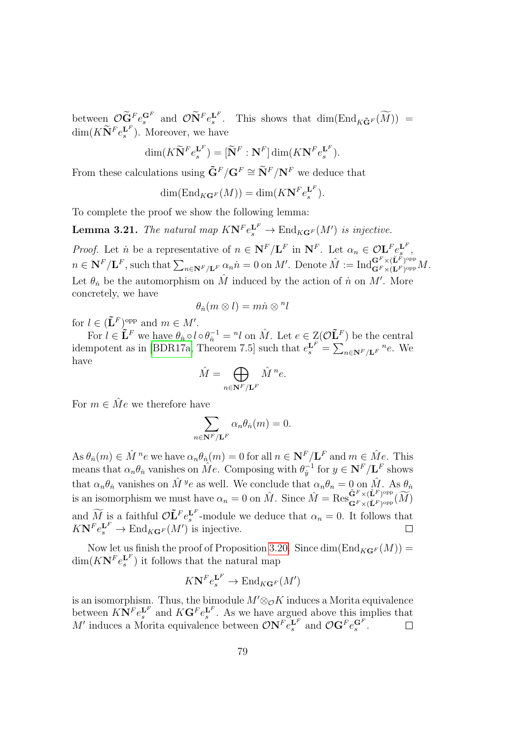between  $\mathcal{O} \widetilde{\mathbf{G}}^F e_s^{\mathbf{G}^F}$  and  $\mathcal{O} \widetilde{\mathbf{N}}^F e_s^{\mathbf{L}^F}$ . This shows that  $\dim(\text{End}_{K\widetilde{\mathbf{G}}^F}(\widetilde{M}))$  =  $\dim(K\widetilde{\mathbf{N}}^Fe^{^{\mathbf{L}^F}}_s)$ . Moreover, we have

$$
\dim(K\widetilde{\mathbf{N}}^F e_s^{\mathbf{L}^F}) = [\widetilde{\mathbf{N}}^F : \mathbf{N}^F] \dim(K\mathbf{N}^F e_s^{\mathbf{L}^F}).
$$

From these calculations using  $\tilde{\mathbf{G}}^F / \mathbf{G}^F \cong \tilde{\mathbf{N}}^F / \mathbf{N}^F$  we deduce that

$$
\dim(\text{End}_{K\mathbf{G}^F}(M)) = \dim(K\mathbf{N}^F e_s^{\mathbf{L}^F}).
$$

To complete the proof we show the following lemma:

**Lemma 3.21.** The natural map  $K N^F e_s^{\mathbf{L}^F} \to \text{End}_{K\mathbf{G}^F}(M')$  is injective.

*Proof.* Let *n* be a representative of  $n \in \mathbb{N}^F/\mathbb{L}^F$  in  $\mathbb{N}^F$ . Let  $\alpha_n \in \mathcal{O}\mathbb{L}^F e_s^{\mathbb{L}^F}$ ,  $n \in \mathbf{N}^F/\mathbf{L}^F$ , such that  $\sum_{n \in \mathbf{N}^F/\mathbf{L}^F} \alpha_n \dot{n} = 0$  on M'. Denote  $\hat{M} := \text{Ind}_{\mathbf{G}^F \times (\mathbf{L}^F)^{\text{opp}}}^{\mathbf{G}^F \times (\mathbf{L}^F)^{\text{opp}}}$  $\mathbf{G}^F\times (\mathbf{L}^F)^\mathrm{opp}M.$ Let  $\theta_n$  be the automorphism on  $\hat{M}$  induced by the action of  $\hat{n}$  on  $M'$ . More concretely, we have

$$
\theta_n(m\otimes l)=m\dot{n}\otimes{}^n l
$$

for  $l \in (\mathbf{\tilde{L}}^F)^{\text{opp}}$  and  $m \in M'.$ 

For  $l \in \mathbf{L}^F$  we have  $\theta_n \circ l \circ \theta_n^{-1} = n \cdot l$  on  $\hat{M}$ . Let  $e \in \mathcal{Z}(\mathcal{O}\mathbf{L}^F)$  be the central idempotent as in [\[BDR17a,](#page-141-0) Theorem 7.5] such that  $e_s^{\mathbf{L}^F} = \sum_{n \in \mathbf{N}^F/\mathbf{L}^F} n_e$ . We have

$$
\hat{M} = \bigoplus_{n \in \mathbf{N}^F / \mathbf{L}^F} \hat{M}^n e.
$$

For  $m \in \hat{M}e$  we therefore have

$$
\sum_{n \in \mathbf{N}^F/\mathbf{L}^F} \alpha_n \theta_n(m) = 0.
$$

As  $\theta_n(m) \in \hat{M}^n e$  we have  $\alpha_n \theta_n(m) = 0$  for all  $n \in \mathbb{N}^F/\mathbf{L}^F$  and  $m \in \hat{M}e$ . This means that  $\alpha_n \theta_n$  vanishes on  $\hat{Me}$ . Composing with  $\theta_i^{-1}$  $y_j^{-1}$  for  $y \in \mathbf{N}^F/\mathbf{L}^F$  shows that  $\alpha_n \theta_n$  vanishes on  $\hat{M}^y e$  as well. We conclude that  $\alpha_n \theta_n = 0$  on  $\hat{M}$ . As  $\theta_n$ is an isomorphism we must have  $\alpha_n = 0$  on  $\hat{M}$ . Since  $\hat{M} = \text{Res}_{\mathbf{G}^F \times (\tilde{\mathbf{L}}^F)_{\text{opp}}}^{\tilde{\mathbf{G}}^F \times (\tilde{\mathbf{L}}^F)^{\text{opp}}}$  $\mathbf{G}^F\times (\tilde{\mathbf{L}}^F)^{\mathrm{opp}}_F(M) \$ and  $\widetilde{M}$  is a faithful  $\mathcal{O}\mathbf{L}^F e_s^{\mathbf{L}^F}$ -module we deduce that  $\alpha_n = 0$ . It follows that  $K\mathbf{N}^F e_s^{\mathbf{L}^F} \to \text{End}_{K\mathbf{G}^F}(M')$  is injective.  $\Box$ 

Now let us finish the proof of Proposition [3.20.](#page-77-0) Since  $\dim(\text{End}_{KG^F}(M)) =$  $\dim(K\mathbf{N}^F e_s^{\mathbf{L}^F})$  it follows that the natural map

$$
K\mathbf{N}^F e_s^{\mathbf{L}^F} \to \text{End}_{K\mathbf{G}^F}(M')
$$

is an isomorphism. Thus, the bimodule  $M' \otimes_{\mathcal{O}} K$  induces a Morita equivalence between  $K N^F e_s^{\mathbf{L}^F}$  and  $K \mathbf{G}^F e_s^{\mathbf{L}^F}$ . As we have argued above this implies that M' induces a Morita equivalence between  $\mathcal{O}N^F e_s^{\mathbf{L}^F}$  and  $\mathcal{O}G^F e_s^{\mathbf{G}^F}$ .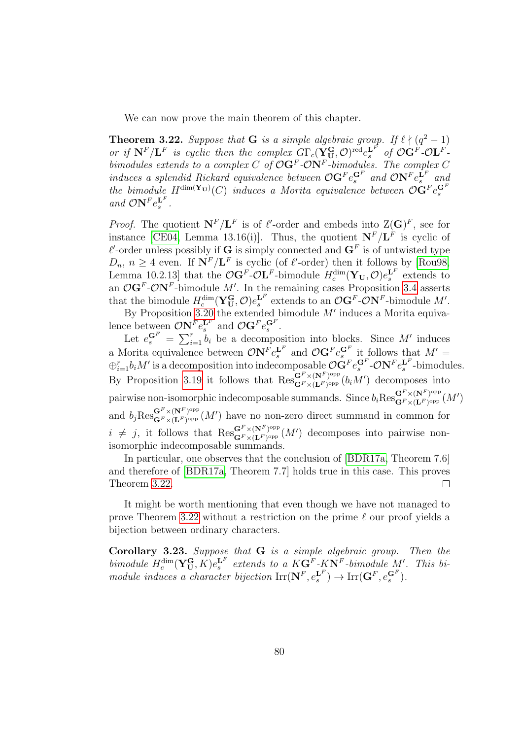We can now prove the main theorem of this chapter.

<span id="page-79-0"></span>**Theorem 3.22.** Suppose that **G** is a simple algebraic group. If  $\ell \nmid (q^2 - 1)$ or if  $N^F/L^F$  is cyclic then the complex  $G\Gamma_c(Y^G_U,\mathcal{O})^{\text{red}}e^{L^F}_s$  of  $\mathcal{O}G^F\text{-}\mathcal{O}L^F$ . bimodules extends to a complex C of  $\mathcal{O}G^F$ - $\mathcal{O}N^F$ -bimodules. The complex C induces a splendid Rickard equivalence between  $\mathcal{O} \mathbf{G}^F e_s^{\mathbf{G}^F}$  and  $\mathcal{O} \mathbf{N}^F e_s^{\mathbf{L}^F}$  and the bimodule  $H^{\text{dim}(\mathbf{Y}_{\mathbf{U}})}(C)$  induces a Morita equivalence between  $\mathcal{O}\mathbf{G}^F e_s^{\mathbf{G}^F}$ and  $\mathcal{O}N^Fe_s^{\mathbf{L}F}$ .

*Proof.* The quotient  $N^F/L^F$  is of  $\ell'$ -order and embeds into  $Z(G)^F$ , see for instance [\[CE04,](#page-142-0) Lemma 13.16(i)]. Thus, the quotient  $N^F/L^F$  is cyclic of  $\ell'$ -order unless possibly if G is simply connected and  $G^F$  is of untwisted type  $D_n$ ,  $n \geq 4$  even. If  $\mathbf{N}^F / \mathbf{L}^F$  is cyclic (of  $\ell'$ -order) then it follows by [\[Rou98,](#page-145-1) Lemma 10.2.13] that the  $\mathcal{O}G^F-\mathcal{O}L^F$ -bimodule  $H_c^{\dim}(\mathbf{Y}_{\mathbf{U}},\mathcal{O})e_s^{\mathbf{L}^F}$  extends to an  $\mathcal{O}G^F$ - $\mathcal{O}N^F$ -bimodule M'. In the remaining cases Proposition [3.4](#page-66-0) asserts that the bimodule  $H_c^{\dim}(\mathbf{Y}_{\mathbf{U}}^{\mathbf{G}}, \mathcal{O})e_s^{\mathbf{L}^F}$  extends to an  $\mathcal{O}(\mathbf{G}^F \text{-} \mathcal{O}(\mathbf{N}^F))$ -bimodule M'.

By Proposition [3.20](#page-77-0) the extended bimodule  $M'$  induces a Morita equivalence between  $\mathcal{O}N^F e_s^{\mathbf{L}^F}$  and  $\mathcal{O}G^F e_s^{\mathbf{G}^F}$ . s and  $\mathbf{C}$ **G**  $e_s$ 

Let  $e_s^{\mathbf{G}^F} = \sum_{i=1}^r b_i$  be a decomposition into blocks. Since M' induces a Morita equivalence between  $\mathcal{O}N^Fe^{L^F}_s$  and  $\mathcal{O}G^Fe^{G^F}_s$  it follows that  $M' =$  $\oplus_{i=1}^rb_iM'$  is a decomposition into indecomposable  $\mathcal{O}GPe^{GF}_s$ - $\mathcal{O}N^Fe^{L^F}_s$ -bimodules. By Proposition [3.19](#page-75-0) it follows that  $\operatorname{Res}_{\mathbf{G}^F\times(\mathbf{I},F)^\text{opp}}^{\mathbf{G}^F\times(\mathbf{N}^F)^\text{opp}}$  $\mathbf{G}^{F} \times (\mathbf{N}^{F})^{\text{opp}}_{\text{opp}}(b_i M')$  decomposes into pairwise non-isomorphic indecomposable summands. Since  $b_i \text{Res}_{\mathbf{G}^F \times (\mathbf{L}^F)^\text{opp}}^{\mathbf{G}^F \times (\mathbf{N}^F)^\text{opp}}$  $\mathbf{G}^{\scriptscriptstyle P}\times\mathbf{(N}^{\scriptscriptstyle P})^{\mathrm{opp}}_{\phantom{\mathrm{opp}}}\left(M'\right) \ \mathbf{G}^{\scriptscriptstyle P}\times\mathbf{(L^{\scriptscriptstyle P})^{\mathrm{opp}}}\left(M'\right)$ and  $b_j \text{Res}_{\mathbf{G}^F \times (\mathbf{L}^F)^{\text{opp}}}^{\mathbf{G}^F \times (\mathbf{N}^F)^{\text{opp}}}$  $\mathbf{G}^F \times (\mathbf{N}^F)^{\text{opp}}(M')$  have no non-zero direct summand in common for  $i \neq j$ , it follows that  $\operatorname{Res}_{\mathbf{G}^F \times (\mathbf{I}^F)^\text{opp}}^{\mathbf{G}^F \times (\mathbf{N}^F)^\text{opp}}$  $\mathbf{G}^F \times (\mathbf{N}^F)^{\text{opp}}(M')$  decomposes into pairwise nonisomorphic indecomposable summands.

In particular, one observes that the conclusion of [\[BDR17a,](#page-141-0) Theorem 7.6] and therefore of [\[BDR17a,](#page-141-0) Theorem 7.7] holds true in this case. This proves Theorem [3.22.](#page-79-0)  $\Box$ 

It might be worth mentioning that even though we have not managed to prove Theorem [3.22](#page-79-0) without a restriction on the prime  $\ell$  our proof yields a bijection between ordinary characters.

Corollary 3.23. Suppose that G is a simple algebraic group. Then the bimodule  $H_c^{\dim}(\mathbf{Y_U^G}, K)e_s^{\mathbf{L}^F}$  extends to a  $K\mathbf{G}^F$ - $K\mathbf{N}^F$ -bimodule  $M'$ . This bimodule induces a character bijection  $\mathrm{Irr}(\mathbf{N}^F,e_s^{\mathbf{L}^F}) \to \mathrm{Irr}(\mathbf{G}^F,e_s^{\mathbf{G}^F}).$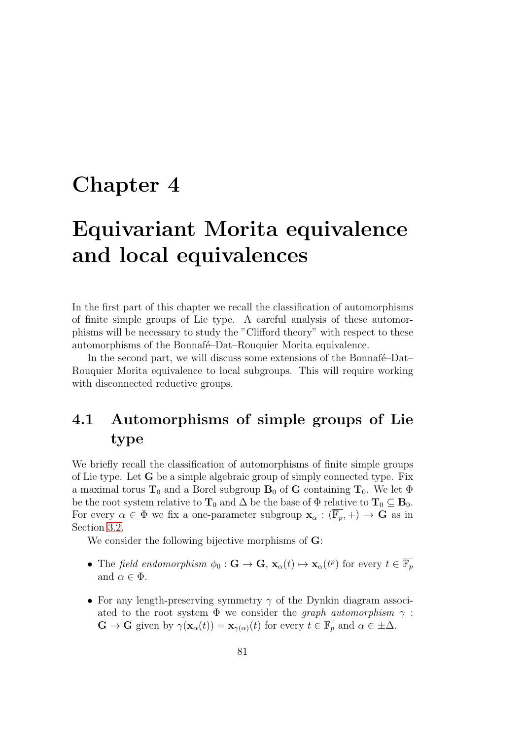## Chapter 4

# Equivariant Morita equivalence and local equivalences

In the first part of this chapter we recall the classification of automorphisms of finite simple groups of Lie type. A careful analysis of these automorphisms will be necessary to study the "Clifford theory" with respect to these automorphisms of the Bonnafé–Dat–Rouquier Morita equivalence.

In the second part, we will discuss some extensions of the Bonnafé–Dat– Rouquier Morita equivalence to local subgroups. This will require working with disconnected reductive groups.

## <span id="page-80-0"></span>4.1 Automorphisms of simple groups of Lie type

We briefly recall the classification of automorphisms of finite simple groups of Lie type. Let G be a simple algebraic group of simply connected type. Fix a maximal torus  $T_0$  and a Borel subgroup  $B_0$  of G containing  $T_0$ . We let  $\Phi$ be the root system relative to  $T_0$  and  $\Delta$  be the base of  $\Phi$  relative to  $T_0 \subseteq B_0$ . For every  $\alpha \in \Phi$  we fix a one-parameter subgroup  $\mathbf{x}_{\alpha} : (\overline{\mathbb{F}_{p}}, +) \to \mathbf{G}$  as in Section [3.2.](#page-63-0)

We consider the following bijective morphisms of  $\mathbf{G}$ :

- The field endomorphism  $\phi_0 : \mathbf{G} \to \mathbf{G}, \mathbf{x}_\alpha(t) \mapsto \mathbf{x}_\alpha(t^p)$  for every  $t \in \overline{\mathbb{F}_p}$ and  $\alpha \in \Phi$ .
- For any length-preserving symmetry  $\gamma$  of the Dynkin diagram associated to the root system  $\Phi$  we consider the *graph automorphism*  $\gamma$ :  $\mathbf{G} \to \mathbf{G}$  given by  $\gamma(\mathbf{x}_{\alpha}(t)) = \mathbf{x}_{\gamma(\alpha)}(t)$  for every  $t \in \overline{\mathbb{F}_p}$  and  $\alpha \in \pm \Delta$ .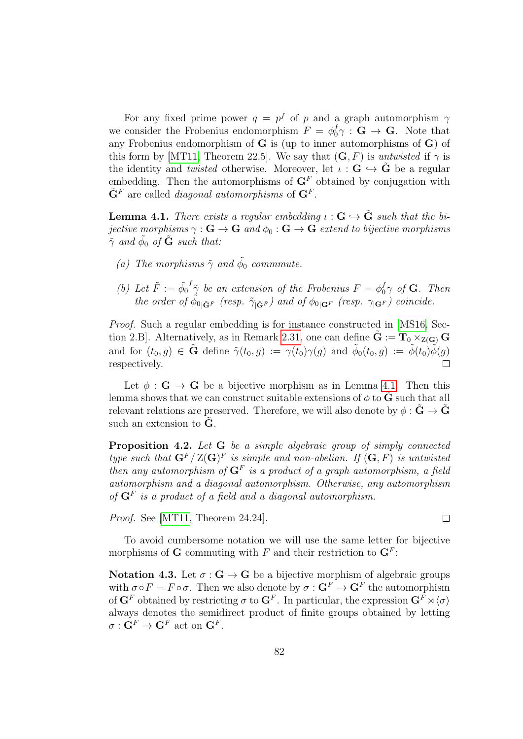For any fixed prime power  $q = p^f$  of p and a graph automorphism  $\gamma$ we consider the Frobenius endomorphism  $F = \phi_0^f \gamma : \mathbf{G} \to \mathbf{G}$ . Note that any Frobenius endomorphism of  $G$  is (up to inner automorphisms of  $G$ ) of this form by [\[MT11,](#page-144-0) Theorem 22.5]. We say that  $(G, F)$  is untwisted if  $\gamma$  is the identity and *twisted* otherwise. Moreover, let  $\iota : \mathbf{G} \hookrightarrow \tilde{\mathbf{G}}$  be a regular embedding. Then the automorphisms of  $\mathbf{G}^F$  obtained by conjugation with  $\tilde{\mathbf{G}}^F$  are called *diagonal automorphisms* of  $\mathbf{G}^F$ .

<span id="page-81-0"></span>**Lemma 4.1.** There exists a regular embedding  $\iota : G \hookrightarrow \tilde{G}$  such that the bijective morphisms  $\gamma : G \to G$  and  $\phi_0 : G \to G$  extend to bijective morphisms  $\tilde{\gamma}$  and  $\tilde{\phi}_0$  of  $\tilde{G}$  such that:

- (a) The morphisms  $\tilde{\gamma}$  and  $\tilde{\phi}_0$  commmute.
- (b) Let  $\tilde{F} := \tilde{\phi}_0$  $f_{\tilde{\gamma}}$  be an extension of the Frobenius  $F = \phi_0^f \gamma$  of **G**. Then the order of  $\phi_{0|\tilde{\mathbf{G}}^{\tilde{F}}}$  (resp.  $\tilde{\gamma}_{|\tilde{\mathbf{G}}^{\tilde{F}}}$ ) and of  $\phi_{0|\mathbf{G}^F}$  (resp.  $\gamma_{|\mathbf{G}^F}$ ) coincide.

Proof. Such a regular embedding is for instance constructed in [\[MS16,](#page-144-1) Sec-tion 2.B. Alternatively, as in Remark [2.31,](#page-57-0) one can define  $\tilde{G} := T_0 \times_{Z(G)} G$ and for  $(t_0, g) \in \tilde{G}$  define  $\tilde{\gamma}(t_0, g) := \gamma(t_0)\gamma(g)$  and  $\tilde{\phi}_0(t_0, g) := \tilde{\phi}(t_0)\tilde{\phi}(g)$ respectively.  $\Box$ 

Let  $\phi : \mathbf{G} \to \mathbf{G}$  be a bijective morphism as in Lemma [4.1.](#page-81-0) Then this lemma shows that we can construct suitable extensions of  $\phi$  to G such that all relevant relations are preserved. Therefore, we will also denote by  $\phi : \tilde{G} \to \tilde{G}$ such an extension to **.** 

Proposition 4.2. Let G be a simple algebraic group of simply connected type such that  $\mathbf{G}^F/\mathbf{Z}(\mathbf{G})^F$  is simple and non-abelian. If  $(\mathbf{G}, F)$  is untwisted then any automorphism of  $G^F$  is a product of a graph automorphism, a field automorphism and a diagonal automorphism. Otherwise, any automorphism of  $G^F$  is a product of a field and a diagonal automorphism.

Proof. See [\[MT11,](#page-144-0) Theorem 24.24].

To avoid cumbersome notation we will use the same letter for bijective morphisms of **G** commuting with F and their restriction to  $\mathbf{G}^F$ :

 $\Box$ 

<span id="page-81-1"></span>Notation 4.3. Let  $\sigma : G \to G$  be a bijective morphism of algebraic groups with  $\sigma \circ F = F \circ \sigma$ . Then we also denote by  $\sigma : \mathbf{G}^F \to \mathbf{G}^F$  the automorphism of  $\mathbf{G}^F$  obtained by restricting  $\sigma$  to  $\mathbf{G}^F$ . In particular, the expression  $\mathbf{G}^F \rtimes \langle \sigma \rangle$ always denotes the semidirect product of finite groups obtained by letting  $\sigma: \mathbf{G}^F \to \mathbf{G}^F$  act on  $\mathbf{G}^F$ .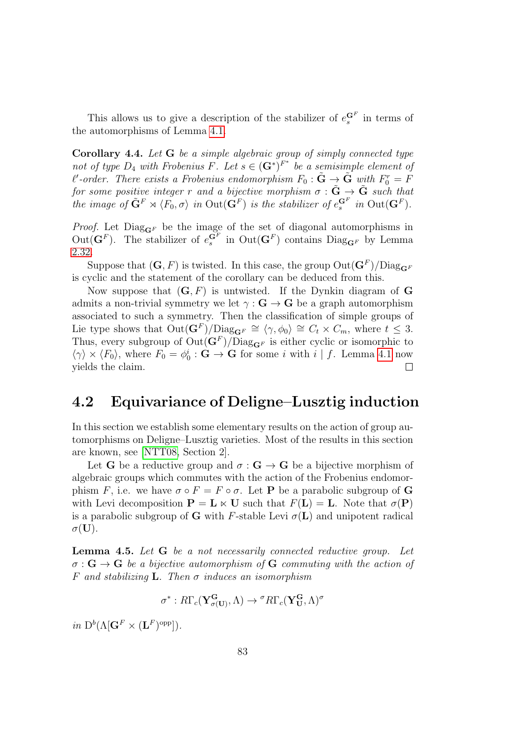This allows us to give a description of the stabilizer of  $e_s^{\mathbf{G}^F}$  in terms of the automorphisms of Lemma [4.1.](#page-80-0)

<span id="page-82-1"></span>Corollary 4.4. Let G be a simple algebraic group of simply connected type not of type  $D_4$  with Frobenius F. Let  $s \in (\mathbf{G}^*)^{F^*}$  be a semisimple element of  $\ell'$ -order. There exists a Frobenius endomorphism  $F_0: \tilde{\mathbf{G}} \to \tilde{\mathbf{G}}$  with  $F_0^r = \tilde{F}$ for some positive integer r and a bijective morphism  $\sigma : \tilde{G} \to \tilde{G}$  such that the image of  $\tilde{\mathbf{G}}^F \rtimes \langle F_0, \sigma \rangle$  in  $\mathrm{Out}(\mathbf{G}^F)$  is the stabilizer of  $e^{\mathbf{G}^F}_{s}$  in  $\mathrm{Out}(\mathbf{G}^F)$ .

*Proof.* Let  $Diag_{\mathbf{G}^F}$  be the image of the set of diagonal automorphisms in Out( $\mathbf{G}^F$ ). The stabilizer of  $e^{G^F}_{s}$  in Out( $G^F$ ) contains Diag<sub> $\mathbf{G}^F$ </sub> by Lemma [2.32.](#page-57-1)

Suppose that  $(G, F)$  is twisted. In this case, the group  $\mathrm{Out}(G^F)/\mathrm{Diag}_{G^F}$ is cyclic and the statement of the corollary can be deduced from this.

Now suppose that  $(G, F)$  is untwisted. If the Dynkin diagram of G admits a non-trivial symmetry we let  $\gamma : \mathbf{G} \to \mathbf{G}$  be a graph automorphism associated to such a symmetry. Then the classification of simple groups of Lie type shows that  $Out(\mathbf{G}^F)/\text{Diag}_{\mathbf{G}^F} \cong \langle \gamma, \phi_0 \rangle \cong C_t \times C_m$ , where  $t \leq 3$ . Thus, every subgroup of  $Out(\mathbf{G}^F)/\text{Diag}_{\mathbf{G}^F}$  is either cyclic or isomorphic to  $\langle \gamma \rangle \times \langle F_0 \rangle$ , where  $F_0 = \phi_0^i : \mathbf{G} \to \mathbf{G}$  for some *i* with *i* | *f*. Lemma [4.1](#page-81-0) now yields the claim.  $\Box$ 

#### 4.2 Equivariance of Deligne–Lusztig induction

In this section we establish some elementary results on the action of group automorphisms on Deligne–Lusztig varieties. Most of the results in this section are known, see [\[NTT08,](#page-144-2) Section 2].

Let **G** be a reductive group and  $\sigma : \mathbf{G} \to \mathbf{G}$  be a bijective morphism of algebraic groups which commutes with the action of the Frobenius endomorphism F, i.e. we have  $\sigma \circ F = F \circ \sigma$ . Let **P** be a parabolic subgroup of **G** with Levi decomposition  $P = L \ltimes U$  such that  $F(L) = L$ . Note that  $\sigma(P)$ is a parabolic subgroup of G with F-stable Levi  $\sigma(L)$  and unipotent radical  $\sigma(U).$ 

<span id="page-82-0"></span>Lemma 4.5. Let G be a not necessarily connected reductive group. Let  $\sigma : G \to G$  be a bijective automorphism of G commuting with the action of F and stabilizing **L**. Then  $\sigma$  induces an isomorphism

$$
\sigma^*:R\Gamma_c(\mathbf{Y}^{\mathbf{G}}_{\sigma(\mathbf{U})},\Lambda)\to{}^{\sigma}R\Gamma_c(\mathbf{Y}^{\mathbf{G}}_{\mathbf{U}},\Lambda)^{\sigma}
$$

in  $\mathrm{D}^b(\Lambda[\mathbf{G}^F \times (\mathbf{L}^F)^{\mathrm{opp}}]).$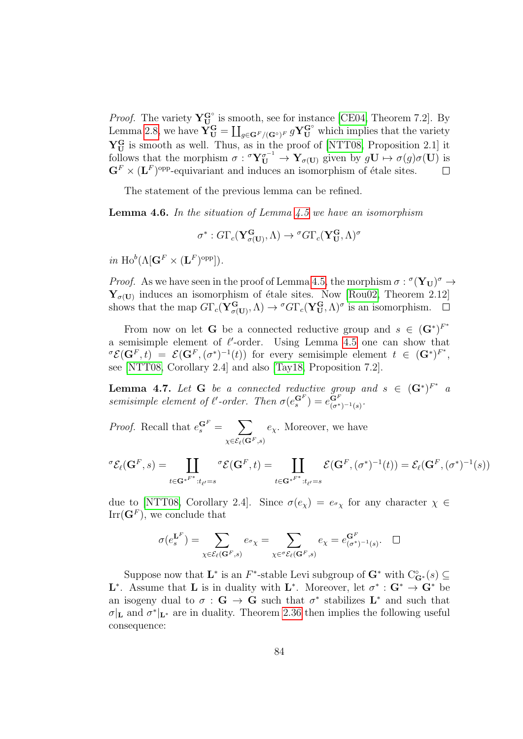*Proof.* The variety  $Y^{\mathbf{G}^{\circ}}_{\mathbf{U}}$  is smooth, see for instance [\[CE04,](#page-142-0) Theorem 7.2]. By Lemma [2.8,](#page-44-0) we have  $\check{\mathbf{Y}}_{\mathbf{U}}^{\mathbf{G}} = \coprod_{g \in \mathbf{G}^F/(\mathbf{G}^\circ)^F} g\mathbf{Y}_{\mathbf{U}}^{\mathbf{G}^\circ}$  which implies that the variety  $Y_{U}^{G}$  is smooth as well. Thus, as in the proof of [\[NTT08,](#page-144-2) Proposition 2.1] it follows that the morphism  $\sigma: {}^{\sigma}Y_{U}^{\sigma^{-1}} \to Y_{\sigma(U)}$  given by  $gU \mapsto \sigma(g)\sigma(U)$  is  $\mathbf{G}^F \times (\mathbf{L}^F)$ <sup>opp</sup>-equivariant and induces an isomorphism of étale sites.  $\Box$ 

The statement of the previous lemma can be refined.

<span id="page-83-1"></span>**Lemma 4.6.** In the situation of Lemma  $4.5$  we have an isomorphism

 $\sigma^* : G\Gamma_c(\mathbf{Y_{\sigma(U)}^G},\Lambda) \to {^\sigma}G\Gamma_c(\mathbf{Y_U^G},\Lambda)^\sigma$ 

in  $\text{Ho}^b(\Lambda[\mathbf{G}^F \times (\mathbf{L}^F)^{\text{opp}}])$ .

*Proof.* As we have seen in the proof of Lemma [4.5,](#page-82-0) the morphism  $\sigma : \sigma(\mathbf{Y}_U)^\sigma \to$  $Y_{\sigma(U)}$  induces an isomorphism of étale sites. Now [\[Rou02,](#page-145-2) Theorem 2.12] shows that the map  $G\Gamma_c(\mathbf{Y^G_{\sigma(U)}},\Lambda) \to {}^{\sigma}G\Gamma_c(\mathbf{Y^G_U},\Lambda)^{\sigma}$  is an isomorphism.  $\Box$ 

From now on let **G** be a connected reductive group and  $s \in (\mathbf{G}^*)^{F^*}$ a semisimple element of  $\ell'$ -order. Using Lemma [4.5](#page-82-0) one can show that  $\sigma \mathcal{E}(\mathbf{G}^F, t) = \mathcal{E}(\mathbf{G}^F, (\sigma^*)^{-1}(t))$  for every semisimple element  $t \in (\mathbf{G}^*)^{F^*},$ see [\[NTT08,](#page-144-2) Corollary 2.4] and also [\[Tay18,](#page-145-3) Proposition 7.2].

<span id="page-83-0"></span>**Lemma 4.7.** Let **G** be a connected reductive group and  $s \in (\mathbf{G}^*)^{F^*}$  a semisimple element of  $\ell'$ -order. Then  $\sigma(e_s^{\mathbf{G}^F}) = e_{(\sigma^*}^{\mathbf{G}^F})$  $(\sigma^*)^{-1}(s)$  .

*Proof.* Recall that  $e_s^{\mathbf{G}^F} = \sum$  $\chi{\in}\mathcal{E}_{\ell}({\bf G}^F, \!s)$  $e_\chi$ . Moreover, we have

$$
{}^{\sigma}\mathcal{E}_{\ell}(\mathbf{G}^F,s) = \coprod_{t \in \mathbf{G}^{*F^*}: t_{\ell'}=s} {}^{\sigma}\mathcal{E}(\mathbf{G}^F,t) = \coprod_{t \in \mathbf{G}^{*F^*}: t_{\ell'}=s} \mathcal{E}(\mathbf{G}^F, (\sigma^*)^{-1}(t)) = \mathcal{E}_{\ell}(\mathbf{G}^F, (\sigma^*)^{-1}(s))
$$

due to [\[NTT08,](#page-144-2) Corollary 2.4]. Since  $\sigma(e_{\chi}) = e_{\sigma_{\chi}}$  for any character  $\chi \in$  $\text{Irr}(\mathbf{G}^F)$ , we conclude that

$$
\sigma(e_s^{\mathbf{L}^F}) = \sum_{\chi \in \mathcal{E}_{\ell}(\mathbf{G}^F,s)} e_{\sigma_{\chi}} = \sum_{\chi \in \sigma \mathcal{E}_{\ell}(\mathbf{G}^F,s)} e_{\chi} = e_{(\sigma^*)^{-1}(s)}^{\mathbf{G}^F}.
$$

Suppose now that  $\mathbf{L}^*$  is an  $F^*$ -stable Levi subgroup of  $\mathbf{G}^*$  with  $C^{\circ}_{\mathbf{G}^*}(s) \subseteq$ **L**<sup>\*</sup>. Assume that **L** is in duality with **L**<sup>\*</sup>. Moreover, let  $\sigma^* : G^* \to G^*$  be an isogeny dual to  $\sigma : G \to G$  such that  $\sigma^*$  stabilizes  $L^*$  and such that  $\sigma|_{\mathbf{L}}$  and  $\sigma^*|_{\mathbf{L}^*}$  are in duality. Theorem [2.36](#page-59-0) then implies the following useful consequence: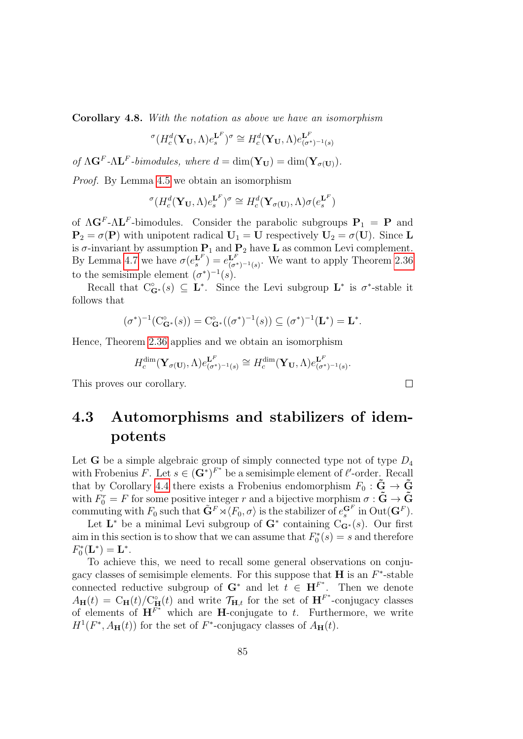Corollary 4.8. With the notation as above we have an isomorphism

$$
\sigma(H_c^d(\mathbf{Y_U}, \Lambda)e_s^{\mathbf{L}^F})^{\sigma} \cong H_c^d(\mathbf{Y_U}, \Lambda)e_{(\sigma^*)^{-1}(s)}^{\mathbf{L}^F}
$$

of  $\Lambda \mathbf{G}^F \text{-} \Lambda \mathbf{L}^F$ -bimodules, where  $d = \dim(\mathbf{Y}_{\mathbf{U}}) = \dim(\mathbf{Y}_{\sigma(\mathbf{U})}).$ 

Proof. By Lemma [4.5](#page-82-0) we obtain an isomorphism

$$
{}^{\sigma}(H_c^d(\mathbf{Y}_{\mathbf{U}}, \Lambda)e_s^{\mathbf{L}^F})^{\sigma} \cong H_c^d(\mathbf{Y}_{\sigma(\mathbf{U})}, \Lambda)\sigma(e_s^{\mathbf{L}^F})
$$

of  $\Lambda$ **G**<sup>F</sup>- $\Lambda$ **L**<sup>F</sup>-bimodules. Consider the parabolic subgroups  $P_1 = P$  and  $P_2 = \sigma(P)$  with unipotent radical  $U_1 = U$  respectively  $U_2 = \sigma(U)$ . Since L is  $\sigma$ -invariant by assumption  $P_1$  and  $P_2$  have **L** as common Levi complement. By Lemma [4.7](#page-83-0) we have  $\sigma(e_s^{\mathbf{L}^F}) = e_{\sigma}^{\mathbf{L}^F}$  $L^r_{(\sigma^*)^{-1}(s)}$ . We want to apply Theorem [2.36](#page-59-0) to the semisimple element  $(\sigma^*)^{-1}(s)$ .

Recall that  $C_{\mathbf{G}^*}^{\circ}(s) \subseteq \mathbf{L}^*$ . Since the Levi subgroup  $\mathbf{L}^*$  is  $\sigma^*$ -stable it follows that

$$
(\sigma^*)^{-1}(C_{\mathbf{G}^*}^{\circ}(s)) = C_{\mathbf{G}^*}^{\circ}((\sigma^*)^{-1}(s)) \subseteq (\sigma^*)^{-1}(\mathbf{L}^*) = \mathbf{L}^*.
$$

Hence, Theorem [2.36](#page-59-0) applies and we obtain an isomorphism

$$
H_c^{\dim}(\mathbf{Y}_{\sigma(\mathbf{U})}, \Lambda) e_{(\sigma^*)^{-1}(s)}^{\mathbf{L}^F} \cong H_c^{\dim}(\mathbf{Y}_{\mathbf{U}}, \Lambda) e_{(\sigma^*)^{-1}(s)}^{\mathbf{L}^F}.
$$

This proves our corollary.

## 4.3 Automorphisms and stabilizers of idempotents

Let **G** be a simple algebraic group of simply connected type not of type  $D_4$ with Frobenius F. Let  $s \in (\mathbf{G}^*)^{F^*}$  be a semisimple element of  $\ell'$ -order. Recall that by Corollary [4.4](#page-82-1) there exists a Frobenius endomorphism  $F_0 : \tilde{G} \to \tilde{G}$ with  $F_0^r = F$  for some positive integer r and a bijective morphism  $\sigma : \tilde{G} \to \tilde{G}$ commuting with  $F_0$  such that  $\tilde{\mathbf{G}}^F \rtimes \langle F_0, \sigma \rangle$  is the stabilizer of  $e^{ \mathbf{G}^F}_s$  in  $\text{Out}(\mathbf{G}^F)$ .

Let  $\mathbf{L}^*$  be a minimal Levi subgroup of  $\mathbf{G}^*$  containing  $C_{\mathbf{G}^*}(s)$ . Our first aim in this section is to show that we can assume that  $F_0^*(s) = s$  and therefore  $F_0^*(\mathbf{L}^*) = \mathbf{L}^*.$ 

To achieve this, we need to recall some general observations on conjugacy classes of semisimple elements. For this suppose that  $H$  is an  $F^*$ -stable connected reductive subgroup of  $G^*$  and let  $t \in H^{F^*}$ . Then we denote  $A_{\mathbf{H}}(t) = C_{\mathbf{H}}(t) / C_{\mathbf{H}}^{\circ}(t)$  and write  $\mathcal{T}_{\mathbf{H},t}$  for the set of  $\mathbf{H}^{F^*}$ -conjugacy classes of elements of  $\mathbf{H}^{\overline{F^*}}$  which are **H**-conjugate to t. Furthermore, we write  $H^1(F^*, A_{\mathbf{H}}(t))$  for the set of  $F^*$ -conjugacy classes of  $A_{\mathbf{H}}(t)$ .

 $\Box$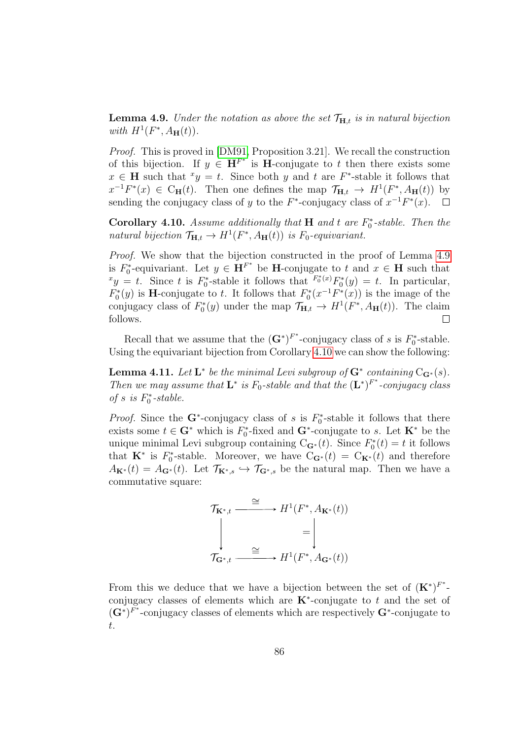<span id="page-85-0"></span>**Lemma 4.9.** Under the notation as above the set  $\mathcal{T}_{H,t}$  is in natural bijection with  $H^1(F^*, A_\mathbf{H}(t))$ .

Proof. This is proved in [\[DM91,](#page-143-0) Proposition 3.21]. We recall the construction of this bijection. If  $y \in \mathbf{H}^{F^*}$  is **H**-conjugate to t then there exists some  $x \in H$  such that  $xy = t$ . Since both y and t are F<sup>\*</sup>-stable it follows that  $x^{-1}F^*(x) \in C_{\mathbf{H}}(t)$ . Then one defines the map  $\mathcal{T}_{\mathbf{H},t} \to H^1(F^*, A_{\mathbf{H}}(t))$  by sending the conjugacy class of y to the  $F^*$ -conjugacy class of  $x^{-1}F^*(x)$ .  $\Box$ 

<span id="page-85-1"></span>Corollary 4.10. Assume additionally that  $H$  and t are  $F_0^*$ -stable. Then the natural bijection  $\mathcal{T}_{\mathbf{H},t} \to H^1(F^*,A_{\mathbf{H}}(t))$  is  $F_0$ -equivariant.

Proof. We show that the bijection constructed in the proof of Lemma [4.9](#page-85-0) is  $F_0^*$ -equivariant. Let  $y \in \mathbf{H}^{F^*}$  be **H**-conjugate to t and  $x \in \mathbf{H}$  such that  $xy = t$ . Since t is  $F_0^*$ -stable it follows that  $F_0^*(x)F_0^*(y) = t$ . In particular,  $F_0^*(y)$  is **H**-conjugate to t. It follows that  $F_0^*(x^{-1}F^*(x))$  is the image of the conjugacy class of  $F_0^*(y)$  under the map  $\mathcal{T}_{\mathbf{H},t} \to H^1(F^*,A_{\mathbf{H}}(t))$ . The claim follows.  $\Box$ 

Recall that we assume that the  $(G^*)^{F^*}$ -conjugacy class of s is  $F_0^*$ -stable. Using the equivariant bijection from Corollary [4.10](#page-85-1) we can show the following:

<span id="page-85-2"></span>**Lemma 4.11.** Let  $\mathbf{L}^*$  be the minimal Levi subgroup of  $\mathbf{G}^*$  containing  $C_{\mathbf{G}^*}(s)$ . Then we may assume that  $\mathbf{L}^*$  is  $F_0$ -stable and that the  $(\mathbf{L}^*)^{F^*}$ -conjugacy class of  $s\;$  is  $F_0^*\textit{-stable}.$ 

*Proof.* Since the G<sup>\*</sup>-conjugacy class of s is  $F_0^*$ -stable it follows that there exists some  $t \in \mathbf{G}^*$  which is  $F_0^*$ -fixed and  $\mathbf{G}^*$ -conjugate to s. Let  $\mathbf{K}^*$  be the unique minimal Levi subgroup containing  $C_{\mathbf{G}^*}(t)$ . Since  $F_0^*(t) = t$  it follows that  $\mathbf{K}^*$  is  $F_0^*$ -stable. Moreover, we have  $C_{\mathbf{G}^*}(t) = C_{\mathbf{K}^*}(t)$  and therefore  $A_{\mathbf{K}^*}(t) = A_{\mathbf{G}^*}(t)$ . Let  $\mathcal{T}_{\mathbf{K}^*,s} \hookrightarrow \mathcal{T}_{\mathbf{G}^*,s}$  be the natural map. Then we have a commutative square:

$$
\mathcal{T}_{\mathbf{K}^*,t} \xrightarrow{\cong} H^1(F^*, A_{\mathbf{K}^*}(t))
$$
\n
$$
\downarrow \qquad \qquad = \left| \begin{matrix} \\ & \end{matrix} \right|
$$
\n
$$
\mathcal{T}_{\mathbf{G}^*,t} \xrightarrow{\cong} H^1(F^*, A_{\mathbf{G}^*}(t))
$$

From this we deduce that we have a bijection between the set of  $(\mathbf{K}^*)^{F^*}$ conjugacy classes of elements which are  $\mathbf{K}^*$ -conjugate to t and the set of  $(\mathbf{G}^*)^{F^*}$ -conjugacy classes of elements which are respectively  $\mathbf{G}^*$ -conjugate to t.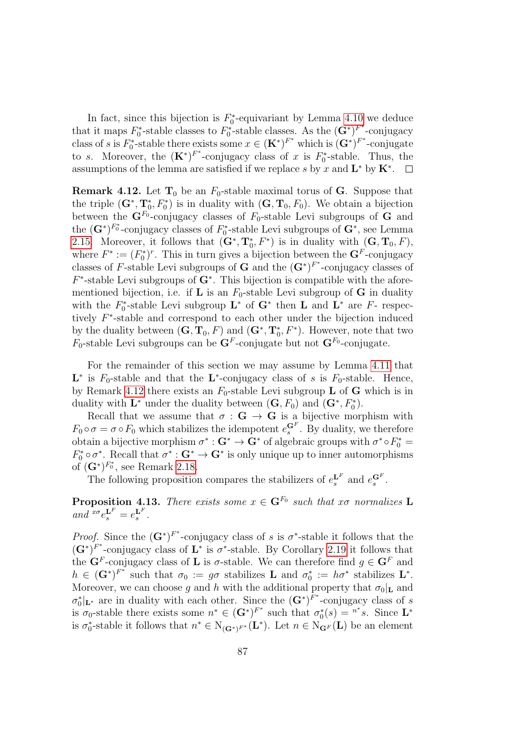In fact, since this bijection is  $F_0^*$ -equivariant by Lemma [4.10](#page-85-1) we deduce that it maps  $F_0^*$ -stable classes to  $F_0^*$ -stable classes. As the  $(\mathbf{G}^*)^{F^*}$ -conjugacy class of s is  $F_0^*$ -stable there exists some  $x \in (\mathbf{K}^*)^{F^*}$  which is  $(\mathbf{G}^*)^{F^*}$ -conjugate to s. Moreover, the  $(\mathbf{K}^*)^{F^*}$ -conjugacy class of x is  $F_0^*$ -stable. Thus, the assumptions of the lemma are satisfied if we replace s by x and  $\mathbf{L}^*$  by  $\mathbf{K}^*$ .

<span id="page-86-0"></span>**Remark 4.12.** Let  $T_0$  be an  $F_0$ -stable maximal torus of G. Suppose that the triple  $(G^*, T_0^*, F_0^*)$  is in duality with  $(G, T_0, F_0)$ . We obtain a bijection between the  $\mathbf{G}^{F_0}$ -conjugacy classes of  $F_0$ -stable Levi subgroups of  $\mathbf{G}$  and the  $(\mathbf{G}^*)^{F_0^*}$ -conjugacy classes of  $F_0^*$ -stable Levi subgroups of  $\mathbf{G}^*$ , see Lemma [2.15.](#page-49-0) Moreover, it follows that  $(\mathbf{G}^*, \mathbf{T}_0^*, F^*)$  is in duality with  $(\mathbf{G}, \mathbf{T}_0, F)$ , where  $F^* := (F_0^*)^r$ . This in turn gives a bijection between the  $\mathbf{G}^F$ -conjugacy classes of F-stable Levi subgroups of G and the  $(G^*)^{F^*}$ -conjugacy classes of  $F^*$ -stable Levi subgroups of  $G^*$ . This bijection is compatible with the aforementioned bijection, i.e. if **L** is an  $F_0$ -stable Levi subgroup of **G** in duality with the  $F_0^*$ -stable Levi subgroup  $\mathbf{L}^*$  of  $\mathbf{G}^*$  then  $\mathbf{L}$  and  $\mathbf{L}^*$  are  $F$ - respectively F ∗ -stable and correspond to each other under the bijection induced by the duality between  $(G, T_0, F)$  and  $(G^*, T_0^*, F^*)$ . However, note that two  $F_0$ -stable Levi subgroups can be  $\mathbf{G}^F$ -conjugate but not  $\mathbf{G}^F$ <sup>0</sup>-conjugate.

For the remainder of this section we may assume by Lemma [4.11](#page-85-2) that  $\mathbf{L}^*$  is  $F_0$ -stable and that the  $\mathbf{L}^*$ -conjugacy class of s is  $F_0$ -stable. Hence, by Remark [4.12](#page-86-0) there exists an  $F_0$ -stable Levi subgroup **L** of **G** which is in duality with  $\mathbf{L}^*$  under the duality between  $(\mathbf{G}, F_0)$  and  $(\mathbf{G}^*, F_0^*)$ .

Recall that we assume that  $\sigma : G \to G$  is a bijective morphism with  $F_0 \circ \sigma = \sigma \circ F_0$  which stabilizes the idempotent  $e_s^{\mathbf{G}^F}$ . By duality, we therefore obtain a bijective morphism  $\sigma^* : G^* \to G^*$  of algebraic groups with  $\sigma^* \circ F_0^* =$  $F_0^* \circ \sigma^*$ . Recall that  $\sigma^* : G^* \to G^*$  is only unique up to inner automorphisms of  $(\mathbf{G}^*)^{F_0^*}$ , see Remark [2.18.](#page-50-0)

The following proposition compares the stabilizers of  $e_s^{\mathbf{L}^F}$  and  $e_s^{\mathbf{G}^F}$ .

<span id="page-86-1"></span>**Proposition 4.13.** There exists some  $x \in G^{F_0}$  such that x $\sigma$  normalizes L and  ${}^{x\sigma}e_s^{\mathbf{L}^F}=e_s^{\mathbf{L}^F}.$ 

*Proof.* Since the  $(G^*)^{F^*}$ -conjugacy class of s is  $\sigma^*$ -stable it follows that the  $(G^*)^{F^*}$ -conjugacy class of  $L^*$  is  $\sigma^*$ -stable. By Corollary [2.19](#page-51-0) it follows that the  $\mathbf{G}^F$ -conjugacy class of **L** is  $\sigma$ -stable. We can therefore find  $g \in \mathbf{G}^F$  and  $h \in (\mathbf{G}^*)^{F^*}$  such that  $\sigma_0 := g\sigma$  stabilizes **L** and  $\sigma_0^* := h\sigma^*$  stabilizes **L**<sup>\*</sup>. Moreover, we can choose g and h with the additional property that  $\sigma_0|_{\mathbf{L}}$  and  $\sigma_0^*|_{\mathbf{L}^*}$  are in duality with each other. Since the  $(\mathbf{G}^*)^{F^*}$ -conjugacy class of s is  $\sigma_0$ -stable there exists some  $n^* \in (\mathbf{G}^*)^{F^*}$  such that  $\sigma_0^*(s) = n^*s$ . Since  $\mathbf{L}^*$ is  $\sigma_0^*$ -stable it follows that  $n^* \in N_{(\mathbf{G}^*)^{F^*}}(\mathbf{L}^*)$ . Let  $n \in N_{\mathbf{G}^F}(\mathbf{L})$  be an element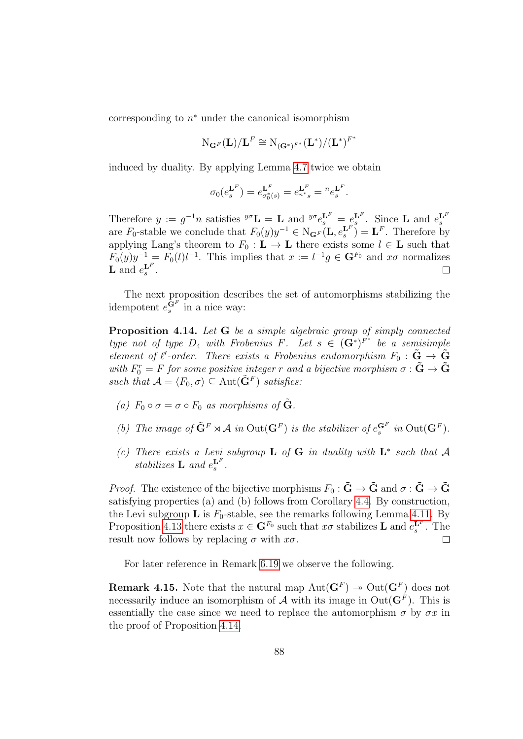corresponding to  $n^*$  under the canonical isomorphism

$$
\mathrm{N}_{\mathbf{G}^F}(\mathbf{L})/\mathbf{L}^F\cong\mathrm{N}_{(\mathbf{G}^*)^{F^*}}(\mathbf{L}^*)/(\mathbf{L}^*)^{F^*}
$$

induced by duality. By applying Lemma [4.7](#page-83-0) twice we obtain

$$
\sigma_0(e_s^{\mathbf{L}^F}) = e_{\sigma_0^*(s)}^{\mathbf{L}^F} = e_{n^*s}^{\mathbf{L}^F} = {}^{n}e_s^{\mathbf{L}^F}.
$$

Therefore  $y := g^{-1}n$  satisfies  $\mathscr{I}^{\sigma} \mathbf{L} = \mathbf{L}$  and  $\mathscr{I}^{\sigma} e_s^{\mathbf{L}^F} = e_s^{\mathbf{L}^F}$ . Since **L** and  $e_s^{\mathbf{L}^F}$ are  $F_0$ -stable we conclude that  $F_0(y)y^{-1} \in N_{\mathbf{G}^F}(\mathbf{L}, e_s^{\mathbf{L}^F}) = \mathbf{L}^F$ . Therefore by applying Lang's theorem to  $F_0 : L \to L$  there exists some  $l \in L$  such that  $F_0(y)y^{-1} = F_0(l)l^{-1}$ . This implies that  $x := l^{-1}g \in \mathbf{G}^{F_0}$  and  $x\sigma$  normalizes **L** and  $e_s^{\mathbf{L}^F}$ .  $\Box$ 

The next proposition describes the set of automorphisms stabilizing the idempotent  $e_s^{\mathbf{G}^F}$  in a nice way:

<span id="page-87-0"></span>Proposition 4.14. Let G be a simple algebraic group of simply connected type not of type  $D_4$  with Frobenius F. Let  $s \in (\mathbf{G}^*)^{F^*}$  be a semisimple element of  $\ell'$ -order. There exists a Frobenius endomorphism  $F_0 : \tilde{G} \to \tilde{G}$ with  $F_0^r = F$  for some positive integer r and a bijective morphism  $\sigma : \tilde{G} \to \tilde{G}$ such that  $\mathcal{A} = \langle F_0, \sigma \rangle \subseteq \text{Aut}(\tilde{\mathbf{G}}^F)$  satisfies:

- (a)  $F_0 \circ \sigma = \sigma \circ F_0$  as morphisms of  $\tilde{G}$ .
- (b) The image of  $\tilde{\mathbf{G}}^F \rtimes \mathcal{A}$  in  $\text{Out}(\mathbf{G}^F)$  is the stabilizer of  $e_s^{\mathbf{G}^F}$  in  $\text{Out}(\mathbf{G}^F)$ .
- (c) There exists a Levi subgroup **L** of **G** in duality with  $L^*$  such that A stabilizes **L** and  $e_s^{\mathbf{L}^F}$ .

*Proof.* The existence of the bijective morphisms  $F_0 : \tilde{G} \to \tilde{G}$  and  $\sigma : \tilde{G} \to \tilde{G}$ satisfying properties (a) and (b) follows from Corollary [4.4.](#page-82-1) By construction, the Levi subgroup **L** is  $F_0$ -stable, see the remarks following Lemma [4.11.](#page-85-2) By Proposition [4.13](#page-86-1) there exists  $x \in \mathbf{G}^{F_0}$  such that  $x\sigma$  stabilizes **L** and  $e_s^{\mathbf{L}^F}$ . The result now follows by replacing  $\sigma$  with  $x\sigma$ .  $\Box$ 

For later reference in Remark [6.19](#page-125-0) we observe the following.

**Remark 4.15.** Note that the natural map  $Aut(G^F) \rightarrow Out(G^F)$  does not necessarily induce an isomorphism of  $A$  with its image in  $Out(G^F)$ . This is essentially the case since we need to replace the automorphism  $\sigma$  by  $\sigma x$  in the proof of Proposition [4.14.](#page-87-0)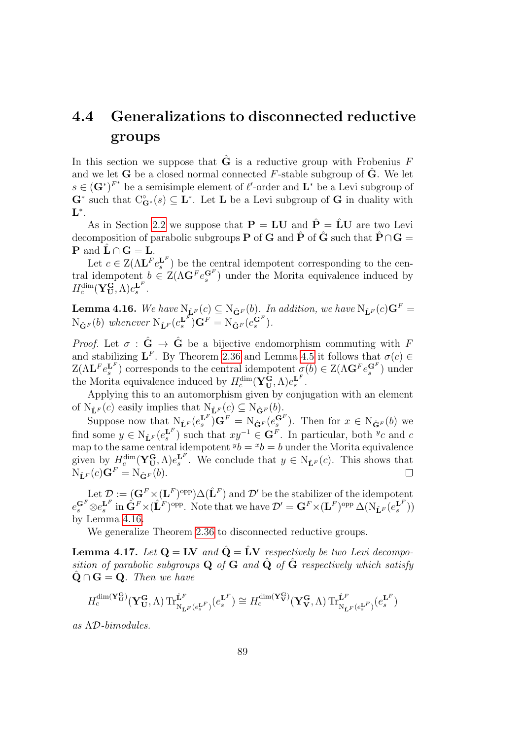## 4.4 Generalizations to disconnected reductive groups

In this section we suppose that  $\hat{G}$  is a reductive group with Frobenius F and we let **G** be a closed normal connected  $F$ -stable subgroup of  $\ddot{G}$ . We let  $s \in (\mathbf{G}^*)^{F^*}$  be a semisimple element of  $\ell'$ -order and  $\mathbf{L}^*$  be a Levi subgroup of  $\mathbf{G}^*$  such that  $C^{\circ}_{\mathbf{G}^*}(s) \subseteq \mathbf{L}^*$ . Let **L** be a Levi subgroup of **G** in duality with  $\mathbf{L}^*.$ 

As in Section [2.2](#page-41-0) we suppose that  $\mathbf{P} = \mathbf{L}\mathbf{U}$  and  $\hat{\mathbf{P}} = \hat{\mathbf{L}}\mathbf{U}$  are two Levi decomposition of parabolic subgroups **P** of **G** and  $\hat{\mathbf{P}}$  of  $\hat{\mathbf{G}}$  such that  $\hat{\mathbf{P}} \cap \mathbf{G} =$ **P** and  $\mathbf{L} \cap \mathbf{G} = \mathbf{L}$ .

Let  $c \in Z(\Lambda \mathbf{L}^F e_s^{\mathbf{L}^F})$  be the central idempotent corresponding to the central idempotent  $b \in \mathcal{Z}(\Lambda \mathbf{G}^F e_s^{\mathbf{G}^F})$  under the Morita equivalence induced by  $H_c^{\dim}(\mathbf{Y}_{\mathbf{U}}^{\mathbf{G}}, \Lambda)e_{s}^{\mathbf{L}^F}.$ 

<span id="page-88-0"></span>**Lemma 4.16.** We have  $N_{\hat{\mathbf{L}}^F}(c) \subseteq N_{\hat{\mathbf{G}}^F}(b)$ . In addition, we have  $N_{\hat{\mathbf{L}}^F}(c)\mathbf{G}^F =$  $N_{\hat{\mathbf{G}}^F}(b)$  whenever  $N_{\hat{\mathbf{L}}^F}(e_s^{\mathbf{L}^F})\mathbf{G}^F = N_{\hat{\mathbf{G}}^F}(e_s^{\mathbf{G}^F}).$ 

*Proof.* Let  $\sigma : \hat{G} \to \hat{G}$  be a bijective endomorphism commuting with F and stabilizing  $\mathbf{L}^F$ . By Theorem [2.36](#page-59-0) and Lemma [4.5](#page-82-0) it follows that  $\sigma(c) \in$  $Z(\Lambda \mathbf{L}^F e_s^{\mathbf{L}^F})$  corresponds to the central idempotent  $\sigma(b) \in Z(\Lambda \mathbf{G}^F e_s^{\mathbf{G}^F})$  under the Morita equivalence induced by  $H_c^{\dim}(\mathbf{Y}_{\mathbf{U}}^{\mathbf{G}},\Lambda)e_s^{\mathbf{L}^F}.$ 

Applying this to an automorphism given by conjugation with an element of  $N_{\hat{\mathbf{L}}^F}(c)$  easily implies that  $N_{\hat{\mathbf{L}}^F}(c) \subseteq N_{\hat{\mathbf{G}}^F}(b)$ .

Suppose now that  $N_{\hat{\mathbf{L}}^F}(e_s^{\mathbf{L}^F})\mathbf{G}^F = N_{\hat{\mathbf{G}}^F}(e_s^{\mathbf{G}^F})$ . Then for  $x \in N_{\hat{\mathbf{G}}^F}(b)$  we find some  $y \in N_{\hat{\mathbf{L}}^F}(e_s^{\mathbf{L}^F})$  such that  $xy^{-1} \in \mathbf{G}^F$ . In particular, both  $y_c$  and  $c$ map to the same central idempotent  $^y b = ^x b = b$  under the Morita equivalence given by  $H_c^{\dim}(\mathbf{Y}_{\mathbf{U}}^{\mathbf{G}},\Lambda)e_s^{\mathbf{L}^F}$ . We conclude that  $y \in N_{\hat{\mathbf{L}}^F}(c)$ . This shows that  $N_{\hat{\mathbf{L}}^F}(c)\mathbf{G}^F = N_{\hat{\mathbf{G}}^F}(b).$ 

Let  $\mathcal{D} := (\mathbf{G}^F \times (\mathbf{L}^F)^{\text{opp}}) \Delta(\hat{\mathbf{L}}^F)$  and  $\mathcal{D}'$  be the stabilizer of the idempotent  $e^{G^F}$  $\otimes e^{L^F}$  in  $\hat{G}^F \times (\hat{L}^F)$ <sup>opp</sup>. Note that we have  $\mathcal{D}' = G^F \times (L^F)$ <sup>opp</sup>  $\Delta(N_{\hat{L}^F}(e^{L^F}_s))$ by Lemma [4.16.](#page-88-0)

We generalize Theorem [2.36](#page-59-0) to disconnected reductive groups.

<span id="page-88-1"></span>**Lemma 4.17.** Let  $Q = LV$  and  $\hat{Q} = LV$  respectively be two Levi decomposition of parabolic subgroups Q of G and  $\hat{Q}$  of  $\hat{G}$  respectively which satisfy  $\mathbf{Q} \cap \mathbf{G} = \mathbf{Q}$ . Then we have

$$
H_c^{\dim(\mathbf{Y}_{\mathbf{U}}^{\mathbf{G}})}(\mathbf{Y}_{\mathbf{U}}^{\mathbf{G}},\Lambda)\operatorname{Tr}_{\mathrm{N}_{\hat{\mathbf{L}}^F}(e_s^{\mathbf{L}^F})}^{\hat{\mathbf{L}}^F}(e_s^{\mathbf{L}^F})\cong H_c^{\dim(\mathbf{Y}_{\mathbf{V}}^{\mathbf{G}})}(\mathbf{Y}_{\mathbf{V}}^{\mathbf{G}},\Lambda)\operatorname{Tr}_{\mathrm{N}_{\hat{\mathbf{L}}^F}(e_s^{\mathbf{L}^F})}^{\hat{\mathbf{L}}^F}(e_s^{\mathbf{L}^F})
$$

as ΛD-bimodules.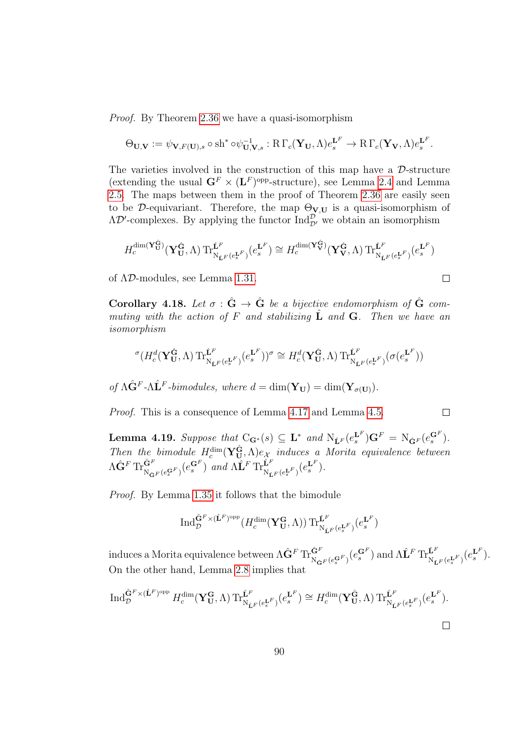Proof. By Theorem [2.36](#page-59-0) we have a quasi-isomorphism

$$
\Theta_{\mathbf{U},\mathbf{V}} := \psi_{\mathbf{V},F(\mathbf{U}),s} \circ \mathrm{sh}^* \circ \psi_{\mathbf{U},\mathbf{V},s}^{-1} : R \Gamma_c(\mathbf{Y}_{\mathbf{U}},\Lambda) e_s^{\mathbf{L}^F} \to R \Gamma_c(\mathbf{Y}_{\mathbf{V}},\Lambda) e_s^{\mathbf{L}^F}.
$$

The varieties involved in the construction of this map have a  $\mathcal{D}\text{-structure}$ (extending the usual  $\mathbf{G}^F \times (\mathbf{L}^F)^\text{opp-structure}$ ), see Lemma [2.4](#page-42-0) and Lemma [2.5.](#page-43-0) The maps between them in the proof of Theorem [2.36](#page-59-0) are easily seen to be D-equivariant. Therefore, the map  $\Theta_{V,U}$  is a quasi-isomorphism of  $\Lambda \mathcal{D}'$ -complexes. By applying the functor  $\text{Ind}_{\mathcal{D}'}^{\mathcal{D}}$  we obtain an isomorphism

$$
H_c^{\dim(\mathbf{Y}_{\mathbf{U}}^{\hat{\mathbf{G}}})}(\mathbf{Y}_{\mathbf{U}}^{\hat{\mathbf{G}}},\Lambda)\operatorname{Tr}_{\mathrm{N}_{\hat{\mathbf{L}}^F}(e_s^{\mathbf{L}^F})}^{\hat{\mathbf{L}}^F}(e_s^{\mathbf{L}^F})\cong H_c^{\dim(\mathbf{Y}_{\mathbf{V}}^{\hat{\mathbf{G}}})}(\mathbf{Y}_{\mathbf{V}}^{\hat{\mathbf{G}}},\Lambda)\operatorname{Tr}_{\mathrm{N}_{\hat{\mathbf{L}}^F}(e_s^{\mathbf{L}^F})}^{\hat{\mathbf{L}}^F}(e_s^{\mathbf{L}^F})
$$

 $\Box$ 

 $\Box$ 

of ΛD-modules, see Lemma [1.31.](#page-30-0)

<span id="page-89-1"></span>Corollary 4.18. Let  $\sigma : \hat{G} \to \hat{G}$  be a bijective endomorphism of  $\hat{G}$  commuting with the action of F and stabilizing  $\hat{\mathbf{L}}$  and  $\mathbf{G}$ . Then we have an isomorphism

$$
{}^{\sigma}(H_c^d(\mathbf{Y_U^{\hat{G}}},\Lambda)\operatorname{Tr}_{\mathrm{N}_{\hat{\mathbf{L}}^F}(e_s^{\mathbf{L}^F})}^{\hat{\mathbf{L}}^F}(e_s^{\mathbf{L}^F}))^{\sigma} \cong H_c^d(\mathbf{Y_U^{\hat{G}}},\Lambda)\operatorname{Tr}_{\mathrm{N}_{\hat{\mathbf{L}}^F}(e_s^{\mathbf{L}^F})}^{\hat{\mathbf{L}}^F}(\sigma(e_s^{\mathbf{L}^F}))
$$

of  $\Lambda \hat{G}^F - \Lambda \hat{L}^F$ -bimodules, where  $d = \dim(\mathbf{Y}_{\mathbf{U}}) = \dim(\mathbf{Y}_{\sigma(\mathbf{U})}).$ 

Proof. This is a consequence of Lemma [4.17](#page-88-1) and Lemma [4.5.](#page-82-0)

<span id="page-89-0"></span>**Lemma 4.19.** Suppose that  $C_{\mathbf{G}^*}(s) \subseteq \mathbf{L}^*$  and  $N_{\hat{\mathbf{L}}^F}(e_s^{\mathbf{L}^F})\mathbf{G}^F = N_{\hat{\mathbf{G}}^F}(e_s^{\mathbf{G}^F}).$ Then the bimodule  $H_c^{\dim}(\mathbf{Y}_{\mathbf{U}}^{\hat{\mathbf{G}}},\Lambda)e_{\mathcal{X}}$  induces a Morita equivalence between  $\Lambda\hat{\mathbf{G}}^F\operatorname{Tr}^{\hat{\mathbf{G}}^F}_{\hat{\mathbf{N}}\hat{\mathbf{G}}^F(e^{_{\mathbf{G}}^F}_{s})}(e^{_{\mathbf{G}}^F}_{s})$  and  $\Lambda\hat{\mathbf{L}}^F\operatorname{Tr}^{\hat{\mathbf{L}}^F}_{\hat{\mathbf{N}}\hat{\mathbf{L}}^F(e^{_{\mathbf{L}}^F}_{s})}(e^{_{\mathbf{L}}^F}_{s}).$ 

Proof. By Lemma [1.35](#page-31-0) it follows that the bimodule

$$
\operatorname{Ind}_{\mathcal{D}}^{\hat{\mathbf{G}}^F\times(\hat{\mathbf{L}}^F)\text{opp}}(H_c^{\dim}(\mathbf{Y}_{\mathbf{U}}^{\mathbf{G}},\Lambda))\operatorname{Tr}_{\mathrm{N}_{\hat{\mathbf{L}}^F}(e_s^{\mathbf{L}^F})}^{\hat{\mathbf{L}}^F}(e_s^{\mathbf{L}^F})
$$

induces a Morita equivalence between  $\Lambda \hat{G}^F \operatorname{Tr}^{\hat{\mathbf{G}}^F}_{\mathbf{N}_{\hat{\mathbf{G}}^F}(e^{\mathbf{G}^F}_{s})}(e^{\mathbf{G}^F}_{s})$  and  $\Lambda \hat{\mathbf{L}}^F \operatorname{Tr}^{\hat{\mathbf{L}}^F}_{\mathbf{N}_{\hat{\mathbf{L}}^F}(e^{\mathbf{L}^F}_{s})}(e^{\mathbf{L}^F}_{s}).$ On the other hand, Lemma [2.8](#page-44-0) implies that

$$
\operatorname{Ind}_{\mathcal{D}}^{\hat{\mathbf{G}}^F \times (\hat{\mathbf{L}}^F)^{\text{opp}}} H_c^{\dim}(\mathbf{Y}_{\mathbf{U}}^{\mathbf{G}}, \Lambda) \operatorname{Tr}_{\mathrm{N}_{\hat{\mathbf{L}}^F}(e_s^{\mathbf{L}^F})}^{\hat{\mathbf{L}}^F}(e_s^{\mathbf{L}^F}) \cong H_c^{\dim}(\mathbf{Y}_{\mathbf{U}}^{\hat{\mathbf{G}}}, \Lambda) \operatorname{Tr}_{\mathrm{N}_{\hat{\mathbf{L}}^F}(e_s^{\mathbf{L}^F})}^{\hat{\mathbf{L}}^F}(e_s^{\mathbf{L}^F}).
$$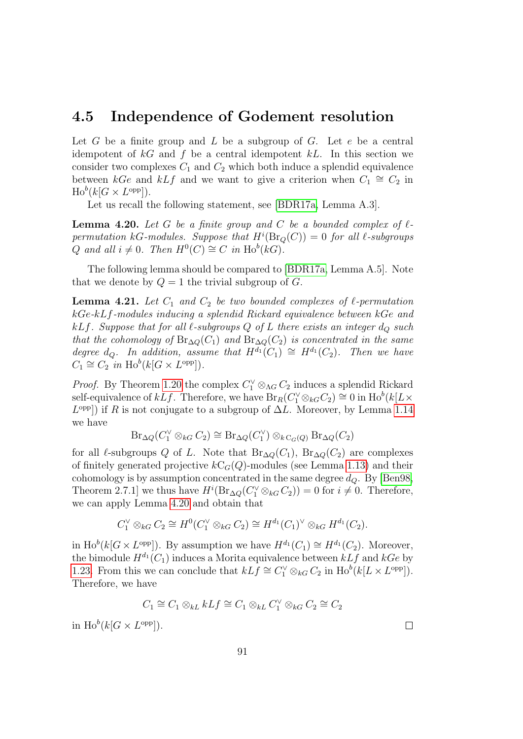#### 4.5 Independence of Godement resolution

Let  $G$  be a finite group and  $L$  be a subgroup of  $G$ . Let  $e$  be a central idempotent of  $kG$  and f be a central idempotent kL. In this section we consider two complexes  $C_1$  and  $C_2$  which both induce a splendid equivalence between kGe and kLf and we want to give a criterion when  $C_1 \cong C_2$  in  $\text{Ho}^b(k[G \times L^{\text{opp}}]).$ 

Let us recall the following statement, see [\[BDR17a,](#page-141-0) Lemma A.3].

<span id="page-90-0"></span>**Lemma 4.20.** Let G be a finite group and C be a bounded complex of  $\ell$ permutation kG-modules. Suppose that  $H^i(\text{Br}_Q(C)) = 0$  for all  $\ell$ -subgroups Q and all  $i \neq 0$ . Then  $H^0(C) \cong C$  in  $\text{Ho}^b(kG)$ .

The following lemma should be compared to [\[BDR17a,](#page-141-0) Lemma A.5]. Note that we denote by  $Q = 1$  the trivial subgroup of G.

<span id="page-90-1"></span>**Lemma 4.21.** Let  $C_1$  and  $C_2$  be two bounded complexes of  $\ell$ -permutation kGe-kLf-modules inducing a splendid Rickard equivalence between kGe and kLf. Suppose that for all  $\ell$ -subgroups Q of L there exists an integer  $d_{\mathcal{Q}}$  such that the cohomology of  $\text{Br}_{\Delta Q}(C_1)$  and  $\text{Br}_{\Delta Q}(C_2)$  is concentrated in the same degree  $d_Q$ . In addition, assume that  $H^{d_1}(C_1) \cong H^{d_1}(C_2)$ . Then we have  $C_1 \cong C_2$  *in*  $\text{Ho}^b(k[G \times L^{\text{opp}}]).$ 

*Proof.* By Theorem [1.20](#page-24-0) the complex  $C_1^{\vee} \otimes_{\Lambda} C_2$  induces a splendid Rickard self-equivalence of  $kLf$ . Therefore, we have  $\overline{Br}_R(C_1^{\vee} \otimes_{kG} C_2) \cong 0$  in  $\text{Ho}^b(k[L \times$  $L^{\text{opp}}$ ) if R is not conjugate to a subgroup of  $\Delta L$ . Moreover, by Lemma [1.14](#page-21-0) we have

$$
\mathrm{Br}_{\Delta Q}(C_1^{\vee} \otimes_{kG} C_2) \cong \mathrm{Br}_{\Delta Q}(C_1^{\vee}) \otimes_{k\mathrm{C}_G(Q)} \mathrm{Br}_{\Delta Q}(C_2)
$$

for all  $\ell$ -subgroups Q of L. Note that Br<sub>∆Q</sub>(C<sub>1</sub>), Br<sub>∆Q</sub>(C<sub>2</sub>) are complexes of finitely generated projective  $kC_G(Q)$ -modules (see Lemma [1.13\)](#page-20-0) and their cohomology is by assumption concentrated in the same degree  $d_Q$ . By [\[Ben98,](#page-141-2) Theorem 2.7.1] we thus have  $H^{i}(\text{Br}_{\Delta Q}(C_1^{\vee} \otimes_{kG} C_2)) = 0$  for  $i \neq 0$ . Therefore, we can apply Lemma [4.20](#page-90-0) and obtain that

$$
C_1^{\vee} \otimes_{kG} C_2 \cong H^0(C_1^{\vee} \otimes_{kG} C_2) \cong H^{d_1}(C_1)^{\vee} \otimes_{kG} H^{d_1}(C_2).
$$

in  $\text{Ho}^b(k[G \times L^{\text{opp}}])$ . By assumption we have  $H^{d_1}(C_1) \cong H^{d_1}(C_2)$ . Moreover, the bimodule  $H^{d_1}(C_1)$  induces a Morita equivalence between  $kLf$  and  $kGe$  by [1.23.](#page-25-0) From this we can conclude that  $kLf \cong C_1^{\vee} \otimes_{kG} C_2$  in  $\text{Ho}^{b}(k[L \times L^{\text{opp}}])$ . Therefore, we have

$$
C_1 \cong C_1 \otimes_{kL} kLf \cong C_1 \otimes_{kL} C_1^{\vee} \otimes_{kG} C_2 \cong C_2
$$

in  $\text{Ho}^b(k[G \times L^{\text{opp}}]).$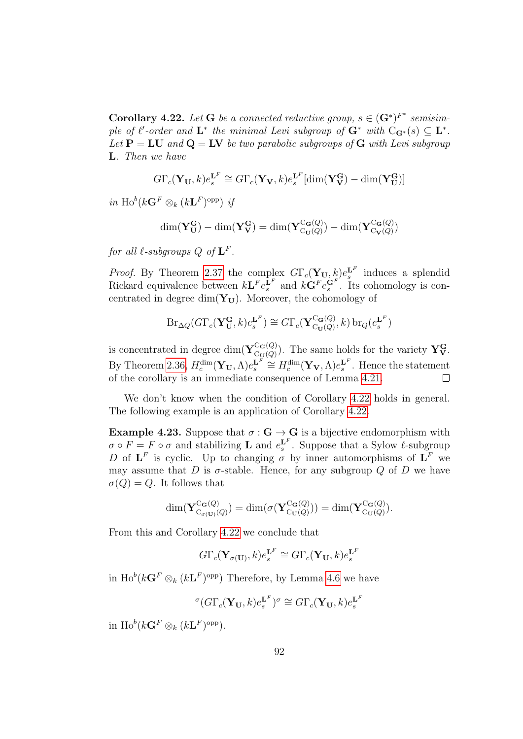<span id="page-91-0"></span>**Corollary 4.22.** Let **G** be a connected reductive group,  $s \in (\mathbf{G}^*)^{F^*}$  semisimple of  $\ell'$ -order and  $\mathbf{L}^*$  the minimal Levi subgroup of  $\mathbf{G}^*$  with  $C_{\mathbf{G}^*}(s) \subseteq \mathbf{L}^*$ . Let  $P = LU$  and  $Q = LV$  be two parabolic subgroups of G with Levi subgroup L. Then we have

$$
G\Gamma_c(\mathbf{Y_U},k)e_s^{\mathbf{L}^F} \cong G\Gamma_c(\mathbf{Y_V},k)e_s^{\mathbf{L}^F}[\dim(\mathbf{Y_V^G}) - \dim(\mathbf{Y_U^G})]
$$

in  $\text{Ho}^b(k\mathbf{G}^F\otimes_k (k\mathbf{L}^F)^{\text{opp}})$  if

$$
\dim(\mathbf{Y}_{\mathbf{U}}^{\mathbf{G}}) - \dim(\mathbf{Y}_{\mathbf{V}}^{\mathbf{G}}) = \dim(\mathbf{Y}_{\mathrm{Cu}(Q)}^{\mathrm{C}_{\mathbf{G}}(Q)}) - \dim(\mathbf{Y}_{\mathrm{C}_{\mathbf{V}}(Q)}^{\mathrm{C}_{\mathbf{G}}(Q)})
$$

for all  $\ell$ -subgroups  $Q$  of  $\mathbf{L}^F.$ 

*Proof.* By Theorem [2.37](#page-60-0) the complex  $G\Gamma_c(\mathbf{Y}_{\mathbf{U}}, k)e_s^{\mathbf{L}^F}$  induces a splendid Rickard equivalence between  $k\mathbf{L}^F e_s^{\mathbf{L}^F}$  and  $k\mathbf{G}^F e_s^{\mathbf{G}^F}$ . Its cohomology is concentrated in degree dim( $Y_U$ ). Moreover, the cohomology of

$$
\mathrm{Br}_{\Delta Q}(G\Gamma_c(\mathbf{Y}_{\mathbf{U}}^{\mathbf{G}},k)e_s^{\mathbf{L}^F}) \cong G\Gamma_c(\mathbf{Y}_{C_{\mathbf{U}}(Q)}^{C_{\mathbf{G}}(Q)},k)\,\mathrm{br}_Q(e_s^{\mathbf{L}^F})
$$

is concentrated in degree dim $(\mathbf{Y}_{\text{C}_{\text{M}}(Q)}^{\text{C}_{\text{G}}(Q)})$  $C_{\mathbf{U}(Q)}^{(\mathbf{G}(Q))}$ . The same holds for the variety  $\mathbf{Y}_{\mathbf{V}}^{\mathbf{G}}$ . By Theorem [2.36,](#page-59-0)  $H_c^{\dim}(\mathbf{Y_U}, \Lambda)e_s^{\mathbf{L}^F} \cong H_c^{\dim}(\mathbf{Y_V}, \Lambda)e_s^{\mathbf{L}^F}$ . Hence the statement of the corollary is an immediate consequence of Lemma [4.21.](#page-90-1) Г

We don't know when the condition of Corollary [4.22](#page-91-0) holds in general. The following example is an application of Corollary [4.22.](#page-91-0)

Example 4.23. Suppose that  $\sigma : G \to G$  is a bijective endomorphism with  $\sigma \circ F = F \circ \sigma$  and stabilizing **L** and  $e_s^{\mathbf{L}^F}$ . Suppose that a Sylow  $\ell$ -subgroup D of  $\mathbf{L}^F$  is cyclic. Up to changing  $\sigma$  by inner automorphisms of  $\mathbf{L}^F$  we may assume that D is  $\sigma$ -stable. Hence, for any subgroup Q of D we have  $\sigma(Q) = Q$ . It follows that

$$
\dim(\mathbf{Y}_{C_{\sigma(\mathbf{U})}(Q)}^{\mathbf{C}_{\mathbf{G}}(Q)}) = \dim(\sigma(\mathbf{Y}_{C_{\mathbf{U}}(Q)}^{\mathbf{C}_{\mathbf{G}}(Q)})) = \dim(\mathbf{Y}_{C_{\mathbf{U}}(Q)}^{\mathbf{C}_{\mathbf{G}}(Q)}).
$$

From this and Corollary [4.22](#page-91-0) we conclude that

$$
G\Gamma_c(\mathbf{Y}_{\sigma(\mathbf{U})},k)e_s^{\mathbf{L}^F} \cong G\Gamma_c(\mathbf{Y}_{\mathbf{U}},k)e_s^{\mathbf{L}^F}
$$

in  $\text{Ho}^b(k\mathbf{G}^F \otimes_k (k\mathbf{L}^F)^\text{opp})$  Therefore, by Lemma [4.6](#page-83-1) we have

$$
{}^{\sigma}(G\Gamma_c(\mathbf{Y}_{\mathbf{U}},k)e^{L^F}_{s})^{\sigma} \cong G\Gamma_c(\mathbf{Y}_{\mathbf{U}},k)e^{L^F}_{s}
$$

in  $\text{Ho}^{b}(k\mathbf{G}^{F}\otimes_{k}(k\mathbf{L}^{F})^{\text{opp}}).$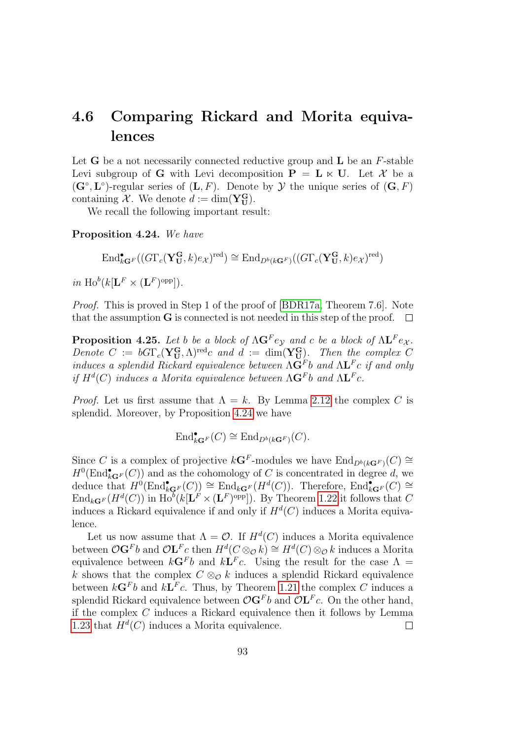## 4.6 Comparing Rickard and Morita equivalences

Let **G** be a not necessarily connected reductive group and  $\bf{L}$  be an  $F$ -stable Levi subgroup of G with Levi decomposition  $P = L \ltimes U$ . Let X be a  $(\mathbf{G}^{\circ}, \mathbf{L}^{\circ})$ -regular series of  $(\mathbf{L}, F)$ . Denote by  $\mathcal{Y}$  the unique series of  $(\mathbf{G}, F)$ containing X. We denote  $d := \dim(\mathbf{Y}_{\mathbf{U}}^{\mathbf{G}})$ .

We recall the following important result:

<span id="page-92-0"></span>Proposition 4.24. We have

$$
\operatorname{End}\nolimits^\bullet_{k{\bf G}^F}((G\Gamma_c({\bf Y_{U}^G},k)e_{\mathcal{X}})^{\operatorname{red}})\cong \operatorname{End}\nolimits_{D^b(k{\bf G}^F)}((G\Gamma_c({\bf Y_{U}^G},k)e_{\mathcal{X}})^{\operatorname{red}})
$$

in  $\text{Ho}^b(k[\mathbf{L}^F \times (\mathbf{L}^F)^{\text{opp}}]).$ 

Proof. This is proved in Step 1 of the proof of [\[BDR17a,](#page-141-0) Theorem 7.6]. Note that the assumption G is connected is not needed in this step of the proof.  $\Box$ 

<span id="page-92-1"></span>**Proposition 4.25.** Let b be a block of  $\Lambda$ **G**<sup>F</sup>e<sub>Y</sub> and c be a block of  $\Lambda$ **L**<sup>F</sup>e<sub>X</sub>. Denote  $C := bG\Gamma_c(\mathbf{Y_U^G}, \Lambda)^{\text{red}}c$  and  $d := \dim(\mathbf{Y_U^G})$ . Then the complex C induces a splendid Rickard equivalence between  $\Lambda$ **G**<sup>F</sup>b and  $\Lambda$ **L**<sup>F</sup>c if and only if  $H^d(C)$  induces a Morita equivalence between  $\Lambda \mathbf{G}^F$ b and  $\Lambda \mathbf{L}^F c$ .

*Proof.* Let us first assume that  $\Lambda = k$ . By Lemma [2.12](#page-46-0) the complex C is splendid. Moreover, by Proposition [4.24](#page-92-0) we have

$$
\text{End}_{k\mathbf{G}^F}^\bullet(C) \cong \text{End}_{D^b(k\mathbf{G}^F)}(C).
$$

Since C is a complex of projective  $k\mathbf{G}^F$ -modules we have  $\text{End}_{D^b(k\mathbf{G}^F)}(C) \cong$  $H^0(\text{End}_{k\mathbf{G}^F}^\bullet(C))$  and as the cohomology of C is concentrated in degree d, we deduce that  $H^0(\text{End}^{\bullet}_{k\mathbf{G}^F}(C)) \cong \text{End}_{k\mathbf{G}^F}(H^d(C)).$  Therefore,  $\text{End}^{\bullet}_{k\mathbf{G}^F}(C) \cong$  $\text{End}_{k\mathbf{G}^F}(H^d(C))$  in  $\text{Ho}^b(k[\mathbf{L}^F \times (\mathbf{L}^F)^{\text{opp}}])$ . By Theorem [1.22](#page-24-1) it follows that C induces a Rickard equivalence if and only if  $H^d(C)$  induces a Morita equivalence.

Let us now assume that  $\Lambda = \mathcal{O}$ . If  $H^d(C)$  induces a Morita equivalence between  $\mathcal{O}$ **G**<sup>F</sup>b and  $\mathcal{O}$ **L**<sup>F</sup>c then  $H^d(C \otimes_{\mathcal{O}} k) \cong H^d(C) \otimes_{\mathcal{O}} k$  induces a Morita equivalence between  $k\mathbf{G}^F b$  and  $k\mathbf{L}^F c$ . Using the result for the case  $\Lambda =$ k shows that the complex  $C \otimes_{\mathcal{O}} k$  induces a splendid Rickard equivalence between  $k\mathbf{G}^F b$  and  $k\mathbf{L}^F c$ . Thus, by Theorem [1.21](#page-24-2) the complex C induces a splendid Rickard equivalence between  $\mathcal{O} \mathbf{G}^F b$  and  $\mathcal{O} \mathbf{L}^F c$ . On the other hand, if the complex C induces a Rickard equivalence then it follows by Lemma [1.23](#page-25-0) that  $H^d(C)$  induces a Morita equivalence.  $\Box$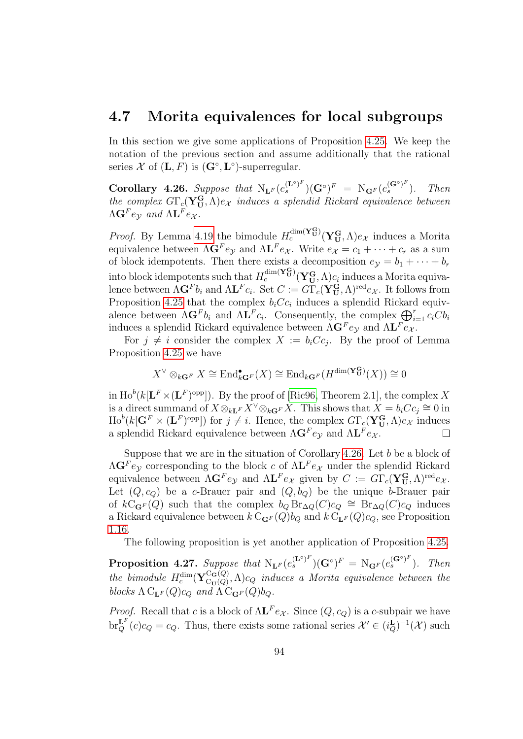#### 4.7 Morita equivalences for local subgroups

In this section we give some applications of Proposition [4.25.](#page-92-1) We keep the notation of the previous section and assume additionally that the rational series X of  $(L, F)$  is  $(G<sup>°</sup>, L<sup>°</sup>)$ -superregular.

<span id="page-93-0"></span>Corollary 4.26. Suppose that  $N_{\mathbf{L}^F}(e_s^{(\mathbf{L}^\circ)^F})(\mathbf{G}^\circ)^F = N_{\mathbf{G}^F}(e_s^{(\mathbf{G}^\circ)^F})$ . Then the complex  $G\Gamma_c(\mathbf{Y}_{\mathbf{U}}^{\mathbf{G}},\Lambda)e_{\mathcal{X}}$  induces a splendid Rickard equivalence between  $\Lambda \mathbf{G}^F e_{\mathcal{Y}}$  and  $\Lambda \mathbf{L}^F e_{\mathcal{X}}$ .

*Proof.* By Lemma [4.19](#page-89-0) the bimodule  $H_c^{\dim(\mathbf{Y}_U^G)}(\mathbf{Y}_U^G,\Lambda)e_{\mathcal{X}}$  induces a Morita equivalence between  $\Lambda \mathbf{G}^F e_{\mathcal{Y}}$  and  $\Lambda \mathbf{L}^F e_{\mathcal{X}}$ . Write  $e_{\mathcal{X}} = c_1 + \cdots + c_r$  as a sum of block idempotents. Then there exists a decomposition  $e_y = b_1 + \cdots + b_r$ into block idempotents such that  $H_c^{\dim(\mathbf{Y^G_U})}(\mathbf{Y^G_U},\Lambda)c_i$  induces a Morita equivalence between  $\Lambda \mathbf{G}^F b_i$  and  $\Lambda \mathbf{L}^F c_i$ . Set  $C := G \Gamma_c (\mathbf{Y_U^G}, \Lambda)^{\text{red}} e_{\mathcal{X}}$ . It follows from Proposition [4.25](#page-92-1) that the complex  $b_i C c_i$  induces a splendid Rickard equivalence between  $\Lambda \mathbf{G}^F b_i$  and  $\Lambda \mathbf{L}^F c_i$ . Consequently, the complex  $\bigoplus_{i=1}^r c_i C b_i$ induces a splendid Rickard equivalence between  $\Lambda \mathbf{G}^F e_{\mathcal{Y}}$  and  $\Lambda \mathbf{L}^F e_{\mathcal{X}}$ .

For  $j \neq i$  consider the complex  $X := b_i C c_j$ . By the proof of Lemma Proposition [4.25](#page-92-1) we have

$$
X^{\vee} \otimes_{k{\bf G}^F} X \cong \text{End}_{k{\bf G}^F}^{\bullet}(X) \cong \text{End}_{k{\bf G}^F}(H^{\dim(\mathbf{Y}_{\mathbf{U}}^{\mathbf{G}})}(X)) \cong 0
$$

in  $\text{Ho}^b(k[\mathbf{L}^F\times(\mathbf{L}^F)^{\text{opp}}])$ . By the proof of [\[Ric96,](#page-144-3) Theorem 2.1], the complex X is a direct summand of  $X \otimes_{k\mathbf{L}^F} X^{\vee} \otimes_{k\mathbf{G}^F} X$ . This shows that  $X = b_i C c_j \cong 0$  in  $\text{Ho}^b(k[\mathbf{G}^F \times (\mathbf{L}^F)^{\text{opp}}])$  for  $j \neq i$ . Hence, the complex  $G\Gamma_c(\mathbf{Y}_{\mathbf{U}}^{\mathbf{G}},\Lambda)e_{\mathcal{X}}$  induces a splendid Rickard equivalence between  $\Lambda \mathbf{G}^F e_{\mathcal{Y}}$  and  $\Lambda \mathbf{L}^F e_{\mathcal{X}}$ .  $\Box$ 

Suppose that we are in the situation of Corollary [4.26.](#page-93-0) Let  $b$  be a block of  $\Lambda$ **G**<sup>F</sup>e<sub>y</sub> corresponding to the block c of  $\Lambda$ **L**<sup>F</sup>e<sub>X</sub> under the splendid Rickard equivalence between  $\Lambda \mathbf{G}^F e_{\mathcal{Y}}$  and  $\Lambda \mathbf{L}^F e_{\mathcal{X}}$  given by  $C := G \Gamma_c (\mathbf{Y}_U^G, \Lambda)^{\text{red}} e_{\mathcal{X}}$ . Let  $(Q, c_Q)$  be a c-Brauer pair and  $(Q, b_Q)$  be the unique b-Brauer pair of  $k\ddot{C}_{\mathbf{G}F}(\tilde{Q})$  such that the complex  $b_Q \text{Br}_{\Delta Q}(C)c_Q \cong \text{Br}_{\Delta Q}(C)c_Q$  induces a Rickard equivalence between  $k \, \mathrm{C}_{\mathbf{G}^F}(Q) b_Q$  and  $k \, \mathrm{C}_{\mathbf{L}^F}(Q) c_Q$ , see Proposition [1.16.](#page-22-0)

The following proposition is yet another application of Proposition [4.25.](#page-92-1)

<span id="page-93-1"></span>**Proposition 4.27.** Suppose that  $N_{\mathbf{L}^F}(e_s^{(\mathbf{L}^\circ)^F})(\mathbf{G}^\circ)^F = N_{\mathbf{G}^F}(e_s^{(\mathbf{G}^\circ)^F})$ . Then the bimodule  $H_c^{\dim}(\mathbf{Y}_{\mathrm{Cu}(Q)}^{\mathrm{C}_{\mathbf{G}}(Q)})$  $C_{\text{CU}}^{G(Q)}, \Lambda$ ) $c_Q$  induces a Morita equivalence between the blocks  $\Lambda C_{LF}(Q)c_Q$  and  $\Lambda C_{GF}(Q)b_Q$ .

*Proof.* Recall that c is a block of  $\Lambda L^F e_{\mathcal{X}}$ . Since  $(Q, c_Q)$  is a c-subpair we have  $\operatorname{br}_Q^{\mathbf{L}^F}(c)c_Q = c_Q$ . Thus, there exists some rational series  $\mathcal{X}' \in (i_Q^{\mathbf{L}})^{-1}(\mathcal{X})$  such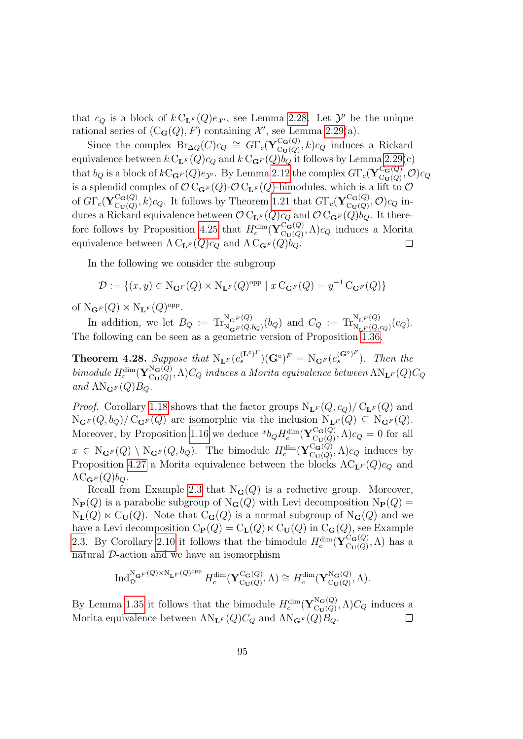that  $c_Q$  is a block of  $k C_{\mathbf{L}^F}(Q) e_{\mathcal{X}}$ , see Lemma [2.28.](#page-55-0) Let  $\mathcal{Y}'$  be the unique rational series of  $(C_{\mathbf{G}}(Q), F)$  containing  $\mathcal{X}'$ , see Lemma [2.29\(](#page-55-1)a).

Since the complex  $\text{Br}_{\Delta Q}(C)c_Q \cong G\Gamma_c(\mathbf{Y}_{\text{Cr}(Q)}^{\text{C}_{\mathbf{G}}(Q)})$  ${}_{\mathrm{C}_{\mathbf{U}}(Q)}^{\mathrm{C}_{\mathbf{G}}(Q)}, k) c_Q$  induces a Rickard equivalence between  $k C_{\mathbf{L}^F}(Q)c_Q$  and  $k C_{\mathbf{G}^F}(Q)b_Q$  it follows by Lemma [2.29\(](#page-55-1)c) that  $b_Q$  is a block of  $kC_{\mathbf{G}^F}(Q)e_{\mathcal{Y}}$ . By Lemma [2.12](#page-46-0) the complex  $G\Gamma_c(\mathbf{Y}_{\text{Cr}(Q)}^{\text{C}_{\mathbf{G}}(Q)})$  $\frac{\mathrm{C}_{\mathbf{G}}\left( Q\right) }{\mathrm{C}_{\mathbf{U}}\left( Q\right) },\mathcal{O} \big) c_{Q}$ is a splendid complex of  $\mathcal{O} C_{\mathbf{G}^F}(Q)$ - $\mathcal{O} C_{\mathbf{L}^F}(Q)$ -bimodules, which is a lift to  $\mathcal{O}$ of  $G\Gamma_c({\bf Y}^{\bf C_G(Q)}_{\rm C_U(Q)}$  ${}_{\text{C}_{\mathbf{U}}(Q)}^{\text{C}_{\mathbf{G}}(Q)}, k) c_Q$ . It follows by Theorem [1.21](#page-24-2) that  $G\Gamma_c(\mathbf{Y}_{\text{C}_{\mathbf{U}}(Q)}^{\text{C}_{\mathbf{G}}(Q)})$  $\mathcal{C}_{\mathbf{U}}(\mathcal{Q})\mathcal{C}(\mathcal{O})$ ,  $\mathcal{O})$  $c_{Q}$  induces a Rickard equivalence between  $\mathcal{O} C_{\mathbf{L}^F}(Q)c_Q$  and  $\mathcal{O} C_{\mathbf{G}^F}(Q)b_Q$ . It there-fore follows by Proposition [4.25](#page-92-1) that  $H_c^{\dim}(\mathbf{Y}_{\text{Cu}(Q)}^{\text{C}_{\mathbf{G}}(Q)})$  ${}_{\mathrm{Cu}(Q)}^{\mathrm{Cu}(Q)}$ ,  $\Lambda$ )c<sub>Q</sub> induces a Morita equivalence between  $\Lambda C_{\mathbf{L}^F}(Q)c_Q$  and  $\Lambda C_{\mathbf{G}^F}(Q)b_Q$ .  $\Box$ 

In the following we consider the subgroup

$$
\mathcal{D}:=\{(x,y)\in \mathrm{N}_{\mathbf{G}^F}(Q)\times \mathrm{N}_{\mathbf{L}^F}(Q)^{\mathrm{opp}}\mid x\operatorname{C}_{\mathbf{G}^F}(Q)=y^{-1}\operatorname{C}_{\mathbf{G}^F}(Q)\}
$$

of  $N_{\mathbf{G}^F}(Q) \times N_{\mathbf{L}^F}(Q)$ <sup>opp</sup>.

In addition, we let  $B_Q := \text{Tr}_{\text{N}_{\mathbf{G}F}(Q,b_Q)}^{\text{N}_{\mathbf{G}F}(Q)}(b_Q)$  and  $C_Q := \text{Tr}_{\text{N}_{\mathbf{L}F}(Q,c_Q)}^{\text{N}_{\mathbf{L}F}(Q)}(c_Q)$ . The following can be seen as a geometric version of Proposition [1.36.](#page-32-0)

**Theorem 4.28.** Suppose that  $N_{\mathbf{L}^F}(e_s^{(\mathbf{L}^\circ)^F})(\mathbf{G}^\circ)^F = N_{\mathbf{G}^F}(e_s^{(\mathbf{G}^\circ)^F})$ . Then the bimodule  $H_c^{\dim}(\mathbf{Y}_{\mathrm{C}_{\mathbf{U}}(Q)}^{\mathrm{N}_{\mathbf{G}}(Q)})$  $\Gamma_{\mathrm{Cu}(Q)}^{\mathrm{NG}(Q)}, \Lambda) C_Q$  induces a Morita equivalence between  $\Lambda \mathrm{N_{L^F}}(Q) C_Q$ and  $\Lambda N_{\mathbf{G}^F}(Q)B_Q$ .

*Proof.* Corollary [1.18](#page-23-0) shows that the factor groups  $N_{\mathbf{L}^F}(Q, c_Q)/C_{\mathbf{L}^F}(Q)$  and  $N_{\mathbf{G}^F}(Q, b_Q)/C_{\mathbf{G}^F}(Q)$  are isomorphic via the inclusion  $N_{\mathbf{L}^F}(Q) \subseteq N_{\mathbf{G}^F}(Q)$ . Moreover, by Proposition [1.16](#page-22-0) we deduce  $^{x}b_{Q}H_{c}^{\dim}(\mathbf{Y}_{\mathrm{Cu}(Q)}^{\mathrm{C}_{\mathbf{G}}(Q)})$  $C_{\mathbf{U}(Q)}^{C_{\mathbf{G}}(Q)}, \Lambda$ ) $c_Q = 0$  for all  $x \in N_{\mathbf{G}^F}(Q) \setminus N_{\mathbf{G}^F}(Q, b_Q)$ . The bimodule  $H_c^{\dim}(\mathbf{Y}_{\text{Cl}(Q)}^{\text{C}_{\mathbf{G}}(Q)})$  $C_{\mathbf{U}(Q)}^{C_{\mathbf{G}}(Q)}, \Lambda$ ) $c_Q$  induces by Proposition [4.27](#page-93-1) a Morita equivalence between the blocks  $\Lambda C_{\mathbf{L}^F}(Q)c_Q$  and  $\Lambda C_{\mathbf{G}^F}(Q)$ <sub> $O$ </sub>.

Recall from Example [2.3](#page-41-1) that  $N_G(Q)$  is a reductive group. Moreover,  $N_{\mathbf{P}}(Q)$  is a parabolic subgroup of  $N_{\mathbf{G}}(Q)$  with Levi decomposition  $N_{\mathbf{P}}(Q)$  =  $N_{\mathbf{L}}(Q) \ltimes C_{\mathbf{U}}(Q)$ . Note that  $C_{\mathbf{G}}(Q)$  is a normal subgroup of  $N_{\mathbf{G}}(Q)$  and we have a Levi decomposition  $C_{\mathbf{P}}(Q) = C_{\mathbf{L}}(Q) \ltimes C_{\mathbf{U}}(Q)$  in  $C_{\mathbf{G}}(Q)$ , see Example [2.3.](#page-41-1) By Corollary [2.10](#page-45-0) it follows that the bimodule  $H_c^{\dim}(\mathbf{Y}_{\text{C}_{\text{II}}(Q)}^{\text{C}_{\text{G}}(Q)})$  $C_{\mathbf{U}}(Q), \Lambda$  has a natural D-action and we have an isomorphism

$$
\operatorname{Ind}_{\mathcal{D}}^{\operatorname{N}_{\mathbf{G}^F}(Q)\times\operatorname{N}_{\mathbf{L}^F}(Q)^{\operatorname{opp}}}H_c^{\dim}(\mathbf{Y}_{\operatorname{C}_{\mathbf{U}}(Q)}^{\operatorname{C}_{\mathbf{G}}(Q)},\Lambda)\cong H_c^{\dim}(\mathbf{Y}_{\operatorname{C}_{\mathbf{U}}(Q)}^{\operatorname{N}_{\mathbf{G}}(Q)},\Lambda).
$$

By Lemma [1.35](#page-31-0) it follows that the bimodule  $H_c^{\dim}(\mathbf{Y}_{\text{Cu}(Q)}^{\text{N}_{\mathbf{G}}(Q)})$  $C_{\mathbf{U}(Q)}^{\mathbf{N}\mathbf{G}(Q)}$ ,  $\Lambda$ ) $C_Q$  induces a Morita equivalence between  $\Lambda N_{\mathbf{L}^F}(Q)C_Q$  and  $\Lambda N_{\mathbf{G}^F}(Q)B_Q$ .  $\Box$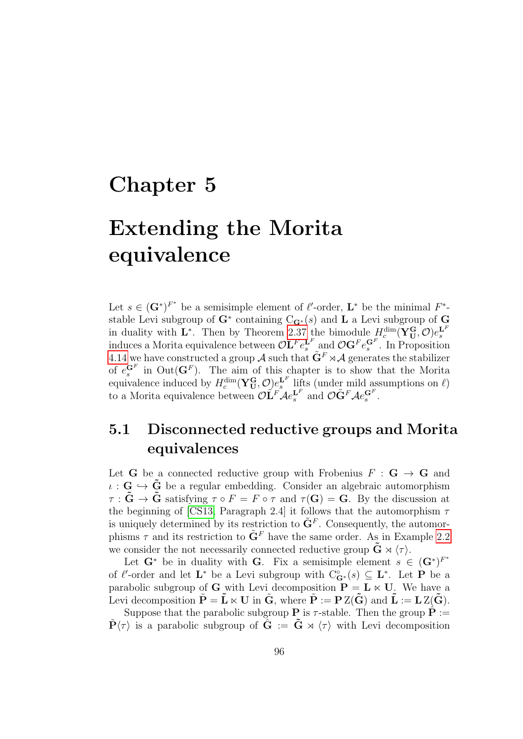## Chapter 5

# Extending the Morita equivalence

Let  $s \in (\mathbf{G}^*)^{F^*}$  be a semisimple element of  $\ell'$ -order,  $\mathbf{L}^*$  be the minimal  $F^*$ stable Levi subgroup of  $G^*$  containing  $C_{G^*}(s)$  and L a Levi subgroup of G in duality with L<sup>\*</sup>. Then by Theorem [2.37](#page-60-0) the bimodule  $H_c^{\dim}(\mathbf{Y}_{\mathbf{U}}^{\mathbf{G}}, \mathcal{O})e_s^{\mathbf{L}^F}$ induces a Morita equivalence between  $\mathcal{O}\mathbf{L}^F e_s^{\mathbf{L}^F}$  and  $\mathcal{O}\mathbf{G}^F e_s^{\mathbf{G}^F}$ . In Proposition [4.14](#page-87-0) we have constructed a group A such that  $\tilde{\mathbf{G}}^F \rtimes \mathcal{A}$  generates the stabilizer of  $e^{GF}_{s}$  in Out( $G^{F}$ ). The aim of this chapter is to show that the Morita equivalence induced by  $H_c^{\dim}(\mathbf{Y}_{\mathbf{U}}^{\mathbf{G}}, \mathcal{O})e_s^{\mathbf{L}^F}$  lifts (under mild assumptions on  $\ell$ ) to a Morita equivalence between  $\mathcal{O}\tilde{\mathbf{L}}^F \mathcal{A} e_s^{\mathbf{L}^F}$  and  $\mathcal{O}\tilde{\mathbf{G}}^F \mathcal{A} e_s^{\mathbf{G}^F}$ .

## 5.1 Disconnected reductive groups and Morita equivalences

Let **G** be a connected reductive group with Frobenius  $F : G \rightarrow G$  and  $\iota : \mathbf{G} \hookrightarrow \tilde{\mathbf{G}}$  be a regular embedding. Consider an algebraic automorphism  $\tau : \tilde{G} \to \tilde{G}$  satisfying  $\tau \circ F = F \circ \tau$  and  $\tau(G) = G$ . By the discussion at the beginning of [\[CS13,](#page-142-2) Paragraph 2.4] it follows that the automorphism  $\tau$ is uniquely determined by its restriction to  $\tilde{\mathbf{G}}^F$ . Consequently, the automorphisms  $\tau$  and its restriction to  $\tilde{\mathbf{G}}^F$  have the same order. As in Example [2.2](#page-41-2) we consider the not necessarily connected reductive group  $\tilde{G} \rtimes \langle \tau \rangle$ .

Let  $G^*$  be in duality with G. Fix a semisimple element  $s \in (G^*)^{F^*}$ of  $\ell'$ -order and let  $\mathbf{L}^*$  be a Levi subgroup with  $C^{\circ}_{\mathbf{G}^*}(s) \subseteq \mathbf{L}^*$ . Let **P** be a parabolic subgroup of G with Levi decomposition  $P = L \times U$ . We have a Levi decomposition  $\tilde{\mathbf{P}} = \tilde{\mathbf{L}} \ltimes \mathbf{U}$  in  $\tilde{\mathbf{G}}$ , where  $\tilde{\mathbf{P}} := \mathbf{P} Z(\tilde{\mathbf{G}})$  and  $\tilde{\mathbf{L}} := \mathbf{L} Z(\tilde{\mathbf{G}})$ .

Suppose that the parabolic subgroup **P** is  $\tau$ -stable. Then the group  $\hat{\mathbf{P}} :=$  $\tilde{\mathbf{P}}\langle\tau\rangle$  is a parabolic subgroup of  $\hat{\mathbf{G}} := \tilde{\mathbf{G}} \rtimes \langle\tau\rangle$  with Levi decomposition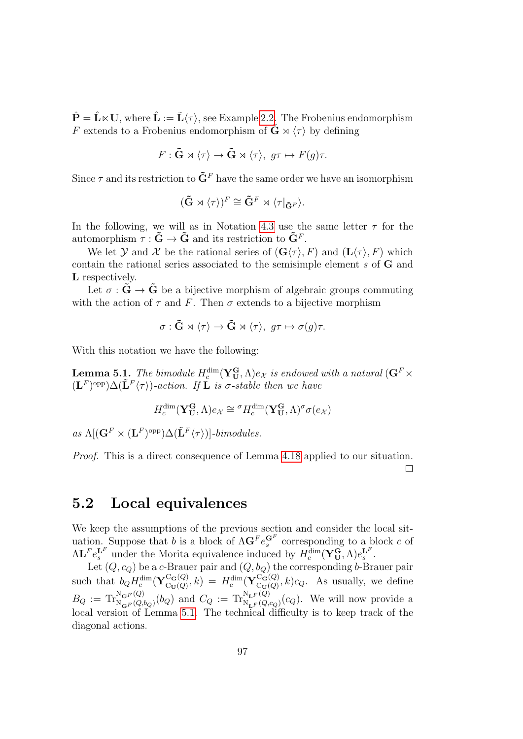$\hat{\mathbf{P}} = \hat{\mathbf{L}} \times \mathbf{U}$ , where  $\hat{\mathbf{L}} := \tilde{\mathbf{L}} \langle \tau \rangle$ , see Example [2.2.](#page-41-2) The Frobenius endomorphism F extends to a Frobenius endomorphism of  $\tilde{G} \rtimes \langle \tau \rangle$  by defining

$$
F: \tilde{\mathbf{G}} \rtimes \langle \tau \rangle \to \tilde{\mathbf{G}} \rtimes \langle \tau \rangle, \ g\tau \mapsto F(g)\tau.
$$

Since  $\tau$  and its restriction to  $\tilde{\mathbf{G}}^F$  have the same order we have an isomorphism

$$
(\tilde{\mathbf{G}} \rtimes \langle \tau \rangle)^F \cong \tilde{\mathbf{G}}^F \rtimes \langle \tau|_{\tilde{\mathbf{G}}^F} \rangle.
$$

In the following, we will as in Notation [4.3](#page-81-1) use the same letter  $\tau$  for the automorphism  $\tau : \tilde{G} \to \tilde{G}$  and its restriction to  $\tilde{G}^F$ .

We let Y and X be the rational series of  $(\mathbf{G}\langle \tau \rangle, F)$  and  $(\mathbf{L}\langle \tau \rangle, F)$  which contain the rational series associated to the semisimple element s of G and L respectively.

Let  $\sigma : \tilde{G} \to \tilde{G}$  be a bijective morphism of algebraic groups commuting with the action of  $\tau$  and F. Then  $\sigma$  extends to a bijective morphism

$$
\sigma : \tilde{G} \rtimes \langle \tau \rangle \to \tilde{G} \rtimes \langle \tau \rangle, \ g\tau \mapsto \sigma(g)\tau.
$$

With this notation we have the following:

<span id="page-96-0"></span>**Lemma 5.1.** The bimodule  $H_c^{\dim}(\mathbf{Y_U^G}, \Lambda)e_{\mathcal{X}}$  is endowed with a natural  $(\mathbf{G}^F \times$  $(\mathbf{L}^F)^{\text{opp}}\Delta(\tilde{\mathbf{L}}^F\langle\tau\rangle)$ -action. If  $\tilde{\mathbf{L}}$  is  $\sigma$ -stable then we have

$$
H_c^{\dim}(\mathbf{Y}_{\mathbf{U}}^{\mathbf{G}}, \Lambda)e_{\mathcal{X}} \cong {^{\sigma}H_c^{\dim}(\mathbf{Y}_{\mathbf{U}}^{\mathbf{G}}, \Lambda)^{\sigma}}\sigma(e_{\mathcal{X}})
$$

as  $\Lambda[(\mathbf{G}^F \times (\mathbf{L}^F)^{\text{opp}}) \Delta(\tilde{\mathbf{L}}^F \langle \tau \rangle)]$ -bimodules.

Proof. This is a direct consequence of Lemma [4.18](#page-89-1) applied to our situation.  $\Box$ 

#### 5.2 Local equivalences

We keep the assumptions of the previous section and consider the local situation. Suppose that b is a block of  $\Lambda$ **G**<sup>F</sup> $e_s^{\mathbf{G}^F}$  corresponding to a block c of  $\Lambda \mathbf{L}^F e_s^{\mathbf{L}^F}$  under the Morita equivalence induced by  $H_c^{\dim}(\mathbf{Y_U^G}, \Lambda)e_s^{\mathbf{L}^F}$ .

Let  $(Q, c_{Q})$  be a  $c$ -Brauer pair and  $(Q, b_{Q})$  the corresponding  $b$ -Brauer pair such that  $b_Q H_c^{\dim}(\mathbf{Y}_{\mathrm{Cu}(Q)}^{\mathrm{C}_{\mathbf{G}}(Q)})$  $\begin{equation} \begin{array}{l} \mathbf{C}_{\mathbf{G}}(Q), k) \ = \ H^{\dim}_c(\mathbf{Y}^{\mathbf{C}_{\mathbf{G}}(Q)}_{\mathbf{C}_{\mathbf{U}}(Q)}) \end{array} \end{equation}$  $C_{\mathbf{U}(Q)}^{G(Q)}, k) c_Q$ . As usually, we define  $B_Q := \text{Tr}_{\mathcal{N}_{\mathbf{G}F}(Q,b_Q)}^{\mathcal{N}_{\mathbf{G}F}(Q)}(b_Q)$  and  $C_Q := \text{Tr}_{\mathcal{N}_{\mathbf{L}F}(Q,c_Q)}^{\mathcal{N}_{\mathbf{L}F}(Q)}(c_Q)$ . We will now provide a local version of Lemma [5.1.](#page-96-0) The technical difficulty is to keep track of the diagonal actions.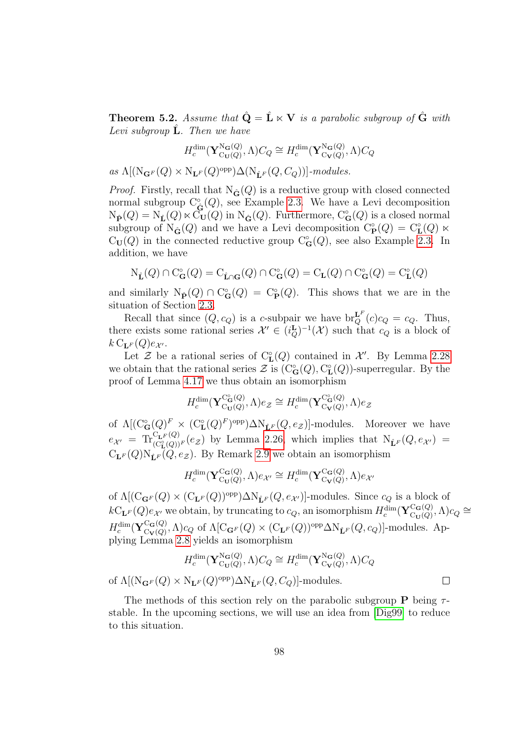**Theorem 5.2.** Assume that  $\hat{Q} = \hat{L} \times V$  is a parabolic subgroup of  $\hat{G}$  with Levi subgroup  $\hat{L}$ . Then we have

$$
H_c^{\dim}(\mathbf{Y}_{\mathrm{Cu}(Q)}^{\mathrm{Na}(Q)},\Lambda)C_Q \cong H_c^{\dim}(\mathbf{Y}_{\mathrm{Cu}(Q)}^{\mathrm{Na}(Q)},\Lambda)C_Q
$$

as  $\Lambda[(N_{\mathbf{G}^F}(Q) \times N_{\mathbf{L}^F}(Q)^{\text{opp}}) \Delta(N_{\mathbf{\hat{L}}^F}(Q, C_Q))]$ -modules.

*Proof.* Firstly, recall that  $N_{\hat{G}}(Q)$  is a reductive group with closed connected normal subgroup  $C^{\circ}_{\hat{G}}(Q)$ , see Example [2.3.](#page-41-1) We have a Levi decomposition  $N_{\hat{\mathbf{P}}}(Q) = N_{\hat{\mathbf{L}}}(Q) \ltimes C_{\mathbf{U}}(Q)$  in  $N_{\hat{\mathbf{G}}}(Q)$ . Furthermore,  $C_{\mathbf{G}}^{\circ}(Q)$  is a closed normal subgroup of  $N_{\mathbf{G}}(Q)$  and we have a Levi decomposition  $C_{\mathbf{P}}^{\circ}(Q) = C_{\mathbf{L}}^{\circ}(Q) \ltimes$  $C_U(Q)$  in the connected reductive group  $C_G^{\circ}(Q)$ , see also Example [2.3.](#page-41-1) In addition, we have

$$
\mathrm{N}_{\hat{\mathbf{L}}}(Q)\cap\mathrm{C}_{\mathbf{G}}^{\circ}(Q)=\mathrm{C}_{\hat{\mathbf{L}}\cap\mathbf{G}}(Q)\cap\mathrm{C}_{\mathbf{G}}^{\circ}(Q)=\mathrm{C}_{\mathbf{L}}(Q)\cap\mathrm{C}_{\mathbf{G}}^{\circ}(Q)=\mathrm{C}_{\mathbf{L}}^{\circ}(Q)
$$

and similarly  $N_{\hat{\mathbf{P}}}(Q) \cap C^{\circ}_{\mathbf{G}}(Q) = C^{\circ}_{\mathbf{P}}(Q)$ . This shows that we are in the situation of Section [2.3.](#page-42-1)

Recall that since  $(Q, c_Q)$  is a c-subpair we have  $br_Q^{\mathbf{L}^F}(c)c_Q = c_Q$ . Thus, there exists some rational series  $\mathcal{X}' \in (i_Q^{\mathbf{L}})^{-1}(\mathcal{X})$  such that  $c_Q$  is a block of  $k \mathrm{C}_{\mathbf{L}^F}(Q) e_{\mathcal{X}'}$ .

Let  $\mathcal Z$  be a rational series of  $C_{\mathbf L}^{\circ}(Q)$  contained in  $\mathcal X'$ . By Lemma [2.28](#page-55-0) we obtain that the rational series  $\mathcal{Z}$  is  $(C^{\circ}_{\mathbf{G}}(Q), C^{\circ}_{\mathbf{L}}(Q))$ -superregular. By the proof of Lemma [4.17](#page-88-1) we thus obtain an isomorphism

$$
H_c^{\dim}(\mathbf{Y}_{\mathrm{Cu}(Q)}^{\mathrm{C}_\mathbf{G}(Q)}, \Lambda)e_{\mathcal{Z}} \cong H_c^{\dim}(\mathbf{Y}_{\mathrm{C}_{\mathbf{V}}(Q)}^{\mathrm{C}_\mathbf{G}(Q)}, \Lambda)e_{\mathcal{Z}}
$$

of  $\Lambda[(C_{\mathbf{G}}^{\circ}(Q)^F \times (C_{\mathbf{L}}^{\circ}(Q)^F)^{\text{opp}})\Delta N_{\hat{\mathbf{L}}^F}(Q, e_{\mathcal{Z}})]$ -modules. Moreover we have  $e_{\mathcal{X}'} = \text{Tr}_{\left(\mathcal{C}_{\mathbf{L}}^{\circ}(\mathcal{Q})\right)^{F}}^{\mathcal{C}_{\mathbf{L}^{\mathbf{F}}}(\mathcal{Q})}(e_{\mathcal{Z}})$  by Lemma [2.26,](#page-54-0) which implies that  $\text{N}_{\mathbf{\hat{L}}^F}(Q, e_{\mathcal{X}'})$  $C_{\mathbf{L}^F}(Q)N_{\hat{\mathbf{L}}^F}(Q, e_{\mathcal{Z}})$ . By Remark [2.9](#page-45-1) we obtain an isomorphism

$$
H_c^{\dim}(\mathbf{Y}_{\mathrm{Cu}(Q)}^{\mathrm{Ca}(Q)}, \Lambda)e_{\mathcal{X}'} \cong H_c^{\dim}(\mathbf{Y}_{\mathrm{Cu}(Q)}^{\mathrm{Ca}(Q)}, \Lambda)e_{\mathcal{X}'}
$$

of  $\Lambda[(\mathrm{C}_{\mathbf{G}^F}(Q) \times (\mathrm{C}_{\mathbf{L}^F}(Q))^{\text{opp}}) \Delta N_{\hat{\mathbf{L}}^F}(Q, e_{\mathcal{X}'})]$ -modules. Since  $c_Q$  is a block of  $kC_{\mathbf{L}^F}(Q)e_{\mathcal{X}'}$  we obtain, by truncating to  $c_Q$ , an isomorphism  $H_c^{\dim}(\mathbf{Y}_{\text{C}_{\mathbf{H}}(Q)}^{\text{C}_{\mathbf{G}}(Q)})$  $C_{\mathbf{U}}(Q), \Lambda$ ) $c_Q \cong$  $H_c^{\dim}(\mathbf{Y}_{\mathrm{C}_{\mathbf{V}}(Q)}^{\mathrm{C}_{\mathbf{G}}(Q)})$  $C_{\mathbf{G}}(Q)$ ,  $\Lambda$ )c<sub>Q</sub> of  $\Lambda$ [C<sub>G</sub><sub>F</sub>(Q) × (C<sub>L</sub><sub>F</sub>(Q))<sup>opp</sup> $\Delta$ N<sub>L</sub><sup>F</sup>(Q, c<sub>Q</sub>)]-modules. Applying Lemma [2.8](#page-44-0) yields an isomorphism

$$
H_c^{\dim}(\mathbf{Y}_{\mathrm{Cu}(Q)}^{\mathrm{N}_{\mathbf{G}}(Q)},\Lambda)C_Q \cong H_c^{\dim}(\mathbf{Y}_{\mathrm{C}_{\mathbf{V}}(Q)}^{\mathrm{N}_{\mathbf{G}}(Q)},\Lambda)C_Q
$$
  
of  $\Lambda[(\mathrm{N}_{\mathbf{G}^F}(Q) \times \mathrm{N}_{\mathbf{L}^F}(Q)^{\mathrm{opp}})\Delta \mathrm{N}_{\hat{\mathbf{L}}^F}(Q,C_Q)]$ -modules.

The methods of this section rely on the parabolic subgroup **P** being  $\tau$ stable. In the upcoming sections, we will use an idea from [\[Dig99\]](#page-143-1) to reduce to this situation.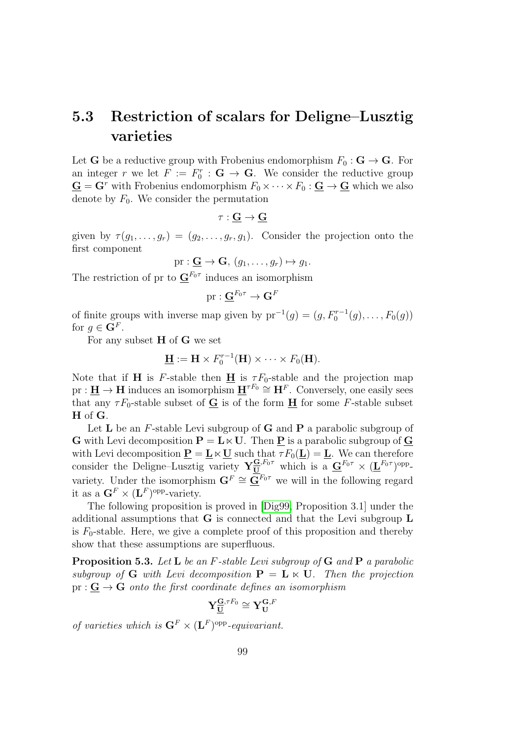## 5.3 Restriction of scalars for Deligne–Lusztig varieties

Let **G** be a reductive group with Frobenius endomorphism  $F_0: \mathbf{G} \to \mathbf{G}$ . For an integer r we let  $F := F_0^r : \mathbf{G} \to \mathbf{G}$ . We consider the reductive group  $\mathbf{G} = \mathbf{G}^r$  with Frobenius endomorphism  $F_0 \times \cdots \times F_0 : \mathbf{G} \to \mathbf{G}$  which we also denote by  $F_0$ . We consider the permutation

$$
\tau:\underline{G}\to \underline{G}
$$

given by  $\tau(g_1,\ldots,g_r) = (g_2,\ldots,g_r,g_1)$ . Consider the projection onto the first component

$$
\mathrm{pr}:\mathbf{\underline{G}}\rightarrow\mathbf{G},\,(g_1,\ldots,g_r)\mapsto g_1.
$$

The restriction of pr to  $\underline{\mathbf{G}}^{F_0\tau}$  induces an isomorphism

$$
\mathrm{pr}:\underline{\mathbf{G}}^{F_0\tau}\to\mathbf{G}^F
$$

of finite groups with inverse map given by  $pr^{-1}(g) = (g, F_0^{r-1}(g), \ldots, F_0(g))$ for  $g \in \mathbf{G}^F$ .

For any subset H of G we set

$$
\underline{\mathbf{H}} := \mathbf{H} \times F_0^{r-1}(\mathbf{H}) \times \cdots \times F_0(\mathbf{H}).
$$

Note that if **H** is F-stable then **H** is  $\tau F_0$ -stable and the projection map  $pr: \mathbf{H} \to \mathbf{H}$  induces an isomorphism  $\mathbf{H}^{\tau F_0} \cong \mathbf{H}^F$ . Conversely, one easily sees that any  $\tau F_0$ -stable subset of  $\mathbf G$  is of the form  $\mathbf H$  for some *F*-stable subset H of G.

Let  $L$  be an F-stable Levi subgroup of  $G$  and  $P$  a parabolic subgroup of **G** with Levi decomposition  $P = L \times U$ . Then P is a parabolic subgroup of **G** with Levi decomposition  $\underline{\mathbf{P}} = \underline{\mathbf{L}} \ltimes \underline{\mathbf{U}}$  such that  $\tau F_0(\underline{\mathbf{L}}) = \underline{\mathbf{L}}$ . We can therefore consider the Deligne–Lusztig variety  $Y_{U}^{\mathbf{G},F_0\tau}$  which is a  $\underline{\mathbf{G}}^{F_0\tau} \times (\underline{\mathbf{L}}^{F_0\tau})^{\text{opp}}$ variety. Under the isomorphism  $G^F \cong \overline{G}^{F_0 \tau}$  we will in the following regard it as a  $\mathbf{G}^F \times (\mathbf{L}^F)$ <sup>opp</sup>-variety.

The following proposition is proved in [\[Dig99,](#page-143-1) Proposition 3.1] under the additional assumptions that G is connected and that the Levi subgroup L is  $F_0$ -stable. Here, we give a complete proof of this proposition and thereby show that these assumptions are superfluous.

<span id="page-98-0"></span>Proposition 5.3. Let L be an F-stable Levi subgroup of G and P a parabolic subgroup of G with Levi decomposition  $P = L \ltimes U$ . Then the projection  $pr: G \to G$  onto the first coordinate defines an isomorphism

$$
Y^{\underline{\mathbf{G}},\tau F_0}_{\underline{\mathbf{U}}}\cong Y^{\mathbf{G},F}_{\mathbf{U}}
$$

of varieties which is  $\mathbf{G}^F \times (\mathbf{L}^F)$ <sup>opp</sup>-equivariant.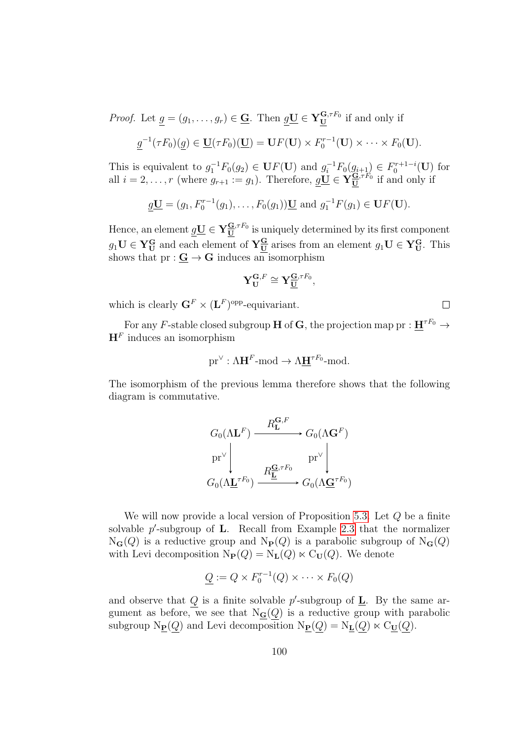*Proof.* Let  $g = (g_1, \ldots, g_r) \in \underline{G}$ . Then  $g\underline{U} \in Y_{\underline{U}}^{G, \tau_{F_0}}$  if and only if

$$
\underline{g}^{-1}(\tau F_0)(\underline{g}) \in \underline{\mathbf{U}}(\tau F_0)(\underline{\mathbf{U}}) = \mathbf{U}F(\mathbf{U}) \times F_0^{r-1}(\mathbf{U}) \times \cdots \times F_0(\mathbf{U}).
$$

This is equivalent to  $g_1^{-1}F_0(g_2) \in \mathbf{U}F(\mathbf{U})$  and  $g_i^{-1}F_0(g_{i+1}) \in F_0^{r+1-i}(\mathbf{U})$  for all  $i = 2, \ldots, r$  (where  $g_{r+1} := g_1$ ). Therefore,  $g\underline{U} \in Y_{\underline{U}}^{\underline{G}, \tau F_0}$  if and only if

$$
\underline{g}\underline{\mathbf{U}} = (g_1, F_0^{r-1}(g_1), \dots, F_0(g_1))\underline{\mathbf{U}}
$$
 and  $g_1^{-1}F(g_1) \in \mathbf{U}F(\mathbf{U})$ .

Hence, an element  $\underline{g}\underline{U} \in Y_{\underline{U}}^{\underline{G},\tau F_0}$  is uniquely determined by its first component  $g_1\mathbf{U} \in \mathbf{Y}_{\mathbf{U}}^{\mathbf{G}}$  and each element of  $\mathbf{Y}_{\mathbf{U}}^{\mathbf{G}}$  arises from an element  $g_1\mathbf{U} \in \mathbf{Y}_{\mathbf{U}}^{\mathbf{G}}$ . This shows that  $pr: \mathbf{G} \to \mathbf{G}$  induces an isomorphism

$$
\mathbf{Y}_{\mathbf{U}}^{\mathbf{G},F}\cong\mathbf{Y}_{\mathbf{\underline{U}}}^{\mathbf{\underline{G}},\tau F_0},
$$

 $\Box$ 

which is clearly  $\mathbf{G}^F \times (\mathbf{L}^F)^\text{opp}\text{-}\text{equivariant}.$ 

For any F-stable closed subgroup **H** of **G**, the projection map pr :  $\mathbf{H}^{\tau F_0} \rightarrow$  $H<sup>F</sup>$  induces an isomorphism

$$
\mathrm{pr}^\vee : \Lambda \mathbf{H}^F\text{-mod} \to \Lambda \mathbf{\underline{H}}^{\tau F_0}\text{-mod}.
$$

The isomorphism of the previous lemma therefore shows that the following diagram is commutative.

$$
G_0(\Lambda \mathbf{L}^F) \xrightarrow{R_{\mathbf{L}}^{\mathbf{G},F}} G_0(\Lambda \mathbf{G}^F)
$$
  
\n
$$
\text{pr}^{\vee} \downarrow \qquad \qquad \text{pr}^{\vee} \downarrow \qquad \qquad \text{pr}^{\vee} \downarrow
$$
  
\n
$$
G_0(\Lambda \underline{\mathbf{L}}^{\tau F_0}) \xrightarrow{R_{\underline{\mathbf{L}}}^{\mathbf{G},\tau F_0}} G_0(\Lambda \underline{\mathbf{G}}^{\tau F_0})
$$

We will now provide a local version of Proposition [5.3.](#page-98-0) Let Q be a finite solvable  $p'$ -subgroup of **L**. Recall from Example [2.3](#page-41-1) that the normalizer  $N_{\mathbf{G}}(Q)$  is a reductive group and  $N_{\mathbf{P}}(Q)$  is a parabolic subgroup of  $N_{\mathbf{G}}(Q)$ with Levi decomposition  $N_{\mathbf{P}}(Q) = N_{\mathbf{L}}(Q) \ltimes C_{\mathbf{U}}(Q)$ . We denote

$$
\underline{Q} := Q \times F_0^{r-1}(Q) \times \cdots \times F_0(Q)
$$

and observe that  $Q$  is a finite solvable  $p'$ -subgroup of  $\underline{\mathbf{L}}$ . By the same argument as before, we see that  $N_{\mathbf{G}}(Q)$  is a reductive group with parabolic subgroup  $N_{\mathbf{P}}(Q)$  and Levi decomposition  $N_{\mathbf{P}}(Q) = N_{\mathbf{L}}(Q) \ltimes C_{\mathbf{U}}(Q)$ .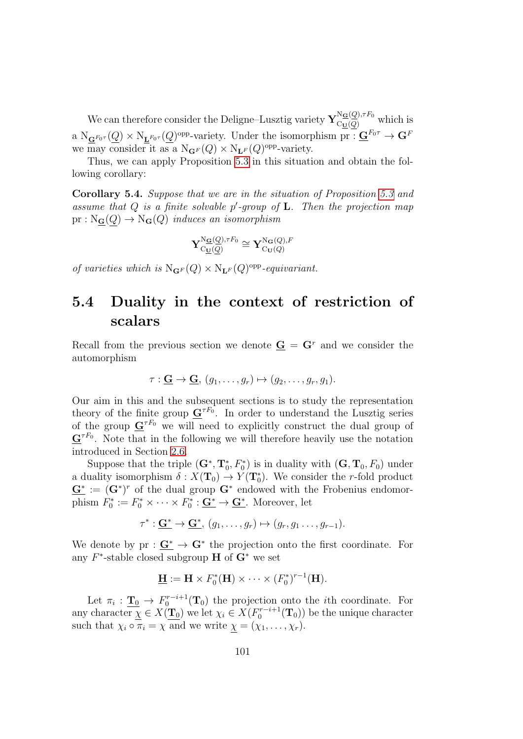We can therefore consider the Deligne–Lusztig variety  $\mathbf{Y}_{\text{C}\underline{\mathbf{U}}(Q)}^{\mathbf{N}_{\underline{\mathbf{G}}}(\underline{Q}),\tau F_0}$  which is a  $N_{\mathbf{G}^{F_0 \tau}}(Q) \times N_{\mathbf{L}^{F_0 \tau}}(Q)$ <sup>opp</sup>-variety. Under the isomorphism pr :  $\mathbf{G}^{F_0 \tau} \to \mathbf{G}^F$ we may consider it as a  $N_{\mathbf{G}^F}(Q) \times N_{\mathbf{L}^F}(Q)$ <sup>opp</sup>-variety.

Thus, we can apply Proposition [5.3](#page-98-0) in this situation and obtain the following corollary:

Corollary 5.4. Suppose that we are in the situation of Proposition [5.3](#page-98-0) and assume that  $Q$  is a finite solvable  $p'$ -group of  $L$ . Then the projection map  $pr : N_{\mathbf{G}}(Q) \to N_{\mathbf{G}}(Q)$  induces an isomorphism

$$
\mathbf{Y}^{\mathrm{N}_\mathbf{G}(\underline{Q}),\tau F_0}_{\mathrm{C}\underline{\mathbf{U}}(\underline{Q})}\cong \mathbf{Y}^{\mathrm{N}_\mathbf{G}(Q),F}_{\mathrm{C}\mathbf{U}(Q)}
$$

of varieties which is  $N_{\mathbf{G}^F}(Q) \times N_{\mathbf{L}^F}(Q)$ <sup>opp</sup>-equivariant.

## 5.4 Duality in the context of restriction of scalars

Recall from the previous section we denote  $\mathbf{G} = \mathbf{G}^r$  and we consider the automorphism

$$
\tau: \underline{\mathbf{G}} \to \underline{\mathbf{G}}, (g_1, \ldots, g_r) \mapsto (g_2, \ldots, g_r, g_1).
$$

Our aim in this and the subsequent sections is to study the representation theory of the finite group  $\underline{G}^{\tau F_0}$ . In order to understand the Lusztig series of the group  $\mathbf{G}^{\tau F_0}$  we will need to explicitly construct the dual group of  ${\bf G}^{\tau F_0}$ . Note that in the following we will therefore heavily use the notation introduced in Section [2.6.](#page-47-0)

Suppose that the triple  $(G^*, T_0^*, F_0^*)$  is in duality with  $(G, T_0, F_0)$  under a duality isomorphism  $\delta: X(\mathbf{T}_0) \to Y(\mathbf{T}_0^*)$ . We consider the r-fold product  $\mathbf{G}^* := (\mathbf{G}^*)^r$  of the dual group  $\mathbf{G}^*$  endowed with the Frobenius endomorphism  $F_0^* := F_0^* \times \cdots \times F_0^* : \underline{\mathbf{G}^*} \to \underline{\mathbf{G}^*}$ . Moreover, let

$$
\tau^*: \underline{\mathbf{G}}^* \to \underline{\mathbf{G}}^*, (g_1, \ldots, g_r) \mapsto (g_r, g_1 \ldots, g_{r-1}).
$$

We denote by  $pr : \mathbf{G}^* \to \mathbf{G}^*$  the projection onto the first coordinate. For any  $F^*$ -stable closed subgroup **H** of  $G^*$  we set

$$
\underline{\mathbf{H}} := \mathbf{H} \times F_0^*(\mathbf{H}) \times \cdots \times (F_0^*)^{r-1}(\mathbf{H}).
$$

Let  $\pi_i : \underline{\mathbf{T}}_0 \to F_0^{r-i+1}(\mathbf{T}_0)$  the projection onto the *i*th coordinate. For any character  $\chi \in X(\mathbf{T}_0)$  we let  $\chi_i \in X(F_0^{r-i+1}(\mathbf{T}_0))$  be the unique character such that  $\chi_i \circ \pi_i = \chi$  and we write  $\chi = (\chi_1, \ldots, \chi_r)$ .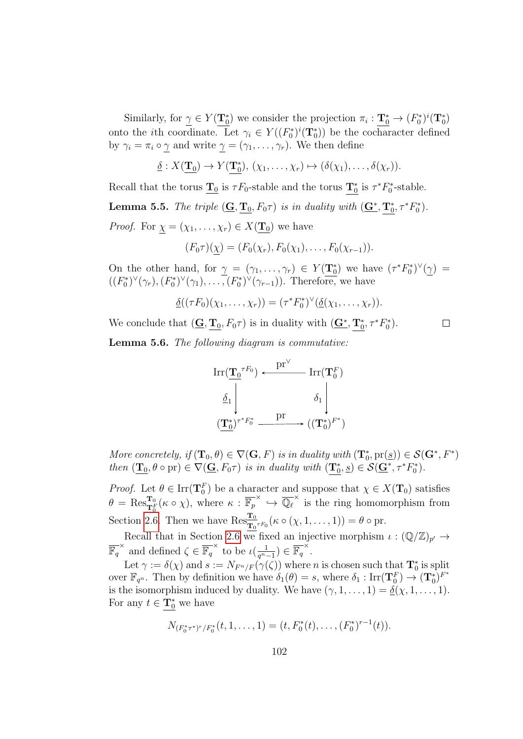Similarly, for  $\gamma \in Y(\mathbf{T}_0^*)$  we consider the projection  $\pi_i : \mathbf{T}_0^* \to (F_0^*)^i(\mathbf{T}_0^*)$ onto the *i*th coordinate. Let  $\gamma_i \in Y((F_0^*)^i(\mathbf{T}_0^*))$  be the cocharacter defined by  $\gamma_i = \pi_i \circ \gamma$  and write  $\gamma = (\gamma_1, \dots, \gamma_r)$ . We then define

$$
\underline{\delta}: X(\underline{\mathbf{T}_0}) \to Y(\underline{\mathbf{T}_0^*}), (\chi_1, \ldots, \chi_r) \mapsto (\delta(\chi_1), \ldots, \delta(\chi_r)).
$$

Recall that the torus  $\underline{\mathbf{T}}_0$  is  $\tau F_0$ -stable and the torus  $\underline{\mathbf{T}}_0^*$  is  $\tau^* F_0^*$ -stable. **Lemma 5.5.** The triple  $(\mathbf{G}, \mathbf{T}_0, F_0\tau)$  is in duality with  $(\mathbf{G}^*, \mathbf{T}_0^*, \tau^*F_0^*)$ . *Proof.* For  $\chi = (\chi_1, \ldots, \chi_r) \in X(\mathbf{T}_0)$  we have

$$
(F_0 \tau)(\underline{\chi}) = (F_0(\chi_r), F_0(\chi_1), \ldots, F_0(\chi_{r-1})).
$$

On the other hand, for  $\gamma = (\gamma_1, \ldots, \gamma_r) \in Y(\mathbf{T}_0^*)$  we have  $(\tau^* F_0^*)^{\vee}(\gamma) =$  $((F_0^*)^{\vee}(\gamma_r), (F_0^*)^{\vee}(\gamma_1), \ldots, (F_0^*)^{\vee}(\gamma_{r-1}))$ . Therefore, we have

$$
\underline{\delta}((\tau F_0)(\chi_1,\ldots,\chi_r))=(\tau^*F_0^*)^{\vee}(\underline{\delta}(\chi_1,\ldots,\chi_r)).
$$

 $\Box$ 

We conclude that  $(\mathbf{\underline{G}}, \mathbf{\underline{T}}_0, F_0\tau)$  is in duality with  $(\mathbf{\underline{G^*}}, \mathbf{\underline{T}}_0^*, \tau^*F_0^*).$ 

<span id="page-101-0"></span>Lemma 5.6. The following diagram is commutative:

$$
\operatorname{Irr}(\underline{\mathbf{T}_0}^{\tau F_0}) \xleftarrow{\operatorname{pr}^{\vee}} \operatorname{Irr}(\mathbf{T}_0^F)
$$

$$
\underline{\delta}_1 \Bigg| \qquad \qquad \delta_1 \Bigg|
$$

$$
(\mathbf{T}_0^*)^{\tau^* F_0^*} \xrightarrow{\operatorname{pr}} ((\mathbf{T}_0^*)^{F^*})
$$

More concretely, if  $(\mathbf{T}_0, \theta) \in \nabla(\mathbf{G}, F)$  is in duality with  $(\mathbf{T}_0^*, \text{pr}(\underline{s})) \in \mathcal{S}(\mathbf{G}^*, F^*)$ then  $(\mathbf{T}_0, \theta \circ \mathrm{pr}) \in \nabla(\mathbf{G}, F_0\tau)$  is in duality with  $(\mathbf{T}_0^*, \underline{s}) \in \mathcal{S}(\mathbf{G}^*, \tau^* F_0^*)$ .

*Proof.* Let  $\theta \in \text{Irr}(\mathbf{T}_0^F)$  be a character and suppose that  $\chi \in X(\mathbf{T}_0)$  satisfies  $\theta = \text{Res}_{\mathbf{T}_0^F}^{\mathbf{T}_0}(\kappa \circ \chi)$ , where  $\kappa : \overline{\mathbb{F}_p}^{\times} \hookrightarrow \overline{\mathbb{Q}_\ell}^{\times}$  is the ring homomorphism from Section [2.6.](#page-47-0) Then we have  $\operatorname{Res}_{\mathbf{T}_0^{\tau}F_0}^{\mathbf{T}_0}(\kappa \circ (\chi, 1, \ldots, 1)) = \theta \circ \operatorname{pr}.$ 

Recall that in Section [2.6](#page-47-0) we fixed an injective morphism  $\iota : (\mathbb{Q}/\mathbb{Z})_{p'} \to$  $\overline{\mathbb{F}_q}^{\times}$  and defined  $\zeta \in \overline{\mathbb{F}_q}^{\times}$  to be  $\iota(\frac{1}{q^n})$  $\frac{1}{q^{n}-1}) \in \overline{\mathbb{F}_q}^{\times}.$ 

Let  $\gamma := \delta(\chi)$  and  $s := N_{F^n/F}(\gamma(\zeta))$  where n is chosen such that  $\mathbf{T}_0^*$  is split over  $\mathbb{F}_{q^n}$ . Then by definition we have  $\delta_1(\theta) = s$ , where  $\delta_1 : \text{Irr}(\mathbf{T}_0^F) \to (\mathbf{T}_0^*)^{F^*}$ is the isomorphism induced by duality. We have  $(\gamma, 1, \ldots, 1) = \underline{\delta}(\chi, 1, \ldots, 1)$ . For any  $t \in \mathbf{T}_0^*$  we have

$$
N_{(F_0^*\tau^*)^r/F_0^*}(t,1,\ldots,1)=(t,F_0^*(t),\ldots,(F_0^*)^{r-1}(t)).
$$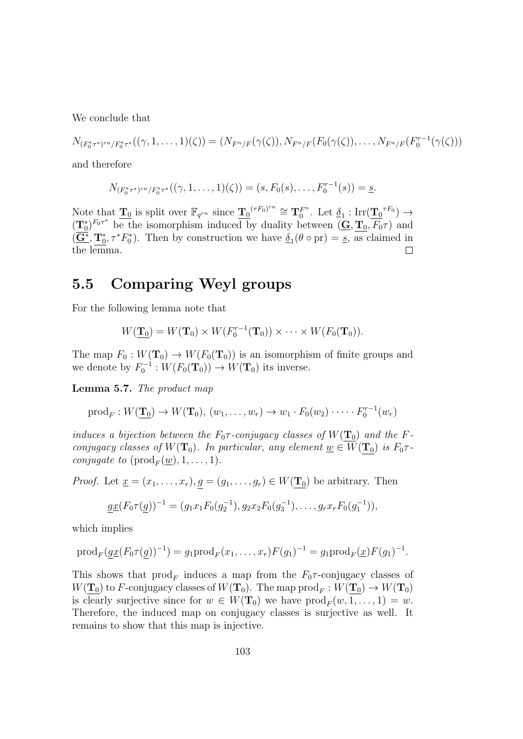We conclude that

$$
N_{(F_0^*\tau^*)^{rn}/F_0^*\tau^*}((\gamma,1,\ldots,1)(\zeta)) = (N_{F^n/F}(\gamma(\zeta)), N_{F^n/F}(F_0(\gamma(\zeta)),\ldots, N_{F^n/F}(F_0^{r-1}(\gamma(\zeta)))
$$

and therefore

$$
N_{(F_0^*\tau^*)^{rn}/F_0^*\tau^*}((\gamma,1,\ldots,1)(\zeta))=(s,F_0(s),\ldots,F_0^{r-1}(s))=\underline{s}.
$$

Note that  $\mathbf{T}_0$  is split over  $\mathbb{F}_{q^{rn}}$  since  $\mathbf{T}_0^{(rF_0)^{rn}} \cong \mathbf{T}_0^{F^n}$  $_{0}^{F^{n}}$ . Let  $\underline{\delta}_{1}$ : Irr $(\underline{\mathbf{T}_{0}}^{\tau F_{0}}) \rightarrow$  $(\mathbf{T}_0^*)^{F_0\tau^*}$  be the isomorphism induced by duality between  $(\mathbf{G}, \mathbf{T}_0, \overline{F_0}\tau)$  and  $(\overline{\mathbf{G}^*}, \mathbf{T}_0^*, \tau^* F_0^*)$ . Then by construction we have  $\underline{\delta}_1(\theta \circ \text{pr}) = \underline{s}$ , as claimed in the lemma.  $\Box$ 

#### 5.5 Comparing Weyl groups

For the following lemma note that

$$
W(\mathbf{T}_0) = W(\mathbf{T}_0) \times W(F_0^{r-1}(\mathbf{T}_0)) \times \cdots \times W(F_0(\mathbf{T}_0)).
$$

The map  $F_0: W(\mathbf{T}_0) \to W(F_0(\mathbf{T}_0))$  is an isomorphism of finite groups and we denote by  $F_0^{-1}: W(F_0(\mathbf{T}_0)) \to W(\mathbf{T}_0)$  its inverse.

<span id="page-102-0"></span>Lemma 5.7. The product map

$$
\operatorname{prod}_F: W(\underline{\mathbf{T}_0}) \to W(\mathbf{T}_0), (w_1, \dots, w_r) \to w_1 \cdot F_0(w_2) \cdot \dots \cdot F_0^{r-1}(w_r)
$$

induces a bijection between the  $F_0 \tau$ -conjugacy classes of  $W(\mathbf{T}_0)$  and the Fconjugacy classes of  $W(\mathbf{T}_0)$ . In particular, any element  $\underline{w} \in W(\mathbf{T}_0)$  is  $F_0 \tau$ . *conjugate to*  $(\text{prod}_F(\underline{w}), 1, \ldots, 1)$ .

*Proof.* Let  $\underline{x} = (x_1, \ldots, x_r), g = (g_1, \ldots, g_r) \in W(\mathbf{T}_0)$  be arbitrary. Then

$$
\underline{gx}(F_0\tau(\underline{g}))^{-1} = (g_1x_1F_0(g_2^{-1}), g_2x_2F_0(g_3^{-1}), \dots, g_rx_rF_0(g_1^{-1})),
$$

which implies

$$
\text{prod}_F(\underline{gx}(F_0\tau(\underline{g}))^{-1}) = g_1 \text{prod}_F(x_1,\ldots,x_r)F(g_1)^{-1} = g_1 \text{prod}_F(\underline{x})F(g_1)^{-1}.
$$

This shows that  $\text{prod}_{F}$  induces a map from the  $F_0 \tau$ -conjugacy classes of  $W({\bf \underline{T}_0})$  to F-conjugacy classes of  $W({\bf T}_0).$  The map  $\operatorname{prod}_F: W({\bf \underline{T}_0}) \to W({\bf T}_0)$ is clearly surjective since for  $w \in W(T_0)$  we have  $\text{prod}_F(w, 1, \ldots, 1) = w$ . Therefore, the induced map on conjugacy classes is surjective as well. It remains to show that this map is injective.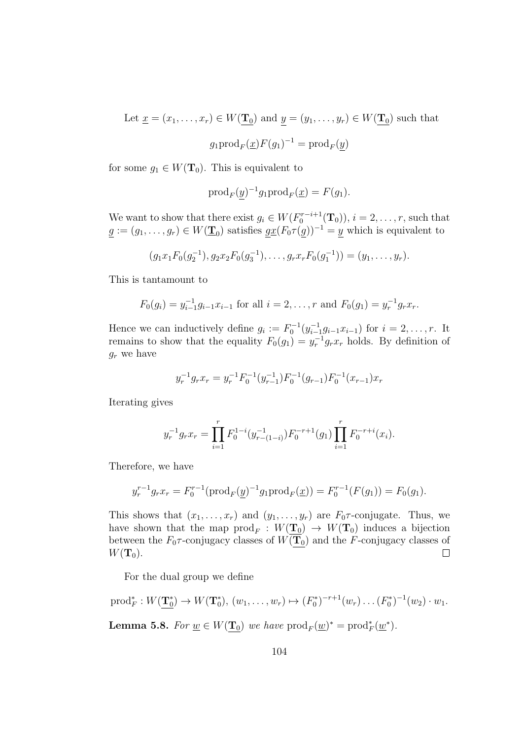Let  $\underline{x} = (x_1, \ldots, x_r) \in W(\underline{\mathbf{T}_0})$  and  $\underline{y} = (y_1, \ldots, y_r) \in W(\underline{\mathbf{T}_0})$  such that  $g_1 \text{prod}_F(\underline{x}) F(g_1)^{-1} = \text{prod}_F(\underline{y})$ 

for some  $g_1 \in W(\mathbf{T}_0)$ . This is equivalent to

$$
\operatorname{prod}_F(\underline{y})^{-1}g_1 \operatorname{prod}_F(\underline{x}) = F(g_1).
$$

We want to show that there exist  $g_i \in W(F_0^{r-i+1}(\mathbf{T}_0)), i = 2, \ldots, r$ , such that  $g := (g_1, \ldots, g_r) \in W(\underline{\mathbf{T}}_0)$  satisfies  $g\underline{x}(F_0 \tau(g))^{-1} = \underline{y}$  which is equivalent to

$$
(g_1x_1F_0(g_2^{-1}), g_2x_2F_0(g_3^{-1}), \ldots, g_rx_rF_0(g_1^{-1})) = (y_1, \ldots, y_r).
$$

This is tantamount to

$$
F_0(g_i) = y_{i-1}^{-1}g_{i-1}x_{i-1}
$$
 for all  $i = 2, ..., r$  and  $F_0(g_1) = y_r^{-1}g_rx_r$ .

Hence we can inductively define  $g_i := F_0^{-1}(y_{i-1}^{-1})$  $\sum_{i=1}^{-1} g_{i-1} x_{i-1}$ ) for  $i = 2, \ldots, r$ . It remains to show that the equality  $F_0(g_1) = y_r^{-1} g_r x_r$  holds. By definition of  $g_r$  we have

$$
y_r^{-1}g_rx_r = y_r^{-1}F_0^{-1}(y_{r-1}^{-1})F_0^{-1}(g_{r-1})F_0^{-1}(x_{r-1})x_r
$$

Iterating gives

$$
y_r^{-1}g_rx_r = \prod_{i=1}^r F_0^{1-i}(y_{r-(1-i)}^{-1})F_0^{-r+1}(g_1) \prod_{i=1}^r F_0^{-r+i}(x_i).
$$

Therefore, we have

$$
y_r^{r-1}g_rx_r = F_0^{r-1}(\text{prod}_F(\underline{y})^{-1}g_1\text{prod}_F(\underline{x})) = F_0^{r-1}(F(g_1)) = F_0(g_1).
$$

This shows that  $(x_1, \ldots, x_r)$  and  $(y_1, \ldots, y_r)$  are  $F_0 \tau$ -conjugate. Thus, we have shown that the map  $\text{prod}_F: W(\mathbf{T}_0) \to W(\mathbf{T}_0)$  induces a bijection between the  $F_0 \tau$ -conjugacy classes of  $W(\overline{\mathbf{T}_0})$  and the F-conjugacy classes of  $W({\bf T}_0).$  $\Box$ 

For the dual group we define

<span id="page-103-0"></span>
$$
\text{prod} \bullet \mathbf{5.8.} \quad W(\mathbf{T}_0^*) \to W(\mathbf{T}_0^*), \ (w_1, \dots, w_r) \mapsto (F_0^*)^{-r+1}(w_r) \dots (F_0^*)^{-1}(w_2) \cdot w_1.
$$
\nLemma 5.8. For  $\underline{w} \in W(\mathbf{T}_0)$  we have  $\text{prod}_{F}(\underline{w})^* = \text{prod}_{F}(\underline{w}^*).$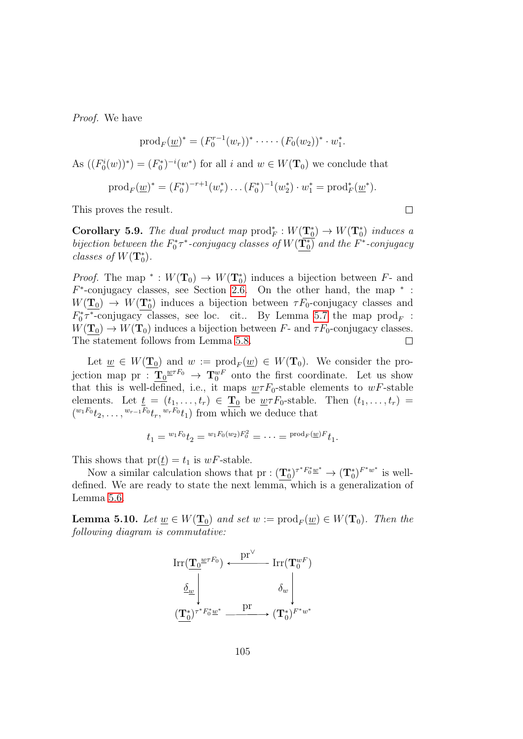Proof. We have

$$
prod_F(\underline{w})^* = (F_0^{r-1}(w_r))^* \cdot \cdots (F_0(w_2))^* \cdot w_1^*.
$$

As  $((F_0^i(w))^*) = (F_0^*)^{-i}(w^*)$  for all i and  $w \in W(\mathbf{T}_0)$  we conclude that

$$
prod_F(\underline{w})^* = (F_0^*)^{-r+1}(w_r^*) \dots (F_0^*)^{-1}(w_2^*) \cdot w_1^* = \text{prod}_F^*(\underline{w}^*).
$$

This proves the result.

Corollary 5.9. The dual product map  $\text{prod}_{F}: W(\mathbf{T}_0^*) \to W(\mathbf{T}_0^*)$  induces a bijection between the  $F_0^* \tau^*$ -conjugacy classes of  $W(\overline{\mathbf{T}_0})$  and the  $F^*$ -conjugacy classes of  $W(\mathbf{T}_0^*)$ .

*Proof.* The map \*:  $W(\mathbf{T}_0) \to W(\mathbf{T}_0^*)$  induces a bijection between  $F$ - and  $F^*$ -conjugacy classes, see Section [2.6.](#page-47-0) On the other hand, the map  $*$ :  $W(\mathbf{T}_0) \to W(\mathbf{T}_0^*)$  induces a bijection between  $\tau F_0$ -conjugacy classes and  $F_0^* \tau^*$ -conjugacy classes, see loc. cit.. By Lemma [5.7](#page-102-0) the map  $\text{prod}_F$ :  $W(\mathbf{T}_0) \to W(\mathbf{T}_0)$  induces a bijection between F- and  $\tau F_0$ -conjugacy classes. The statement follows from Lemma [5.8.](#page-103-0)  $\Box$ 

Let  $\underline{w} \in W(\underline{\mathbf{T}}_0)$  and  $w := \text{prod}_F(\underline{w}) \in W(\mathbf{T}_0)$ . We consider the projection map pr :  $\underline{T}_0^{\omega \tau F_0} \rightarrow \underline{T}_0^{wF}$  onto the first coordinate. Let us show that this is well-defined, i.e., it maps  $\mu \tau F_0$ -stable elements to wF-stable elements. Let  $\underline{t} = (t_1, \ldots, t_r) \in \underline{\mathbf{T}_0}$  be  $\underline{w} \tau F_0$ -stable. Then  $(t_1, \ldots, t_r) =$  $({}^{w_1F_0}t_2,\ldots,{}^{w_{r-1}F_0}t_r,{}^{w_rF_0}t_1)$  from which we deduce that

$$
t_1 = {}^{w_1 F_0} t_2 = {}^{w_1 F_0 (w_2) F_0^2} = \cdots = {}^{prod_F (\underline{w})F} t_1.
$$

This shows that  $pr(\underline{t}) = t_1$  is  $wF$ -stable.

Now a similar calculation shows that  $pr: (\underline{T}_0^*)^{\tau^* F_0^* \underline{w}^*} \to (\underline{T}_0^*)^{F^* w^*}$  is welldefined. We are ready to state the next lemma, which is a generalization of Lemma [5.6.](#page-101-0)

<span id="page-104-0"></span>**Lemma 5.10.** Let  $\underline{w} \in W(\underline{\mathbf{T}}_0)$  and set  $w := \text{prod}_F(\underline{w}) \in W(\mathbf{T}_0)$ . Then the following diagram is commutative:



 $\Box$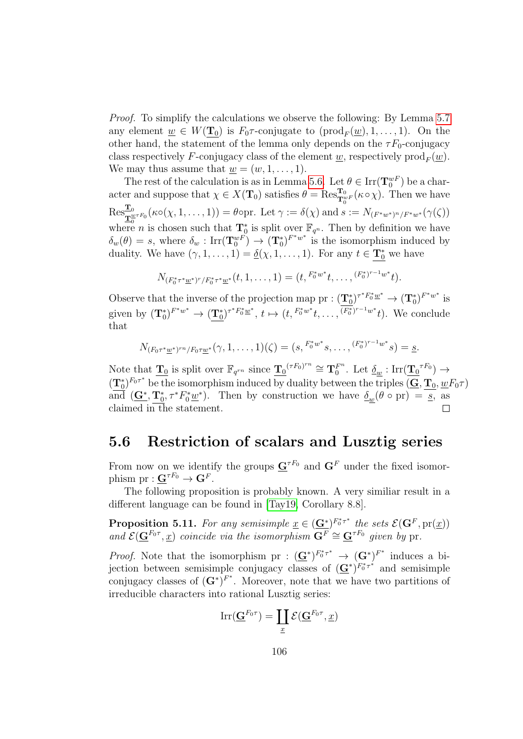Proof. To simplify the calculations we observe the following: By Lemma [5.7](#page-102-0) any element  $\underline{w} \in W(\underline{\mathbf{T}}_0)$  is  $F_0 \tau$ -conjugate to  $(\text{prod}_F(\underline{w}), 1, \ldots, 1)$ . On the other hand, the statement of the lemma only depends on the  $\tau F_0$ -conjugacy class respectively F-conjugacy class of the element <u>w</u>, respectively  $\text{prod}_F(\underline{w})$ . We may thus assume that  $w = (w, 1, \ldots, 1)$ .

The rest of the calculation is as in Lemma [5.6.](#page-101-0) Let  $\theta \in \text{Irr}(\mathbf{T}_0^{wF})$  be a character and suppose that  $\chi \in X(\mathbf{T}_0)$  satisfies  $\theta = \text{Res}_{\mathbf{T}_0^{w_F}}^{\mathbf{T}_0}(\kappa \circ \chi)$ . Then we have  $\text{Res}_{\mathbf{T}_0^{w\tau}F_0}^{\mathbf{T}_0}(\kappa\circ(\chi,1,\ldots,1))=\theta$ opr. Let  $\gamma:=\delta(\chi)$  and  $s:=N_{(F^*w^*)^n/F^*w^*}(\gamma(\zeta))$ where *n* is chosen such that  $\mathbf{T}_0^*$  is split over  $\mathbb{F}_{q^n}$ . Then by definition we have  $\delta_w(\theta) = s$ , where  $\delta_w : \text{Irr}(\mathbf{T}_0^{wF}) \to (\mathbf{T}_0^*)^{F^*w^*}$  is the isomorphism induced by duality. We have  $(\gamma, 1, \ldots, 1) = \underline{\delta}(\chi, 1, \ldots, 1)$ . For any  $t \in \underline{\mathbf{T}_0^*}$  we have

$$
N_{(F_0^*\tau^*\underline{w}^*)^r/F_0^*\tau^*\underline{w}^*}(t,1,\ldots,1)=(t,{}^{F_0^*w^*}t,\ldots,{}^{(F_0^*)^{r-1}w^*}t).
$$

Observe that the inverse of the projection map pr :  $(\mathbf{T}_0^*)^{\tau^* F_0^* \underline{w}^*} \to (\mathbf{T}_0^*)^{F^* w^*}$  is given by  $({\bf T}_0^*)^{F^*w^*} \to ({\bf T}_0^*)^{\tau^*F_0^*\underline{w}^*}, t \mapsto (t, F_0^*^{w^*}t, \ldots, (F_0^*)^{r-1}^{w^*}t)$ . We conclude that

$$
N_{(F_0\tau^*\underline{w}^*)^{rn}/F_0\tau\underline{w}^*}(\gamma,1,\ldots,1)(\zeta)=(s,\stackrel{F_0^*w^*}{\cdots}s,\ldots,\stackrel{(F_0^*)^{r-1}w^*}{\cdots}s)=\underline{s}.
$$

Note that  $\mathbf{T}_0$  is split over  $\mathbb{F}_{q^{rn}}$  since  $\mathbf{T}_0^{(rF_0)^{rn}} \cong \mathbf{T}_0^{F^n}$  $\frac{F^n}{0}$ . Let  $\underline{\delta_w} : \operatorname{Irr}(\underline{\mathbf{T}_0}^{\tau F_0}) \to$  $(\mathbf{T}_0^*)^{F_0\tau^*}$  be the isomorphism induced by duality between the triples  $(\mathbf{G}, \mathbf{T}_0, \underline{w}F_0\tau)$ and  $(\mathbf{G}^*, \mathbf{T}_0^*, \tau^* F_0^* \underline{w}^*)$ . Then by construction we have  $\underline{\delta}_{\underline{w}}(\theta \circ pr) = \underline{s}$ , as claimed in the statement.  $\Box$ 

#### 5.6 Restriction of scalars and Lusztig series

From now on we identify the groups  $\mathbf{G}^{\tau F_0}$  and  $\mathbf{G}^F$  under the fixed isomorphism  $pr: \mathbf{G}^{\tau F_0} \to \mathbf{G}^F$ .

The following proposition is probably known. A very similiar result in a different language can be found in [\[Tay19,](#page-145-4) Corollary 8.8].

<span id="page-105-0"></span>**Proposition 5.11.** For any semisimple  $\underline{x} \in (\underline{G^*})^{F_0^* \tau^*}$  the sets  $\mathcal{E}(G^F, pr(\underline{x}))$ and  $\mathcal{E}(\mathbf{G}^{F_0 \tau}, \underline{x})$  coincide via the isomorphism  $\mathbf{G}^F \cong \mathbf{G}^{\tau F_0}$  given by pr.

*Proof.* Note that the isomorphism pr :  $(\mathbf{G}^*)^{F_0^* \tau^*} \to (\mathbf{G}^*)^{F^*}$  induces a bijection between semisimple conjugacy classes of  $(\mathbf{G}^*)^{F_0^*\tau^*}$  and semisimple conjugacy classes of  $(G^*)^{F^*}$ . Moreover, note that we have two partitions of irreducible characters into rational Lusztig series:

$$
\mathrm{Irr}(\mathbf{\underline{G}}^{F_0\tau})=\coprod_{\underline{x}}\mathcal{E}(\mathbf{\underline{G}}^{F_0\tau},\underline{x})
$$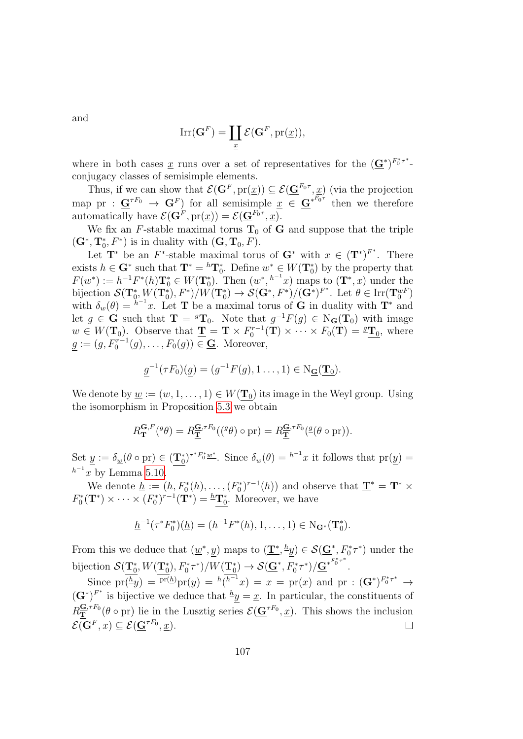and

$$
\mathrm{Irr}(\mathbf{G}^F) = \coprod_{\underline{x}} \mathcal{E}(\mathbf{G}^F, \mathrm{pr}(\underline{x})),
$$

where in both cases  $\underline{x}$  runs over a set of representatives for the  $(\underline{G}^*)^{F_0^* \tau^*}$ . conjugacy classes of semisimple elements.

Thus, if we can show that  $\mathcal{E}(\mathbf{G}^F, \text{pr}(\underline{x})) \subseteq \mathcal{E}(\underline{\mathbf{G}}^{F_0 \tau}, \underline{x})$  (via the projection map pr :  $\mathbf{G}^{\tau F_0} \to \mathbf{G}^F$  for all semisimple  $\underline{x} \in \mathbf{G}^{*^{F_0 \tau}}$  then we therefore automatically have  $\mathcal{E}(\mathbf{G}^F, \text{pr}(\underline{x})) = \mathcal{E}(\underline{\mathbf{G}}^{F_0 \tau}, \underline{x}).$ 

We fix an F-stable maximal torus  $T_0$  of G and suppose that the triple  $(\mathbf{G}^*, \mathbf{T}_0^*, F^*)$  is in duality with  $(\mathbf{G}, \mathbf{T}_0, F)$ .

Let  $\mathbf{T}^*$  be an  $F^*$ -stable maximal torus of  $\mathbf{G}^*$  with  $x \in (\mathbf{T}^*)^{F^*}$ . There exists  $h \in \mathbf{G}^*$  such that  $\mathbf{T}^* = {}^h\mathbf{T}_0^*$ . Define  $w^* \in W(\mathbf{T}_0^*)$  by the property that  $F(w^*) := h^{-1}F^*(h)\mathbf{T}_0^* \in W(\mathbf{T}_0^*).$  Then  $(w^*, {}^{h^{-1}}x)$  maps to  $(\mathbf{T}^*, x)$  under the bijection  $\mathcal{S}(\mathbf{T}_0^*, W(\mathbf{T}_0^*), F^*)/W(\mathbf{T}_0^*) \to \mathcal{S}(\mathbf{G}^*, F^*)/(\mathbf{G}^*)^{F^*}$ . Let  $\theta \in \text{Irr}(\mathbf{T}_0^{wF})$ with  $\delta_w(\theta) = h^{-1}x$ . Let **T** be a maximal torus of **G** in duality with **T**<sup>\*</sup> and let  $g \in \mathbf{G}$  such that  $\mathbf{T} = {}^g\mathbf{T}_0$ . Note that  $g^{-1}F(g) \in N_{\mathbf{G}}(\mathbf{T}_0)$  with image  $w \in W(\mathbf{T}_0)$ . Observe that  $\underline{\mathbf{T}} = \mathbf{T} \times F_0^{r-1}(\mathbf{T}) \times \cdots \times F_0(\mathbf{T}) = \underline{^g \mathbf{T}_0}$ , where  $g := (g, F_0^{r-1}(g), \ldots, F_0(g)) \in \underline{\mathbf{G}}$ . Moreover,

$$
\underline{g}^{-1}(\tau F_0)(\underline{g}) = (g^{-1}F(g), 1 \dots, 1) \in N_{\underline{\mathbf{G}}}(\underline{\mathbf{T}}_0).
$$

We denote by  $\underline{w} := (w, 1, \ldots, 1) \in W(\mathbf{T}_0)$  its image in the Weyl group. Using the isomorphism in Proposition [5.3](#page-98-0) we obtain

$$
R_{\mathbf{T}}^{\mathbf{G},F}(\mathscr{G}) = R_{\mathbf{T}}^{\mathbf{G},\tau F_0}((\mathscr{G}) \circ \mathrm{pr}) = R_{\mathbf{T}}^{\mathbf{G},\tau F_0}(\mathscr{G}(\mathscr{G} \circ \mathrm{pr})).
$$

Set  $\underline{y} := \delta_{\underline{w}}(\theta \circ pr) \in (\underline{T_0^*})^{\tau^* F_0^* \underline{w^*}}$ . Since  $\delta_w(\theta) = {}^{h^{-1}}x$  it follows that  $pr(\underline{y}) =$  $h^{-1}x$  by Lemma [5.10.](#page-104-0)

We denote  $\underline{h} := (h, F_0^*(h), \dots, (F_0^*)^{r-1}(h))$  and observe that  $\underline{\mathbf{T}}^* = \mathbf{T}^* \times$  $F_0^*(\mathbf{T}^*) \times \cdots \times (F_0^*)^{r-1}(\mathbf{T}^*) = {}^{\underline{h}}\mathbf{T}_0^*$ . Moreover, we have

$$
\underline{h}^{-1}(\tau^*F_0^*)(\underline{h}) = (h^{-1}F^*(h), 1, \dots, 1) \in \mathrm{N}_{\mathbf{G}^*}(\mathbf{T}_0^*).
$$

From this we deduce that  $(\underline{w}^*, \underline{y})$  maps to  $(\underline{\mathbf{T}}^*, \underline{^h}\underline{y}) \in \mathcal{S}(\underline{\mathbf{G}}^*, F_0^* \tau^*)$  under the bijection  $\mathcal{S}(\mathbf{T}^*_0, W(\mathbf{T}^*_0), F^*_0 \tau^*)/W(\mathbf{T}^*_0) \to \mathcal{S}(\underline{\mathbf{G}}^*, \overline{F}_0^* \tau^*)/\underline{\mathbf{G}}^{*F_0^* \tau^*}.$ 

Since  $pr(\frac{h}{y}) = {pr(h)pr(y)} = {h(h^{-1}x)} = x = pr(\underline{x})$  and  $pr : (\underline{G}^*)^{F_0^* \tau^*} \rightarrow$  $(\mathbf{G}^*)^{F^*}$  is bijective we deduce that  $\frac{h}{g} = \underline{x}$ . In particular, the constituents of  $R_{\mathbf{T}}^{\mathbf{G},\tau F_0}(\theta \circ \text{pr})$  lie in the Lusztig series  $\mathcal{E}(\mathbf{G}^{\tau F_0}, \underline{x})$ . This shows the inclusion  $\mathcal{E}(\mathbf{G}^F,x) \subseteq \mathcal{E}(\mathbf{G}^{\tau F_0},\underline{x}).$  $\Box$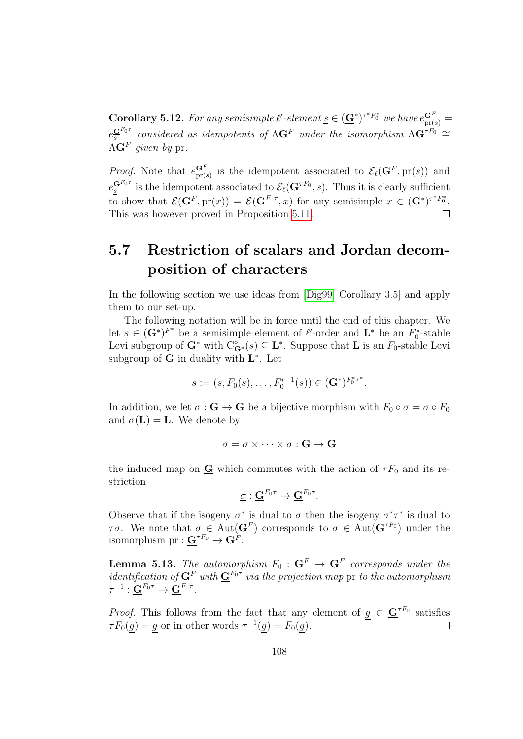**Corollary 5.12.** For any semisimple  $\ell'$ -element  $\underline{s} \in (\underline{G}^*)^{\tau^*F_0^*}$  we have  $e_{pr(\underline{s})}^{\mathbf{G}^F}$  $e^{\mathbf{G}^{F_{0}\tau}}_{\mathbf{s}}$  considered as idempotents of  $\Lambda\mathbf{G}^{F}$  under the isomorphism  $\Lambda\mathbf{G}^{\tau F_{0}}$   $\cong$  $\Lambda\mathbf{G}^F$  given by pr.

*Proof.* Note that  $e_{\text{pr}(g)}^{\mathbf{G}^F}$  is the idempotent associated to  $\mathcal{E}_{\ell}(\mathbf{G}^F, \text{pr}(g))$  and  $e^{\mathbf{G}^{F_{0}\tau}}_{\underline{s}}$  is the idempotent associated to  $\mathcal{E}_{\ell}(\underline{\mathbf{G}}^{\tau F_{0}}, \underline{s})$ . Thus it is clearly sufficient to show that  $\mathcal{E}(\mathbf{G}^F, \text{pr}(\underline{x})) = \mathcal{E}(\underline{\mathbf{G}}^{F_0 \tau}, \underline{x})$  for any semisimple  $\underline{x} \in (\underline{\mathbf{G}}^*)^{\tau^* F_0^*}$ . This was however proved in Proposition [5.11.](#page-105-0)  $\Box$ 

## 5.7 Restriction of scalars and Jordan decomposition of characters

In the following section we use ideas from [\[Dig99,](#page-143-1) Corollary 3.5] and apply them to our set-up.

The following notation will be in force until the end of this chapter. We let  $s \in (\mathbf{G}^*)^{F^*}$  be a semisimple element of  $\ell'$ -order and  $\mathbf{L}^*$  be an  $F_0^*$ -stable Levi subgroup of  $G^*$  with  $C^{\circ}_{G^*}(s) \subseteq L^*$ . Suppose that L is an  $F_0$ -stable Levi subgroup of  $G$  in duality with  $L^*$ . Let

$$
\underline{s} := (s, F_0(s), \dots, F_0^{r-1}(s)) \in (\underline{\mathbf{G}}^*)^{F_0^* \tau^*}.
$$

In addition, we let  $\sigma : \mathbf{G} \to \mathbf{G}$  be a bijective morphism with  $F_0 \circ \sigma = \sigma \circ F_0$ and  $\sigma(\mathbf{L}) = \mathbf{L}$ . We denote by

$$
\underline{\sigma} = \sigma \times \cdots \times \sigma : \underline{\mathbf{G}} \to \underline{\mathbf{G}}
$$

the induced map on  $\underline{G}$  which commutes with the action of  $\tau F_0$  and its restriction

$$
\underline{\sigma}:\underline{\mathbf{G}}^{F_0\tau}\to \underline{\mathbf{G}}^{F_0\tau}.
$$

Observe that if the isogeny  $\sigma^*$  is dual to  $\sigma$  then the isogeny  $\underline{\sigma}^*\tau^*$  is dual to  $\tau_{\mathcal{Q}}$ . We note that  $\sigma \in \text{Aut}(\mathbf{G}^F)$  corresponds to  $\underline{\sigma} \in \text{Aut}(\underline{\mathbf{G}}^{\tau F_0})$  under the isomorphism  ${\rm pr}:\mathbf{G}^{\tau F_0}\to\mathbf{G}^F$ .

**Lemma 5.13.** The automorphism  $F_0: \mathbf{G}^F \to \mathbf{G}^F$  corresponds under the *identification of*  $G^F$  with  $G^{F_0 \tau}$  via the projection map pr to the automorphism  $\tau^{-1}:\underline{\mathbf{G}}^{F_0\tau}\rightarrow \underline{\mathbf{G}}^{F_0\tau}.$ 

*Proof.* This follows from the fact that any element of  $g \in \mathbf{G}^{rF_0}$  satisfies  $\tau F_0(g) = g$  or in other words  $\tau^{-1}(g) = F_0(g)$ .  $\Box$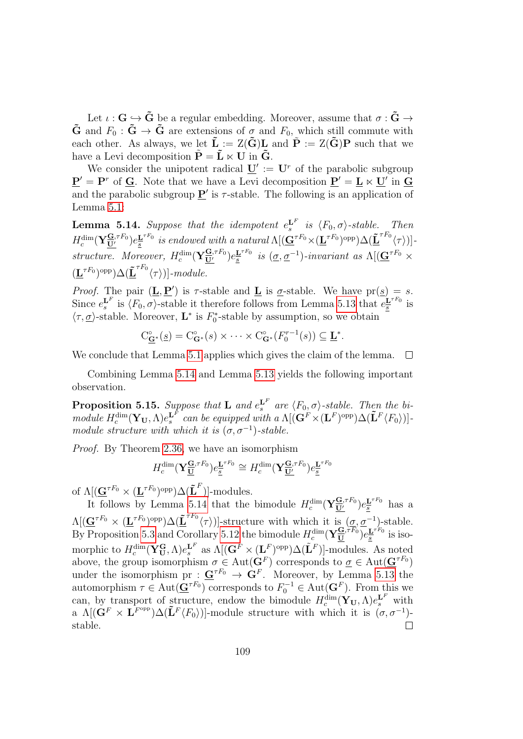Let  $\iota : G \hookrightarrow \tilde{G}$  be a regular embedding. Moreover, assume that  $\sigma : \tilde{G} \to$  $\tilde{\mathbf{G}}$  and  $F_0 : \tilde{\mathbf{G}} \to \tilde{\mathbf{G}}$  are extensions of  $\sigma$  and  $F_0$ , which still commute with each other. As always, we let  $\tilde{\mathbf{L}} := Z(\tilde{\mathbf{G}})\mathbf{L}$  and  $\tilde{\mathbf{P}} := Z(\tilde{\mathbf{G}})\mathbf{P}$  such that we have a Levi decomposition  $\tilde{\mathbf{P}} = \tilde{\mathbf{L}} \ltimes \mathbf{U}$  in  $\tilde{\mathbf{G}}$ .

We consider the unipotent radical  $\underline{\mathbf{U}}' := \mathbf{U}^r$  of the parabolic subgroup  $\underline{\mathbf{P}}' = \mathbf{P}^r$  of  $\underline{\mathbf{G}}$ . Note that we have a Levi decomposition  $\underline{\mathbf{P}}' = \underline{\mathbf{L}} \ltimes \underline{\mathbf{U}}'$  in  $\underline{\mathbf{G}}$ and the parabolic subgroup  $\underline{P}'$  is  $\tau$ -stable. The following is an application of Lemma [5.1:](#page-96-0)

<span id="page-108-0"></span>**Lemma 5.14.** Suppose that the idempotent  $e_s^{\mathbf{L}^F}$  is  $\langle F_0, \sigma \rangle$ -stable. Then  $H_c^{\dim}(\mathbf{Y}_{\overline{\mathbf{U}}'}^{\overline{\mathbf{G}},\tau F_0})e^{\mathbf{L}^{\tau F_0}}_{\underline{s}}$  $\underline{\mathbf{E}}_{\mathbf{s}}^{\tau F_0}$  is endowed with a natural  $\Lambda[(\underline{\mathbf{G}}^{\tau F_0}\times(\underline{\mathbf{L}}^{\tau F_0})^{\text{opp}})\Delta(\underline{\tilde{\mathbf{L}}}^{\tau F_0}\langle \tau \rangle)].$ structure. Moreover,  $H_c^{\dim}(\mathbf{Y}_{\mathbf{U}'}^{\mathbf{G},\tau F_0})e_{\overline{s}}^{\mathbf{L}^{\tau F_0}}$  $\frac{\mathbf{L}^{\tau F_{0}}}{s}$  is  $(\underline{\sigma}, \underline{\sigma}^{-1})$ -invariant as  $\Lambda[(\underline{\mathbf{G}}^{\tau F_{0}} \times$  $(\underline{\mathbf{L}}^{\tau F_0})^{\text{opp}}\Delta(\underline{\tilde{\mathbf{L}}}^{\tau F_0}\langle \tau \rangle )]$ -module.

*Proof.* The pair  $(\mathbf{L}, \mathbf{P}')$  is  $\tau$ -stable and  $\mathbf{L}$  is  $\sigma$ -stable. We have  $pr(\mathbf{s}) = s$ . Since  $e_s^{\mathbf{L}^F}$  is  $\langle F_0, \sigma \rangle$ -stable it therefore follows from Lemma [5.13](#page-107-0) that  $e_s^{\mathbf{L}^{\tau F_0}}$  $\frac{\mathbf{L}^{T}{}^{T}0}{\underline{s}}$  is  $\langle \tau, \underline{\sigma} \rangle$ -stable. Moreover,  $\mathbf{L}^*$  is  $F_0^*$ -stable by assumption, so we obtain

$$
C_{\mathbf{\mathbf{G}}^*}^{\circ}(\underline{s}) = C_{\mathbf{G}^*}^{\circ}(s) \times \cdots \times C_{\mathbf{G}^*}^{\circ}(F_0^{r-1}(s)) \subseteq \mathbf{\mathbf{\underline{L}}}^*.
$$

We conclude that Lemma [5.1](#page-96-0) applies which gives the claim of the lemma.  $\Box$ 

Combining Lemma [5.14](#page-108-0) and Lemma [5.13](#page-107-0) yields the following important observation.

<span id="page-108-1"></span>**Proposition 5.15.** Suppose that **L** and  $e_s^{\mathbf{L}^F}$  are  $\langle F_0, \sigma \rangle$ -stable. Then the bimodule  $H_c^{\dim}(\mathbf{Y_U}, \Lambda)e^{\mathbf{L}^{\overline{F}}}_s$  can be equipped with a  $\Lambda[(\mathbf{G}^{\overline{F}} \times (\mathbf{L}^F)^{\text{opp}}) \Delta(\mathbf{\tilde{L}}^F \langle F_0 \rangle)]$ module structure with which it is  $(\sigma, \sigma^{-1})$ -stable.

Proof. By Theorem [2.36,](#page-59-0) we have an isomorphism

$$
H_c^{\dim}(\mathbf{Y}_{\underline{\mathbf{U}}}^{\underline{\mathbf{G}},\tau F_0})e_{\underline{\mathbf{s}}}^{\underline{\mathbf{L}}^{\tau F_0}} \cong H_c^{\dim}(\mathbf{Y}_{\underline{\mathbf{U}}'}^{\underline{\mathbf{G}},\tau F_0})e_{\underline{\mathbf{s}}}^{\underline{\mathbf{L}}^{\tau F_0}}
$$

of  $\Lambda[(\mathbf{G}^{\tau F_0} \times (\mathbf{L}^{\tau F_0})^{\text{opp}}) \Delta(\mathbf{\tilde{L}}^F)]$ -modules.

It follows by Lemma [5.14](#page-108-0) that the bimodule  $H_c^{\dim}(\mathbf{Y}_{\underline{\mathbf{U}}'}^{\mathbf{G},\tau F_0})e_{\underline{\mathbf{s}}}^{\mathbf{L}^{\tau F_0}}$  has a  $\Lambda[(\mathbf{\mathbf{\underline{G}}}^{\tau F_0} \times (\mathbf{\underline{L}}^{\tau F_0})^{\text{opp}}) \Delta(\mathbf{\underline{\tilde{L}}}^{\tau F_0} \langle \tau \rangle)]$ -structure with which it is  $(\underline{\sigma}, \underline{\sigma}^{-1})$ -stable. By Proposition [5.3](#page-98-0) and Corollary [5.12](#page-107-1) the bimodule  $H_c^{\dim}(\mathbf{Y}_{\underline{\mathbf{U}}}^{\underline{\mathbf{G}},\hat{\tau}F_0})e_{\underline{s}}^{\mathbf{L}^{\hat{\tau}F_0}}$  $\frac{L}{s}$ <sup>110</sup> is isomorphic to  $H_c^{\dim}(\mathbf{Y_U^G}, \Lambda)e_s^{\mathbf{L}^F}$  as  $\Lambda[(\mathbf{G}^F \times (\mathbf{L}^F)^{\text{opp}}) \Delta(\tilde{\mathbf{L}}^F)]$ -modules. As noted above, the group isomorphism  $\sigma \in \text{Aut}(\mathbf{G}^F)$  corresponds to  $\underline{\sigma} \in \text{Aut}(\underline{\mathbf{G}}^{\tau F_0})$ under the isomorphism pr :  $\underline{\mathbf{G}}^{rF_0} \to \mathbf{G}^F$ . Moreover, by Lemma [5.13](#page-107-0) the automorphism  $\tau \in \text{Aut}(\mathbf{G}^{\tau F_0})$  corresponds to  $F_0^{-1} \in \text{Aut}(\mathbf{G}^F)$ . From this we can, by transport of structure, endow the bimodule  $H_c^{\dim}(\mathbf{Y}_{\mathbf{U}}, \Lambda)e_s^{\mathbf{L}^F}$  with a  $\Lambda[(\mathbf{G}^F \times \mathbf{L}^{F^{\text{opp}}})\Delta(\mathbf{L}^F \langle F_0 \rangle)]$ -module structure with which it is  $(\sigma, \sigma^{-1})$ stable.  $\Box$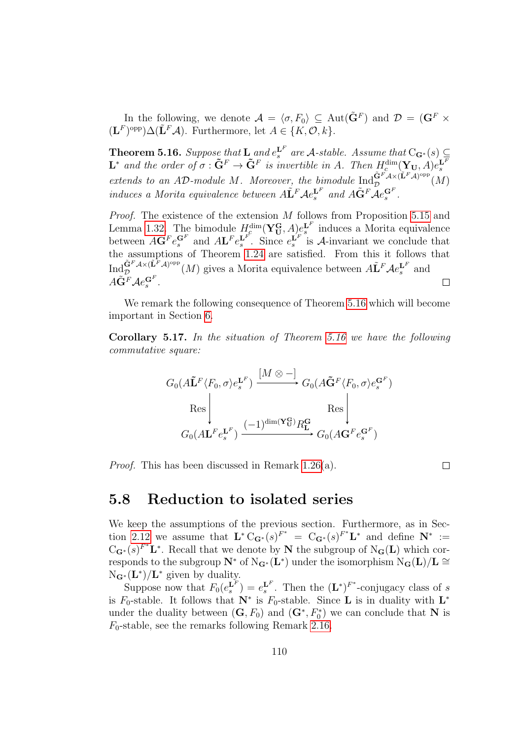In the following, we denote  $\mathcal{A} = \langle \sigma, F_0 \rangle \subseteq \text{Aut}(\tilde{\mathbf{G}}^F)$  and  $\mathcal{D} = (\mathbf{G}^F \times \mathcal{A})^F$  $(\mathbf{L}^F)^{\text{opp}}\Delta(\tilde{\mathbf{L}}^F\mathcal{A})$ . Furthermore, let  $A\in\{K,\mathcal{O},k\}$ .

<span id="page-109-0"></span>**Theorem 5.16.** Suppose that  $\mathbf{L}$  and  $e_s^{\mathbf{L}^F}$  are A-stable. Assume that  $C_{\mathbf{G}^*}(s) \subseteq$  $\mathbf{L}^*$  and the order of  $\sigma : \tilde{\mathbf{G}}^F \to \tilde{\mathbf{G}}^F$  is invertible in A. Then  $H_c^{\dim}(\mathbf{Y}_{\mathbf{U}}, A)e_k^{\mathbf{L}^F}$ <br>extends to an AD-module M. Moreover, the bimodule  $\text{Ind}_{\mathcal{D}}^{\tilde{\mathbf{G}}^F\mathcal{A}\times(\tilde{\mathbf{L}}^F\mathcal{A})^{\text{opp}}$ induces a Morita equivalence between  $\tilde{A}$   $\tilde{L}^F A e_s^{\mathbf{L}^F}$  and  $\tilde{A} \tilde{G}^F A e_s^{\mathbf{G}^F}$ .

Proof. The existence of the extension M follows from Proposition [5.15](#page-108-1) and Lemma [1.32.](#page-30-0) The bimodule  $H_c^{\dim}(\mathbf{Y}_{\mathbf{U}}^{\mathbf{G}}, A)_{c}^{\infty}$  induces a Morita equivalence between  $A\mathbf{G}^F e_s^{\mathbf{G}^F}$  and  $A\mathbf{L}^F e_s^{\mathbf{L}^F}$ . Since  $e_s^{\mathbf{L}^F}$  is A-invariant we conclude that the assumptions of Theorem [1.24](#page-26-0) are satisfied. From this it follows that  $\text{Ind}_{\mathcal{D}}^{\tilde{\mathbf{G}}^F\mathcal{A}\times(\tilde{\mathbf{L}}^F\mathcal{A})^{\text{opp}}}(M)$  gives a Morita equivalence between  $\tilde{\mathbf{A}}\tilde{\mathbf{L}}^F\mathcal{A}e_s^{\mathbf{L}^F}$  and  $A\tilde{\mathbf{G}}^F\mathcal{A}e_s^{\mathbf{G}^F}.$  $\Box$ 

We remark the following consequence of Theorem [5.16](#page-109-0) which will become important in Section [6.](#page-116-0)

Corollary 5.17. In the situation of Theorem [5.16](#page-109-0) we have the following commutative square:

$$
G_0(A\tilde{\mathbf{L}}^F \langle F_0, \sigma \rangle e_s^{\mathbf{L}^F}) \xrightarrow{[M \otimes -]} G_0(A\tilde{\mathbf{G}}^F \langle F_0, \sigma \rangle e_s^{\mathbf{G}^F})
$$
  
Res  

$$
G_0(A\mathbf{L}^F e_s^{\mathbf{L}^F}) \xrightarrow{(-1)^{\dim(\mathbf{Y}_{\mathbf{U}}^{\mathbf{G}})} R_{\mathbf{L}}^{\mathbf{G}} } G_0(A\mathbf{G}^F e_s^{\mathbf{G}^F})
$$

Proof. This has been discussed in Remark [1.26\(](#page-26-1)a).

$$
\Box
$$

#### 5.8 Reduction to isolated series

We keep the assumptions of the previous section. Furthermore, as in Sec-tion [2.12](#page-57-0) we assume that  $\mathbf{L}^* C_{\mathbf{G}^*}(s)^{F^*} = C_{\mathbf{G}^*}(s)^{F^*} \mathbf{L}^*$  and define  $\mathbf{N}^* :=$  $C_{\mathbf{G}^*}(s)^{F^*}\mathbf{L}^*$ . Recall that we denote by **N** the subgroup of N<sub>G</sub>(**L**) which corresponds to the subgroup  $N^*$  of  $N_{\mathbf{G}^*}(\mathbf{L}^*)$  under the isomorphism  $N_{\mathbf{G}}(\mathbf{L})/\mathbf{L} \cong$  $N_{\mathbf{G}^*}(\mathbf{L}^*)/\mathbf{L}^*$  given by duality.

Suppose now that  $F_0(e_s^{\mathbf{L}^F}) = e_s^{\mathbf{L}^F}$ . Then the  $(\mathbf{L}^*)^{F^*}$ -conjugacy class of s is  $F_0$ -stable. It follows that  $N^*$  is  $F_0$ -stable. Since **L** is in duality with  $L^*$ under the duality between  $(G, F_0)$  and  $(G^*, F_0^*)$  we can conclude that N is  $F_0$ -stable, see the remarks following Remark [2.16.](#page-50-0)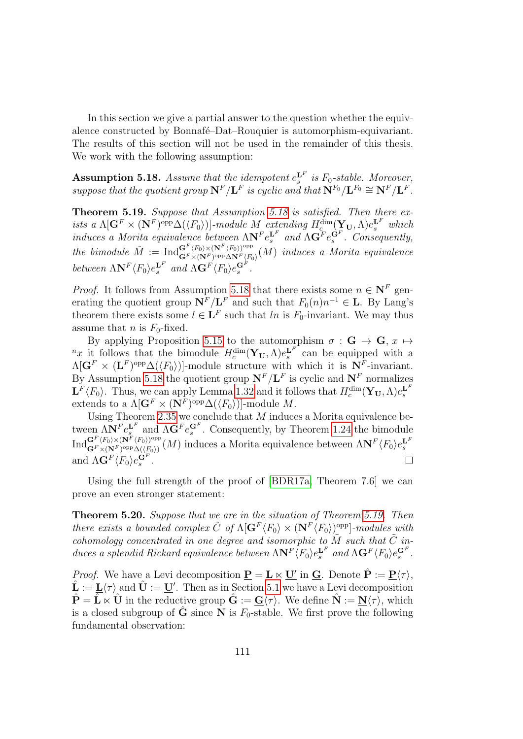In this section we give a partial answer to the question whether the equivalence constructed by Bonnafé–Dat–Rouquier is automorphism-equivariant. The results of this section will not be used in the remainder of this thesis. We work with the following assumption:

<span id="page-110-0"></span>**Assumption 5.18.** Assume that the idempotent  $e_s^{\mathbf{L}^F}$  is  $F_0$ -stable. Moreover, suppose that the quotient group  $N^F/L^F$  is cyclic and that  $N^{F_0}/L^{F_0} \cong N^F/L^F$ .

<span id="page-110-1"></span>Theorem 5.19. Suppose that Assumption [5.18](#page-110-0) is satisfied. Then there exists a  $\Lambda[\mathbf{G}^F \times (\mathbf{N}^F)^{\text{opp}} \Delta(\langle F_0 \rangle)]$ -module M extending  $H_c^{\dim}(\mathbf{Y_U}, \Lambda) e_s^{\mathbf{L}^F}$  which induces a Morita equivalence between  $\Lambda N^F e_s^{\mathbf{L}^F}$  and  $\Lambda \mathbf{G}^F e_s^{\mathbf{G}^F}$ . Consequently, the bimodule  $\tilde{M} := {\rm Ind}_{\mathbf{G}^F \times (\mathbf{N}^F)_{\rm opp} \times \mathbf{N}^F / E}^{\mathbf{G}^F \times (\mathbf{N}^F \times \mathbf{N}^F)_{\rm opp}}$  $\mathbf{G}^{\text{F}} \times (\mathbf{N}^{\text{F}})^{\text{opp}} \Delta \mathbf{N}^{\text{F}} \langle F_0 \rangle$  (*M*) induces a *Morita equivalence* between  $\Lambda \mathbf{N}^F \langle F_0 \rangle e_s^{\mathbf{L}^F}$  and  $\Lambda \mathbf{G}^F \langle F_0 \rangle e_s^{\mathbf{G}^F}$ .

*Proof.* It follows from Assumption [5.18](#page-110-0) that there exists some  $n \in \mathbb{N}^F$  generating the quotient group  $N^F/L^F$  and such that  $F_0(n)n^{-1} \in L$ . By Lang's theorem there exists some  $l \in \mathbf{L}^F$  such that ln is  $F_0$ -invariant. We may thus assume that *n* is  $F_0$ -fixed.

By applying Proposition [5.15](#page-108-1) to the automorphism  $\sigma : \mathbf{G} \to \mathbf{G}, x \mapsto$ <sup>n</sup>x it follows that the bimodule  $H_c^{\dim}(\mathbf{Y}_{\mathbf{U}}, \Lambda)e_s^{\mathbf{L}^F}$  can be equipped with a  $\Lambda[\mathbf{G}^F \times (\mathbf{L}^F)^{\text{opp}} \Delta(\langle F_0 \rangle)]$ -module structure with which it is  $\mathbf{N}^F$ -invariant. By Assumption [5.18](#page-110-0) the quotient group  $N^F/L^F$  is cyclic and  $N^F$  normalizes  $\mathbf{L}^F \langle F_0 \rangle$ . Thus, we can apply Lemma [1.32](#page-30-0) and it follows that  $H_c^{\dim}(\mathbf{Y_U}, \Lambda)e_s^{\mathbf{L}^F}$ extends to a  $\Lambda[\mathbf{G}^F \times (\mathbf{N}^F)^{\text{opp}} \Delta(\langle F_0 \rangle)]$ -module M.

Using Theorem [2.35](#page-59-1) we conclude that  $M$  induces a Morita equivalence between  $\Delta N^F e_s^{\mathbf{L}^F}$  and  $\Delta \mathbf{G}^F e_s^{\mathbf{G}^F}$ . Consequently, by Theorem [1.24](#page-26-0) the bimodule  ${\rm Ind}^{{\bf G}^F\langle F_0\rangle \times ({\bf N}^F\langle F_0\rangle)^{\rm opp}}_{{\bf G}^F\vee ({\bf N}^F\setminus {\rm opp} \wedge (\langle F_0\rangle))}$  $\frac{G^F \langle F_0 \rangle \times (N^F \langle F_0 \rangle)^{\text{opp}}}{G^F \times (N^F)^{\text{opp}} \Delta(\langle F_0 \rangle)} (M)$  induces a Morita equivalence between  $\Lambda N^F \langle F_0 \rangle e_s^{\mathbf{L}^F}$ and  $\Lambda \mathbf{G}^F \langle F_0 \rangle e_s^{\mathbf{G}^F}$ .

Using the full strength of the proof of [\[BDR17a,](#page-141-0) Theorem 7.6] we can prove an even stronger statement:

Theorem 5.20. Suppose that we are in the situation of Theorem [5.19.](#page-110-1) Then there exists a bounded complex  $\tilde{C}$  of  $\Lambda[\mathbf{G}^F \langle F_0 \rangle \times (\mathbf{N}^F \langle F_0 \rangle)^{\text{opp}}]$ -modules with cohomology concentrated in one degree and isomorphic to  $\widetilde{M}$  such that  $\widetilde{C}$  induces a splendid Rickard equivalence between  $\Lambda N^F \langle F_0 \rangle e_s^{\mathbf{L}^F}$  and  $\Lambda \mathbf{G}^F \langle F_0 \rangle e_s^{\mathbf{G}^F}$ .

*Proof.* We have a Levi decomposition  $\underline{\mathbf{P}} = \underline{\mathbf{L}} \ltimes \underline{\mathbf{U}}'$  in  $\underline{\mathbf{G}}$ . Denote  $\hat{\mathbf{P}} := \underline{\mathbf{P}} \langle \tau \rangle$ ,  $\hat{\mathbf{L}} := \underline{\mathbf{L}} \langle \tau \rangle$  and  $\hat{\mathbf{U}} := \underline{\mathbf{U}}'$ . Then as in Section [5.1](#page-95-0) we have a Levi decomposition  $\hat{\mathbf{P}} = \hat{\mathbf{L}} \times \hat{\mathbf{U}}$  in the reductive group  $\hat{\mathbf{G}} := \underline{\mathbf{G}} \langle \tau \rangle$ . We define  $\hat{\mathbf{N}} := \underline{\mathbf{N}} \langle \tau \rangle$ , which is a closed subgroup of  $\hat{G}$  since N is  $F_0$ -stable. We first prove the following fundamental observation: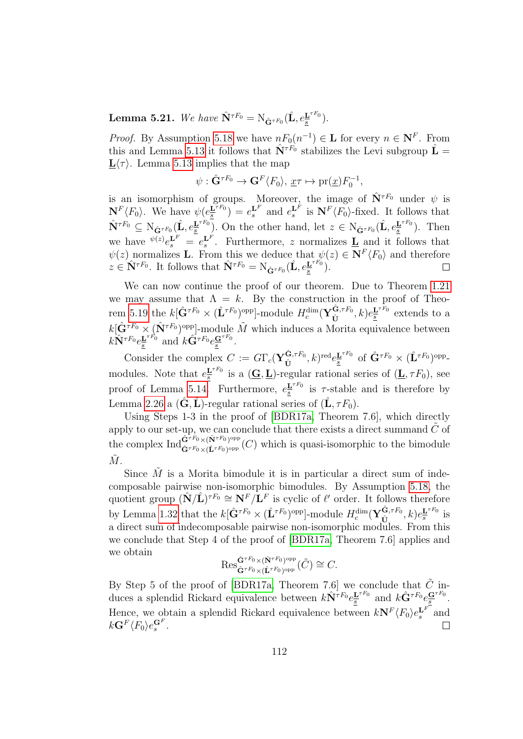Lemma 5.21. We have  $\hat{\mathbf{N}}^{\tau F_0} = \mathrm{N}_{\hat{\mathbf{G}}^{\tau F_0}}(\hat{\mathbf{L}}, e_{\overline{\mathbf{s}}}^{\mathbf{L}^{\tau F_0}})$  $\frac{\mathbf{L}^{T}{}^{T}{}^{0}}{\underline{s}}$ ).

*Proof.* By Assumption [5.18](#page-110-0) we have  $nF_0(n^{-1}) \in L$  for every  $n \in \mathbb{N}^F$ . From this and Lemma [5.13](#page-107-0) it follows that  $\hat{\mathbf{N}}^{\tau F_0}$  stabilizes the Levi subgroup  $\hat{\mathbf{L}} =$  $\mathbf{L}\langle \tau \rangle$ . Lemma [5.13](#page-107-0) implies that the map

$$
\psi: \hat{\mathbf{G}}^{\tau F_0} \to \mathbf{G}^F \langle F_0 \rangle, \, \underline{x} \tau \mapsto \mathrm{pr}(\underline{x}) F_0^{-1},
$$

is an isomorphism of groups. Moreover, the image of  $\hat{\mathbf{N}}^{\tau F_0}$  under  $\psi$  is  $\mathbf{N}^F\langle F_0 \rangle$ . We have  $\psi(e^{\mathbf{L}^{\tau F_0}})$  $\frac{\mathbf{L}^{\tau F_0}}{s}$  =  $e_s^{\mathbf{L}^F}$  and  $e_s^{\mathbf{L}^F}$  is  $\mathbf{N}^F \langle F_0 \rangle$ -fixed. It follows that  $\hat{\mathbf{N}}^{\tau F_0} \subseteq \mathrm{N}_{\hat{\mathbf{G}}^{\tau F_0}}(\hat{\mathbf{L}},e_{\underline{\bar{s}}}^{\mathbf{L}^{\tau F_0}})$  $\underline{\mathbf{L}}^{\tau F_0}$ ). On the other hand, let  $z \in \mathrm{N}_{\hat{\mathbf{G}}^{\tau F_0}}(\hat{\mathbf{L}}, e_{\underline{s}}^{\mathbf{L}^{\tau F_0}})$  $\frac{\mathbf{L}^{r_{r_0}}}{s}$ ). Then we have  $\psi^{(z)} e_s^{\mathbf{L}^F} = e_s^{\mathbf{L}^F}$ . Furthermore, z normalizes  $\underline{\mathbf{L}}$  and it follows that  $\psi(z)$  normalizes **L**. From this we deduce that  $\psi(z) \in \mathbf{N}^F \langle F_0 \rangle$  and therefore  $z \in \hat{\mathbf{N}}^{\tau F_0}$ . It follows that  $\hat{\mathbf{N}}^{\tau F_0} = \mathrm{N}_{\hat{\mathbf{G}}^{\tau F_0}}(\hat{\mathbf{L}}, e_{\underline{s}}^{\mathbf{L}^{\tau F_0}})$  $\frac{\mathbf{L}^{T}{}^{T}{}^{0}}{\underline{s}}$ ).  $\Box$ 

We can now continue the proof of our theorem. Due to Theorem [1.21](#page-24-0) we may assume that  $\Lambda = k$ . By the construction in the proof of Theo-rem [5.19](#page-110-1) the  $k[\hat{G}^{\tau F_0} \times (\hat{L}^{\tau F_0})^{\text{opp}}]$ -module  $H_c^{\dim}(\mathbf{Y}_{\hat{\mathbf{\Gamma}}}^{\hat{\mathbf{G}},\tau F_0})$  $(\hat{\mathbf{U}}^{\tau F_0},k)e^{\mathbf{L}^{\tau F_0}}_{\underline{s}}$  $\frac{\mathbf{L}^{rr_0}}{s}$  extends to a  $k[\hat{\mathbf{G}}^{\tau F_0} \times (\hat{\mathbf{N}}^{\tau F_0})^{\text{opp}}]$ -module  $\tilde{M}$  which induces a Morita equivalence between  $k \hat{\mathbf{N}}^{\tau F_0} e^{\mathbf{L}^{\tau F_0}}_s$  $\underline{\mathbf{L}}^{\tau F_0}$  and  $k\hat{\mathbf{G}}^{\tau F_0}e_{\underline{s}}^{\mathbf{G}^{\tau F_0}}$ .

Consider the complex  $C := G\Gamma_c(\mathbf{Y}_{\mathbf{f}i}^{\hat{\mathbf{G}},\tau_{F_0}})$  $(\hat{\mathbf{G}}, \tau F_{0}, k)^{\text{red}} e^{\underline{\mathbf{L}}^{\tau F_{0}}}_{\underline{\mathbf{s}}}$  $\underline{\mathbf{L}}^{\tau F_0}$  of  $\hat{\mathbf{G}}^{\tau F_0} \times (\hat{\mathbf{L}}^{\tau F_0})^{\text{opp}}$ modules. Note that  $e^{\mathbf{L}^{\tau F_0}}$  $\frac{\mathbf{L}^{\tau r_0}}{\mathbf{s}}$  is a  $(\mathbf{\underline{G}}, \mathbf{\underline{L}})$ -regular rational series of  $(\mathbf{\underline{L}}, \tau F_0)$ , see proof of Lemma [5.14.](#page-108-0) Furthermore,  $e^{\mathbf{L}^{\tau F_0}}$  $\frac{\mathbf{L}^{T}}{s}$  is  $\tau$ -stable and is therefore by Lemma [2.26](#page-54-0) a  $(\hat{G}, \hat{L})$ -regular rational series of  $(\hat{L}, \tau F_0)$ .

Using Steps 1-3 in the proof of [\[BDR17a,](#page-141-0) Theorem 7.6], which directly apply to our set-up, we can conclude that there exists a direct summand  $\tilde{C}$  of the complex  $\text{Ind}_{\hat{G}^{\tau F_0} \times (\hat{\mathbf{Y}}^{\tau F_0})^{\text{opp}}}^{\hat{\mathbf{G}}^{\tau F_0} \times (\hat{\mathbf{Y}}^{\tau F_0})^{\text{opp}}}$  $\hat{\mathbf{G}}^{r_{\mathcal{F}_0}\times(\hat{\mathbf{L}}^{r_{\mathcal{F}_0}})^{\text{opp}}}(C)$  which is quasi-isomorphic to the bimodule  $\tilde{M}$ .

Since  $\tilde{M}$  is a Morita bimodule it is in particular a direct sum of indecomposable pairwise non-isomorphic bimodules. By Assumption [5.18,](#page-110-0) the quotient group  $(\hat{\mathbf{N}}/\hat{\mathbf{L}})^{\tau F_0} \cong \mathbf{N}^F/\mathbf{L}^F$  is cyclic of  $\ell'$  order. It follows therefore by Lemma [1.32](#page-30-0) that the  $k[\hat{\mathbf{G}}^{\tau F_0} \times (\hat{\mathbf{L}}^{\tau F_0})^{\text{opp}}]$ -module  $H_c^{\dim}(\mathbf{Y}_{\hat{\mathbf{U}}}^{\hat{\mathbf{G}},\tau F_0})$  $(\hat{\textbf{U}},\tau F_{0},k)e^{\textbf{L}^{\tau F_{0}}}_{s}$  $\frac{\mathbf{L}^{\tau_{F0}}}{s}$  is a direct sum of indecomposable pairwise non-isomorphic modules. From this we conclude that Step 4 of the proof of [\[BDR17a,](#page-141-0) Theorem 7.6] applies and we obtain

$$
{\operatorname{Res}}^{\hat{\mathbf{G}}^{\tau F_0} \times (\hat{\mathbf{N}}^{\tau F_0})^{\operatorname{opp}}}_{\hat{\mathbf{G}}^{\tau F_0} \times (\hat{\mathbf{L}}^{\tau F_0})^{\operatorname{opp}}}(\tilde{C}) \cong C.
$$

By Step 5 of the proof of [\[BDR17a,](#page-141-0) Theorem 7.6] we conclude that  $\tilde{C}$  induces a splendid Rickard equivalence between  $k\hat{\mathbf{N}}^{\tau F_0}e_{\overline{s}}^{\mathbf{L}^{\tau F_0}}$  $\frac{\mathbf{L}^{\tau F_0}}{\mathbf{s}}$  and  $k\hat{\mathbf{G}}^{\tau F_0}e^{\mathbf{G}^{\tau F_0}}_{\mathbf{s}}$ . Hence, we obtain a splendid Rickard equivalence between  $kN^F \langle F_0 \rangle e_s^{\mathbf{L}^F}$  and  $k\mathbf{G}^F\langle F_0\rangle e^{\mathbf{G}^F}_s.$  $\Box$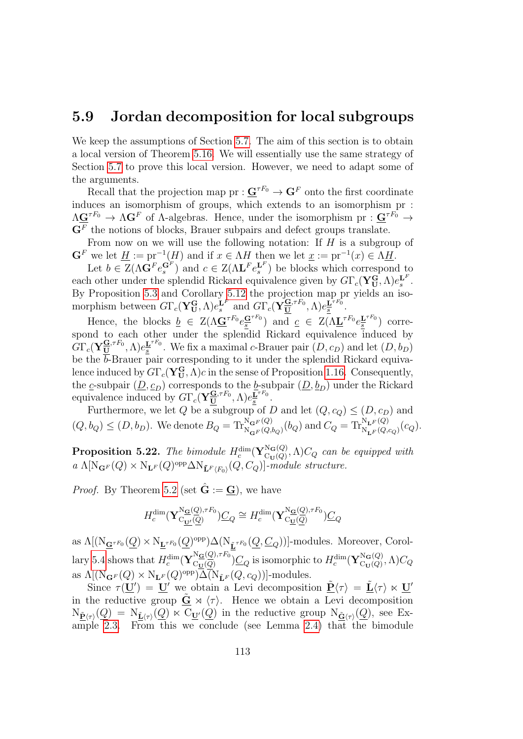#### 5.9 Jordan decomposition for local subgroups

We keep the assumptions of Section [5.7.](#page-107-2) The aim of this section is to obtain a local version of Theorem [5.16.](#page-109-0) We will essentially use the same strategy of Section [5.7](#page-107-2) to prove this local version. However, we need to adapt some of the arguments.

Recall that the projection map  $pr: \mathbf{G}^{\tau F_0} \to \mathbf{G}^F$  onto the first coordinate induces an isomorphism of groups, which extends to an isomorphism pr :  $\Lambda$ **G**<sup> $\tau$ F<sub>0</sub>  $\rightarrow$   $\Lambda$ **G**<sup>F</sup> of  $\Lambda$ -algebras. Hence, under the isomorphism pr :  $G^{\tau F_0}$   $\rightarrow$ </sup>  $\mathbf{G}^F$  the notions of blocks, Brauer subpairs and defect groups translate.

From now on we will use the following notation: If H is a subgroup of  $\mathbf{G}^F$  we let  $\underline{H} := \text{pr}^{-1}(H)$  and if  $x \in \Lambda H$  then we let  $\underline{x} := \text{pr}^{-1}(x) \in \Lambda \underline{H}$ .

Let  $b \in Z(\Lambda \mathbf{G}^F e_s^{\mathbf{G}^F})$  and  $c \in Z(\Lambda \mathbf{L}^F e_s^{\mathbf{L}^F})$  be blocks which correspond to each other under the splendid Rickard equivalence given by  $G\Gamma_c(\mathbf{Y_U^G},\Lambda)e_s^{\mathbf{L}^F}$ . By Proposition [5.3](#page-98-0) and Corollary [5.12](#page-107-1) the projection map pr yields an isomorphism between  $G\Gamma_c(\mathbf{Y_U^G}, \Lambda)e_s^{\mathbf{L}^F}$  and  $G\Gamma_c(\mathbf{Y_U^G}^{ \mathbf{G},\tau F_0}, \Lambda)e_s^{\mathbf{L}^{\tau F_0}}$  $rac{\underline{\mathbf{L}}^{T}}{s}$ .

Hence, the blocks  $\underline{b} \in Z(\Lambda \underline{G}^{\tau F_0} e_{\underline{s}}^{\underline{G}^{\tau F_0}})$  and  $\underline{c} \in Z(\Lambda \underline{L}^{\tau F_0} e_{\underline{s}}^{\underline{L}^{\tau F_0}})$  $\frac{\mathbf{L}^{\tau r_0}}{s}$  correspond to each other under the splendid Rickard equivalence induced by  $G\Gamma_c(\mathbf{Y}^{\underline{\mathbf{G}},\tau F_0}_{\underline{\mathbf{U}}},\Lambda)e^{\underline{\mathbf{L}}^{\tau F_0}}_{\underline{s}}$  $\underline{\mathbf{E}}^{(r)}$ . We fix a maximal c-Brauer pair  $(D, c_D)$  and let  $(D, b_D)$ be the  $\overline{b}$ -Brauer pair corresponding to it under the splendid Rickard equivalence induced by  $G\Gamma_c(\mathbf{Y}_\mathbf{U}^\mathbf{G},\Lambda)c$  in the sense of Proposition [1.16.](#page-22-0) Consequently, the c-subpair  $(\underline{D}, \underline{c}_D)$  corresponds to the b-subpair  $(\underline{D}, \underline{b}_D)$  under the Rickard equivalence induced by  $G\Gamma_c(\mathbf{Y}_{\mathbf{U}}^{\mathbf{G},\tau F_0},\Lambda)e_{\mathbf{s}}^{\mathbf{L}^{\tau F_0}}$  $rac{\underline{\mathbf{L}}^{T}}{s}$ .

Furthermore, we let Q be a subgroup of D and let  $(Q, c_Q) \leq (D, c_D)$  and  $(Q, b_Q) \leq (D, b_D)$ . We denote  $B_Q = \text{Tr}_{\text{N}_{\mathbf{G}F}(Q, b_Q)}^{\text{N}_{\mathbf{G}F}(Q)}(b_Q)$  and  $C_Q = \text{Tr}_{\text{N}_{\mathbf{L}F}(Q, c_Q)}^{\text{N}_{\mathbf{L}F}(Q)}(c_Q)$ .

<span id="page-112-0"></span>Proposition 5.22. The bimodule  $H_c^{\dim}(\mathbf{Y}_{\mathrm{Cu}(Q)}^{\mathrm{N}_{\mathbf{G}}(Q)})$  $C_{\text{U}(Q)}^{N_{\mathbf{G}}(Q)}, \Lambda$   $C_Q$  can be equipped with  $a \Lambda[N_{\mathbf{G}^F}(Q) \times N_{\mathbf{L}^F}(Q)^\text{opp} \Delta N_{\mathbf{\tilde{L}}^F(F_0)}(Q, C_Q)]$ -module structure.

*Proof.* By Theorem [5.2](#page-97-0) (set  $\hat{G} := G$ ), we have

$$
H_c^{\dim}(\mathbf{Y}_{\mathcal{C}\underline{\mathbf{U}}'}^{\mathcal{N}\underline{\mathbf{G}}(\underline{Q}),\tau F_0})\underline{C}_Q \cong H_c^{\dim}(\mathbf{Y}_{\mathcal{C}\underline{\mathbf{U}}(\underline{Q})}^{\mathcal{N}\underline{\mathbf{G}}(\underline{Q}),\tau F_0})\underline{C}_Q
$$

as  $\Lambda[(\mathrm{N}_{\underline{\mathbf{G}}^{\tau F_0}}(\underline{Q}) \times \mathrm{N}_{\underline{\mathbf{L}}^{\tau F_0}}(\underline{Q})^{\mathrm{opp}}) \Delta(\mathrm{N}_{\underline{\tilde{\mathbf{L}}^{\tau F_0}}}(\underline{Q},\underline{C}_Q))]$ -modules. Moreover, Corol-lary [5.4](#page-100-0) shows that  $H_c^{\dim}(\mathbf{Y}_{\text{Cu}(Q)}^{\text{Ng}(Q),\tau F_0}$  $\frac{\log(Q),\tau F_0}{\log(Q)}$  is isomorphic to  $H_c^{\dim}(\mathbf{Y}_{\mathrm{Cu}(Q)}^{\mathrm{N_{\mathbf{G}}(Q)}})$  $\frac{\Gamma\Gamma\mathbf{G}(\mathbf{Q})}{\Gamma\Gamma\Gamma(Q)},\Lambda)C_Q$ as  $\Lambda[(\mathrm{N}_{\mathbf{G}^F}(Q) \times \mathrm{N}_{\mathbf{L}^F}(Q)^\text{opp}) \Delta(\mathrm{N}_{\tilde{\mathbf{L}}^F}(Q, c_Q))]$ -modules.

Since  $\tau(\underline{\mathbf{U}}') = \underline{\mathbf{U}}'$  we obtain a Levi decomposition  $\underline{\tilde{\mathbf{P}}} \langle \tau \rangle = \underline{\tilde{\mathbf{L}}} \langle \tau \rangle \ltimes \underline{\mathbf{U}}'$ in the reductive group  $\tilde{G} \rtimes \langle \tau \rangle$ . Hence we obtain a Levi decomposition  $N_{\tilde{\mathbf{P}}(\tau)}(Q) = N_{\tilde{\mathbf{L}}(\tau)}(Q) \ltimes C_{\mathbf{U}'}(Q)$  in the reductive group  $N_{\tilde{\mathbf{G}}(\tau)}(Q)$ , see Example [2.3.](#page-41-0) From this we conclude (see Lemma [2.4\)](#page-42-0) that the bimodule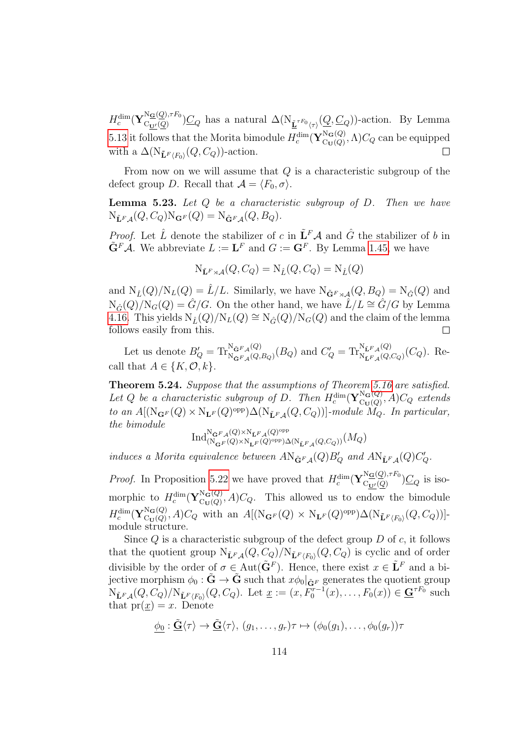$H_c^{\dim}(\mathbf{Y}^{\text{N}\underline{\mathbf{G}}(\underline{Q}),\tau F_0}_{\mathrm{C}_{\mathbf{H}'}(Q)})$  $(\mathcal{C}_{\underline{\mathbf{U}}'(\mathcal{Q})}^{(\mathcal{Q}),\{1,1,0\}})C_Q$  has a natural  $\Delta(N_{\underline{\tilde{\mathbf{L}}}^{\tau F_0}\langle\tau\rangle}(\underline{Q},C_Q))$ -action. By Lemma [5.13](#page-107-0) it follows that the Morita bimodule  $H_c^{\dim}(\mathbf{Y}_{\text{Cu}(Q)}^{\text{N}_{\mathbf{G}}(Q)})$  $C_{U(Q)}^{N_{\mathbf{G}}(Q)}, \Lambda$   $C_{Q}$  can be equipped with a  $\Delta(\mathrm{N}_{\tilde{\mathbf{L}}^F\langle F_0\rangle}(Q, C_Q))$ -action.  $\Box$ 

From now on we will assume that  $Q$  is a characteristic subgroup of the defect group D. Recall that  $\mathcal{A} = \langle F_0, \sigma \rangle$ .

<span id="page-113-0"></span>**Lemma 5.23.** Let  $Q$  be a characteristic subgroup of  $D$ . Then we have  $N_{\tilde{\mathbf{L}}^F\mathbf{A}}(Q, C_Q)N_{\mathbf{G}^F}(Q) = N_{\tilde{\mathbf{G}}^F\mathbf{A}}(Q, B_Q).$ 

*Proof.* Let  $\hat{L}$  denote the stabilizer of c in  $\tilde{\mathbf{L}}^F \mathcal{A}$  and  $\hat{G}$  the stabilizer of b in  $\tilde{\mathbf{G}}^F \mathcal{A}$ . We abbreviate  $L := \mathbf{L}^F$  and  $G := \mathbf{G}^F$ . By Lemma [1.45,](#page-37-0) we have

$$
N_{\tilde{\mathbf{L}}^F\rtimes \mathcal{A}}(Q,C_Q)=N_{\hat{L}}(Q,C_Q)=N_{\hat{L}}(Q)
$$

and  $N_{\hat{L}}(Q)/N_L(Q) = \hat{L}/L$ . Similarly, we have  $N_{\tilde{G}^F \rtimes A}(Q, B_Q) = N_{\hat{G}}(Q)$  and  $N_{\hat{G}}(Q)/N_G(Q) = \hat{G}/G$ . On the other hand, we have  $\hat{L}/L \cong \hat{G}/G$  by Lemma [4.16.](#page-88-0) This yields  $N_{\hat{L}}(Q)/N_L(Q) \cong N_{\hat{G}}(Q)/N_G(Q)$  and the claim of the lemma follows easily from this.  $\Box$ 

Let us denote  $B'_Q = \text{Tr}_{N_{\tilde{G}F_A}(Q)}^{N_{\tilde{G}F_A}(Q)}$  $N_{\tilde{\mathbf{G}}^F\mathcal{A}}(Q)$ <br> $N_{\tilde{\mathbf{G}}^F\mathcal{A}}(Q, B_Q)$  and  $C'_Q = \text{Tr}_{N_{\tilde{\mathbf{L}}^F\mathcal{A}}(Q)}^{N_{\tilde{\mathbf{L}}^F\mathcal{A}}(Q)}$  $N_{\tilde{\mathbf{L}}^F\mathcal{A}}^{(\mathbf{L})} (C_Q)$ . Recall that  $A \in \{K, \mathcal{O}, k\}.$ 

<span id="page-113-1"></span>Theorem 5.24. Suppose that the assumptions of Theorem [5.16](#page-109-0) are satisfied. Let Q be a characteristic subgroup of D. Then  $H_c^{\dim}(\mathbf{Y}_{\text{Cl}(Q)}^{\text{Ng}(Q)})$  $C_{U(Q)}^{N\mathbf{G}(Q)}, A)C_Q$  extends to an  $A[(\mathrm{N}_{\mathbf{G}^F}(Q) \times \mathrm{N}_{\mathbf{L}^F}(Q)^{\text{opp}}) \Delta(\mathrm{N}_{\tilde{\mathbf{L}}^F\mathcal{A}}(Q, C_Q))]$ -module  $\widetilde{M}_Q$ . In particular, the bimodule opp

$$
\text{Ind}_{(\mathcal{N}_{\mathbf{G}F}(Q)\times\mathcal{N}_{\mathbf{L}F}(Q)^{\text{opp}})}^{\mathcal{N}_{\mathbf{G}F}}_{(\mathcal{N})\times\mathcal{N}_{\mathbf{L}F}(Q)\times\mathcal{N}_{\mathbf{L}F}(Q)^{\text{opp}})}\Delta(\mathcal{N}_{\mathbf{L}F}(Q,C_Q))}(M_Q)
$$

induces a Morita equivalence between  $A\text{N}_{\tilde{\mathbf{G}}^F\mathcal{A}}(Q)B_Q'$  and  $A\text{N}_{\tilde{\mathbf{L}}^F\mathcal{A}}(Q)C_Q'$ .

*Proof.* In Proposition [5.22](#page-112-0) we have proved that  $H_c^{\dim}(\mathbf{Y}_{\mathrm{C}_{\mathbf{I} \mathbf{I}'}(Q)}^{\mathbf{N}_{\mathbf{G}}(Q),\tau F_0}$  $\frac{\Gamma(\underline{G}(\underline{Q})^{1/2})}{\Gamma(\underline{Q})}$  is isomorphic to  $H_c^{\dim}(\mathbf{Y}_{\mathrm{Cu}(Q)}^{\mathrm{N}_{\mathbf{G}}(Q)})$  $C_{U}(Q)$ ,  $A)C_{Q}$ . This allowed us to endow the bimodule  $H_c^{\dim}(\mathbf{Y}_{\mathrm{C}_{\mathbf{U}}(Q)}^{\mathrm{N}_{\mathbf{G}}(Q)})$  $\Gamma_{\text{G}(Q)}^{\text{NG}(Q)}, A)C_Q$  with an  $A[(\text{N}_{\mathbf{G}^F}(Q) \times \text{N}_{\mathbf{L}^F}(Q)^{\text{opp}}) \Delta(\text{N}_{\mathbf{\tilde{L}}^F(F_0)}(Q, C_Q))]$ module structure.

Since  $Q$  is a characteristic subgroup of the defect group  $D$  of  $c$ , it follows that the quotient group  $N_{\tilde{L}^F,A}(Q,C_Q)/N_{\tilde{L}^F(F_0)}(Q,C_Q)$  is cyclic and of order divisible by the order of  $\sigma \in Aut(\tilde{\mathbf{G}}^F)$ . Hence, there exist  $x \in \tilde{\mathbf{L}}^F$  and a bijective morphism  $\phi_0 : \tilde{G} \to \tilde{G}$  such that  $x\phi_0|_{\tilde{G}^F}$  generates the quotient group  $N_{\tilde{\mathbf{L}}^F\mathcal{A}}(Q,C_Q)/N_{\tilde{\mathbf{L}}^F\langle F_0\rangle}(Q,C_Q)$ . Let  $\underline{x} := (x,\overline{F_0}^{r-1}(x),\ldots,\overline{F_0}(x)) \in \underline{\mathbf{G}}^{\tau F_0}$  such that  $pr(x) = x$ . Denote

$$
\underline{\phi_0} : \tilde{\mathbf{G}} \langle \tau \rangle \to \tilde{\mathbf{G}} \langle \tau \rangle, (g_1, \dots, g_r) \tau \mapsto (\phi_0(g_1), \dots, \phi_0(g_r)) \tau
$$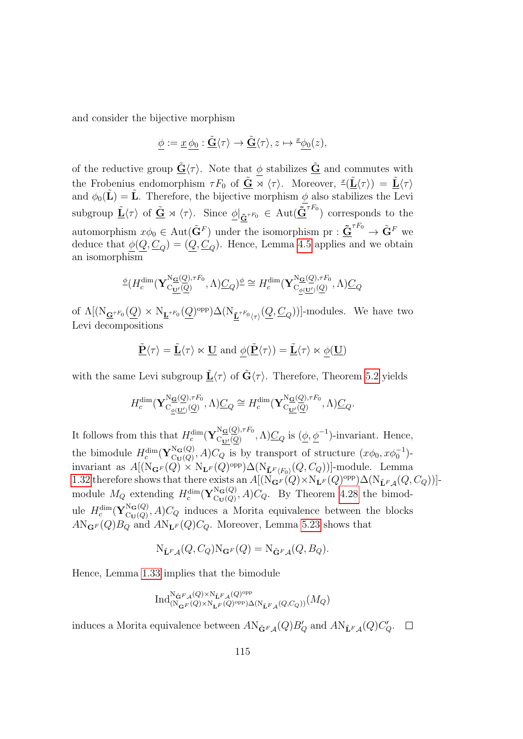and consider the bijective morphism

$$
\underline{\phi}:=\underline{x}\,\underline{\phi_0}:\tilde{\underline{\mathbf{G}}}\langle\tau\rangle\rightarrow\tilde{\underline{\mathbf{G}}}\langle\tau\rangle, z\mapsto {}^{\underline{x}}\underline{\phi_0}(z),
$$

of the reductive group  $\tilde{\mathbf{G}}(\tau)$ . Note that  $\phi$  stabilizes  $\tilde{\mathbf{G}}$  and commutes with the Frobenius endomorphism  $\tau F_0$  of  $\tilde{\mathbf{G}} \rtimes \langle \tau \rangle$ . Moreover,  $\tilde{\mathfrak{L}} \langle \tau \rangle = \tilde{\mathbf{L}} \langle \tau \rangle$ and  $\phi_0(\tilde{\mathbf{L}}) = \tilde{\mathbf{L}}$ . Therefore, the bijective morphism  $\phi$  also stabilizes the Levi subgroup  $\underline{\tilde{\mathbf{L}}} \langle \tau \rangle$  of  $\underline{\tilde{\mathbf{G}}} \rtimes \langle \tau \rangle$ . Since  $\underline{\phi}|_{\tilde{\mathbf{G}}^{\tau F_0}} \in \text{Aut}(\underline{\tilde{\mathbf{G}}}^{\tau F_0})$  corresponds to the automorphism  $x\phi_0 \in \text{Aut}(\tilde{\mathbf{G}}^F)$  under the isomorphism  $\text{pr}: \tilde{\mathbf{G}}^{F} \to \tilde{\mathbf{G}}^F$  we deduce that  $\phi(Q, \underline{C}_Q) = (Q, \underline{C}_Q)$ . Hence, Lemma [4.5](#page-82-0) applies and we obtain an isomorphism

$$
\frac{\phi(H_c^{\dim}(\mathbf{Y}_{C_{\underline{\mathbf{U}}'}}^{\mathrm{N}\underline{\mathbf{G}}(\underline{Q}),\tau F_0},\Lambda)\underline{C}_Q)^{\underline{\phi}}}{\phi} \cong H_c^{\dim}(\mathbf{Y}_{C_{\underline{\phi}(\underline{\mathbf{U}}')}}^{\mathrm{N}\underline{\mathbf{G}}(\underline{Q}),\tau F_0},\Lambda)\underline{C}_Q
$$

of  $\Lambda[(N_{\mathbf{G}^{\tau F_{0}}}(\underline{Q}) \times N_{\mathbf{L}^{\tau F_{0}}}(\underline{Q})^{\text{opp}}) \Delta(N_{\mathbf{\underline{r}}^{\tau F_{0}}(\tau)}(\underline{Q}, \underline{C}_{Q}))]$ -modules. We have two Levi decompositions

$$
\underline{\tilde{\mathbf{P}}}\langle \tau \rangle = \underline{\tilde{\mathbf{L}}}\langle \tau \rangle \ltimes \underline{\mathbf{U}}
$$
 and  $\underline{\phi}(\underline{\tilde{\mathbf{P}}}\langle \tau \rangle) = \underline{\tilde{\mathbf{L}}}\langle \tau \rangle \ltimes \underline{\phi}(\underline{\mathbf{U}})$ 

with the same Levi subgroup  $\underline{\tilde{\mathbf{L}}} \langle \tau \rangle$  of  $\tilde{\mathbf{G}} \langle \tau \rangle$ . Therefore, Theorem [5.2](#page-97-0) yields

$$
H_c^{\dim}(\mathbf{Y}_{C_{\underline{\phi(\mathbf{U}')}}(\underline{Q})}^{\mathbf{N}\underline{\mathbf{G}}(\underline{Q}),\tau F_0},\Lambda)\underline{C}_Q \cong H_c^{\dim}(\mathbf{Y}_{C_{\underline{\mathbf{U}'}}(\underline{Q})}^{\mathbf{N}\underline{\mathbf{G}}(\underline{Q}),\tau F_0},\Lambda)\underline{C}_Q.
$$

It follows from this that  $H_c^{\dim}(\mathbf{Y}_{\mathrm{C}_{\mathbf{T}'}(Q)}^{\mathrm{N}_{\mathbf{G}}(Q),\tau F_0})$  $C_{\mathbf{U}'}^{CQ, \tau F_0}(Q)$ ,  $\Lambda$ ) $C_Q$  is  $(\underline{\phi}, \underline{\phi}^{-1})$ -invariant. Hence, the bimodule  $H_c^{\dim}(\mathbf{Y}_{\mathrm{Cu}(Q)}^{\mathrm{N}_{\mathbf{G}}(Q)})$  $C_{\text{U}(Q)}^{N_{\mathbf{G}}(Q)}, A)C_Q$  is by transport of structure  $(x\phi_0, x\phi_0^{-1})$ invariant as  $A[(\text{N}_{\mathbf{G}^F}(Q) \times \text{N}_{\mathbf{L}^F}(Q)^{\text{opp}}) \Delta(\text{N}_{\mathbf{\tilde{L}}^F\langle F_0\rangle}(Q, C_Q))]$ -module. Lemma [1.32](#page-30-0) therefore shows that there exists an  $A[(\mathrm{N}_{\mathbf{G}^F}(Q) \times \mathrm{N}_{\mathbf{L}^F}(Q)^{\text{opp}}) \Delta(\mathrm{N}_{\mathbf{L}^F A}(Q, C_Q))]$ module  $M_Q$  extending  $H_c^{\dim}(\mathbf{Y}_{\mathrm{C}_{\mathbf{U}}(Q)}^{\mathrm{N}_{\mathbf{G}}(Q)})$  $C_{U(Q)}^{NG(Q)}$ , A)C<sub>Q</sub>. By Theorem [4.28](#page-94-0) the bimodule  $H_c^{\dim}(\mathbf{Y}_{\mathrm{Cu}(Q)}^{\mathrm{N}_\mathbf{G}(Q)})$  $C_{\text{U}}(Q)$ ,  $A$ ) $C_Q$  induces a Morita equivalence between the blocks  $A\text{N}_{\mathbf{G}^F}(Q)B_Q$  and  $A\text{N}_{\mathbf{L}^F}(Q)C_Q$ . Moreover, Lemma [5.23](#page-113-0) shows that

$$
N_{\tilde{\mathbf{L}}^F\mathcal{A}}(Q, C_Q)N_{\mathbf{G}^F}(Q) = N_{\tilde{\mathbf{G}}^F\mathcal{A}}(Q, B_Q).
$$

Hence, Lemma [1.33](#page-30-1) implies that the bimodule

$$
\text{Ind}_{(\mathcal{N}_{\mathbf{G}^F}(Q)\times \mathcal{N}_{\tilde{\mathbf{L}}^F,Q})^{\text{opp}}(\mathcal{Q})^{\text{opp}}}\text{Ind}_{(\mathcal{N}_{\mathbf{G}^F}(Q)\times \mathcal{N}_{\mathbf{L}^F}(Q)^{\text{opp}})\Delta(\mathcal{N}_{\tilde{\mathbf{L}}^F,A}(Q,C_Q))}(M_Q)
$$

induces a Morita equivalence between  $A\text{N}_{\tilde{\mathbf{G}}^F\mathcal{A}}(Q)B_Q'$  and  $A\text{N}_{\tilde{\mathbf{L}}^F\mathcal{A}}(Q)C_Q'$ .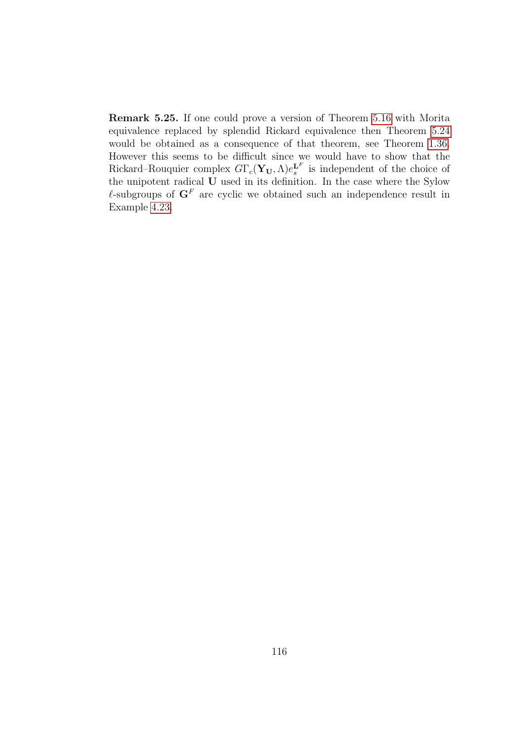Remark 5.25. If one could prove a version of Theorem [5.16](#page-109-0) with Morita equivalence replaced by splendid Rickard equivalence then Theorem [5.24](#page-113-1) would be obtained as a consequence of that theorem, see Theorem [1.36.](#page-32-0) However this seems to be difficult since we would have to show that the Rickard–Rouquier complex  $G\Gamma_c(\mathbf{Y}_U,\Lambda)e_s^{\mathbf{L}^F}$  is independent of the choice of the unipotent radical U used in its definition. In the case where the Sylow  $\ell$ -subgroups of  $G<sup>F</sup>$  are cyclic we obtained such an independence result in Example [4.23.](#page-91-0)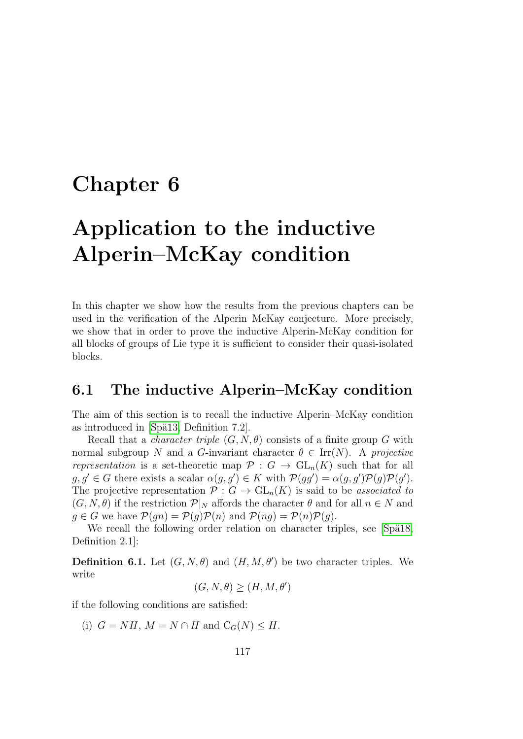## <span id="page-116-0"></span>Chapter 6

# Application to the inductive Alperin–McKay condition

In this chapter we show how the results from the previous chapters can be used in the verification of the Alperin–McKay conjecture. More precisely, we show that in order to prove the inductive Alperin-McKay condition for all blocks of groups of Lie type it is sufficient to consider their quasi-isolated blocks.

#### 6.1 The inductive Alperin–McKay condition

The aim of this section is to recall the inductive Alperin–McKay condition as introduced in [Spä13, Definition 7.2].

Recall that a *character triple*  $(G, N, \theta)$  consists of a finite group G with normal subgroup N and a G-invariant character  $\theta \in \text{Irr}(N)$ . A projective representation is a set-theoretic map  $\mathcal{P}: G \to GL_n(K)$  such that for all  $g, g' \in G$  there exists a scalar  $\alpha(g, g') \in K$  with  $\mathcal{P}(gg') = \alpha(g, g') \mathcal{P}(g) \mathcal{P}(g')$ . The projective representation  $\mathcal{P}: G \to \text{GL}_n(K)$  is said to be associated to  $(G, N, \theta)$  if the restriction  $\mathcal{P}|_N$  affords the character  $\theta$  and for all  $n \in N$  and  $q \in G$  we have  $\mathcal{P}(qn) = \mathcal{P}(q)\mathcal{P}(n)$  and  $\mathcal{P}(nq) = \mathcal{P}(n)\mathcal{P}(q)$ .

We recall the following order relation on character triples, see [Spä18, Definition 2.1]:

**Definition 6.1.** Let  $(G, N, \theta)$  and  $(H, M, \theta')$  be two character triples. We write

$$
(G, N, \theta) \ge (H, M, \theta')
$$

if the following conditions are satisfied:

(i)  $G = NH$ ,  $M = N \cap H$  and  $C_G(N) \leq H$ .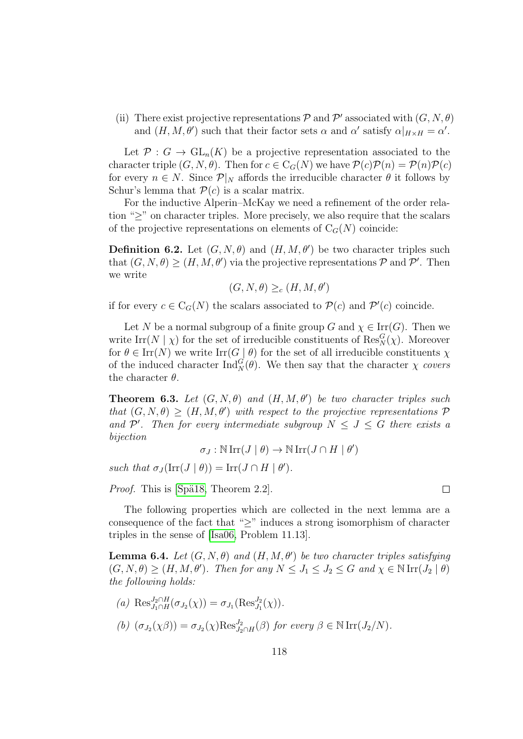(ii) There exist projective representations  $P$  and  $P'$  associated with  $(G, N, \theta)$ and  $(H, M, \theta')$  such that their factor sets  $\alpha$  and  $\alpha'$  satisfy  $\alpha|_{H \times H} = \alpha'$ .

Let  $\mathcal{P}: G \to \text{GL}_n(K)$  be a projective representation associated to the character triple  $(G, N, \theta)$ . Then for  $c \in C_G(N)$  we have  $\mathcal{P}(c)\mathcal{P}(n) = \mathcal{P}(n)\mathcal{P}(c)$ for every  $n \in N$ . Since  $\mathcal{P}|_N$  affords the irreducible character  $\theta$  it follows by Schur's lemma that  $\mathcal{P}(c)$  is a scalar matrix.

For the inductive Alperin–McKay we need a refinement of the order relation " $\geq$ " on character triples. More precisely, we also require that the scalars of the projective representations on elements of  $C_G(N)$  coincide:

**Definition 6.2.** Let  $(G, N, \theta)$  and  $(H, M, \theta')$  be two character triples such that  $(G, N, \theta) \ge (H, M, \theta')$  via the projective representations  $P$  and  $P'$ . Then we write

$$
(G, N, \theta) \geq_c (H, M, \theta')
$$

if for every  $c \in C_G(N)$  the scalars associated to  $\mathcal{P}(c)$  and  $\mathcal{P}'(c)$  coincide.

Let N be a normal subgroup of a finite group G and  $\chi \in \text{Irr}(G)$ . Then we write  $\text{Irr}(N \mid \chi)$  for the set of irreducible constituents of  $\text{Res}_{N}^{G}(\chi)$ . Moreover for  $\theta \in \text{Irr}(N)$  we write  $\text{Irr}(G \mid \theta)$  for the set of all irreducible constituents  $\chi$ of the induced character  $\text{Ind}_{N}^{G}(\theta)$ . We then say that the character  $\chi$  covers the character  $\theta$ .

<span id="page-117-0"></span>**Theorem 6.3.** Let  $(G, N, \theta)$  and  $(H, M, \theta')$  be two character triples such that  $(G, N, \theta) \ge (H, M, \theta')$  with respect to the projective representations  $\mathcal{P}$ and  $\mathcal{P}'$ . Then for every intermediate subgroup  $N \leq J \leq G$  there exists a bijection

 $\sigma_J : \mathbb{N} \operatorname{Irr}(J \mid \theta) \to \mathbb{N} \operatorname{Irr}(J \cap H \mid \theta')$ 

such that  $\sigma_J(\text{Irr}(J | \theta)) = \text{Irr}(J \cap H | \theta').$ 

*Proof.* This is [Spä18, Theorem 2.2].

The following properties which are collected in the next lemma are a consequence of the fact that " $\geq$ " induces a strong isomorphism of character triples in the sense of [\[Isa06,](#page-143-0) Problem 11.13].

<span id="page-117-1"></span>**Lemma 6.4.** Let  $(G, N, \theta)$  and  $(H, M, \theta')$  be two character triples satisfying  $(G, N, \theta) \ge (H, M, \theta')$ . Then for any  $N \le J_1 \le J_2 \le G$  and  $\chi \in \mathbb{N}$  Irr $(J_2 | \theta)$ the following holds:

(a) 
$$
\operatorname{Res}_{J_1 \cap H}^{J_2 \cap H}(\sigma_{J_2}(\chi)) = \sigma_{J_1}(\operatorname{Res}_{J_1}^{J_2}(\chi)).
$$
  
(b)  $(\sigma_{J_2}(\chi \beta)) = \sigma_{J_2}(\chi) \operatorname{Res}_{J_2 \cap H}^{J_2}(\beta)$  for every  $\beta \in \mathbb{N} \operatorname{Irr}(J_2/N)$ .

 $\Box$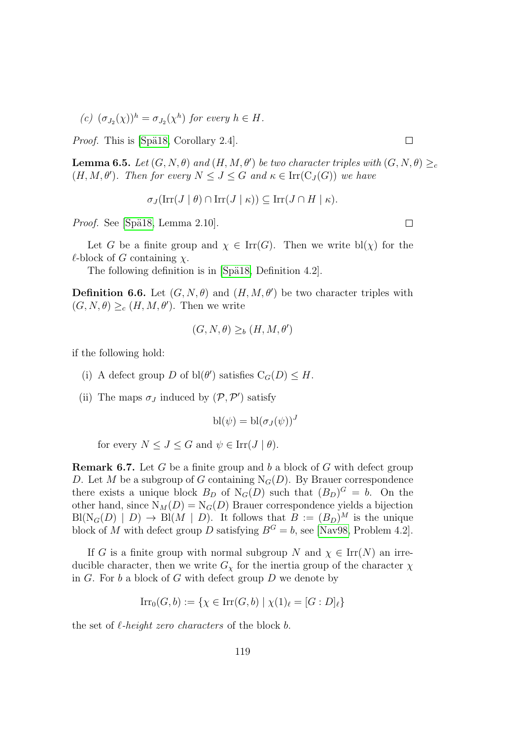(c)  $(\sigma_{J_2}(\chi))^h = \sigma_{J_2}(\chi^h)$  for every  $h \in H$ .

*Proof.* This is [Spä18, Corollary 2.4].

<span id="page-118-1"></span>**Lemma 6.5.** Let  $(G, N, \theta)$  and  $(H, M, \theta')$  be two character triples with  $(G, N, \theta) \geq_c$  $(H, M, \theta')$ . Then for every  $N \leq J \leq G$  and  $\kappa \in \text{Irr}(\mathcal{C}_J(G))$  we have

 $\sigma_J(\mathrm{Irr}(J \mid \theta) \cap \mathrm{Irr}(J \mid \kappa)) \subseteq \mathrm{Irr}(J \cap H \mid \kappa).$ 

*Proof.* See [Spä18, Lemma 2.10].

Let G be a finite group and  $\chi \in \text{Irr}(G)$ . Then we write bl( $\chi$ ) for the  $\ell$ -block of G containing  $\chi$ .

The following definition is in [Spä18, Definition 4.2].

<span id="page-118-0"></span>**Definition 6.6.** Let  $(G, N, \theta)$  and  $(H, M, \theta')$  be two character triples with  $(G, N, \theta) \geq_c (H, M, \theta')$ . Then we write

$$
(G, N, \theta) \geq_b (H, M, \theta')
$$

if the following hold:

- (i) A defect group D of  $\text{bl}(\theta')$  satisfies  $C_G(D) \leq H$ .
- (ii) The maps  $\sigma_J$  induced by  $(\mathcal{P}, \mathcal{P}')$  satisfy

$$
\mathrm{bl}(\psi) = \mathrm{bl}(\sigma_J(\psi))^J
$$

for every  $N \leq J \leq G$  and  $\psi \in \text{Irr}(J | \theta)$ .

**Remark 6.7.** Let G be a finite group and b a block of G with defect group D. Let M be a subgroup of G containing  $N_G(D)$ . By Brauer correspondence there exists a unique block  $B_D$  of  $N_G(D)$  such that  $(B_D)^G = b$ . On the other hand, since  $N_M(D) = N_G(D)$  Brauer correspondence yields a bijection  $\text{Bl}(\text{N}_G(D) \mid D) \to \text{Bl}(M \mid D)$ . It follows that  $B := (B_D)^M$  is the unique block of M with defect group D satisfying  $B^G = b$ , see [\[Nav98,](#page-144-0) Problem 4.2].

If G is a finite group with normal subgroup N and  $\chi \in \text{Irr}(N)$  an irreducible character, then we write  $G_{\chi}$  for the inertia group of the character  $\chi$ in  $G$ . For  $b$  a block of  $G$  with defect group  $D$  we denote by

$$
\operatorname{Irr}_0(G, b) := \{ \chi \in \operatorname{Irr}(G, b) \mid \chi(1)_{\ell} = [G : D]_{\ell} \}
$$

the set of  $\ell$ -height zero characters of the block b.

 $\Box$ 

 $\Box$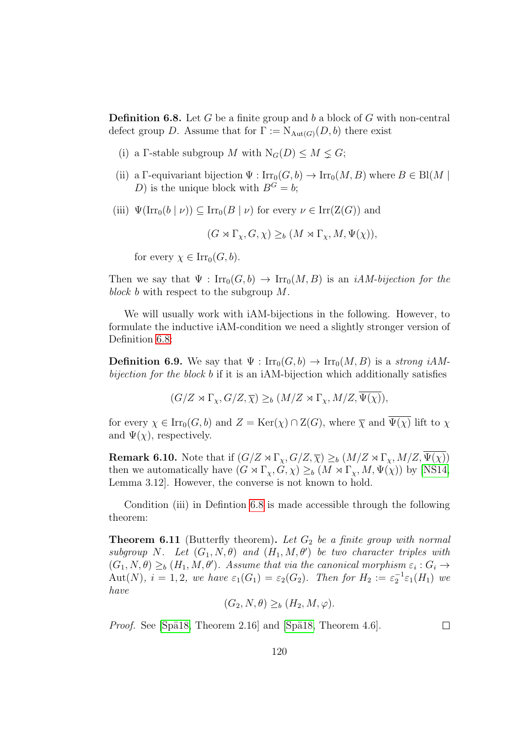<span id="page-119-0"></span>**Definition 6.8.** Let G be a finite group and b a block of G with non-central defect group D. Assume that for  $\Gamma := \mathrm{N}_{\mathrm{Aut}(G)}(D, b)$  there exist

- (i) a Γ-stable subgroup M with  $N_G(D) \leq M \leq G$ ;
- (ii) a Γ-equivariant bijection  $\Psi : \text{Irr}_0(G, b) \to \text{Irr}_0(M, B)$  where  $B \in Bl(M \mid$ D) is the unique block with  $B^G = b$ ;
- (iii)  $\Psi(\text{Irr}_0(b \mid \nu)) \subseteq \text{Irr}_0(B \mid \nu)$  for every  $\nu \in \text{Irr}(Z(G))$  and

 $(G \rtimes \Gamma_{\chi}, G, \chi) \geq_b (M \rtimes \Gamma_{\chi}, M, \Psi(\chi)),$ 

for every  $\chi \in \text{Irr}_0(G, b)$ .

Then we say that  $\Psi : \text{Irr}_0(G, b) \to \text{Irr}_0(M, B)$  is an *iAM-bijection for the* block b with respect to the subgroup M.

We will usually work with iAM-bijections in the following. However, to formulate the inductive iAM-condition we need a slightly stronger version of Definition [6.8:](#page-119-0)

**Definition 6.9.** We say that  $\Psi : \text{Irr}_0(G, b) \to \text{Irr}_0(M, B)$  is a strong iAMbijection for the block b if it is an iAM-bijection which additionally satisfies

 $(G/Z \rtimes \Gamma_{\chi}, G/Z, \overline{\chi}) \geq_b (M/Z \rtimes \Gamma_{\chi}, M/Z, \overline{\Psi(\chi)}),$ 

for every  $\chi \in \text{Irr}_0(G, b)$  and  $Z = \text{Ker}(\chi) \cap \text{Z}(G)$ , where  $\overline{\chi}$  and  $\overline{\Psi(\chi)}$  lift to  $\chi$ and  $\Psi(\chi)$ , respectively.

**Remark 6.10.** Note that if  $(G/Z \rtimes \Gamma_\chi, G/Z, \overline{\chi}) \geq_b (M/Z \rtimes \Gamma_\chi, M/Z, \overline{\Psi(\chi)})$ then we automatically have  $(G \rtimes \Gamma_{\chi}, G, \chi) \geq_b (M \rtimes \Gamma_{\chi}, M, \Psi(\chi))$  by [\[NS14,](#page-144-1) Lemma 3.12]. However, the converse is not known to hold.

Condition (iii) in Defintion [6.8](#page-119-0) is made accessible through the following theorem:

<span id="page-119-1"></span>**Theorem 6.11** (Butterfly theorem). Let  $G_2$  be a finite group with normal subgroup N. Let  $(G_1, N, \theta)$  and  $(H_1, M, \theta')$  be two character triples with  $(G_1, N, \theta) \geq_b (H_1, M, \theta')$ . Assume that via the canonical morphism  $\varepsilon_i : G_i \to$ Aut(N),  $i = 1, 2$ , we have  $\varepsilon_1(G_1) = \varepsilon_2(G_2)$ . Then for  $H_2 := \varepsilon_2^{-1} \varepsilon_1(H_1)$  we have

$$
(G_2, N, \theta) \ge_b (H_2, M, \varphi).
$$

*Proof.* See [Spä18, Theorem 2.16] and [Spä18, Theorem 4.6].

 $\Box$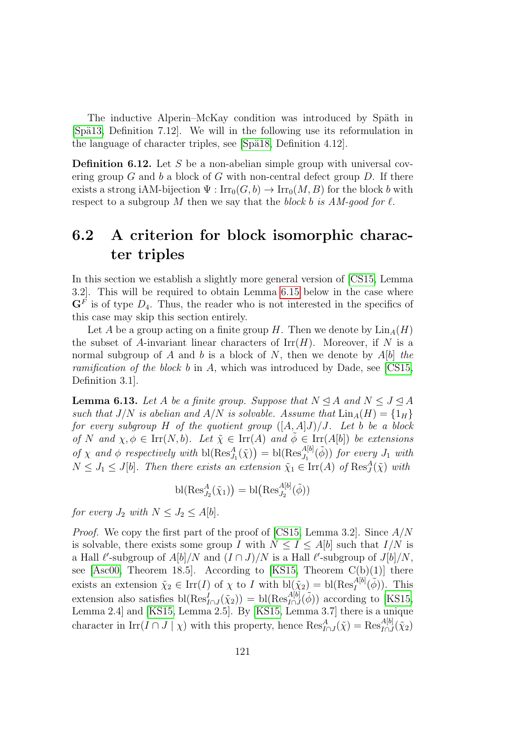The inductive Alperin–McKay condition was introduced by Späth in  $[Spa13, Definition 7.12]$ . We will in the following use its reformulation in the language of character triples, see [Spä18, Definition 4.12].

**Definition 6.12.** Let S be a non-abelian simple group with universal covering group  $G$  and  $b$  a block of  $G$  with non-central defect group  $D$ . If there exists a strong iAM-bijection  $\Psi : \text{Irr}_0(G, b) \to \text{Irr}_0(M, B)$  for the block b with respect to a subgroup M then we say that the block b is AM-good for  $\ell$ .

## 6.2 A criterion for block isomorphic character triples

In this section we establish a slightly more general version of [\[CS15,](#page-142-0) Lemma 3.2]. This will be required to obtain Lemma [6.15](#page-122-0) below in the case where  $\mathbf{G}^F$  is of type  $D_4$ . Thus, the reader who is not interested in the specifics of this case may skip this section entirely.

Let A be a group acting on a finite group H. Then we denote by  $\text{Lin}_A(H)$ the subset of A-invariant linear characters of  $\text{Irr}(H)$ . Moreover, if N is a normal subgroup of A and b is a block of N, then we denote by  $A[b]$  the ramification of the block b in A, which was introduced by Dade, see [\[CS15,](#page-142-0) Definition 3.1].

<span id="page-120-0"></span>**Lemma 6.13.** Let A be a finite group. Suppose that  $N \triangleleft A$  and  $N \leq J \triangleleft A$ such that  $J/N$  is abelian and  $A/N$  is solvable. Assume that  $\text{Lin}_A(H) = \{1_H\}$ for every subgroup H of the quotient group  $([A, A]J)/J$ . Let b be a block of N and  $\chi, \phi \in \text{Irr}(N, b)$ . Let  $\tilde{\chi} \in \text{Irr}(A)$  and  $\tilde{\phi} \in \text{Irr}(A[b])$  be extensions of  $\chi$  and  $\phi$  respectively with  $bl(Res_{J_1}^{A}(\tilde{\chi})) = bl(Res_{J_1}^{A[b]}(\tilde{\phi}))$  for every  $J_1$  with  $N \leq J_1 \leq J[b]$ . Then there exists an extension  $\tilde{\chi}_1 \in \text{Irr}(A)$  of  $\text{Res}^A_J(\tilde{\chi})$  with

$$
\mathrm{bl}(\mathrm{Res}^A_{J_2}(\tilde{\chi}_1)) = \mathrm{bl}(\mathrm{Res}^{A[b]}_{J_2}(\tilde{\phi}))
$$

for every  $J_2$  with  $N \leq J_2 \leq A[b]$ .

*Proof.* We copy the first part of the proof of [\[CS15,](#page-142-0) Lemma 3.2]. Since  $A/N$ is solvable, there exists some group I with  $N \leq I \leq A[b]$  such that  $I/N$  is a Hall  $\ell'$ -subgroup of  $A[b]/N$  and  $(I \cap J)/N$  is a Hall  $\ell'$ -subgroup of  $J[b]/N$ , see [\[Asc00,](#page-141-1) Theorem 18.5]. According to [\[KS15,](#page-143-1) Theorem  $C(b)(1)$ ] there exists an extension  $\tilde{\chi}_2 \in \text{Irr}(I)$  of  $\chi$  to I with  $\text{bl}(\tilde{\chi}_2) = \text{bl}(\text{Res}_I^{A[b]}(\tilde{\phi}))$ . This extension also satisfies  $bl(Res_{I\cap J}^I(\tilde{\chi}_2)) = bl(Res_{I\cap J}^{A[b]}(\tilde{\phi}))$  according to [\[KS15,](#page-143-1) Lemma 2.4] and [\[KS15,](#page-143-1) Lemma 2.5]. By [\[KS15,](#page-143-1) Lemma 3.7] there is a unique character in  $\text{Irr}(I \cap J \mid \chi)$  with this property, hence  $\text{Res}_{I \cap J}^A(\tilde{\chi}) = \text{Res}_{I \cap J}^{A[b]}(\tilde{\chi}_2)$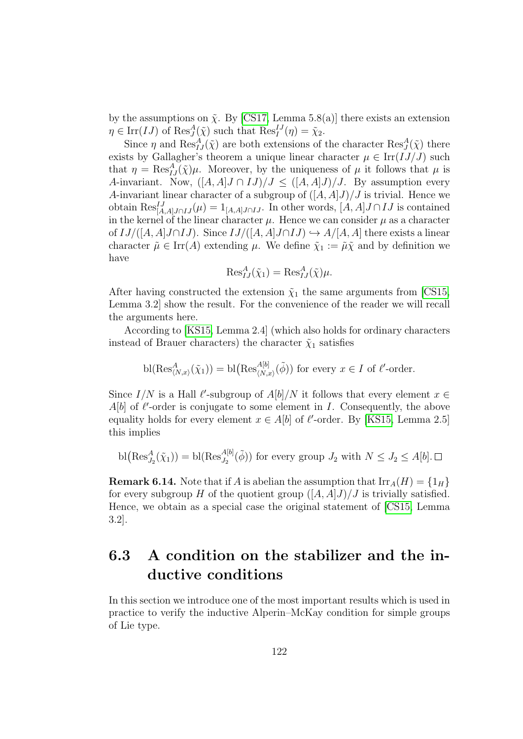by the assumptions on  $\tilde{\chi}$ . By [\[CS17,](#page-142-1) Lemma 5.8(a)] there exists an extension  $\eta \in \text{Irr}(IJ)$  of  $\text{Res}^A_J(\tilde{\chi})$  such that  $\text{Res}^{IJ}_I(\eta) = \tilde{\chi}_2$ .

Since  $\eta$  and  $\text{Res}_{IJ}^A(\tilde{\chi})$  are both extensions of the character  $\text{Res}_J^A(\tilde{\chi})$  there exists by Gallagher's theorem a unique linear character  $\mu \in \text{Irr}(IJ/J)$  such that  $\eta = \text{Res}_{IJ}^A(\tilde{\chi})\mu$ . Moreover, by the uniqueness of  $\mu$  it follows that  $\mu$  is A-invariant. Now,  $([A, A]J \cap IJ)/J \leq ([A, A]J)/J$ . By assumption every A-invariant linear character of a subgroup of  $([A, A]J)/J$  is trivial. Hence we obtain  $\text{Res}_{[A,A]J\cap IJ}^{IJ}(\mu) = 1_{[A,A]J\cap IJ}$ . In other words,  $[A,A]J\cap IJ$  is contained in the kernel of the linear character  $\mu$ . Hence we can consider  $\mu$  as a character of  $IJ/([A, A]J \cap IJ)$ . Since  $IJ/([A, A]J \cap IJ) \hookrightarrow A/[A, A]$  there exists a linear character  $\tilde{\mu} \in \text{Irr}(A)$  extending  $\mu$ . We define  $\tilde{\chi}_1 := \tilde{\mu} \tilde{\chi}$  and by definition we have

$$
\operatorname{Res}_{IJ}^A(\tilde{\chi}_1) = \operatorname{Res}_{IJ}^A(\tilde{\chi})\mu.
$$

After having constructed the extension  $\tilde{\chi}_1$  the same arguments from [\[CS15,](#page-142-0) Lemma 3.2] show the result. For the convenience of the reader we will recall the arguments here.

According to [\[KS15,](#page-143-1) Lemma 2.4] (which also holds for ordinary characters instead of Brauer characters) the character  $\tilde{\chi}_1$  satisfies

bl(
$$
\operatorname{Res}^A_{\langle N,x\rangle}(\tilde{\chi}_1)
$$
) = bl( $\operatorname{Res}^{A[b]}_{\langle N,x\rangle}(\tilde{\phi})$ ) for every  $x \in I$  of  $\ell'$ -order.

Since  $I/N$  is a Hall  $\ell'$ -subgroup of  $A[b]/N$  it follows that every element  $x \in$  $A[b]$  of  $l'$ -order is conjugate to some element in I. Consequently, the above equality holds for every element  $x \in A[b]$  of  $\ell'$ -order. By [\[KS15,](#page-143-1) Lemma 2.5] this implies

$$
\text{bl}\big(\text{Res}_{J_2}^A(\tilde{\chi}_1)\big) = \text{bl}(\text{Res}_{J_2}^{A[b]}(\tilde{\phi})) \text{ for every group } J_2 \text{ with } N \leq J_2 \leq A[b]. \square
$$

**Remark 6.14.** Note that if A is abelian the assumption that  $\text{Irr}_A(H) = \{1_H\}$ for every subgroup H of the quotient group  $([A, A]J)/J$  is trivially satisfied. Hence, we obtain as a special case the original statement of [\[CS15,](#page-142-0) Lemma 3.2].

## 6.3 A condition on the stabilizer and the inductive conditions

In this section we introduce one of the most important results which is used in practice to verify the inductive Alperin–McKay condition for simple groups of Lie type.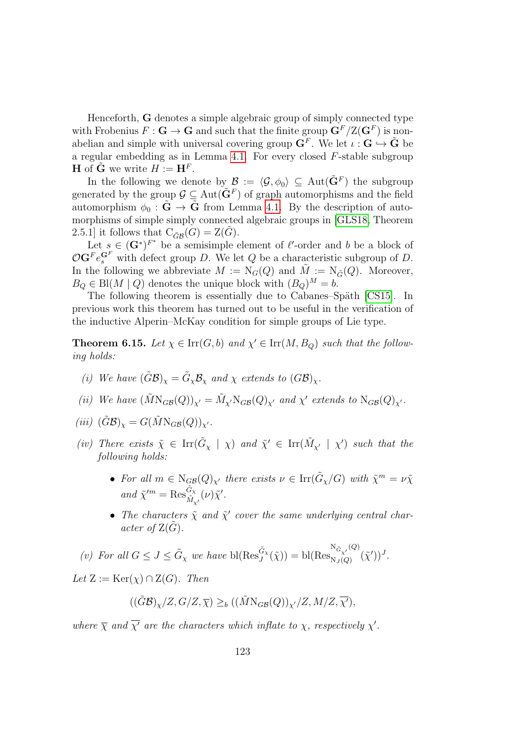Henceforth, G denotes a simple algebraic group of simply connected type with Frobenius  $F: \mathbf{G} \to \mathbf{G}$  and such that the finite group  $\mathbf{G}^F/\mathrm{Z}(\mathbf{G}^F)$  is nonabelian and simple with universal covering group  $G^F$ . We let  $\iota : G \hookrightarrow \tilde{G}$  be a regular embedding as in Lemma [4.1.](#page-81-0) For every closed F-stable subgroup **H** of  $\tilde{\mathbf{G}}$  we write  $H := \mathbf{H}^F$ .

In the following we denote by  $\mathcal{B} := \langle \mathcal{G}, \phi_0 \rangle \subseteq \text{Aut}(\tilde{\mathbf{G}}^F)$  the subgroup generated by the group  $\mathcal{G} \subseteq \text{Aut}(\tilde{\mathbf{G}}^F)$  of graph automorphisms and the field automorphism  $\phi_0 : \tilde{G} \to \tilde{G}$  from Lemma [4.1.](#page-81-0) By the description of automorphisms of simple simply connected algebraic groups in [\[GLS18,](#page-143-2) Theorem 2.5.1] it follows that  $C_{\tilde{G}\mathcal{B}}(G) = \mathcal{Z}(\tilde{G})$ .

Let  $s \in (\mathbf{G}^*)^{F^*}$  be a semisimple element of  $\ell'$ -order and b be a block of  $\mathcal{O} \mathbf{G}^F e_s^{\mathbf{G}^F}$  with defect group D. We let Q be a characteristic subgroup of D. In the following we abbreviate  $M := N_G(Q)$  and  $\tilde{M} := N_{\tilde{G}}(Q)$ . Moreover,  $B_Q \in Bl(M \mid Q)$  denotes the unique block with  $(B_Q)^M = b$ .

The following theorem is essentially due to Cabanes–Späth [\[CS15\]](#page-142-0). In previous work this theorem has turned out to be useful in the verification of the inductive Alperin–McKay condition for simple groups of Lie type.

<span id="page-122-0"></span>**Theorem 6.15.** Let  $\chi \in \text{Irr}(G, b)$  and  $\chi' \in \text{Irr}(M, B_Q)$  such that the following holds:

- (i) We have  $(\tilde{G}\mathcal{B})_{\chi} = \tilde{G}_{\chi}\mathcal{B}_{\chi}$  and  $\chi$  extends to  $(G\mathcal{B})_{\chi}$ .
- (ii) We have  $(\tilde{M} N_{GB}(Q))_{\chi'} = \tilde{M}_{\chi'} N_{GB}(Q)_{\chi'}$  and  $\chi'$  extends to  $N_{GB}(Q)_{\chi'}$ .
- (iii)  $(\tilde{G}\mathcal{B})_{\chi} = G(\tilde{M}N_{GB}(Q))_{\chi'}$ .
- (iv) There exists  $\tilde{\chi} \in \text{Irr}(\tilde{G}_{\chi} \mid \chi)$  and  $\tilde{\chi}' \in \text{Irr}(\tilde{M}_{\chi'} \mid \chi')$  such that the following holds:
	- For all  $m \in N_{GB}(Q)_{\chi'}$  there exists  $\nu \in \text{Irr}(\tilde{G}_{\chi}/G)$  with  $\tilde{\chi}^m = \nu \tilde{\chi}$ and  $\tilde{\chi}^{\prime m} = \text{Res}_{\tilde{M}_{\chi'}}^{\tilde{G}_{\chi}}(\nu) \tilde{\chi}'.$
	- The characters  $\tilde{\chi}$  and  $\tilde{\chi}'$  cover the same underlying central character of  $Z(\tilde{G})$ .

(v) For all  $G \leq J \leq \tilde{G}_{\chi}$  we have  $\text{bl}(\text{Res}_{J}^{\tilde{G}_{\chi}}(\tilde{\chi})) = \text{bl}(\text{Res}_{N_{J}(Q)}^{N_{\tilde{G}_{\chi'}}(Q)}$  $\frac{\mathbf{G}_{\chi'}}{\mathbf{N}_J(Q)}(\tilde\chi'))^J.$ 

Let  $Z := \text{Ker}(\chi) \cap Z(G)$ . Then

$$
((\tilde{G}\mathcal{B})_{\chi}/Z, G/Z, \overline{\chi}) \geq_b ((\tilde{M} N_{GB}(Q))_{\chi'}/Z, M/Z, \overline{\chi'}),
$$

where  $\overline{\chi}$  and  $\overline{\chi'}$  are the characters which inflate to  $\chi$ , respectively  $\chi'$ .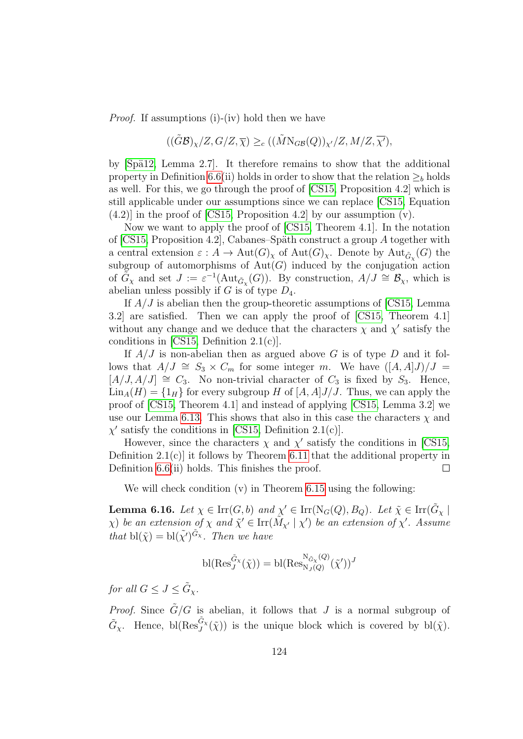Proof. If assumptions (i)-(iv) hold then we have

$$
((\tilde{G}\mathcal{B})_{\chi}/Z, G/Z, \overline{\chi}) \geq_c ((\tilde{M}N_{GB}(Q))_{\chi'}/Z, M/Z, \overline{\chi'}),
$$

by  $[Sp\ddot{a}12, Lemma 2.7].$  It therefore remains to show that the additional property in Definition [6.6\(](#page-118-0)ii) holds in order to show that the relation  $\geq_b$  holds as well. For this, we go through the proof of [\[CS15,](#page-142-0) Proposition 4.2] which is still applicable under our assumptions since we can replace [\[CS15,](#page-142-0) Equation (4.2)] in the proof of [\[CS15,](#page-142-0) Proposition 4.2] by our assumption (v).

Now we want to apply the proof of [\[CS15,](#page-142-0) Theorem 4.1]. In the notation of  $[CS15,$  Proposition 4.2, Cabanes–Späth construct a group A together with a central extension  $\varepsilon: A \to \text{Aut}(G)_\chi$  of  $\text{Aut}(G)_\chi$ . Denote by  $\text{Aut}_{\tilde{G}_\chi}(G)$  the subgroup of automorphisms of  $\overrightarrow{Aut(G)}$  induced by the conjugation action of  $\tilde{G}_{\chi}$  and set  $J := \varepsilon^{-1}(\text{Aut}_{\tilde{G}_{\chi}}(G))$ . By construction,  $A/J \cong \mathcal{B}_{\chi}$ , which is abelian unless possibly if  $G$  is of type  $D_4$ .

If  $A/J$  is abelian then the group-theoretic assumptions of [\[CS15,](#page-142-0) Lemma 3.2] are satisfied. Then we can apply the proof of [\[CS15,](#page-142-0) Theorem 4.1] without any change and we deduce that the characters  $\chi$  and  $\chi'$  satisfy the conditions in [\[CS15,](#page-142-0) Definition 2.1(c)].

If  $A/J$  is non-abelian then as argued above G is of type D and it follows that  $A/J \cong S_3 \times C_m$  for some integer m. We have  $([A, A]J)/J =$  $[A/J, A/J] \cong C_3$ . No non-trivial character of  $C_3$  is fixed by  $S_3$ . Hence,  $\text{Lin}_A(H) = \{1_H\}$  for every subgroup H of  $[A, A]J/J$ . Thus, we can apply the proof of [\[CS15,](#page-142-0) Theorem 4.1] and instead of applying [\[CS15,](#page-142-0) Lemma 3.2] we use our Lemma [6.13.](#page-120-0) This shows that also in this case the characters  $\chi$  and  $\chi'$  satisfy the conditions in [\[CS15,](#page-142-0) Definition 2.1(c)].

However, since the characters  $\chi$  and  $\chi'$  satisfy the conditions in [\[CS15,](#page-142-0) Definition  $2.1(c)$  it follows by Theorem [6.11](#page-119-1) that the additional property in Definition [6.6\(](#page-118-0)ii) holds. This finishes the proof.  $\Box$ 

We will check condition (v) in Theorem [6.15](#page-122-0) using the following:

<span id="page-123-0"></span>**Lemma 6.16.** Let  $\chi \in \text{Irr}(G, b)$  and  $\chi' \in \text{Irr}(N_G(Q), B_Q)$ . Let  $\tilde{\chi} \in \text{Irr}(\tilde{G}_{\chi})$  $\chi$ ) be an extension of  $\chi$  and  $\tilde{\chi}' \in \text{Irr}(\tilde{M}_{\chi'} | \chi')$  be an extension of  $\chi'$ . Assume that  $\text{bl}(\tilde{\chi}) = \text{bl}(\tilde{\chi'})^{\tilde{G}_{\chi}}$ . Then we have

$$
\mathrm{bl}(\mathrm{Res}_{J}^{\tilde{G}_{\chi}}(\tilde{\chi})) = \mathrm{bl}(\mathrm{Res}_{\mathrm{N}_{J}(Q)}^{\mathrm{N}_{\tilde{G}_{\chi}}(Q)}(\tilde{\chi}'))^{J}
$$

for all  $G \leq J \leq \tilde{G}_{\chi}$ .

*Proof.* Since  $\tilde{G}/G$  is abelian, it follows that J is a normal subgroup of  $\tilde{G}_{\chi}$ . Hence, bl $(Res_{J}^{\tilde{G}_{\chi}}(\tilde{\chi}))$  is the unique block which is covered by bl $(\tilde{\chi})$ .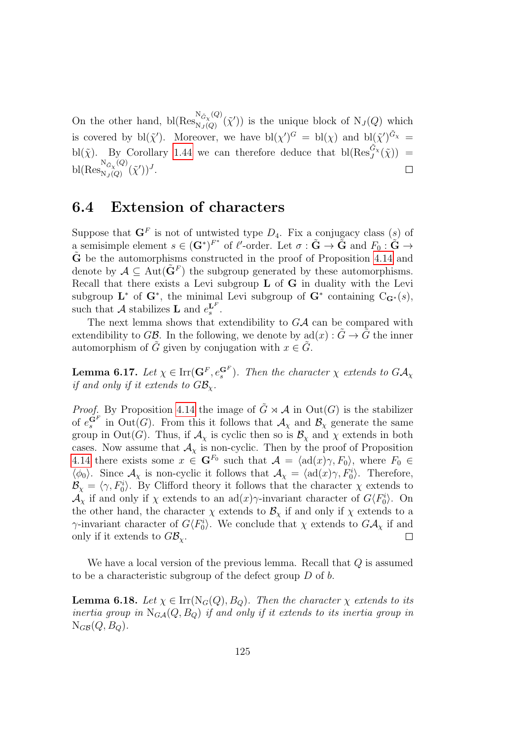On the other hand, bl( $\text{Res}_{N, i(0)}^{N_{\tilde{G}_{\chi}}(Q)}$  $N_G(\widetilde{\chi}')$  is the unique block of  $N_J(Q)$  which is covered by  $\text{bl}(\tilde{\chi}')$ . Moreover, we have  $\text{bl}(\chi')^G = \text{bl}(\chi)$  and  $\text{bl}(\tilde{\chi}')^{\tilde{G}_{\chi}} =$ bl( $\tilde{\chi}$ ). By Corollary [1.44](#page-36-0) we can therefore deduce that bl( $\text{Res}_{J}^{\tilde{G}_{\chi}}(\tilde{\chi})$ ) =  $\mathrm{bl}(\mathrm{Res}_{\mathrm{N}_I(O)}^{\mathrm{N}_{\tilde{G}_\chi}(Q)}$  $N_J(Q)$  $(\tilde{\chi}')^J$ .  $\Box$ 

#### 6.4 Extension of characters

Suppose that  $\mathbf{G}^F$  is not of untwisted type  $D_4$ . Fix a conjugacy class (s) of a semisimple element  $s \in (\mathbf{G}^*)^{F^*}$  of  $\ell'$ -order. Let  $\sigma : \tilde{\mathbf{G}} \to \tilde{\mathbf{G}}$  and  $F_0 : \tilde{\mathbf{G}} \to$  $\tilde{G}$  be the automorphisms constructed in the proof of Proposition [4.14](#page-87-0) and denote by  $A \subseteq Aut(\tilde{\mathbf{G}}^F)$  the subgroup generated by these automorphisms. Recall that there exists a Levi subgroup  $L$  of  $G$  in duality with the Levi subgroup  $\mathbf{L}^*$  of  $\mathbf{G}^*$ , the minimal Levi subgroup of  $\mathbf{G}^*$  containing  $C_{\mathbf{G}^*}(s)$ , such that A stabilizes **L** and  $e_s^{\mathbf{L}^F}$ .

The next lemma shows that extendibility to  $G\mathcal{A}$  can be compared with extendibility to GB. In the following, we denote by  $\text{ad}(x) : \tilde{G} \to \tilde{G}$  the inner automorphism of G given by conjugation with  $x \in G$ .

<span id="page-124-0"></span>**Lemma 6.17.** Let  $\chi \in \text{Irr}(\mathbf{G}^F, e_s^{\mathbf{G}^F})$ . Then the character  $\chi$  extends to  $G\mathcal{A}_{\chi}$ if and only if it extends to  $GB_{\chi}$ .

*Proof.* By Proposition [4.14](#page-87-0) the image of  $\tilde{G} \rtimes \mathcal{A}$  in  $Out(G)$  is the stabilizer of  $e_s^{\tilde{\mathbf{G}}^F}$  in  $\text{Out}(G)$ . From this it follows that  $\mathcal{A}_{\chi}$  and  $\mathcal{B}_{\chi}$  generate the same group in Out(G). Thus, if  $\mathcal{A}_{\chi}$  is cyclic then so is  $\mathcal{B}_{\chi}$  and  $\chi$  extends in both cases. Now assume that  $\mathcal{A}_{\chi}$  is non-cyclic. Then by the proof of Proposition [4.14](#page-87-0) there exists some  $x \in \mathbf{G}^{F_0}$  such that  $\mathcal{A} = \langle \text{ad}(x)\gamma, F_0 \rangle$ , where  $F_0 \in$  $\langle \phi_0 \rangle$ . Since  $\mathcal{A}_{\chi}$  is non-cyclic it follows that  $\mathcal{A}_{\chi} = \langle \text{ad}(x)\gamma, F_0^i \rangle$ . Therefore,  $\mathcal{B}_{\chi} = \langle \gamma, F_0^i \rangle$ . By Clifford theory it follows that the character  $\chi$  extends to  $\mathcal{A}_{\chi}$  if and only if  $\chi$  extends to an ad $(x)\gamma$ -invariant character of  $G\langle F_0^i \rangle$ . On the other hand, the character  $\chi$  extends to  $\mathcal{B}_{\chi}$  if and only if  $\chi$  extends to a  $\gamma$ -invariant character of  $G\langle F_0^i \rangle$ . We conclude that  $\chi$  extends to  $G\mathcal{A}_{\chi}$  if and only if it extends to  $G\mathcal{B}_{\chi}$ .  $\Box$ 

We have a local version of the previous lemma. Recall that Q is assumed to be a characteristic subgroup of the defect group D of b.

<span id="page-124-1"></span>**Lemma 6.18.** Let  $\chi \in \text{Irr}(N_G(Q), B_Q)$ . Then the character  $\chi$  extends to its inertia group in  $N_{GA}(Q, B_Q)$  if and only if it extends to its inertia group in  $N_{GB}(Q, B_Q)$ .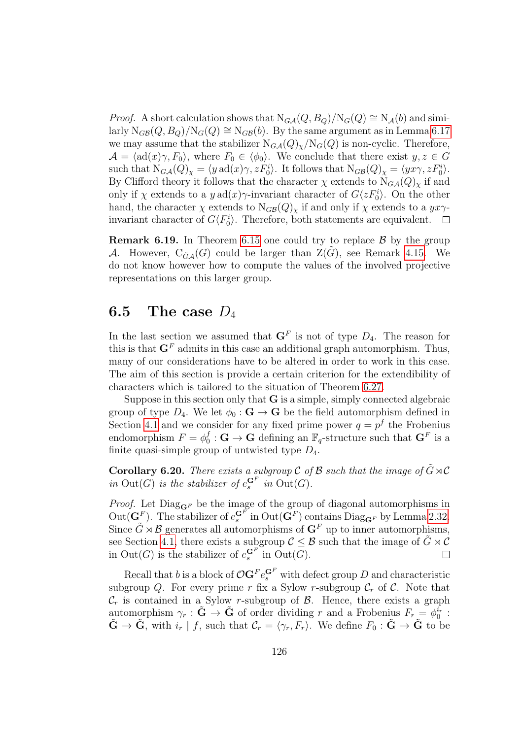*Proof.* A short calculation shows that  $N_{G\mathcal{A}}(Q, B_Q)/N_G(Q) \cong N_{\mathcal{A}}(b)$  and similarly  $N_{GB}(Q, B_Q)/N_G(Q) \cong N_{GB}(b)$ . By the same argument as in Lemma [6.17](#page-124-0) we may assume that the stabilizer  $N_{G\mathcal{A}}(Q)_{\chi}/N_G(Q)$  is non-cyclic. Therefore,  $\mathcal{A} = \langle \text{ad}(x)\gamma, F_0 \rangle$ , where  $F_0 \in \langle \phi_0 \rangle$ . We conclude that there exist  $y, z \in G$ such that  $N_{G\mathcal{A}}(Q)_{\chi} = \langle y \operatorname{ad}(x)\gamma, zF_0^i \rangle$ . It follows that  $N_{G\mathcal{B}}(Q)_{\chi} = \langle yx\gamma, zF_0^i \rangle$ . By Clifford theory it follows that the character  $\chi$  extends to  $N_{G\mathcal{A}}(Q)_{\chi}$  if and only if  $\chi$  extends to a  $y$  ad $(x)\gamma$ -invariant character of  $G\langle zF_0^i\rangle$ . On the other hand, the character  $\chi$  extends to  $N_{GB}(Q)_{\chi}$  if and only if  $\chi$  extends to a  $yx\gamma$ invariant character of  $G\langle F_0^i\rangle$ . Therefore, both statements are equivalent.  $\Box$ 

**Remark 6.19.** In Theorem [6.15](#page-122-0) one could try to replace  $\beta$  by the group A. However,  $C_{\tilde{G},A}(G)$  could be larger than  $Z(\tilde{G})$ , see Remark [4.15.](#page-87-1) We do not know however how to compute the values of the involved projective representations on this larger group.

#### <span id="page-125-1"></span>6.5 The case  $D_4$

In the last section we assumed that  $\mathbf{G}^F$  is not of type  $D_4$ . The reason for this is that  $G<sup>F</sup>$  admits in this case an additional graph automorphism. Thus, many of our considerations have to be altered in order to work in this case. The aim of this section is provide a certain criterion for the extendibility of characters which is tailored to the situation of Theorem [6.27.](#page-128-0)

Suppose in this section only that  $G$  is a simple, simply connected algebraic group of type  $D_4$ . We let  $\phi_0 : \mathbf{G} \to \mathbf{G}$  be the field automorphism defined in Section [4.1](#page-80-0) and we consider for any fixed prime power  $q = p<sup>f</sup>$  the Frobenius endomorphism  $F = \phi_0^f$  $\mathbf{G}_0^f: \mathbf{G} \to \mathbf{G}$  defining an  $\mathbb{F}_q$ -structure such that  $\mathbf{G}^F$  is a finite quasi-simple group of untwisted type  $D_4$ .

<span id="page-125-0"></span>**Corollary 6.20.** There exists a subgroup C of B such that the image of  $\tilde{G} \rtimes \mathcal{C}$ in Out(G) is the stabilizer of  $e_s^{\mathbf{G}^F}$  in Out(G).

*Proof.* Let  $Diag_{\mathbf{G}^F}$  be the image of the group of diagonal automorphisms in Out( $\mathbf{G}^F$ ). The stabilizer of  $e^{G^F}_{s}$  in Out( $\mathbf{G}^F$ ) contains Diag<sub> $\mathbf{G}^F$ </sub> by Lemma [2.32.](#page-57-1) Since  $\tilde{G} \rtimes \mathcal{B}$  generates all automorphisms of  $\mathbf{G}^F$  up to inner automorphisms, see Section [4.1,](#page-80-0) there exists a subgroup  $C \leq \mathcal{B}$  such that the image of  $\tilde{G} \rtimes \mathcal{C}$ in  $Out(G)$  is the stabilizer of  $e_s^{\mathbf{G}^F}$  in  $Out(G)$ .  $\Box$ 

Recall that b is a block of  $\mathcal{O}$ **G**<sup>F</sup>  $e_s^{\mathbf{G}^F}$  with defect group D and characteristic subgroup Q. For every prime r fix a Sylow r-subgroup  $\mathcal{C}_r$  of  $\mathcal{C}$ . Note that  $\mathcal{C}_r$  is contained in a Sylow r-subgroup of  $\mathcal{B}$ . Hence, there exists a graph automorphism  $\gamma_r : \tilde{G} \to \tilde{G}$  of order dividing r and a Frobenius  $F_r = \phi_0^{i_r}$ :  $\tilde{\mathbf{G}} \to \tilde{\mathbf{G}},$  with  $i_r | f$ , such that  $\mathcal{C}_r = \langle \gamma_r, F_r \rangle$ . We define  $F_0 : \tilde{\mathbf{G}} \to \tilde{\mathbf{G}}$  to be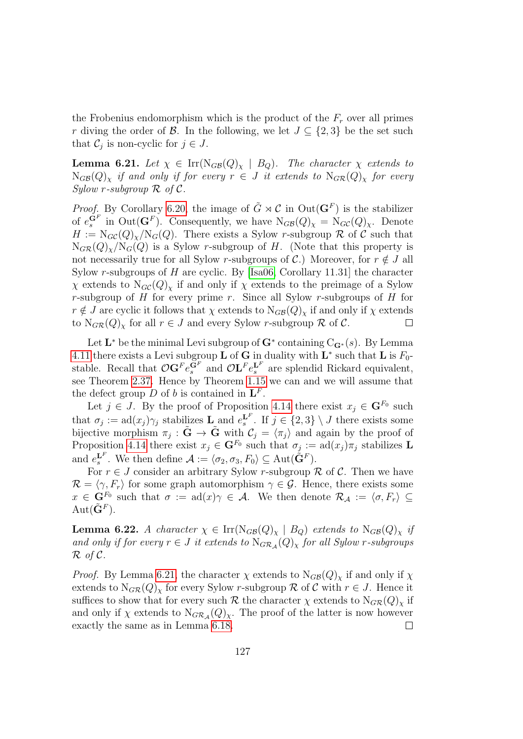the Frobenius endomorphism which is the product of the  $F_r$  over all primes r diving the order of B. In the following, we let  $J \subseteq \{2,3\}$  be the set such that  $\mathcal{C}_j$  is non-cyclic for  $j \in J$ .

<span id="page-126-0"></span>**Lemma 6.21.** Let  $\chi \in \text{Irr}(N_{GB}(Q)_{\chi} | B_Q)$ . The character  $\chi$  extends to  $N_{GB}(Q)_{\chi}$  if and only if for every  $r \in J$  it extends to  $N_{GR}(Q)_{\chi}$  for every  $Sulow$  r-subgroup  $R$  of  $C$ .

*Proof.* By Corollary [6.20,](#page-125-0) the image of  $\tilde{G} \rtimes C$  in  $Out(\mathbf{G}^F)$  is the stabilizer of  $e_s^{\mathbf{G}^F}$  in  $Out(\mathbf{G}^F)$ . Consequently, we have  $N_{GB}(Q)_\chi = N_{GC}(Q)_\chi$ . Denote  $H := N_{GC}(Q)_{\chi}/N_G(Q)$ . There exists a Sylow r-subgroup R of C such that  $N_{GR}(Q)_{\chi}/N_G(Q)$  is a Sylow r-subgroup of H. (Note that this property is not necessarily true for all Sylow r-subgroups of  $\mathcal{C}$ .) Moreover, for  $r \notin J$  all Sylow r-subgroups of H are cyclic. By [\[Isa06,](#page-143-0) Corollary 11.31] the character  $\chi$  extends to N<sub>GC</sub>(Q)<sub>x</sub> if and only if  $\chi$  extends to the preimage of a Sylow r-subgroup of  $H$  for every prime r. Since all Sylow r-subgroups of  $H$  for  $r \notin J$  are cyclic it follows that  $\chi$  extends to  $N_{GB}(Q)_{\chi}$  if and only if  $\chi$  extends to  $N_{GR}(Q)$ <sub>x</sub> for all  $r \in J$  and every Sylow r-subgroup R of C.  $\Box$ 

Let  $\mathbf{L}^*$  be the minimal Levi subgroup of  $\mathbf{G}^*$  containing  $\mathrm{C}_{\mathbf{G}^*}(s)$ . By Lemma [4.11](#page-85-0) there exists a Levi subgroup **L** of **G** in duality with  $\mathbf{L}^*$  such that **L** is  $F_0$ stable. Recall that  $\mathcal{O}(\mathbf{G}^F e_s^{\mathbf{G}^F})$  and  $\mathcal{O}(\mathbf{L}^F e_s^{\mathbf{L}^F})$  are splendid Rickard equivalent, see Theorem [2.37.](#page-60-0) Hence by Theorem [1.15](#page-22-1) we can and we will assume that the defect group D of b is contained in  $\mathbf{L}^F$ .

Let  $j \in J$ . By the proof of Proposition [4.14](#page-87-0) there exist  $x_j \in \mathbf{G}^{F_0}$  such that  $\sigma_j := \text{ad}(x_j) \gamma_j$  stabilizes  $\mathbf{L}_z$  and  $e_s^{\mathbf{L}^F}$ . If  $j \in \{2,3\} \setminus J$  there exists some bijective morphism  $\pi_j : \tilde{G} \to \tilde{G}$  with  $\mathcal{C}_j = \langle \pi_j \rangle$  and again by the proof of Proposition [4.14](#page-87-0) there exist  $x_j \in \mathbf{G}^{F_0}$  such that  $\sigma_j := \text{ad}(x_j)\pi_j$  stabilizes L and  $e_s^{\mathbf{L}^F}$ . We then define  $\mathcal{A} := \langle \sigma_2, \sigma_3, F_0 \rangle \subseteq \text{Aut}(\tilde{\mathbf{G}}^F)$ .

For  $r \in J$  consider an arbitrary Sylow r-subgroup R of C. Then we have  $\mathcal{R} = \langle \gamma, F_r \rangle$  for some graph automorphism  $\gamma \in \mathcal{G}$ . Hence, there exists some  $x \in \mathbf{G}^{F_0}$  such that  $\sigma := \text{ad}(x)\gamma \in \mathcal{A}$ . We then denote  $\mathcal{R}_{\mathcal{A}} := \langle \sigma, F_r \rangle \subseteq$  $Aut(\tilde{\mathbf{G}}^F).$ 

<span id="page-126-1"></span>**Lemma 6.22.** A character  $\chi \in \text{Irr}(\text{N}_{GB}(Q)_{\chi} | B_Q)$  extends to  $\text{N}_{GB}(Q)_{\chi}$  if and only if for every  $r \in J$  it extends to  $N_{GR_A}(Q)_\chi$  for all Sylow r-subgroups  $\mathcal R$  of  $\mathcal C$ .

*Proof.* By Lemma [6.21,](#page-126-0) the character  $\chi$  extends to  $N_{GB}(Q)_{\chi}$  if and only if  $\chi$ extends to  $N_{G\mathcal{R}}(Q)_{\chi}$  for every Sylow r-subgroup R of C with  $r \in J$ . Hence it suffices to show that for every such R the character  $\chi$  extends to  $N_{G\mathcal{R}}(Q)_{\chi}$  if and only if  $\chi$  extends to  $N_{G\mathcal{R}_{\mathcal{A}}}(Q)_{\chi}$ . The proof of the latter is now however exactly the same as in Lemma [6.18.](#page-124-1)  $\Box$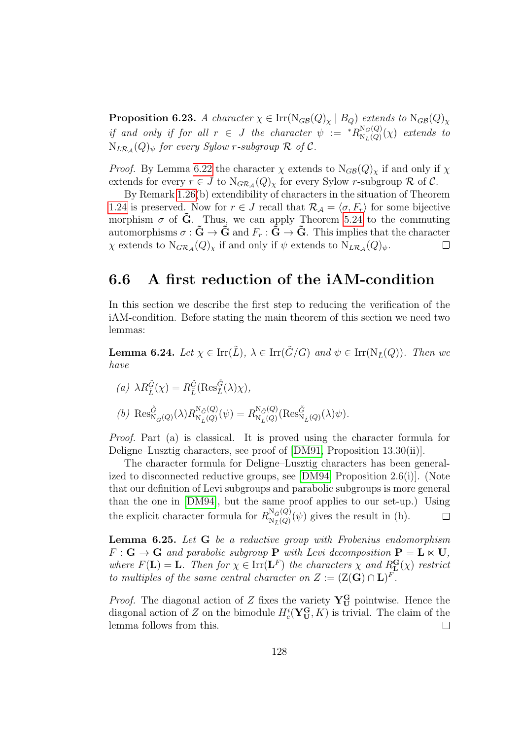<span id="page-127-0"></span>**Proposition 6.23.** A character  $\chi \in \text{Irr}(\text{N}_{GB}(Q)_{\chi} | B_Q)$  extends to  $\text{N}_{GB}(Q)_{\chi}$ if and only if for all  $r \in J$  the character  $\psi := {}^*R^{\mathbb{N}_G(Q)}_{\mathbb{N}_J(Q)}$  $N_{\text{N}_L(Q)}^{N_G(Q)}(\chi)$  extends to  $N_{L\mathcal{R}_{\mathcal{A}}}(Q)_{\psi}$  for every Sylow r-subgroup  $\mathcal R$  of  $\mathcal C$ .

*Proof.* By Lemma [6.22](#page-126-1) the character  $\chi$  extends to  $N_{GB}(Q)_{\chi}$  if and only if  $\chi$ extends for every  $r \in J$  to  $N_{GRA}(Q)_{\chi}$  for every Sylow r-subgroup  $\mathcal R$  of  $\mathcal C$ .

By Remark [1.26\(](#page-26-1)b) extendibility of characters in the situation of Theorem [1.24](#page-26-0) is preserved. Now for  $r \in J$  recall that  $\mathcal{R}_{\mathcal{A}} = \langle \sigma, F_r \rangle$  for some bijective morphism  $\sigma$  of G. Thus, we can apply Theorem [5.24](#page-113-1) to the commuting automorphisms  $\sigma : \tilde{G} \to \tilde{G}$  and  $F_r : \tilde{G} \to \tilde{G}$ . This implies that the character  $\chi$  extends to  $N_{G\mathcal{R}_{\mathcal{A}}}(Q)_{\chi}$  if and only if  $\psi$  extends to  $N_{L\mathcal{R}_{\mathcal{A}}}(Q)_{\psi}$ .  $\Box$ 

#### 6.6 A first reduction of the iAM-condition

In this section we describe the first step to reducing the verification of the iAM-condition. Before stating the main theorem of this section we need two lemmas:

<span id="page-127-1"></span>**Lemma 6.24.** Let  $\chi \in \text{Irr}(\tilde{L})$ ,  $\lambda \in \text{Irr}(\tilde{G}/G)$  and  $\psi \in \text{Irr}(N_{\tilde{L}}(Q))$ . Then we have

(a) 
$$
\lambda R_{\tilde{L}}^{\tilde{G}}(\chi) = R_{\tilde{L}}^{\tilde{G}}(\text{Res}_{\tilde{L}}^{\tilde{G}}(\lambda)\chi),
$$
  
(b)  $\text{Res}_{N_{\tilde{G}}(Q)}^{\tilde{G}}(\lambda)R_{N_{\tilde{L}}(Q)}^{N_{\tilde{G}}(Q)}(\psi) = R_{N_{\tilde{L}}(Q)}^{N_{\tilde{G}}(Q)}(\text{Res}_{N_{\tilde{L}}(Q)}^{\tilde{G}}(\lambda)\psi).$ 

Proof. Part (a) is classical. It is proved using the character formula for Deligne–Lusztig characters, see proof of [\[DM91,](#page-143-3) Proposition 13.30(ii)].

The character formula for Deligne–Lusztig characters has been generalized to disconnected reductive groups, see [\[DM94,](#page-143-4) Proposition 2.6(i)]. (Note that our definition of Levi subgroups and parabolic subgroups is more general than the one in [\[DM94\]](#page-143-4), but the same proof applies to our set-up.) Using the explicit character formula for  $R_{N_{\gamma}(Q)}^{N_{\tilde{G}}(Q)}$  $N_{\tilde{L}}^{N_{\tilde{G}}(Q)}(\psi)$  gives the result in (b).  $\Box$ 

<span id="page-127-2"></span>Lemma 6.25. Let G be a reductive group with Frobenius endomorphism  $F: \mathbf{G} \to \mathbf{G}$  and parabolic subgroup **P** with Levi decomposition  $\mathbf{P} = \mathbf{L} \times \mathbf{U}$ , where  $F(\mathbf{L}) = \mathbf{L}$ . Then for  $\chi \in \text{Irr}(\mathbf{L}^F)$  the characters  $\chi$  and  $R_{\mathbf{L}}^{\mathbf{G}}(\chi)$  restrict to multiples of the same central character on  $Z := (Z(G) \cap L)^F$ .

*Proof.* The diagonal action of Z fixes the variety  $Y_{U}^{G}$  pointwise. Hence the diagonal action of Z on the bimodule  $H_c^i(\mathbf{Y_U^G}, K)$  is trivial. The claim of the lemma follows from this.  $\Box$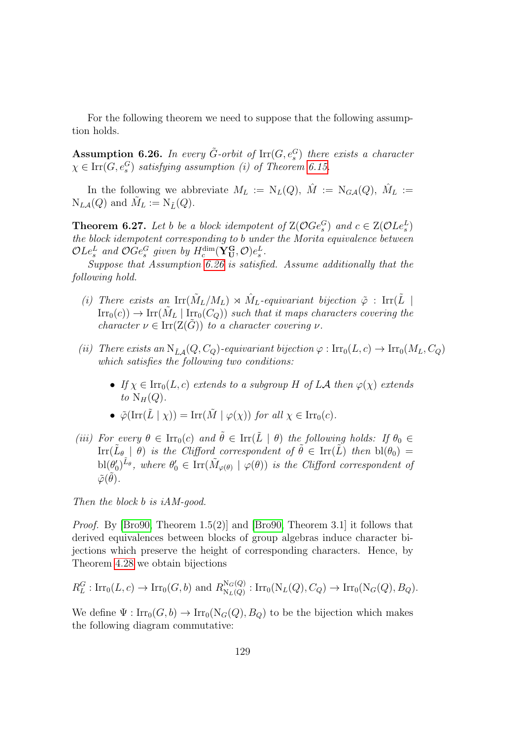For the following theorem we need to suppose that the following assumption holds.

<span id="page-128-1"></span>**Assumption 6.26.** In every  $\tilde{G}$ -orbit of  $\text{Irr}(G, e_s^G)$  there exists a character  $\chi \in \text{Irr}(G, e_s^G)$  satisfying assumption (i) of Theorem [6.15.](#page-122-0)

In the following we abbreviate  $M_L := N_L(Q)$ ,  $\hat{M} := N_{G\mathcal{A}}(Q)$ ,  $\hat{M}_L :=$  $N_{L\mathcal{A}}(Q)$  and  $\tilde{M}_L := N_{\tilde{L}}(Q)$ .

<span id="page-128-0"></span>**Theorem 6.27.** Let b be a block idempotent of  $Z(\mathcal{O}Ge^G_s)$  and  $c \in Z(\mathcal{O}Le^L_s)$ the block idempotent corresponding to b under the Morita equivalence between  $\mathcal{O} L e_s^L$  and  $\mathcal{O} G e_s^G$  given by  $H_c^{\dim}(\mathbf{Y_{U}^{G}}, \mathcal{O}) e_s^L$ .

Suppose that Assumption [6.26](#page-128-1) is satisfied. Assume additionally that the following hold.

- (i) There exists an  $\text{Irr}(\tilde{M}_L/M_L) \rtimes \hat{M}_L$ -equivariant bijection  $\tilde{\varphi}$  :  $\text{Irr}(\tilde{L} \mid$  $\text{Irr}_0(c)$   $\rightarrow$   $\text{Irr}(\tilde{M}_L \mid \text{Irr}_0(C_Q))$  such that it maps characters covering the character  $\nu \in \text{Irr}(\mathcal{Z}(\tilde{G}))$  to a character covering  $\nu$ .
- (ii) There exists an  $N_{\tilde{L}A}(Q, C_Q)$ -equivariant bijection  $\varphi : \text{Irr}_0(L, c) \to \text{Irr}_0(M_L, C_Q)$ which satisfies the following two conditions:
	- If  $\chi \in \text{Irr}_0(L, c)$  extends to a subgroup H of LA then  $\varphi(\chi)$  extends to  $N_H(Q)$ .
	- $\tilde{\varphi}(\operatorname{Irr}(\tilde{L} \mid \chi)) = \operatorname{Irr}(\tilde{M} \mid \varphi(\chi))$  for all  $\chi \in \operatorname{Irr}_0(c)$ .
- (iii) For every  $\theta \in \text{Irr}_0(c)$  and  $\tilde{\theta} \in \text{Irr}(\tilde{L} \mid \theta)$  the following holds: If  $\theta_0 \in$  $\text{Irr}(\tilde{L}_{\theta} \mid \theta)$  is the Clifford correspondent of  $\tilde{\theta} \in \text{Irr}(\tilde{L})$  then  $\text{bl}(\theta_0) =$  $\mathrm{bl}(\theta_0')^{\tilde{L}_{\theta}},$  where  $\theta_0' \in \mathrm{Irr}(\tilde{M}_{\varphi(\theta)} \mid \varphi(\theta))$  is the Clifford correspondent of  $\tilde{\varphi}(\tilde{\theta}).$

Then the block b is iAM-good.

Proof. By [\[Bro90,](#page-142-2) Theorem 1.5(2)] and [\[Bro90,](#page-142-2) Theorem 3.1] it follows that derived equivalences between blocks of group algebras induce character bijections which preserve the height of corresponding characters. Hence, by Theorem [4.28](#page-94-0) we obtain bijections

$$
R_L^G
$$
: Irr<sub>0</sub> $(L, c)$   $\rightarrow$  Irr<sub>0</sub> $(G, b)$  and  $R_{N_L(Q)}^{N_G(Q)}$ : Irr<sub>0</sub> $(N_L(Q), C_Q)$   $\rightarrow$  Irr<sub>0</sub> $(N_G(Q), B_Q)$ .

We define  $\Psi: \text{Irr}_0(G, b) \to \text{Irr}_0(N_G(Q), B_Q)$  to be the bijection which makes the following diagram commutative: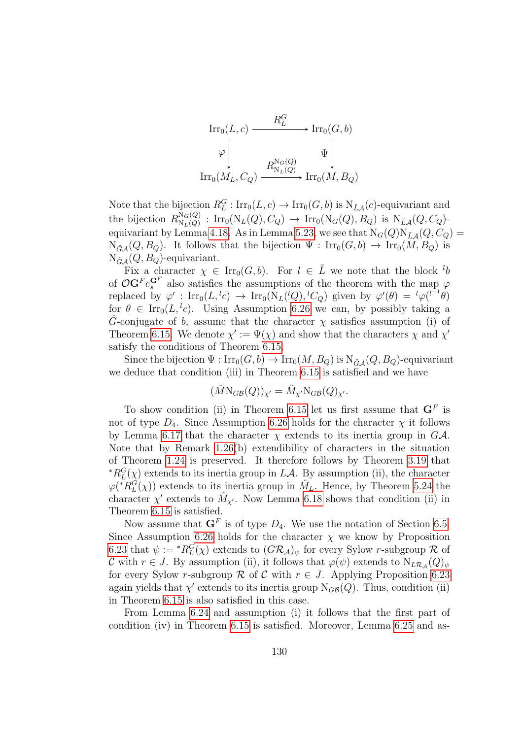

Note that the bijection  $R_L^G$ :  $\text{Irr}_0(L, c) \to \text{Irr}_0(G, b)$  is  $N_{\tilde{L}A}(c)$ -equivariant and the bijection  $R_{N_I(Q)}^{N_G(Q)}$  $N_G(Q)$ :  $\text{Irr}_0(N_L(Q), C_Q) \rightarrow \text{Irr}_0(N_G(Q), B_Q)$  is  $N_{\tilde{L}A}(Q, C_Q)$ -equivariant by Lemma [4.18.](#page-89-0) As in Lemma [5.23,](#page-113-0) we see that  $N_G(Q)N_{\tilde{L}A}(Q, C_Q)$  $N_{\tilde{G}A}(Q, B_Q)$ . It follows that the bijection  $\Psi : \text{Irr}_0(G, b) \to \text{Irr}_0(M, B_Q)$  is  $N_{\tilde{G}\mathcal{A}}(Q, B_Q)$ -equivariant.

Fix a character  $\chi \in \text{Irr}_0(G, b)$ . For  $l \in \tilde{L}$  we note that the block  $l_b$ of  $\mathcal{O}(\mathbf{G}^F e_s^{\mathbf{G}^F})$  also satisfies the assumptions of the theorem with the map  $\varphi$ replaced by  $\varphi'$ :  $\text{Irr}_0(L, {}^lc) \to \text{Irr}_0(\bar{N}_L({}^lQ), {}^lC_Q)$  given by  $\varphi'(\theta) = {}^l\varphi({}^{l-1}\theta)$ for  $\theta \in \text{Irr}_0(L, {}^l c)$ . Using Assumption [6.26](#page-128-1) we can, by possibly taking a G-conjugate of b, assume that the character  $\chi$  satisfies assumption (i) of Theorem [6.15.](#page-122-0) We denote  $\chi' := \Psi(\chi)$  and show that the characters  $\chi$  and  $\chi'$ satisfy the conditions of Theorem [6.15.](#page-122-0)

Since the bijection  $\Psi : \text{Irr}_0(G, b) \to \text{Irr}_0(M, B_Q)$  is  $N_{\tilde{G}, A}(Q, B_Q)$ -equivariant we deduce that condition (iii) in Theorem [6.15](#page-122-0) is satisfied and we have

$$
(\tilde{M}\text{N}_{G\mathcal{B}}(Q))_{\chi'} = \tilde{M}_{\chi'}\text{N}_{G\mathcal{B}}(Q)_{\chi'}.
$$

To show condition (ii) in Theorem [6.15](#page-122-0) let us first assume that  $\mathbf{G}^F$  is not of type  $D_4$ . Since Assumption [6.26](#page-128-1) holds for the character  $\chi$  it follows by Lemma [6.17](#page-124-0) that the character  $\chi$  extends to its inertia group in  $G\mathcal{A}$ . Note that by Remark [1.26\(](#page-26-1)b) extendibility of characters in the situation of Theorem [1.24](#page-26-0) is preserved. It therefore follows by Theorem [3.19](#page-75-0) that \* $R_L^G(\chi)$  extends to its inertia group in LA. By assumption (ii), the character  $\varphi(*\widetilde{R^G_L}(\chi))$  extends to its inertia group in  $\hat{M}_L$ . Hence, by Theorem [5.24](#page-113-1) the character  $\chi'$  extends to  $\hat{M}_{\chi'}$ . Now Lemma [6.18](#page-124-1) shows that condition (ii) in Theorem [6.15](#page-122-0) is satisfied.

Now assume that  $\mathbf{G}^F$  is of type  $D_4$ . We use the notation of Section [6.5.](#page-125-1) Since Assumption [6.26](#page-128-1) holds for the character  $\chi$  we know by Proposition [6.23](#page-127-0) that  $\psi := {}^*R_L^G(\chi)$  extends to  $(G\mathcal{R}_\mathcal{A})_\psi$  for every Sylow r-subgroup  $\mathcal R$  of C with  $r \in J$ . By assumption (ii), it follows that  $\varphi(\psi)$  extends to  $N_{L\mathcal{R}_{\mathcal{A}}}(Q)_{\psi}$ for every Sylow r-subgroup R of C with  $r \in J$ . Applying Proposition [6.23](#page-127-0) again yields that  $\chi'$  extends to its inertia group  $N_{GB}(Q)$ . Thus, condition (ii) in Theorem [6.15](#page-122-0) is also satisfied in this case.

From Lemma [6.24](#page-127-1) and assumption (i) it follows that the first part of condition (iv) in Theorem [6.15](#page-122-0) is satisfied. Moreover, Lemma [6.25](#page-127-2) and as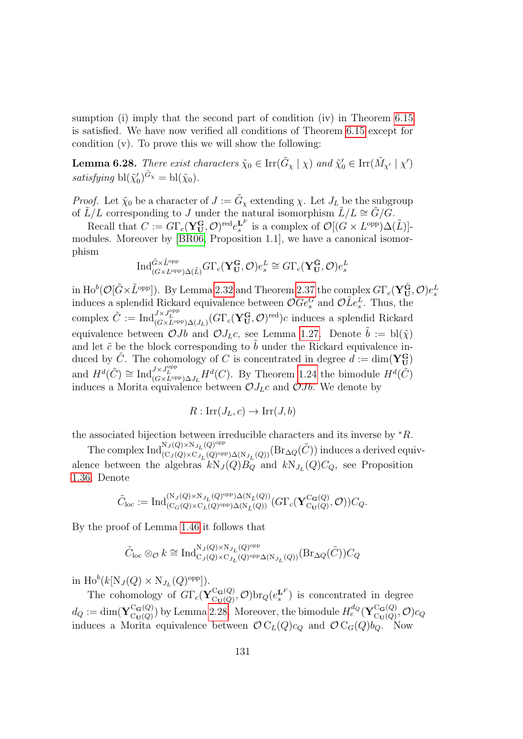sumption (i) imply that the second part of condition (iv) in Theorem [6.15](#page-122-0) is satisfied. We have now verified all conditions of Theorem [6.15](#page-122-0) except for condition (v). To prove this we will show the following:

<span id="page-130-0"></span>**Lemma 6.28.** There exist characters  $\tilde{\chi}_0 \in \text{Irr}(\tilde{G}_\chi \mid \chi)$  and  $\tilde{\chi}'_0 \in \text{Irr}(\tilde{M}_{\chi'} \mid \chi')$ satisfying  $\text{bl}(\tilde{\chi}'_0)^{\tilde{G}_{\chi}} = \text{bl}(\tilde{\chi}_0).$ 

*Proof.* Let  $\tilde{\chi}_0$  be a character of  $J := \tilde{G}_\chi$  extending  $\chi$ . Let  $J_L$  be the subgroup of  $\tilde{L}/L$  corresponding to J under the natural isomorphism  $\tilde{L}/L \cong \tilde{G}/\tilde{G}$ .

Recall that  $C := G\Gamma_c(\mathbf{Y_U^G}, \mathcal{O})^{\text{red}}e_s^{\mathbf{L}^F}$  is a complex of  $\mathcal{O}[(G \times L^{\text{opp}})\Delta(\tilde{L})]$ modules. Moreover by [\[BR06,](#page-142-3) Proposition 1.1], we have a canonical isomorphism

$$
\mathrm{Ind}_{(G \times L^{\mathrm{opp}}) \Delta(\tilde{L})}^{\tilde{G} \times \tilde{L}^{\mathrm{opp}}} G \Gamma_c(\mathbf{Y}_U^{\mathbf{G}}, \mathcal{O}) e_s^L \cong G \Gamma_c(\mathbf{Y}_U^{\tilde{\mathbf{G}}}, \mathcal{O}) e_s^L
$$

in  $\text{Ho}^{b}(\mathcal{O}[\tilde{G}\times\tilde{L}^{\text{opp}}]).$  By Lemma [2.32](#page-57-1) and Theorem [2.37](#page-60-0) the complex  $G\Gamma_{c}(\mathbf{Y}_{\mathbf{U}}^{\tilde{\mathbf{G}}},\mathcal{O})e_{s}^{L}$ induces a splendid Rickard equivalence between  $\mathcal{O} \tilde{G} e_s^G$  and  $\mathcal{O} \tilde{L} e_s^L$ . Thus, the matrices a spientiful rickard equivalence between  $\mathcal{O}ee_s$  and  $\mathcal{O}E_s$ . Thus, the<br>complex  $\tilde{C} := \text{Ind}_{(G \times L^{\text{opp}}) \Delta(J_L)}^{J \times J_L^{\text{opp}}} (G \Gamma_c (\mathbf{Y_U^G}, \mathcal{O})^{\text{red}})c$  induces a splendid Rickard equivalence between  $\mathcal{O}Jb$  and  $\mathcal{O}J_{L}c$ , see Lemma [1.27.](#page-27-0) Denote  $\tilde{b} := \text{bl}(\tilde{\chi})$ and let  $\tilde{c}$  be the block corresponding to  $\tilde{b}$  under the Rickard equivalence induced by  $\tilde{C}$ . The cohomology of C is concentrated in degree  $d := \dim(\mathbf{Y}_{\mathbf{U}}^{\mathbf{G}})$ and  $H^d(\tilde{C}) \cong \text{Ind}_{(G \times L^{\text{opp}}) \Delta J_L}^{J \times J_L^{\text{opp}}} H^d(C)$ . By Theorem [1.24](#page-26-0) the bimodule  $H^d(\tilde{C})$ induces a Morita equivalence between  $\mathcal{O}J_{L}c$  and  $\mathcal{O}Jb$ . We denote by

$$
R: \operatorname{Irr}(J_L, c) \to \operatorname{Irr}(J, b)
$$

the associated bijection between irreducible characters and its inverse by  $*R$ .

The complex  $\text{Ind}_{(C_J(Q)\times N_{J_L}(Q)^{\text{opp}})}^{N_J(Q)\times N_{J_L}(Q)^{\text{opp}}}$  $\pi_{(C_J(Q)\times\mathrm{N}_{J_L}(Q)^{\mathrm{opp}})\Delta(\mathrm{N}_{J_L}(Q))}(\mathrm{Br}_{\Delta Q}(\tilde{C}))\text{ induces a derived equiv-}$ alence between the algebras  $kN_J(Q)B_Q$  and  $kN_{J_L}(Q)C_Q$ , see Proposition [1.36.](#page-32-0) Denote

$$
\tilde{C}_{\mathrm{loc}}:=\mathrm{Ind}_{(\mathrm{C}_G(Q)\times \mathrm{C}_L(Q)^{\mathrm{opp}})\Delta(\mathrm{N}_{\tilde{L}}(Q))}^{(\mathrm{N}_J(Q)\times \mathrm{N}_{J_L}(Q)^{\mathrm{opp}})\Delta(\mathrm{N}_{\tilde{L}}(Q))}(G\Gamma_c(\mathbf{Y}_{\mathrm{C}_\mathbf{U}(Q)}^{\mathrm{C}_\mathbf{G}(Q)},\mathcal{O}))C_Q.
$$

By the proof of Lemma [1.46](#page-38-0) it follows that

$$
\tilde{C}_{\mathrm{loc}}\otimes_{\mathcal{O}}k\cong \mathrm{Ind}_{\mathrm{C}_{J}(Q)\times \mathrm{C}_{J_{L}}(Q)^{\mathrm{opp}}\Delta(\mathrm{N}_{J_{L}}(Q))}^{\mathrm{N}_{J}(Q)\times \mathrm{N}_{J_{L}}(Q)^{\mathrm{opp}}}( \mathrm{Br}_{\Delta Q}(\tilde{C}))C_{Q}
$$

in  $\text{Ho}^b(k[N_J(Q)\times N_{J_L}(Q)^{\text{opp}}]).$ 

The cohomology of  $G\Gamma_c(\mathbf{Y}_{\mathrm{Cr}(Q)}^{\mathrm{C}_{\mathbf{G}}(Q)})$  ${}_{\mathrm{Cu}(Q)}^{\mathrm{Ca}(Q)}, \mathcal{O}$ )br $_Q(e_s^{\mathbf{L}^F})$  is concentrated in degree  $d_Q := \text{dim}(\mathbf{Y}^{\text{C}_\mathbf{G}(Q)}_{\text{C}_{\mathbf{U}}(Q)})$  ${}_{\text{C}_{\mathbf{U}}(Q)}^{\text{C}_{\mathbf{G}}(Q)}$  by Lemma [2.28.](#page-55-0) Moreover, the bimodule  $H_c^{d_Q}(\mathbf{Y}_{\text{C}_{\mathbf{U}}(Q)}^{\text{C}_{\mathbf{G}}(Q)})$  $\mathop{\rm C}_{{\bf U}}^{{\bf G}({\bf Q})} (Q), {\cal O} )$ C $_Q$ induces a Morita equivalence between  $\mathcal{O} C_L(Q)c_Q$  and  $\mathcal{O} C_G(Q)b_Q$ . Now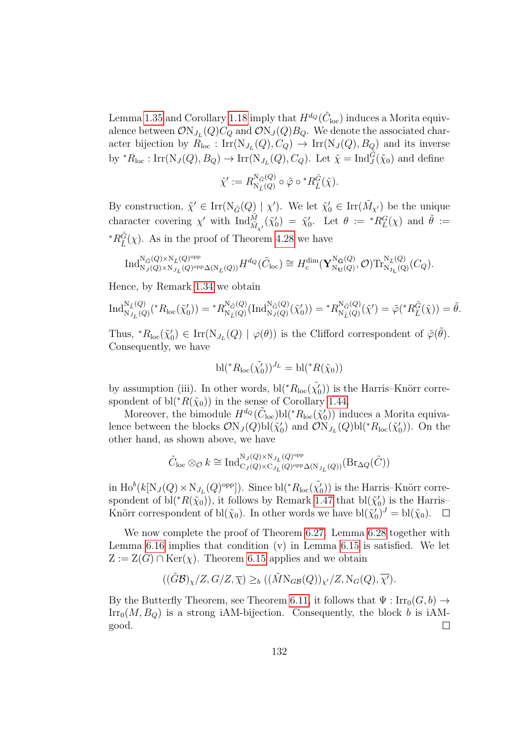Lemma [1.35](#page-31-0) and Corollary [1.18](#page-23-0) imply that  $H^{d_Q}(\tilde{C}_{loc})$  induces a Morita equivalence between  $\mathcal{O}\mathrm{N}_{J_L}(Q)C_Q$  and  $\mathcal{O}\mathrm{N}_{J}(Q)B_Q$ . We denote the associated character bijection by  $R_{\text{loc}}: \text{Irr}(\text{N}_{J_L}(Q), C_Q) \to \text{Irr}(\text{N}_J(Q), B_Q)$  and its inverse by  ${}^*R_{\text{loc}}: \text{Irr}(\text{N}_J(Q), B_Q) \to \text{Irr}(\text{N}_{J_L}(Q), C_Q)$ . Let  $\tilde{\chi} = \text{Ind}_{J}^{\tilde{G}}(\tilde{\chi}_0)$  and define

$$
\tilde{\chi}' := R_{\mathrm{N}_{\tilde{L}}(Q)}^{\mathrm{N}_{\tilde{G}}(Q)} \circ \tilde{\varphi} \circ {^*R}_{\tilde{L}}^{\tilde{G}}(\tilde{\chi}).
$$

By construction,  $\tilde{\chi}' \in \text{Irr}(\text{N}_{\tilde{G}}(Q) | \chi')$ . We let  $\tilde{\chi}'_0 \in \text{Irr}(\tilde{M}_{\chi'})$  be the unique character covering  $\chi'$  with  $\text{Ind}_{\tilde{M}_{\chi'}}^{\tilde{M}}(\tilde{\chi}'_0) = \tilde{\chi}'_0$ . Let  $\theta := {}^*R_L^G(\chi)$  and  $\tilde{\theta} :=$ \* $R_{\tilde{L}}^{\tilde{G}}(\chi)$ . As in the proof of Theorem [4.28](#page-94-0) we have

$$
\mathrm{Ind}_{\mathrm{N}_J(Q)\times \mathrm{N}_{J_L}(Q)^{\mathrm{opp}}\Delta(\mathrm{N}_{\tilde{L}}(Q))}^{\mathrm{N}_{\tilde{G}}(Q)^{\mathrm{opp}}}\hspace{-0.5cm}H^{d_Q}(\tilde{C}_{\mathrm{loc}})\cong H^{ \mathrm{dim}}_c(\mathbf{Y}^{\mathrm{N}_{\tilde{\mathbf{G}}}(Q)}_{\mathrm{N}_{\mathbf{U}}(Q)},\mathcal{O})\mathrm{Tr}^{\mathrm{N}_{\tilde{L}}(Q)}_{\mathrm{N}_{\mathbf{J_L}}(Q)}(C_Q).
$$

Hence, by Remark [1.34](#page-31-1) we obtain

$$
\text{Ind}_{\text{N}_{J_{L}}(Q)}^{\text{N}_{\tilde{L}}(Q)}({}^{*}R_{\text{loc}}(\tilde{\chi}'_{0})) = {}^{*}R_{\text{N}_{\tilde{L}}(Q)}^{\text{N}_{\tilde{G}}(Q)}(\text{Ind}_{\text{N}_{J}(Q)}^{\text{N}_{\tilde{G}}(Q)}(\tilde{\chi}'_{0})) = {}^{*}R_{\text{N}_{\tilde{L}}(Q)}^{\text{N}_{\tilde{G}}(Q)}(\tilde{\chi}') = \tilde{\varphi}({}^{*}R_{\tilde{L}}^{\tilde{G}}(\tilde{\chi})) = \tilde{\theta}.
$$

Thus,  ${}^*R_{\text{loc}}(\tilde{\chi}'_0) \in \text{Irr}(\text{N}_{J_L}(Q) \mid \varphi(\theta))$  is the Clifford correspondent of  $\tilde{\varphi}(\tilde{\theta})$ . Consequently, we have

$$
\mathrm{bl}({}^{\ast}R_{\mathrm{loc}}(\tilde{\chi}'_0))^{J_L} = \mathrm{bl}({}^{\ast}R(\tilde{\chi}_0))
$$

by assumption (iii). In other words,  $bl(*R<sub>loc</sub>(\tilde{\chi}'_0))$  is the Harris–Knörr correspondent of bl( ${}^*R(\tilde{\chi}_0)$ ) in the sense of Corollary [1.44.](#page-36-0)

Moreover, the bimodule  $H^{d_Q}(\tilde{C}_{loc})\text{bl}(*R_{loc}(\tilde{\chi}'_0))$  induces a Morita equivalence between the blocks  $\mathcal{O}N_J(Q)bl(\tilde{\chi}'_0)$  and  $\mathcal{O}N_{J_L}(Q)bl({^*R}_{loc}(\tilde{\chi}'_0))$ . On the other hand, as shown above, we have

$$
\tilde{C}_{\mathrm{loc}}\otimes_{\mathcal{O}}k\cong \mathrm{Ind}_{\mathrm{C}_J(Q)\times \mathrm{C}_{J_L}(Q)^{\mathrm{opp}}\Delta(\mathrm{N}_{J_L}(Q))}^{\mathrm{N}_J(Q)\times \mathrm{N}_{J_L}(Q)^{\mathrm{opp}}}( \mathrm{Br}_{\Delta Q}(\tilde{C}))
$$

in  $\text{Ho}^b(k[N_J(Q)\times N_{J_L}(Q)^{\text{opp}}])$ . Since  $\text{bl}(*R_{\text{loc}}(\tilde{\chi}'_0))$  is the Harris–Knörr correspondent of  $bl(*R(\tilde{\chi}_0))$ , it follows by Remark [1.47](#page-39-0) that  $bl(\tilde{\chi}'_0)$  is the Harris– Knörr correspondent of  $\text{bl}(\tilde{\chi}_0)$ . In other words we have  $\text{bl}(\tilde{\chi}'_0)^J = \text{bl}(\tilde{\chi}_0)$ .  $\Box$ 

We now complete the proof of Theorem [6.27.](#page-128-0) Lemma [6.28](#page-130-0) together with Lemma [6.16](#page-123-0) implies that condition (v) in Lemma [6.15](#page-122-0) is satisfied. We let  $Z := Z(G) \cap \text{Ker}(\chi)$ . Theorem [6.15](#page-122-0) applies and we obtain

$$
((\tilde{G}\mathcal{B})_{\chi}/Z, G/Z, \overline{\chi}) \geq_b ((\tilde{M} N_{GB}(Q))_{\chi'}/Z, N_G(Q), \overline{\chi'}).
$$

By the Butterfly Theorem, see Theorem [6.11,](#page-119-1) it follows that  $\Psi : \text{Irr}_0(G, b) \to$  $\text{Irr}_0(M, B_Q)$  is a strong iAM-bijection. Consequently, the block b is iAMgood.  $\Box$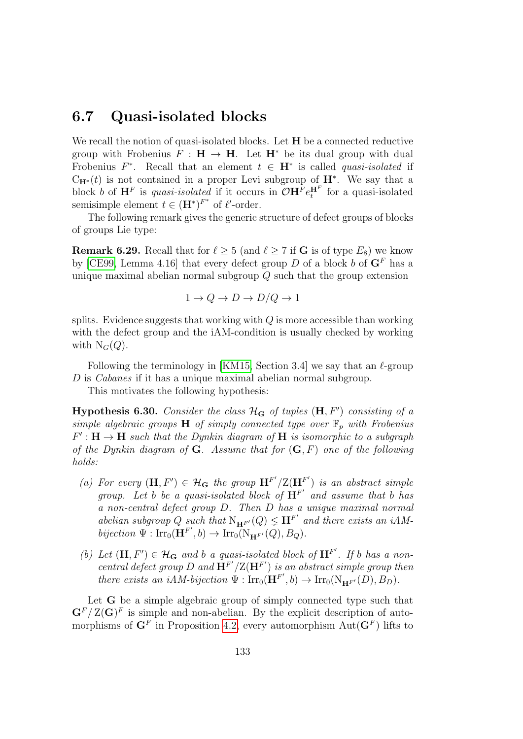#### <span id="page-132-1"></span>6.7 Quasi-isolated blocks

We recall the notion of quasi-isolated blocks. Let **H** be a connected reductive group with Frobenius  $F : H \to H$ . Let  $H^*$  be its dual group with dual Frobenius  $F^*$ . Recall that an element  $t \in \mathbf{H}^*$  is called *quasi-isolated* if  $C_{\mathbf{H}^*}(t)$  is not contained in a proper Levi subgroup of  $\mathbf{H}^*$ . We say that a block b of  $\mathbf{H}^F$  is quasi-isolated if it occurs in  $\mathcal{O}\mathbf{H}^F e_t^{\mathbf{H}^F}$  for a quasi-isolated semisimple element  $t \in (\mathbf{H}^*)^{F^*}$  of  $\ell'$ -order.

The following remark gives the generic structure of defect groups of blocks of groups Lie type:

**Remark 6.29.** Recall that for  $\ell \geq 5$  (and  $\ell \geq 7$  if **G** is of type  $E_8$ ) we know by [\[CE99,](#page-142-4) Lemma 4.16] that every defect group D of a block b of  $G<sup>F</sup>$  has a unique maximal abelian normal subgroup  $\overline{Q}$  such that the group extension

$$
1 \to Q \to D \to D/Q \to 1
$$

splits. Evidence suggests that working with  $Q$  is more accessible than working with the defect group and the iAM-condition is usually checked by working with  $N_G(Q)$ .

Following the terminology in [\[KM15,](#page-143-5) Section 3.4] we say that an  $\ell$ -group D is *Cabanes* if it has a unique maximal abelian normal subgroup.

This motivates the following hypothesis:

<span id="page-132-0"></span>Hypothesis 6.30. Consider the class  $\mathcal{H}_\mathbf{G}$  of tuples  $(\mathbf{H}, F')$  consisting of a simple algebraic groups **H** of simply connected type over  $\overline{\mathbb{F}_p}$  with Frobenius  $F': \mathbf{H} \to \mathbf{H}$  such that the Dynkin diagram of  $\mathbf{H}$  is isomorphic to a subgraph of the Dynkin diagram of  $G$ . Assume that for  $(G, F)$  one of the following holds:

- (a) For every  $(\mathbf{H}, F') \in \mathcal{H}_{\mathbf{G}}$  the group  $\mathbf{H}^{F'}/\mathbf{Z}(\mathbf{H}^{F'})$  is an abstract simple group. Let b be a quasi-isolated block of  $\mathbf{H}^{F'}$  and assume that b has a non-central defect group D. Then D has a unique maximal normal abelian subgroup Q such that  $N_{\mathbf{H}^{F'}}(Q) \leq \mathbf{H}^{F'}$  and there exists an iAMbijection  $\Psi : \text{Irr}_0(\mathbf{H}^{F'}, b) \to \text{Irr}_0(\text{N}_{\mathbf{H}^{F'}}(Q), B_Q).$
- (b) Let  $(\mathbf{H}, F') \in \mathcal{H}_{\mathbf{G}}$  and b a quasi-isolated block of  $\mathbf{H}^{F'}$ . If b has a noncentral defect group D and  $\mathbf{H}^{F'}/\mathbf{Z}(\mathbf{H}^{F'})$  is an abstract simple group then there exists an iAM-bijection  $\Psi : \text{Irr}_0(\mathbf{H}^{F'}, b) \to \text{Irr}_0(N_{\mathbf{H}^{F'}}(D), B_D)$ .

Let **G** be a simple algebraic group of simply connected type such that  $\mathbf{G}^F/Z(\mathbf{G})^F$  is simple and non-abelian. By the explicit description of automorphisms of  $\mathbf{G}^F$  in Proposition [4.2,](#page-81-1) every automorphism  $\mathrm{Aut}(\mathbf{G}^F)$  lifts to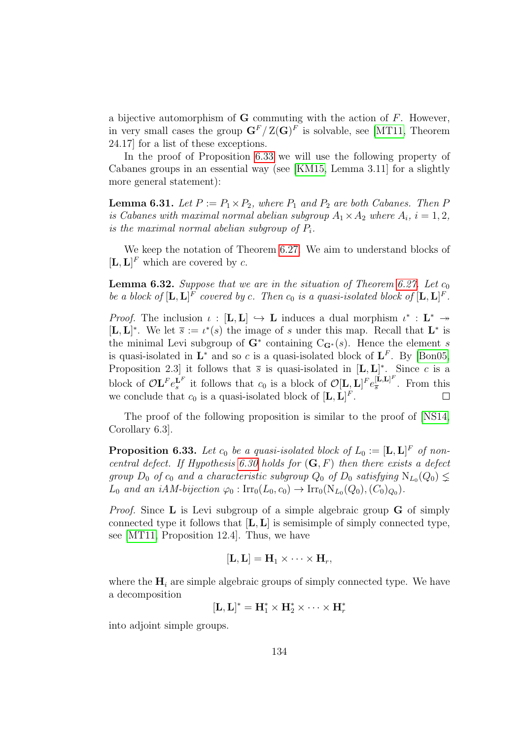a bijective automorphism of  $G$  commuting with the action of  $F$ . However, in very small cases the group  $\mathbf{G}^F/\mathbb{Z}(\mathbf{G})^F$  is solvable, see [\[MT11,](#page-144-2) Theorem 24.17] for a list of these exceptions.

In the proof of Proposition [6.33](#page-133-0) we will use the following property of Cabanes groups in an essential way (see [\[KM15,](#page-143-5) Lemma 3.11] for a slightly more general statement):

<span id="page-133-1"></span>**Lemma 6.31.** Let  $P := P_1 \times P_2$ , where  $P_1$  and  $P_2$  are both Cabanes. Then P is Cabanes with maximal normal abelian subgroup  $A_1 \times A_2$  where  $A_i$ ,  $i = 1, 2$ , is the maximal normal abelian subgroup of  $P_i$ .

We keep the notation of Theorem [6.27.](#page-128-0) We aim to understand blocks of  $[\mathbf{L}, \mathbf{L}]^F$  which are covered by c.

**Lemma 6.32.** Suppose that we are in the situation of Theorem [6.27.](#page-128-0) Let  $c_0$ be a block of  $[\mathbf{L}, \mathbf{L}]^F$  covered by c. Then  $c_0$  is a quasi-isolated block of  $[\mathbf{L}, \mathbf{L}]^F$ .

*Proof.* The inclusion  $\iota : [L, L] \hookrightarrow L$  induces a dual morphism  $\iota^* : L^* \rightarrow$  $[\mathbf{L}, \mathbf{L}]^*$ . We let  $\overline{s} := \iota^*(s)$  the image of s under this map. Recall that  $\mathbf{L}^*$  is the minimal Levi subgroup of  $G^*$  containing  $C_{G^*}(s)$ . Hence the element s is quasi-isolated in  $\mathbf{L}^*$  and so c is a quasi-isolated block of  $\mathbf{L}^F$ . By [\[Bon05,](#page-141-2) Proposition 2.3 it follows that  $\bar{s}$  is quasi-isolated in  $[L, L]^*$ . Since c is a block of  $\mathcal{O} L^F e_s^{\mathbf{L}^F}$  it follows that  $c_0$  is a block of  $\mathcal{O}[\mathbf{L}, \mathbf{L}]^F e_{\overline{s}}^{[\mathbf{L}, \mathbf{L}]^F}$  $\frac{[{\bf L},{\bf L}]}{s}$ . From this we conclude that  $c_0$  is a quasi-isolated block of  $[\mathbf{L}, \mathbf{L}]^F$ .

The proof of the following proposition is similar to the proof of [\[NS14,](#page-144-1) Corollary 6.3].

<span id="page-133-0"></span>**Proposition 6.33.** Let  $c_0$  be a quasi-isolated block of  $L_0 := [\mathbf{L}, \mathbf{L}]^F$  of non-central defect. If Hypothesis [6.30](#page-132-0) holds for  $(G, F)$  then there exists a defect group  $D_0$  of  $c_0$  and a characteristic subgroup  $Q_0$  of  $D_0$  satisfying  $N_{L_0}(Q_0) \nleq$  $L_0$  and an iAM-bijection  $\varphi_0: \text{Irr}_0(L_0, c_0) \to \text{Irr}_0(\text{N}_{L_0}(Q_0), (C_0)_{Q_0}).$ 

*Proof.* Since **L** is Levi subgroup of a simple algebraic group **G** of simply connected type it follows that  $[L, L]$  is semisimple of simply connected type, see [\[MT11,](#page-144-2) Proposition 12.4]. Thus, we have

$$
[\mathbf{L},\mathbf{L}]=\mathbf{H}_1\times\cdots\times\mathbf{H}_r,
$$

where the  $\mathbf{H}_i$  are simple algebraic groups of simply connected type. We have a decomposition

$$
[\mathbf{L},\mathbf{L}]^*=\mathbf{H}_1^*\times\mathbf{H}_2^*\times\cdots\times\mathbf{H}_r^*
$$

into adjoint simple groups.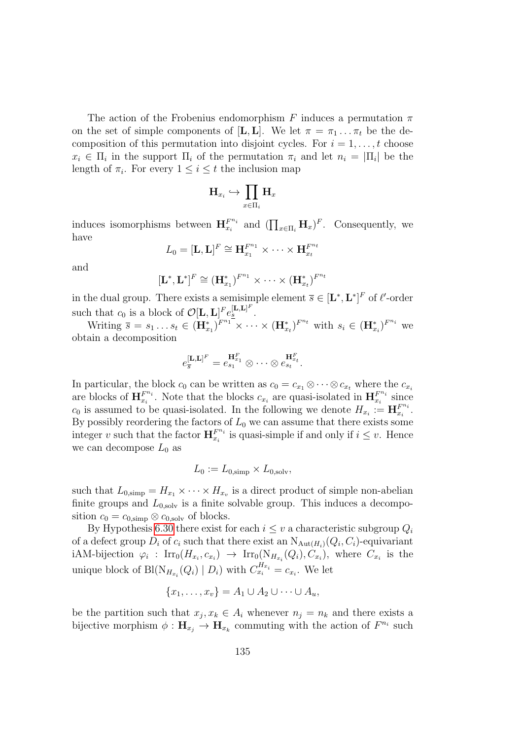The action of the Frobenius endomorphism F induces a permutation  $\pi$ on the set of simple components of  $[\mathbf{L}, \mathbf{L}]$ . We let  $\pi = \pi_1 \dots \pi_t$  be the decomposition of this permutation into disjoint cycles. For  $i = 1, \ldots, t$  choose  $x_i \in \Pi_i$  in the support  $\Pi_i$  of the permutation  $\pi_i$  and let  $n_i = |\Pi_i|$  be the length of  $\pi_i$ . For every  $1 \leq i \leq t$  the inclusion map

$$
{\rm H}_{x_i}\hookrightarrow \prod_{x\in \Pi_i} {\rm H}_x
$$

induces isomorphisms between  $\mathbf{H}_{x_i}^{F^{n_i}}$  $F_{x_i}^{n_i}$  and  $(\prod_{x \in \Pi_i} \mathbf{H}_x)^F$ . Consequently, we have

$$
L_0=[\mathbf{L},\mathbf{L}]^F\cong \mathbf{H}_{x_1}^{F^{n_1}}\times\cdots\times\mathbf{H}_{x_t}^{F^{n_t}}
$$

and

$$
[\mathbf{L}^*, \mathbf{L}^*]^F \cong (\mathbf{H}_{x_1}^*)^{F^{n_1}} \times \cdots \times (\mathbf{H}_{x_t}^*)^{F^{n_t}}
$$

in the dual group. There exists a semisimple element  $\overline{s} \in [\mathbf{L}^*, \mathbf{L}^*]^F$  of  $\ell'$ -order such that  $c_0$  is a block of  $\mathcal{O}[\mathbf{L}, \mathbf{L}]^F e_{\underline{s}}^{[\mathbf{L}, \mathbf{L}]^F}$ .

Writing  $\overline{s} = s_1 \dots s_t \in (\mathbf{H}_{x_1}^*)^{F^{n_1}} \times \dots \times (\mathbf{H}_{x_t}^*)^{F^{n_t}}$  with  $s_i \in (\mathbf{H}_{x_i}^*)^{F^{n_i}}$  we obtain a decomposition

$$
e_{\overline{s}}^{[\mathbf{L},\mathbf{L}]^F}=e_{s_1}^{\mathbf{H}_{x_1}^F}\otimes\cdots\otimes e_{s_t}^{\mathbf{H}_{x_t}^F}.
$$

In particular, the block  $c_0$  can be written as  $c_0 = c_{x_1} \otimes \cdots \otimes c_{x_t}$  where the  $c_{x_i}$ are blocks of  $\mathbf{H}_{x_i}^{F^{n_i}}$  $F^{n_i}_{x_i}$ . Note that the blocks  $c_{x_i}$  are quasi-isolated in  $\mathbf{H}_{x_i}^{F^{n_i}}$ .  $x_i^{F^{n_i}}$  since  $c_0$  is assumed to be quasi-isolated. In the following we denote  $H_{x_i} := \mathbf{H}_{x_i}^{F^{n_i}}$  $\frac{F^{n_i}}{x_i}$  . By possibly reordering the factors of  $L_0$  we can assume that there exists some integer v such that the factor  $\mathbf{H}_{x_i}^{F^{n_i}}$  $F^{n_i}_{x_i}$  is quasi-simple if and only if  $i \leq v$ . Hence we can decompose  $L_0$  as

$$
L_0 := L_{0,\text{simp}} \times L_{0,\text{solv}},
$$

such that  $L_{0,\text{simp}} = H_{x_1} \times \cdots \times H_{x_v}$  is a direct product of simple non-abelian finite groups and  $L_{0,\text{solv}}$  is a finite solvable group. This induces a decomposition  $c_0 = c_{0,\text{simp}} \otimes c_{0,\text{solv}}$  of blocks.

By Hypothesis [6.30](#page-132-0) there exist for each  $i \leq v$  a characteristic subgroup  $Q_i$ of a defect group  $D_i$  of  $c_i$  such that there exist an  $N_{\text{Aut}(H_i)}(Q_i, C_i)$ -equivariant iAM-bijection  $\varphi_i$ :  $\text{Irr}_0(H_{x_i}, c_{x_i}) \rightarrow \text{Irr}_0(N_{H_{x_i}}(Q_i), C_{x_i})$ , where  $C_{x_i}$  is the unique block of  $\text{Bl}(\text{N}_{H_{x_i}}(Q_i) \mid D_i)$  with  $C_{x_i}^{H_{x_i}} = c_{x_i}$ . We let

$$
\{x_1,\ldots,x_v\}=A_1\cup A_2\cup\cdots\cup A_u,
$$

be the partition such that  $x_j, x_k \in A_i$  whenever  $n_j = n_k$  and there exists a bijective morphism  $\phi: \mathbf{H}_{x_j} \to \mathbf{H}_{x_k}$  commuting with the action of  $F^{n_i}$  such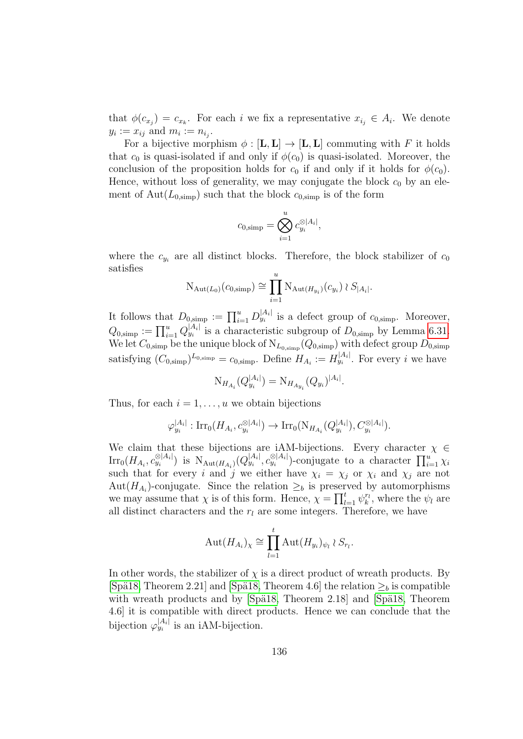that  $\phi(c_{x_i}) = c_{x_k}$ . For each i we fix a representative  $x_{i_j} \in A_i$ . We denote  $y_i := x_{ij}$  and  $m_i := n_{i_j}$ .

For a bijective morphism  $\phi : [\mathbf{L}, \mathbf{L}] \to [\mathbf{L}, \mathbf{L}]$  commuting with F it holds that  $c_0$  is quasi-isolated if and only if  $\phi(c_0)$  is quasi-isolated. Moreover, the conclusion of the proposition holds for  $c_0$  if and only if it holds for  $\phi(c_0)$ . Hence, without loss of generality, we may conjugate the block  $c_0$  by an element of Aut $(L_{0,\text{simp}})$  such that the block  $c_{0,\text{simp}}$  is of the form

$$
c_{0,\text{simp}} = \bigotimes_{i=1}^u c_{y_i}^{\otimes |A_i|},
$$

where the  $c_{y_i}$  are all distinct blocks. Therefore, the block stabilizer of  $c_0$ satisfies

$$
N_{\text{Aut}(L_0)}(c_{0,\text{simp}}) \cong \prod_{i=1}^u N_{\text{Aut}(H_{y_i})}(c_{y_i}) \wr S_{|A_i|}.
$$

It follows that  $D_{0, \text{simp}} := \prod_{i=1}^u D_{y_i}^{|A_i|}$  is a defect group of  $c_{0, \text{simp}}$ . Moreover,  $Q_{0,\text{simp}} := \prod_{i=1}^u Q_{y_i}^{|A_i|}$  is a characteristic subgroup of  $D_{0,\text{simp}}$  by Lemma [6.31.](#page-133-1) We let  $C_{0, \text{simp}}$  be the unique block of  $N_{L_{0, \text{simp}}}(Q_{0, \text{simp}})$  with defect group  $D_{0, \text{simp}}$ satisfying  $(C_{0,\text{simp}})^{L_{0,\text{simp}}} = c_{0,\text{simp}}$ . Define  $H_{A_i} := H_{y_i}^{|A_i|}$ . For every i we have

$$
N_{H_{A_i}}(Q_{y_i}^{|A_i|}) = N_{H_{A_{y_i}}}(Q_{y_i})^{|A_i|}.
$$

Thus, for each  $i = 1, \ldots, u$  we obtain bijections

$$
\varphi_{y_i}^{|A_i|}: \text{Irr}_0(H_{A_i}, c_{y_i}^{\otimes |A_i|}) \to \text{Irr}_0(\text{N}_{H_{A_i}}(Q_{y_i}^{|A_i|}), C_{y_i}^{\otimes |A_i|}).
$$

We claim that these bijections are iAM-bijections. Every character  $\chi \in$  $\text{Irr}_0(H_{A_i}, c_{y_i}^{\otimes |A_i|})$  is  $\text{N}_{\text{Aut}(H_{A_i})}(Q_{y_i}^{|A_i|}, c_{y_i}^{\otimes |A_i|})$ -conjugate to a character  $\prod_{i=1}^u \chi_i$ such that for every i and j we either have  $\chi_i = \chi_j$  or  $\chi_i$  and  $\chi_j$  are not Aut $(H_{A_i})$ -conjugate. Since the relation  $\geq_b$  is preserved by automorphisms we may assume that  $\chi$  is of this form. Hence,  $\chi = \prod_{l=1}^{t} \psi_k^{r_l}$ , where the  $\psi_l$  are all distinct characters and the  $r_l$  are some integers. Therefore, we have

$$
\operatorname{Aut}(H_{A_i})_\chi \cong \prod_{l=1}^t \operatorname{Aut}(H_{y_i})_{\psi_l} \wr S_{r_l}.
$$

In other words, the stabilizer of  $\chi$  is a direct product of wreath products. By [Spä18, Theorem 2.21] and [Spä18, Theorem 4.6] the relation  $\geq_b$  is compatible with wreath products and by [Spä18, Theorem 2.18] and [Spä18, Theorem 4.6] it is compatible with direct products. Hence we can conclude that the bijection  $\varphi_{y_i}^{|A_i|}$  is an iAM-bijection.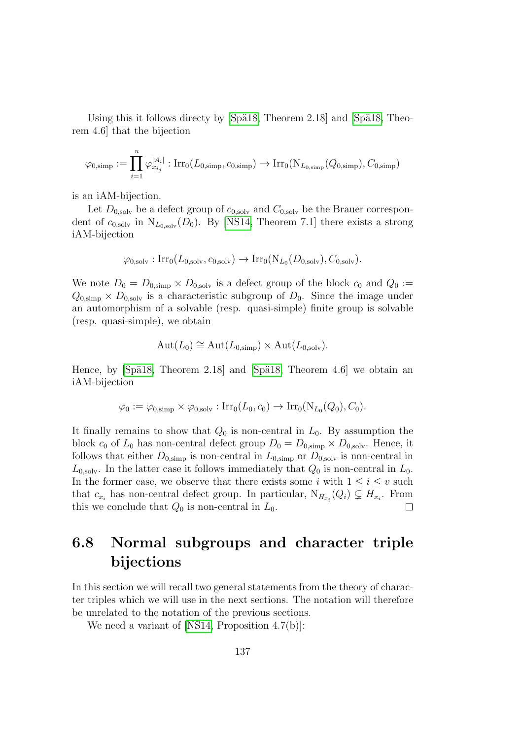Using this it follows directy by  $|Sp\ddot{\text{a}}18$ , Theorem 2.18 and  $|Sp\ddot{\text{a}}18$ , Theorem 4.6] that the bijection

$$
\varphi_{0,\text{simp}} := \prod_{i=1}^u \varphi_{x_{i_j}}^{|A_i|} : \text{Irr}_0(L_{0,\text{simp}}, c_{0,\text{simp}}) \to \text{Irr}_0(\text{N}_{L_{0,\text{simp}}}(Q_{0,\text{simp}}), C_{0,\text{simp}})
$$

is an iAM-bijection.

Let  $D_{0,\text{solv}}$  be a defect group of  $c_{0,\text{solv}}$  and  $C_{0,\text{solv}}$  be the Brauer correspondent of  $c_{0,solv}$  in  $N_{L_{0,solv}}(D_0)$ . By [\[NS14,](#page-144-1) Theorem 7.1] there exists a strong iAM-bijection

$$
\varphi_{0,\mathrm{solv}} : \mathrm{Irr}_0(L_{0,\mathrm{solv}}, c_{0,\mathrm{solv}}) \to \mathrm{Irr}_0(\mathrm{N}_{L_0}(D_{0,\mathrm{solv}}), C_{0,\mathrm{solv}}).
$$

We note  $D_0 = D_{0,\text{simp}} \times D_{0,\text{solv}}$  is a defect group of the block  $c_0$  and  $Q_0 :=$  $Q_{0,\text{simp}} \times D_{0,\text{solv}}$  is a characteristic subgroup of  $D_0$ . Since the image under an automorphism of a solvable (resp. quasi-simple) finite group is solvable (resp. quasi-simple), we obtain

$$
Aut(L_0) \cong Aut(L_{0,\text{simp}}) \times Aut(L_{0,\text{solv}}).
$$

Hence, by  $\beta_{1}$  [Spä18, Theorem 2.18] and  $\beta_{1}$  [Spä18, Theorem 4.6] we obtain an iAM-bijection

$$
\varphi_0 := \varphi_{0,\text{simp}} \times \varphi_{0,\text{solv}} : \text{Irr}_0(L_0,c_0) \to \text{Irr}_0(\text{N}_{L_0}(Q_0),C_0).
$$

It finally remains to show that  $Q_0$  is non-central in  $L_0$ . By assumption the block  $c_0$  of  $L_0$  has non-central defect group  $D_0 = D_{0,\text{simp}} \times D_{0,\text{solv}}$ . Hence, it follows that either  $D_{0,\text{simp}}$  is non-central in  $L_{0,\text{simp}}$  or  $D_{0,\text{solv}}$  is non-central in  $L_{0,\text{solv}}$ . In the latter case it follows immediately that  $Q_0$  is non-central in  $L_0$ . In the former case, we observe that there exists some i with  $1 \leq i \leq v$  such that  $c_{x_i}$  has non-central defect group. In particular,  $N_{H_{x_i}}(Q_i) \subsetneq H_{x_i}$ . From this we conclude that  $Q_0$  is non-central in  $L_0$ .  $\Box$ 

## 6.8 Normal subgroups and character triple bijections

In this section we will recall two general statements from the theory of character triples which we will use in the next sections. The notation will therefore be unrelated to the notation of the previous sections.

We need a variant of [\[NS14,](#page-144-1) Proposition 4.7(b)]: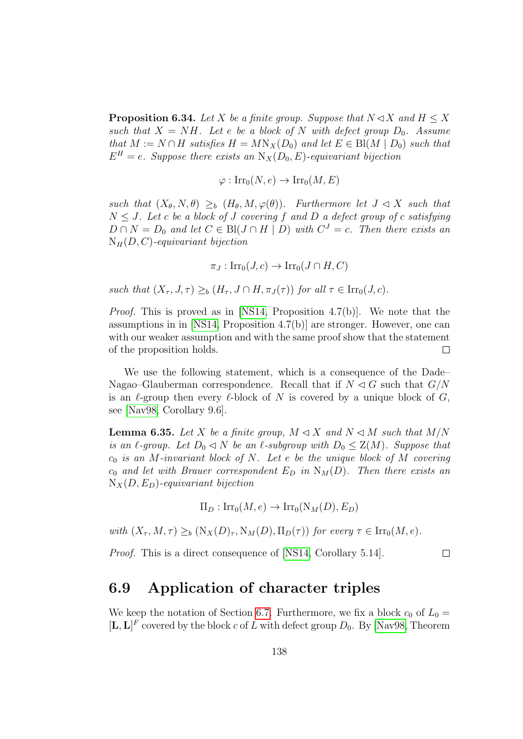<span id="page-137-1"></span>**Proposition 6.34.** Let X be a finite group. Suppose that  $N \triangleleft X$  and  $H \leq X$ such that  $X = NH$ . Let e be a block of N with defect group  $D_0$ . Assume that  $M := N \cap H$  satisfies  $H = M N_X(D_0)$  and let  $E \in Bl(M | D_0)$  such that  $E^H = e$ . Suppose there exists an  $N_X(D_0, E)$ -equivariant bijection

$$
\varphi: \operatorname{Irr}_0(N, e) \to \operatorname{Irr}_0(M, E)
$$

such that  $(X_{\theta}, N, \theta) \geq_b (H_{\theta}, M, \varphi(\theta))$ . Furthermore let  $J \triangleleft X$  such that  $N \leq J$ . Let c be a block of J covering f and D a defect group of c satisfying  $D \cap N = D_0$  and let  $C \in \text{Bl}(J \cap H \mid D)$  with  $C^J = c$ . Then there exists an  $N_H(D, C)$ -equivariant bijection

$$
\pi_J: \operatorname{Irr}_0(J,c) \to \operatorname{Irr}_0(J \cap H, C)
$$

such that  $(X_{\tau}, J, \tau) \geq_b (H_{\tau}, J \cap H, \pi_J(\tau))$  for all  $\tau \in \text{Irr}_0(J, c)$ .

Proof. This is proved as in [\[NS14,](#page-144-1) Proposition 4.7(b)]. We note that the assumptions in in [\[NS14,](#page-144-1) Proposition 4.7(b)] are stronger. However, one can with our weaker assumption and with the same proof show that the statement of the proposition holds.  $\Box$ 

We use the following statement, which is a consequence of the Dade– Nagao–Glauberman correspondence. Recall that if  $N \lhd G$  such that  $G/N$ is an  $\ell$ -group then every  $\ell$ -block of N is covered by a unique block of G, see [\[Nav98,](#page-144-0) Corollary 9.6].

<span id="page-137-0"></span>**Lemma 6.35.** Let X be a finite group,  $M \triangleleft X$  and  $N \triangleleft M$  such that  $M/N$ is an  $\ell$ -group. Let  $D_0 \lhd N$  be an  $\ell$ -subgroup with  $D_0 \leq Z(M)$ . Suppose that  $c_0$  is an M-invariant block of N. Let e be the unique block of M covering  $c_0$  and let with Brauer correspondent  $E_D$  in  $N_M(D)$ . Then there exists an  $N_X(D, E_D)$ -equivariant bijection

$$
\Pi_D: \operatorname{Irr}_0(M, e) \to \operatorname{Irr}_0(N_M(D), E_D)
$$

with  $(X_\tau, M, \tau) \geq_b (N_X(D)_\tau, N_M(D), \Pi_D(\tau))$  for every  $\tau \in \text{Irr}_0(M, e)$ .

Proof. This is a direct consequence of [\[NS14,](#page-144-1) Corollary 5.14].

 $\Box$ 

#### 6.9 Application of character triples

We keep the notation of Section [6.7.](#page-132-1) Furthermore, we fix a block  $c_0$  of  $L_0 =$  $[\mathbf{L}, \mathbf{L}]^F$  covered by the block c of L with defect group  $D_0$ . By [\[Nav98,](#page-144-0) Theorem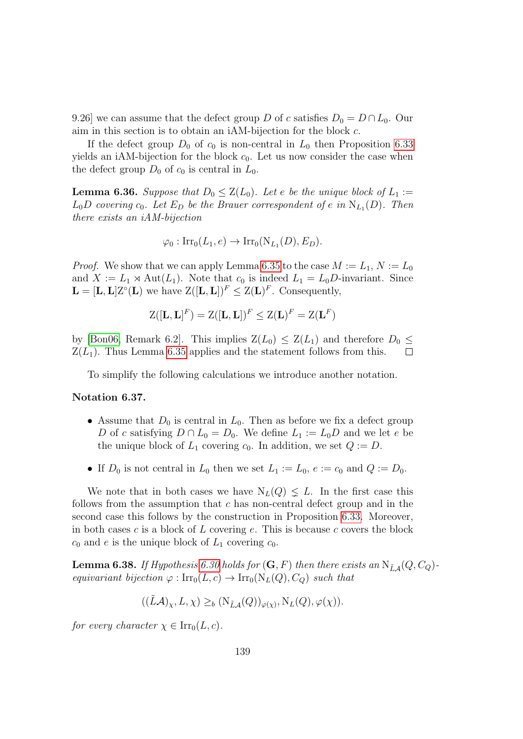9.26] we can assume that the defect group D of c satisfies  $D_0 = D \cap L_0$ . Our aim in this section is to obtain an iAM-bijection for the block c.

If the defect group  $D_0$  of  $c_0$  is non-central in  $L_0$  then Proposition [6.33](#page-133-0) yields an iAM-bijection for the block  $c_0$ . Let us now consider the case when the defect group  $D_0$  of  $c_0$  is central in  $L_0$ .

<span id="page-138-0"></span>**Lemma 6.36.** Suppose that  $D_0 \leq Z(L_0)$ . Let e be the unique block of  $L_1 :=$  $L_0D$  covering  $c_0$ . Let  $E_D$  be the Brauer correspondent of e in  $N_{L_1}(D)$ . Then there exists an iAM-bijection

$$
\varphi_0: \operatorname{Irr}_0(L_1, e) \to \operatorname{Irr}_0(N_{L_1}(D), E_D).
$$

*Proof.* We show that we can apply Lemma [6.35](#page-137-0) to the case  $M := L_1, N := L_0$ and  $X := L_1 \rtimes \text{Aut}(L_1)$ . Note that  $c_0$  is indeed  $L_1 = L_0D$ -invariant. Since  $\mathbf{L} = [\mathbf{L}, \mathbf{L}] \mathbf{Z}^{\circ}(\mathbf{L})$  we have  $\mathbf{Z}([\mathbf{L}, \mathbf{L}])^F \leq \mathbf{Z}(\mathbf{L})^F$ . Consequently,

$$
\mathrm{Z}([\mathbf{L},\mathbf{L}]^F)=\mathrm{Z}([\mathbf{L},\mathbf{L}])^F\leq \mathrm{Z}(\mathbf{L})^F=\mathrm{Z}(\mathbf{L}^F)
$$

by [\[Bon06,](#page-141-3) Remark 6.2]. This implies  $Z(L_0) \leq Z(L_1)$  and therefore  $D_0 \leq$  $Z(L_1)$ . Thus Lemma [6.35](#page-137-0) applies and the statement follows from this.

To simplify the following calculations we introduce another notation.

#### Notation 6.37.

- Assume that  $D_0$  is central in  $L_0$ . Then as before we fix a defect group D of c satisfying  $D \cap L_0 = D_0$ . We define  $L_1 := L_0 D$  and we let e be the unique block of  $L_1$  covering  $c_0$ . In addition, we set  $Q := D$ .
- If  $D_0$  is not central in  $L_0$  then we set  $L_1 := L_0$ ,  $e := c_0$  and  $Q := D_0$ .

We note that in both cases we have  $N_L(Q) \leq L$ . In the first case this follows from the assumption that  $c$  has non-central defect group and in the second case this follows by the construction in Proposition [6.33.](#page-133-0) Moreover, in both cases c is a block of  $L$  covering e. This is because c covers the block  $c_0$  and e is the unique block of  $L_1$  covering  $c_0$ .

<span id="page-138-1"></span>**Lemma 6.38.** If Hypothesis [6.30](#page-132-0) holds for  $(G, F)$  then there exists an  $N_{\tilde{L}A}(Q, C_Q)$ equivariant bijection  $\varphi : \text{Irr}_0(L, c) \to \text{Irr}_0(N_L(Q), C_Q)$  such that

$$
((\tilde{L}\mathcal{A})_{\chi}, L, \chi) \geq_b (N_{\tilde{L}\mathcal{A}}(Q))_{\varphi(\chi)}, N_L(Q), \varphi(\chi)).
$$

for every character  $\chi \in \text{Irr}_0(L, c)$ .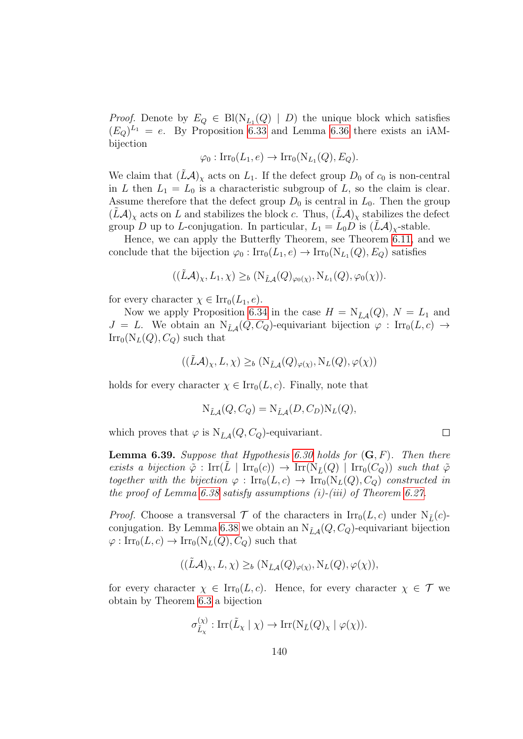*Proof.* Denote by  $E_Q \in \text{Bl}(\text{N}_{L_1}(Q) \mid D)$  the unique block which satisfies  $(E_Q)^{L_1} = e$ . By Proposition [6.33](#page-133-0) and Lemma [6.36](#page-138-0) there exists an iAMbijection

$$
\varphi_0: \operatorname{Irr}_0(L_1, e) \to \operatorname{Irr}_0(N_{L_1}(Q), E_Q).
$$

We claim that  $(LA)_\chi$  acts on  $L_1$ . If the defect group  $D_0$  of  $c_0$  is non-central in L then  $L_1 = L_0$  is a characteristic subgroup of L, so the claim is clear. Assume therefore that the defect group  $D_0$  is central in  $L_0$ . Then the group  $(L\mathcal{A})_{\chi}$  acts on L and stabilizes the block c. Thus,  $(L\mathcal{A})_{\chi}$  stabilizes the defect group D up to L-conjugation. In particular,  $L_1 = L_0 D$  is  $(\dot{L}A)_x$ -stable.

Hence, we can apply the Butterfly Theorem, see Theorem [6.11,](#page-119-1) and we conclude that the bijection  $\varphi_0: \text{Irr}_0(L_1, e) \to \text{Irr}_0(N_{L_1}(Q), E_Q)$  satisfies

$$
((\tilde{L}\mathcal{A})_{\chi}, L_1, \chi) \geq_b (N_{\tilde{L}\mathcal{A}}(Q)_{\varphi_0(\chi)}, N_{L_1}(Q), \varphi_0(\chi)).
$$

for every character  $\chi \in \text{Irr}_0(L_1, e)$ .

Now we apply Proposition [6.34](#page-137-1) in the case  $H = N_{\tilde{L}A}(Q)$ ,  $N = L_1$  and  $J = L$ . We obtain an  $N_{\tilde{L}A}(Q, C_Q)$ -equivariant bijection  $\varphi : \text{Irr}_0(L, c) \rightarrow$  $\text{Irr}_0(N_L(Q), C_Q)$  such that

$$
((\tilde{L}\mathcal{A})_{\chi}, L, \chi) \geq_b (N_{\tilde{L}\mathcal{A}}(Q)_{\varphi(\chi)}, N_L(Q), \varphi(\chi))
$$

holds for every character  $\chi \in \text{Irr}_0(L, c)$ . Finally, note that

$$
N_{\tilde{L}\mathcal{A}}(Q, C_Q) = N_{\tilde{L}\mathcal{A}}(D, C_D) N_L(Q),
$$

 $\Box$ 

which proves that  $\varphi$  is  $N_{\tilde{L}\mathcal{A}}(Q, C_Q)$ -equivariant.

<span id="page-139-0"></span>**Lemma 6.39.** Suppose that Hypothesis [6.30](#page-132-0) holds for  $(G, F)$ . Then there exists a bijection  $\tilde{\varphi}$ : Irr $(L | Irr_0(c)) \to Irr(N_{\tilde{L}}(Q) | Irr_0(C_Q))$  such that  $\tilde{\varphi}$ together with the bijection  $\varphi : \text{Irr}_0(L, c) \to \text{Irr}_0(N_L(Q), C_Q)$  constructed in the proof of Lemma [6.38](#page-138-1) satisfy assumptions  $(i)$ - $(iii)$  of Theorem [6.27.](#page-128-0)

*Proof.* Choose a transversal  $\mathcal T$  of the characters in  $\text{Irr}_0(L, c)$  under  $N_{\tilde{L}}(c)$ -conjugation. By Lemma [6.38](#page-138-1) we obtain an  $N_{\tilde{L}A}(Q, C_Q)$ -equivariant bijection  $\varphi: \text{Irr}_0(L, c) \to \text{Irr}_0(N_L(Q), C_Q)$  such that

$$
((\tilde{L}\mathcal{A})_{\chi}, L, \chi) \geq_b (N_{\tilde{L}\mathcal{A}}(Q)_{\varphi(\chi)}, N_L(Q), \varphi(\chi)),
$$

for every character  $\chi \in \text{Irr}_0(L, c)$ . Hence, for every character  $\chi \in \mathcal{T}$  we obtain by Theorem [6.3](#page-117-0) a bijection

$$
\sigma^{(\chi)}_{\tilde{L}_{\chi}}: \mathrm{Irr}(\tilde{L}_{\chi} \mid \chi) \to \mathrm{Irr}(\mathrm{N}_{\tilde{L}}(Q)_{\chi} \mid \varphi(\chi)).
$$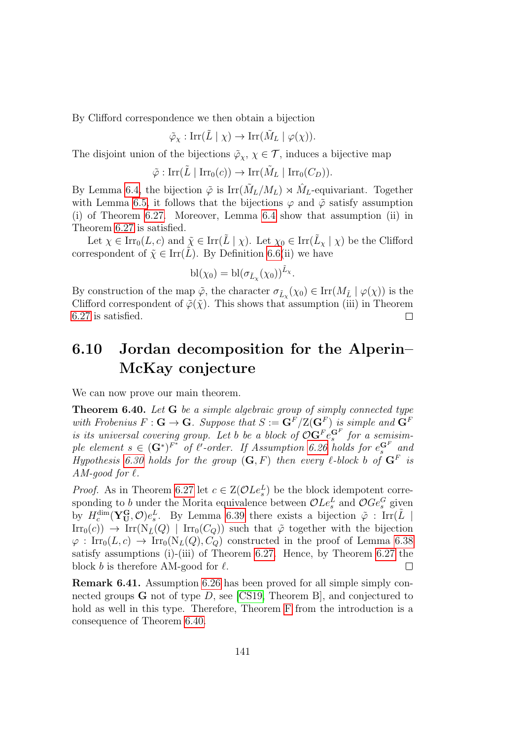By Clifford correspondence we then obtain a bijection

$$
\tilde{\varphi}_{\chi} : \operatorname{Irr}(\tilde{L} \mid \chi) \to \operatorname{Irr}(\tilde{M}_L \mid \varphi(\chi)).
$$

The disjoint union of the bijections  $\tilde{\varphi}_\chi, \chi \in \mathcal{T}$ , induces a bijective map

$$
\tilde{\varphi} : \operatorname{Irr}(\tilde{L} \mid \operatorname{Irr}_0(c)) \to \operatorname{Irr}(\tilde{M}_L \mid \operatorname{Irr}_0(C_D)).
$$

By Lemma [6.4,](#page-117-1) the bijection  $\tilde{\varphi}$  is  $\text{Irr}(\tilde{M}_L/M_L) \rtimes \hat{M}_L$ -equivariant. Together with Lemma [6.5,](#page-118-1) it follows that the bijections  $\varphi$  and  $\tilde{\varphi}$  satisfy assumption (i) of Theorem [6.27.](#page-128-0) Moreover, Lemma [6.4](#page-117-1) show that assumption (ii) in Theorem [6.27](#page-128-0) is satisfied.

Let  $\chi \in \text{Irr}_0(L, c)$  and  $\tilde{\chi} \in \text{Irr}(\tilde{L} \mid \chi)$ . Let  $\chi_0 \in \text{Irr}(\tilde{L}_{\chi} \mid \chi)$  be the Clifford correspondent of  $\tilde{\chi} \in \text{Irr}(\tilde{L})$ . By Definition [6.6\(](#page-118-0)ii) we have

$$
bl(\chi_0) = bl(\sigma_{\tilde{L}_{\chi}}(\chi_0))^{\tilde{L}_{\chi}}.
$$

By construction of the map  $\tilde{\varphi}$ , the character  $\sigma_{\tilde{L}_\chi}(\chi_0) \in \text{Irr}(M_{\tilde{L}} \mid \varphi(\chi))$  is the Clifford correspondent of  $\tilde{\varphi}(\tilde{\chi})$ . This shows that assumption (iii) in Theorem [6.27](#page-128-0) is satisfied.  $\Box$ 

## 6.10 Jordan decomposition for the Alperin– McKay conjecture

We can now prove our main theorem.

<span id="page-140-0"></span>Theorem 6.40. Let G be a simple algebraic group of simply connected type with Frobenius  $F: G \to G$ . Suppose that  $S := G^F/Z(G^F)$  is simple and  $G^F$ is its universal covering group. Let b be a block of  $\mathcal{O} \mathbf{G}^F e_s^{\mathbf{G}^F}$  for a semisimple element  $s \in (\mathbf{G}^*)^{F^*}$  of  $\ell'$ -order. If Assumption [6.26](#page-128-1) holds for  $e_s^{\mathbf{G}^F}$  and Hypothesis [6.30](#page-132-0) holds for the group  $(G, F)$  then every  $\ell$ -block b of  $G^F$  is AM-good for  $\ell$ .

*Proof.* As in Theorem [6.27](#page-128-0) let  $c \in \mathbb{Z}(\mathcal{O} L e_s^L)$  be the block idempotent corresponding to b under the Morita equivalence between  $\mathcal{O} L e_s^L$  and  $\mathcal{O} Ge_s^G$  given by  $H_c^{\dim}(\mathbf{Y_U^G}, \mathcal{O})e_s^L$ . By Lemma [6.39](#page-139-0) there exists a bijection  $\tilde{\varphi}$ : Irr $(\tilde{L} \mid$  $\text{Irr}_0(c)$   $\rightarrow$   $\text{Irr}(\text{N}_L(Q) | \text{Irr}_0(C_Q))$  such that  $\tilde{\varphi}$  together with the bijection  $\varphi: \operatorname{Irr}_0(L, c) \to \operatorname{Irr}_0(N_L(Q), C_Q)$  constructed in the proof of Lemma [6.38](#page-138-1) satisfy assumptions (i)-(iii) of Theorem [6.27.](#page-128-0) Hence, by Theorem [6.27](#page-128-0) the block b is therefore AM-good for  $\ell$ .  $\Box$ 

Remark 6.41. Assumption [6.26](#page-128-1) has been proved for all simple simply connected groups  $G$  not of type  $D$ , see [\[CS19,](#page-142-5) Theorem B], and conjectured to hold as well in this type. Therefore, Theorem [F](#page-11-0) from the introduction is a consequence of Theorem [6.40.](#page-140-0)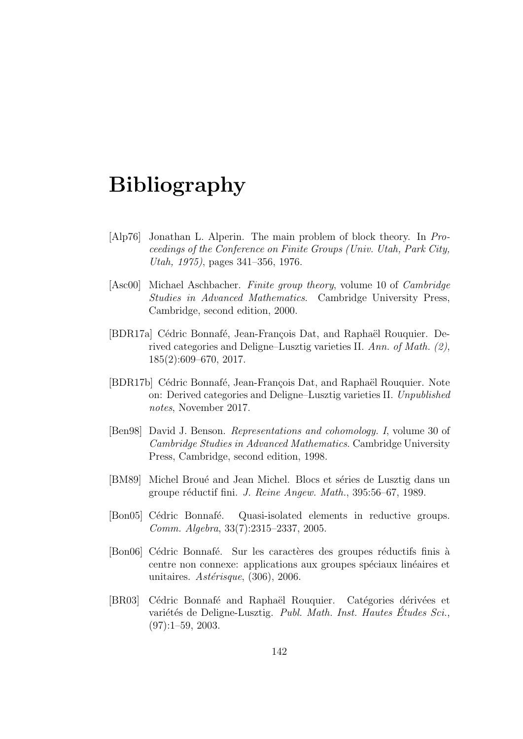# Bibliography

- [Alp76] Jonathan L. Alperin. The main problem of block theory. In Proceedings of the Conference on Finite Groups (Univ. Utah, Park City, Utah, 1975), pages 341–356, 1976.
- <span id="page-141-1"></span>[Asc00] Michael Aschbacher. Finite group theory, volume 10 of Cambridge Studies in Advanced Mathematics. Cambridge University Press, Cambridge, second edition, 2000.
- <span id="page-141-0"></span>[BDR17a] Cédric Bonnafé, Jean-François Dat, and Raphaël Rouquier. Derived categories and Deligne–Lusztig varieties II. Ann. of Math. (2), 185(2):609–670, 2017.
- [BDR17b] Cédric Bonnafé, Jean-François Dat, and Raphaël Rouquier. Note on: Derived categories and Deligne–Lusztig varieties II. Unpublished notes, November 2017.
- [Ben98] David J. Benson. Representations and cohomology. I, volume 30 of Cambridge Studies in Advanced Mathematics. Cambridge University Press, Cambridge, second edition, 1998.
- [BM89] Michel Broué and Jean Michel. Blocs et séries de Lusztig dans un groupe réductif fini. J. Reine Angew. Math., 395:56–67, 1989.
- <span id="page-141-2"></span>[Bon05] Cédric Bonnafé. Quasi-isolated elements in reductive groups. Comm. Algebra, 33(7):2315–2337, 2005.
- <span id="page-141-3"></span>[Bon06] Cédric Bonnafé. Sur les caractères des groupes réductifs finis à centre non connexe: applications aux groupes spéciaux linéaires et unitaires.  $Ast\acute{e}risque$ , (306), 2006.
- [BR03] Cédric Bonnafé and Raphaël Rouquier. Catégories dérivées et variétés de Deligne-Lusztig. Publ. Math. Inst. Hautes Études Sci.  $(97):1-59, 2003.$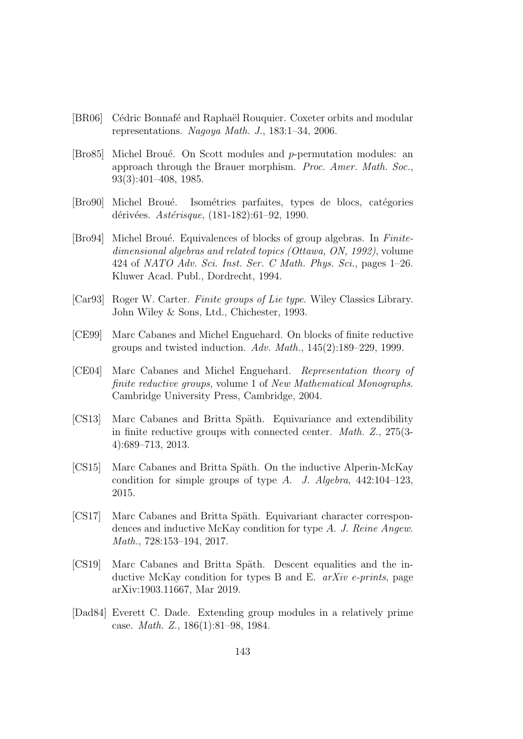- <span id="page-142-3"></span>[BR06] Cédric Bonnafé and Raphaël Rouquier. Coxeter orbits and modular representations. Nagoya Math. J., 183:1–34, 2006.
- [Bro85] Michel Broué. On Scott modules and  $p$ -permutation modules: an approach through the Brauer morphism. Proc. Amer. Math. Soc., 93(3):401–408, 1985.
- <span id="page-142-2"></span>[Bro90] Michel Broué. Isométries parfaites, types de blocs, catégories dérivées. Astérisque, (181-182):61-92, 1990.
- [Bro94] Michel Broué. Equivalences of blocks of group algebras. In Finitedimensional algebras and related topics (Ottawa, ON, 1992), volume 424 of NATO Adv. Sci. Inst. Ser. C Math. Phys. Sci., pages 1–26. Kluwer Acad. Publ., Dordrecht, 1994.
- [Car93] Roger W. Carter. Finite groups of Lie type. Wiley Classics Library. John Wiley & Sons, Ltd., Chichester, 1993.
- <span id="page-142-4"></span>[CE99] Marc Cabanes and Michel Enguehard. On blocks of finite reductive groups and twisted induction. Adv. Math.,  $145(2):189-229$ , 1999.
- [CE04] Marc Cabanes and Michel Enguehard. Representation theory of finite reductive groups, volume 1 of New Mathematical Monographs. Cambridge University Press, Cambridge, 2004.
- [CS13] Marc Cabanes and Britta Späth. Equivariance and extendibility in finite reductive groups with connected center. Math. Z., 275(3- 4):689–713, 2013.
- <span id="page-142-0"></span>[CS15] Marc Cabanes and Britta Späth. On the inductive Alperin-McKay condition for simple groups of type A. J. Algebra,  $442:104-123$ , 2015.
- <span id="page-142-1"></span>[CS17] Marc Cabanes and Britta Späth. Equivariant character correspondences and inductive McKay condition for type A. J. Reine Angew. Math., 728:153–194, 2017.
- <span id="page-142-5"></span>[CS19] Marc Cabanes and Britta Späth. Descent equalities and the inductive McKay condition for types B and E. *arXiv e-prints*, page arXiv:1903.11667, Mar 2019.
- [Dad84] Everett C. Dade. Extending group modules in a relatively prime case. Math. Z., 186(1):81–98, 1984.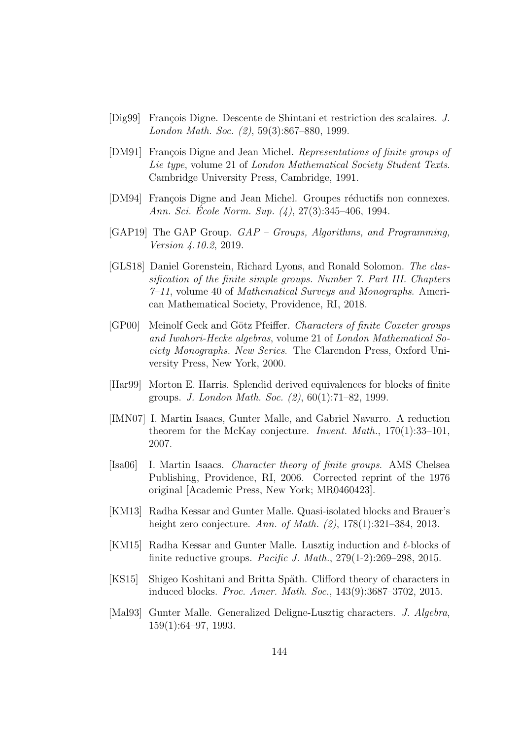- [Dig99] François Digne. Descente de Shintani et restriction des scalaires. J. London Math. Soc. (2), 59(3):867–880, 1999.
- <span id="page-143-3"></span>[DM91] François Digne and Jean Michel. Representations of finite groups of Lie type, volume 21 of London Mathematical Society Student Texts. Cambridge University Press, Cambridge, 1991.
- <span id="page-143-4"></span>[DM94] François Digne and Jean Michel. Groupes réductifs non connexes. Ann. Sci. Ecole Norm. Sup.  $(4)$ , 27 $(3)$ :345–406, 1994.
- [GAP19] The GAP Group. GAP Groups, Algorithms, and Programming, Version 4.10.2, 2019.
- <span id="page-143-2"></span>[GLS18] Daniel Gorenstein, Richard Lyons, and Ronald Solomon. The classification of the finite simple groups. Number 7. Part III. Chapters  $7-11$ , volume 40 of *Mathematical Surveys and Monographs*. American Mathematical Society, Providence, RI, 2018.
- [GP00] Meinolf Geck and Götz Pfeiffer. Characters of finite Coxeter groups and Iwahori-Hecke algebras, volume 21 of London Mathematical Society Monographs. New Series. The Clarendon Press, Oxford University Press, New York, 2000.
- [Har99] Morton E. Harris. Splendid derived equivalences for blocks of finite groups. J. London Math. Soc. (2), 60(1):71–82, 1999.
- [IMN07] I. Martin Isaacs, Gunter Malle, and Gabriel Navarro. A reduction theorem for the McKay conjecture. Invent. Math., 170(1):33–101, 2007.
- <span id="page-143-0"></span>[Isa06] I. Martin Isaacs. Character theory of finite groups. AMS Chelsea Publishing, Providence, RI, 2006. Corrected reprint of the 1976 original [Academic Press, New York; MR0460423].
- [KM13] Radha Kessar and Gunter Malle. Quasi-isolated blocks and Brauer's height zero conjecture. Ann. of Math. (2), 178(1):321–384, 2013.
- <span id="page-143-5"></span>[KM15] Radha Kessar and Gunter Malle. Lusztig induction and  $\ell$ -blocks of finite reductive groups. Pacific J. Math., 279(1-2):269–298, 2015.
- <span id="page-143-1"></span>[KS15] Shigeo Koshitani and Britta Späth. Clifford theory of characters in induced blocks. Proc. Amer. Math. Soc., 143(9):3687–3702, 2015.
- [Mal93] Gunter Malle. Generalized Deligne-Lusztig characters. J. Algebra, 159(1):64–97, 1993.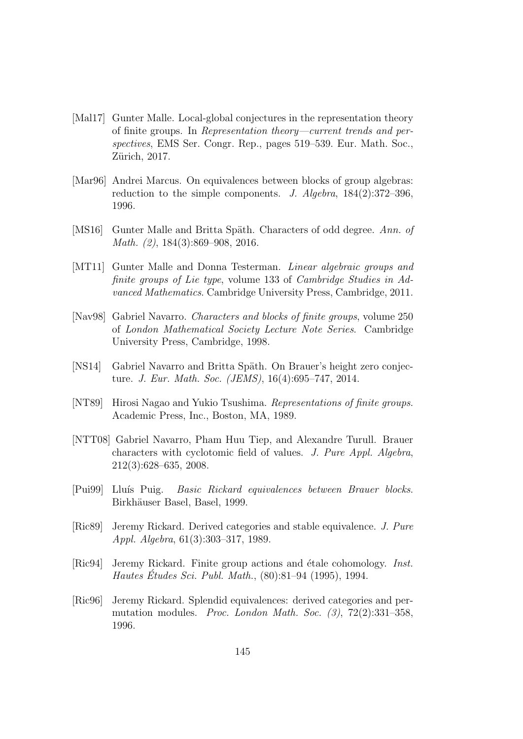- [Mal17] Gunter Malle. Local-global conjectures in the representation theory of finite groups. In Representation theory—current trends and perspectives, EMS Ser. Congr. Rep., pages 519–539. Eur. Math. Soc., Zürich, 2017.
- [Mar96] Andrei Marcus. On equivalences between blocks of group algebras: reduction to the simple components. J. Algebra,  $184(2):372-396$ , 1996.
- [MS16] Gunter Malle and Britta Späth. Characters of odd degree. Ann. of Math. (2), 184(3):869–908, 2016.
- [MT11] Gunter Malle and Donna Testerman. *Linear algebraic groups and* finite groups of Lie type, volume 133 of Cambridge Studies in Advanced Mathematics. Cambridge University Press, Cambridge, 2011.
- [Nav98] Gabriel Navarro. Characters and blocks of finite groups, volume 250 of London Mathematical Society Lecture Note Series. Cambridge University Press, Cambridge, 1998.
- [NS14] Gabriel Navarro and Britta Späth. On Brauer's height zero conjecture. J. Eur. Math. Soc. (JEMS), 16(4):695–747, 2014.
- [NT89] Hirosi Nagao and Yukio Tsushima. Representations of finite groups. Academic Press, Inc., Boston, MA, 1989.
- [NTT08] Gabriel Navarro, Pham Huu Tiep, and Alexandre Turull. Brauer characters with cyclotomic field of values. J. Pure Appl. Algebra, 212(3):628–635, 2008.
- [Pui99] Lluís Puig. Basic Rickard equivalences between Brauer blocks. Birkhäuser Basel, Basel, 1999.
- [Ric89] Jeremy Rickard. Derived categories and stable equivalence. J. Pure Appl. Algebra, 61(3):303–317, 1989.
- [Ric94] Jeremy Rickard. Finite group actions and étale cohomology. *Inst.* Hautes Études Sci. Publ. Math.,  $(80):81-94$  (1995), 1994.
- [Ric96] Jeremy Rickard. Splendid equivalences: derived categories and permutation modules. Proc. London Math. Soc. (3), 72(2):331–358, 1996.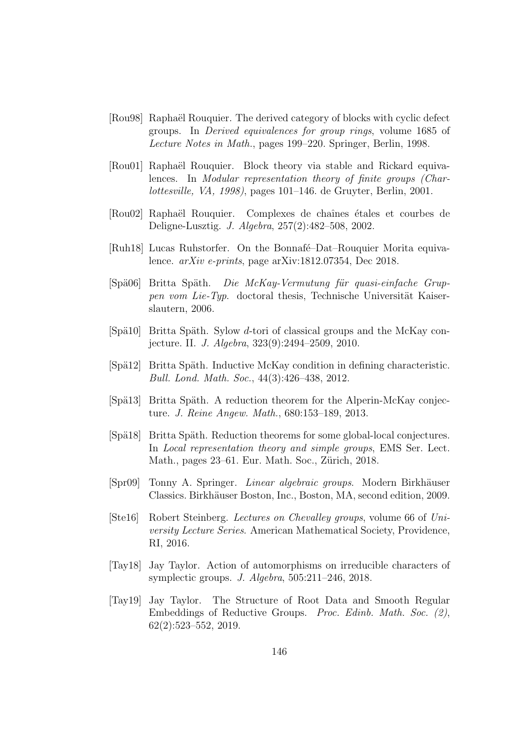- [Rou98] Raphaël Rouquier. The derived category of blocks with cyclic defect groups. In Derived equivalences for group rings, volume 1685 of Lecture Notes in Math., pages 199–220. Springer, Berlin, 1998.
- [Rou01] Raphaël Rouquier. Block theory via stable and Rickard equivalences. In Modular representation theory of finite groups (Charlottesville, VA, 1998), pages 101–146. de Gruyter, Berlin, 2001.
- [Rou02] Raphaël Rouquier. Complexes de chaînes étales et courbes de Deligne-Lusztig. J. Algebra, 257(2):482–508, 2002.
- [Ruh18] Lucas Ruhstorfer. On the Bonnafé–Dat–Rouquier Morita equivalence. arXiv e-prints, page arXiv:1812.07354, Dec 2018.
- [Spä06] Britta Späth. Die McKay-Vermutung für quasi-einfache Gruppen vom Lie-Typ. doctoral thesis, Technische Universität Kaiserslautern, 2006.
- [Spä10] Britta Späth. Sylow d-tori of classical groups and the McKay conjecture. II. J. Algebra, 323(9):2494–2509, 2010.
- [Spä12] Britta Späth. Inductive McKay condition in defining characteristic. Bull. Lond. Math. Soc., 44(3):426–438, 2012.
- [Spä13] Britta Späth. A reduction theorem for the Alperin-McKay conjecture. J. Reine Angew. Math., 680:153–189, 2013.
- [Spä18] Britta Späth. Reduction theorems for some global-local conjectures. In Local representation theory and simple groups, EMS Ser. Lect. Math., pages 23–61. Eur. Math. Soc., Zürich, 2018.
- [Spr09] Tonny A. Springer. *Linear algebraic groups*. Modern Birkhäuser Classics. Birkhäuser Boston, Inc., Boston, MA, second edition, 2009.
- [Ste16] Robert Steinberg. Lectures on Chevalley groups, volume 66 of University Lecture Series. American Mathematical Society, Providence, RI, 2016.
- [Tay18] Jay Taylor. Action of automorphisms on irreducible characters of symplectic groups. J. Algebra, 505:211–246, 2018.
- [Tay19] Jay Taylor. The Structure of Root Data and Smooth Regular Embeddings of Reductive Groups. Proc. Edinb. Math. Soc. (2), 62(2):523–552, 2019.